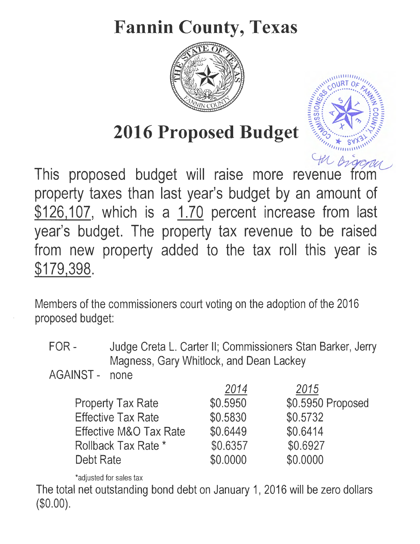# **Fannin County, Texas**



 $\frac{1}{11111111111}$ ,<sup>111111</sup>0URT *OF* 

,, c., . • .. • • • • */:'\_,,,* ,,.\_ ........ C::i ... ... '11",. -,,

 $=$  $5:$   $\sqrt{2}:$  $5:$  $\equiv$  $\frac{1}{\sqrt{2}}$  :  $\frac{1}{\sqrt{2}}$  $: c.$   $| \cdot | \cdot | \cdot | \cdot | \cdot |$ 

[~ ..... ~/'"\%\

 $\frac{1}{2}$ :  $\frac{1}{2}$  ,  $\frac{1}{2}$  ,  $\frac{1}{2}$  ,  $\frac{1}{2}$  ,  $\frac{1}{2}$ 

 $\frac{1}{2}$ 

 $\mu_{\ell_{\star}}$ 

# **2016 Proposed Budget**

In Digone This proposed budget will raise more revenue from property taxes than last year's budget by an amount of \$126, 107, which is a 1.70 percent increase from last year's budget. The property tax revenue to be raised from new property added to the tax roll this year is \$179,398.

Members of the commissioners court voting on the adoption of the 2016 proposed budget:

FOR - Judge Creta L. Carter II; Commissioners Stan Barker, Jerry Magness, Gary Whitlock, and Dean Lackey ·

AGAINST - none

|                           | 2014     | 2015              |
|---------------------------|----------|-------------------|
| <b>Property Tax Rate</b>  | \$0.5950 | \$0.5950 Proposed |
| <b>Effective Tax Rate</b> | \$0.5830 | \$0.5732          |
| Effective M&O Tax Rate    | \$0.6449 | \$0.6414          |
| Rollback Tax Rate *       | \$0.6357 | \$0.6927          |
| Debt Rate                 | \$0.0000 | \$0.0000          |

\*adjusted for sales tax

The total net outstanding bond debt on January 1, 2016 will be zero dollars (\$0.00).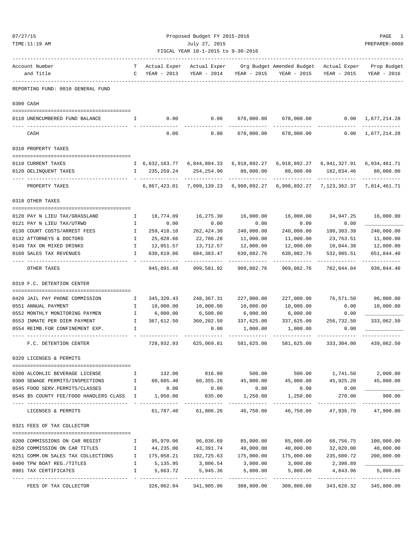| 07/27/15      |                                                                  | Proposed Budget FY 2015-2016       |                |                                  |                     |                           |                       |                           |  |
|---------------|------------------------------------------------------------------|------------------------------------|----------------|----------------------------------|---------------------|---------------------------|-----------------------|---------------------------|--|
| TIME:11:19 AM |                                                                  |                                    | July 27, 2015  |                                  |                     |                           |                       |                           |  |
|               |                                                                  | FISCAL YEAR 10-1-2015 to 9-30-2016 |                |                                  |                     |                           |                       |                           |  |
|               | Account Number                                                   | т                                  | Actual Exper   | Actual Exper                     |                     | Org Budget Amended Budget | Actual Exper          | Prop Budget               |  |
|               | and Title                                                        | C                                  | YEAR - 2013    | YEAR - 2014                      | YEAR - 2015         | YEAR - 2015               | YEAR - 2015           | YEAR - 2016               |  |
|               | REPORTING FUND: 0010 GENERAL FUND                                |                                    |                |                                  |                     |                           |                       |                           |  |
|               | 0300 CASH                                                        |                                    |                |                                  |                     |                           |                       |                           |  |
|               |                                                                  |                                    |                |                                  |                     |                           |                       |                           |  |
|               | 0110 UNENCUMBERED FUND BALANCE                                   | I                                  | 0.00           | 0.00                             | 678,000.00          | 678,000.00                | 0.00                  | 1,677,214.28              |  |
|               | CASH                                                             |                                    | 0.00           | 0.00                             | 678,000.00          | 678,000.00                | 0.00                  | 1,677,214.28              |  |
|               | 0310 PROPERTY TAXES                                              |                                    |                |                                  |                     |                           |                       |                           |  |
|               | 0110 CURRENT TAXES                                               |                                    | I 6,632,163.77 | 6,844,884.33                     | 6,918,892.27        | 6,918,892.27              | 6,941,327.91          | 6,934,461.71              |  |
|               | 0120 DELINQUENT TAXES                                            | I.                                 | 235,259.24     | 254, 254.90                      | 80,000.00           | 80,000.00                 | 182,034.46            | 80,000.00                 |  |
|               | PROPERTY TAXES                                                   |                                    | 6,867,423.01   | 7,099,139.23                     | 6,998,892.27        | 6,998,892.27              | 7,123,362.37          | 7,014,461.71              |  |
|               | 0318 OTHER TAXES                                                 |                                    |                |                                  |                     |                           |                       |                           |  |
|               | 0120 PAY N LIEU TAX/GRASSLAND                                    | Ι.                                 | 18,774.09      | 16,275.30                        | 16,000.00           | 16,000.00                 | 34,947.25             | 16,000.00                 |  |
|               | 0121 PAY N LIEU TAX/UTRWD                                        | Ι.                                 | 0.00           | 0.00                             | 0.00                | 0.00                      | 0.00                  |                           |  |
|               | 0130 COURT COSTS/ARREST FEES                                     | I.                                 | 259, 418.10    | 262, 424.30                      | 240,000.00          | 240,000.00                | 180, 303.39           | 240,000.00                |  |
|               | 0132 ATTORNEYS & DOCTORS                                         | $\mathbf{I}$                       | 25,028.66      | 22,786.28                        | 11,000.00           | 11,000.00                 | 23,763.51             | 11,000.00                 |  |
|               | 0140 TAX ON MIXED DRINKS                                         | I                                  | 12,051.57      | 13,712.57                        | 12,000.00           | 12,000.00                 | 10,044.38             | 12,000.00                 |  |
|               | 0160 SALES TAX REVENUES                                          | I                                  | 630,619.06     | 684,383.47                       | 630,082.76          | 630,082.76                | 532,985.51            | 651,844.40                |  |
|               | OTHER TAXES                                                      |                                    | 945,891.48     | 999,581.92                       | 909,082.76          | 909,082.76                | 782,044.04            | 930,844.40                |  |
|               | 0319 F.C. DETENTION CENTER                                       |                                    |                |                                  |                     |                           |                       |                           |  |
|               | 0420 JAIL PAY PHONE COMMISSION                                   | Ι.                                 | 345, 320.43    | 248,367.31                       | 227,000.00          | 227,000.00                | 76,571.50             | 96,000.00                 |  |
|               | 0551 ANNUAL PAYMENT                                              | $\mathbf{I}$                       | 10,000.00      | 10,000.00                        | 10,000.00           | 10,000.00                 | 0.00                  | 10,000.00                 |  |
|               | 0552 MONTHLY MONITORING PAYMEN                                   | $\mathbf I$                        | 6,000.00       | 6,500.00                         | 6,000.00            | 6,000.00                  | 0.00                  |                           |  |
|               | 0553 INMATE PER DIEM PAYMENT                                     | $\mathbf{I}$                       | 367,612.50     | 360,202.50                       | 337,625.00          | 337,625.00                | 256,732.50            | 333,062.50                |  |
|               | 0554 REIMB.FOR CONFINEMENT EXP.                                  | I                                  |                | 0.00                             | 1,000.00            | 1,000.00                  | 0.00                  |                           |  |
|               | F.C. DETENTION CENTER                                            |                                    |                | 728,932.93 625,069.81 581,625.00 |                     |                           | 581,625.00 333,304.00 | 439,062.50                |  |
|               | 0320 LICENSES & PERMITS                                          |                                    |                |                                  |                     |                           |                       |                           |  |
|               | 0200 ALCOHLIC BEVERAGE LICENSE                                   | Ι.                                 | 132.00         | 816.00                           | 500.00              | 500.00                    |                       | 1,741.50 2,000.00         |  |
|               | 0300 SEWAGE PERMITS/INSPECTIONS<br>$\mathbf{I}$ and $\mathbf{I}$ |                                    | 60,605.40      | 60,355.26                        | 45,000.00           | 45,000.00                 | 45,925.20             | 45,000.00                 |  |
|               | 0545 FOOD SERV. PERMITS/CLASSES<br>$\mathbf{I}$ and $\mathbf{I}$ |                                    | 0.00           | 0.00                             | 0.00                | 0.00                      | 0.00                  |                           |  |
|               | 0546 \$5 COUNTY FEE/FOOD HANDLERS CLASS I                        |                                    | 1,050.00       | 635.00                           | 1,250.00            | 1,250.00                  | 270.00                | 900.00                    |  |
|               | LICENSES & PERMITS                                               |                                    |                | 61,787.40 61,806.26 46,750.00    |                     | 46,750.00                 | 47,936.70 47,900.00   | ----------                |  |
|               | 0321 FEES OF TAX COLLECTOR                                       |                                    |                |                                  |                     |                           |                       |                           |  |
|               | 0200 COMMISSIONS ON CAR REGIST                                   | $\mathbb{I}$                       | 95,970.06      |                                  | 96,036.69 85,000.00 | 85,000.00                 | 68,756.75             | 100,000.00                |  |
|               | 0250 COMMISSION ON CAR TITLES                                    | $\mathbb{I}$                       | 44,235.00      | 43,391.74                        | 40,000.00           | 40,000.00                 | 32,020.00             | 40,000.00                 |  |
|               | 0251 COMM.ON SALES TAX COLLECTIONS                               | $\mathbf{I}$                       |                | 175,058.21 192,725.63            | 175,000.00          | 175,000.00                | 235,600.72            | 200,000.00                |  |
|               | 0400 TPW BOAT REG./TITLES                                        | $\mathbb{I}$                       | 5,135.95       | 3,806.54                         | 3,000.00            | 3,000.00                  | 2,398.89              |                           |  |
|               | 0901 TAX CERTIFICATES                                            | I.                                 | 5,663.72       | 5,945.36                         | 5,800.00            | 5,800.00                  | 4,843.96              | 5,800.00                  |  |
|               | FEES OF TAX COLLECTOR                                            |                                    | 326,062.94     | 341,905.96                       | 308,800.00          | 308,800.00                | 343,620.32            | -----------<br>345,800.00 |  |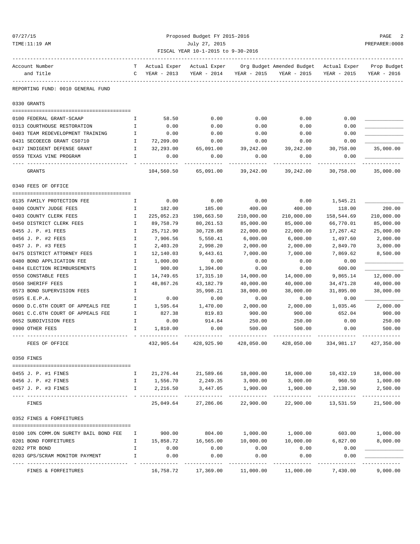# 07/27/15 Proposed Budget FY 2015-2016 PAGE 2 TIME:11:19 AM July 27, 2015 PREPARER:0008 FISCAL YEAR 10-1-2015 to 9-30-2016

| Account Number<br>and Title                                  | т<br>$\mathbb{C}$  | Actual Exper<br>YEAR - 2013 | Actual Exper<br>YEAR - 2014      | YEAR - 2015      | Org Budget Amended Budget - Actual Exper | YEAR - 2015 YEAR - 2015 | Prop Budget<br>YEAR - 2016 |
|--------------------------------------------------------------|--------------------|-----------------------------|----------------------------------|------------------|------------------------------------------|-------------------------|----------------------------|
| REPORTING FUND: 0010 GENERAL FUND                            |                    |                             |                                  |                  |                                          |                         |                            |
| 0330 GRANTS                                                  |                    |                             |                                  |                  |                                          |                         |                            |
| 0100 FEDERAL GRANT-SCAAP                                     | Ι.                 | 58.50                       | 0.00                             | 0.00             | 0.00                                     | 0.00                    |                            |
| 0313 COURTHOUSE RESTORATION                                  | Ι.                 | 0.00                        | 0.00                             | 0.00             | 0.00                                     | 0.00                    |                            |
| 0403 TEAM REDEVELOPMENT TRAINING                             | $\mathbb{I}$       | 0.00                        | 0.00                             | 0.00             | 0.00                                     | 0.00                    |                            |
| 0431 SECOEECB GRANT CS0710                                   | $\mathbf{I}$       | 72,209.00                   | 0.00                             | 0.00             | 0.00                                     | 0.00                    |                            |
| 0437 INDIGENT DEFENSE GRANT<br>$\mathbb{I}$ and $\mathbb{I}$ |                    | 32,293.00                   | 65,091.00 39,242.00              |                  | 39,242.00                                | 30,758.00               | 35,000.00                  |
| 0559 TEXAS VINE PROGRAM                                      | Ι.                 | 0.00                        | 0.00                             | 0.00             | 0.00                                     | 0.00                    |                            |
| GRANTS                                                       |                    | 104,560.50                  | 65,091.00                        | 39,242.00        | 39,242.00                                | 30,758.00               | 35,000.00                  |
| 0340 FEES OF OFFICE                                          |                    |                             |                                  |                  |                                          |                         |                            |
|                                                              |                    |                             |                                  |                  |                                          |                         |                            |
| 0135 FAMILY PROTECTION FEE                                   | $\mathbf{I}$       | 0.00                        | 0.00                             | 0.00             | 0.00                                     | 1,545.21                |                            |
| 0400 COUNTY JUDGE FEES                                       | Ι.                 | 182.00                      | 185.00                           | 400.00           | 400.00                                   | 118.00                  | 200.00                     |
| 0403 COUNTY CLERK FEES                                       | Ι.                 | 225,052.23                  | 198,663.50                       | 210,000.00       | 210,000.00                               | 158,544.69              | 210,000.00                 |
| 0450 DISTRICT CLERK FEES                                     | Ι.                 | 89,758.79                   | 80,261.53                        | 85,000.00        | 85,000.00                                | 66,770.01               | 85,000.00                  |
| 0455 J. P. #1 FEES                                           | I                  | 25,712.90                   | 30,728.88                        | 22,000.00        | 22,000.00                                | 17,267.42               | 25,000.00                  |
| 0456 J. P. #2 FEES                                           | I.                 | 7,906.56                    | 5,550.41                         | 6,000.00         | 6,000.00                                 | 1,497.60                | 2,000.00                   |
| 0457 J. P. #3 FEES                                           | Ι.                 | 2,403.20                    | 2,998.20                         | 2,000.00         | 2,000.00                                 | 2,849.70                | 3,000.00                   |
| 0475 DISTRICT ATTORNEY FEES                                  | $\mathbf{I}$       | 12,140.03                   | 9,443.61                         | 7,000.00         | 7,000.00                                 | 7,869.62                | 8,500.00                   |
| 0480 BOND APPLICATION FEE                                    | I                  | 1,000.00                    | 0.00                             | 0.00             | 0.00                                     | 0.00                    |                            |
| 0484 ELECTION REIMBURSEMENTS                                 | I.                 | 900.00                      | 1,394.00                         | 0.00             | 0.00                                     | 600.00                  |                            |
| 0550 CONSTABLE FEES                                          | Ι.                 | 14,749.65                   | 17,315.10                        | 14,000.00        | 14,000.00                                | 9,865.14                | 12,000.00                  |
| 0560 SHERIFF FEES                                            | Ι.                 | 48,867.26                   | 43,182.79                        | 40,000.00        | 40,000.00                                | 34,471.28               | 40,000.00                  |
| 0573 BOND SUPERVISION FEES                                   | $\mathbf I$        |                             | 35,998.21                        | 38,000.00        | 38,000.00                                | 31,895.00               | 38,000.00                  |
| 0595 E.E.P.A.                                                | Ι.                 | 0.00                        | 0.00                             | 0.00             | 0.00                                     | 0.00                    |                            |
| 0600 D.C.6TH COURT OF APPEALS FEE                            | $\mathbf{I}$       | 1,595.64                    | 1,470.00                         | 2,000.00         | 2,000.00                                 | 1,035.46                | 2,000.00                   |
| 0601 C.C.6TH COURT OF APPEALS FEE                            | $\mathbf{I}$       | 827.38                      | 819.83                           | 900.00           | 900.00                                   | 652.04                  | 900.00                     |
| 0652 SUBDIVISION FEES<br>0900 OTHER FEES                     | I.<br>$\mathbf{I}$ | 0.00<br>1,810.00            | 914.84<br>0.00                   | 250.00<br>500.00 | 250.00<br>500.00                         | 0.00<br>0.00            | 250.00<br>500.00           |
| FEES OF OFFICE                                               |                    |                             | 432,905.64 428,925.90 428,050.00 |                  |                                          | 428,050.00 334,981.17   | 427,350.00                 |
| 0350 FINES                                                   |                    |                             |                                  |                  |                                          |                         |                            |
| ==========================                                   |                    |                             |                                  |                  |                                          |                         |                            |
| 0455 J. P. #1 FINES                                          | I                  | 21, 276.44                  | 21,589.66                        | 18,000.00        | 18,000.00                                | 10,432.19               | 18,000.00                  |
| 0456 J. P. #2 FINES                                          | I                  | 1,556.70                    | 2,249.35                         | 3,000.00         | 3,000.00                                 | 960.50                  | 1,000.00                   |
| 0457 J. P. #3 FINES                                          | I                  | 2,216.50                    | 3,447.05                         | 1,900.00         | 1,900.00                                 | 2,138.90                | 2,500.00<br>---------      |
| FINES                                                        |                    | 25,049.64                   | 27,286.06                        | 22,900.00        | 22,900.00                                | 13,531.59               | 21,500.00                  |
| 0352 FINES & FORFEITURES                                     |                    |                             |                                  |                  |                                          |                         |                            |
| 0100 10% COMM.ON SURETY BAIL BOND FEE                        | I                  | 900.00                      | 804.00                           | 1,000.00         | 1,000.00                                 | 603.00                  | 1,000.00                   |
| 0201 BOND FORFEITURES                                        | I                  | 15,858.72                   | 16,565.00                        | 10,000.00        | 10,000.00                                | 6,827.00                | 8,000.00                   |
| 0202 PTR BOND                                                | I                  | 0.00                        | 0.00                             | 0.00             | 0.00                                     | 0.00                    |                            |
| 0203 GPS/SCRAM MONITOR PAYMENT                               | $\mathbbm{I}$      | 0.00                        | 0.00                             | 0.00             | 0.00                                     | 0.00                    |                            |
| FINES & FORFEITURES                                          |                    | 16,758.72                   | 17,369.00                        | 11,000.00        | 11,000.00                                | 7,430.00                | 9,000.00                   |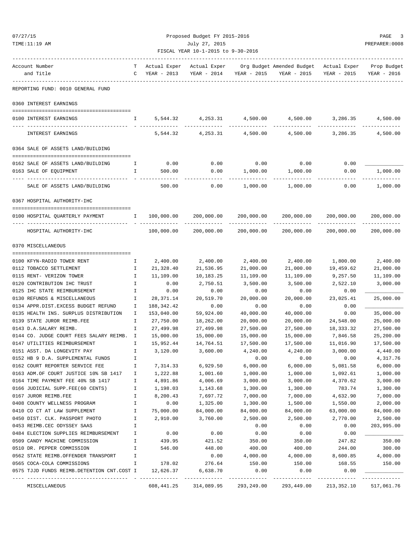| 07/27/15                                                          |              |               | Proposed Budget FY 2015-2016         |                        |                                                                                |                           | PAGE<br>3     |  |  |
|-------------------------------------------------------------------|--------------|---------------|--------------------------------------|------------------------|--------------------------------------------------------------------------------|---------------------------|---------------|--|--|
| TIME:11:19 AM                                                     |              | July 27, 2015 |                                      |                        |                                                                                |                           |               |  |  |
|                                                                   |              |               | FISCAL YEAR 10-1-2015 to 9-30-2016   |                        |                                                                                |                           |               |  |  |
| Account Number                                                    |              |               | ------------------------------------ |                        | T Actual Exper Actual Exper Org Budget Amended Budget Actual Exper Prop Budget |                           |               |  |  |
| and Title                                                         |              | C YEAR - 2013 |                                      |                        | YEAR - 2014 YEAR - 2015 YEAR - 2015                                            | YEAR - 2015               | YEAR - 2016   |  |  |
| -------<br>-----------------<br>REPORTING FUND: 0010 GENERAL FUND |              |               |                                      |                        |                                                                                |                           |               |  |  |
| 0360 INTEREST EARNINGS                                            |              |               |                                      |                        |                                                                                |                           |               |  |  |
| 0100 INTEREST EARNINGS                                            | $\mathbf{I}$ |               |                                      |                        | $5,544.32$ $4,253.31$ $4,500.00$ $4,500.00$ $3,286.35$                         |                           | 4,500.00      |  |  |
| INTEREST EARNINGS                                                 |              |               | 5,544.32 4,253.31 4,500.00           |                        | ______________<br>4,500.00                                                     | 3,286.35                  | 4,500.00      |  |  |
| 0364 SALE OF ASSETS LAND/BUILDING                                 |              |               |                                      |                        |                                                                                |                           |               |  |  |
|                                                                   |              |               |                                      |                        |                                                                                |                           |               |  |  |
| 0162 SALE OF ASSETS LAND/BUILDING                                 | I.           |               | $0.00$ 0.00                          |                        | $0.00$ 0.00                                                                    | 0.00                      |               |  |  |
| 0163 SALE OF EQUIPMENT                                            | Ι.           | 500.00        | 0.00<br>----------                   | 1,000.00<br>---------- | 1,000.00<br>.                                                                  | 0.00                      | 1,000.00<br>. |  |  |
| SALE OF ASSETS LAND/BUILDING                                      |              | 500.00        | 0.00                                 | 1,000.00               | 1,000.00                                                                       | 0.00                      | 1,000.00      |  |  |
| 0367 HOSPITAL AUTHORITY-IHC                                       |              |               |                                      |                        |                                                                                |                           |               |  |  |
| 0100 HOSPITAL QUARTERLY PAYMENT 100,000.00                        |              |               | 200,000.00                           | 200,000.00             | 200,000.00                                                                     | 200,000.00<br>___________ | 200,000.00    |  |  |
| HOSPITAL AUTHORITY-IHC                                            |              | 100,000.00    |                                      | 200,000.00 200,000.00  | -----------<br>200,000.00                                                      | 200,000.00                | 200,000.00    |  |  |
| 0370 MISCELLANEOUS                                                |              |               |                                      |                        |                                                                                |                           |               |  |  |
| 0100 KFYN-RADIO TOWER RENT                                        | Ι.           | 2,400.00      | 2,400.00                             | 2,400.00               | 2,400.00                                                                       | 1,800.00                  | 2,400.00      |  |  |
| 0112 TOBACCO SETTLEMENT                                           | Ι.           | 21,328.40     | 21,536.95                            | 21,000.00              | 21,000.00                                                                      | 19,459.62                 | 21,000.00     |  |  |
| 0115 RENT- VERIZON TOWER                                          | $\mathbf{I}$ | 11,109.00     | 10,183.25                            | 11,109.00              | 11,109.00                                                                      | 9,257.50                  | 11,109.00     |  |  |
| 0120 CONTRIBUTION IHC TRUST                                       | $\mathbb{I}$ | 0.00          | 2,750.51                             | 3,500.00               | 3,500.00                                                                       | 2,522.10                  | 3,000.00      |  |  |
| 0125 IHC STATE REIMBURSEMENT                                      | Ι.           | 0.00          | 0.00                                 | 0.00                   | 0.00                                                                           | 0.00                      |               |  |  |
| 0130 REFUNDS & MISCELLANEOUS                                      | Ι.           | 28,371.14     | 20,519.70                            | 20,000.00              | 20,000.00                                                                      | 23,025.41                 | 25,000.00     |  |  |
| 0134 APPR.DIST.EXCESS BUDGET REFUND                               | I.           | 188, 342.42   | 0.00                                 | 0.00                   | 0.00                                                                           | 0.00                      |               |  |  |
| 0135 HEALTH INS. SURPLUS DISTRIBUTION                             | $\mathbf{I}$ | 153,040.00    | 59,924.00                            | 40,000.00              | 40,000.00                                                                      | 0.00                      | 35,000.00     |  |  |
| 0139 STATE JUROR REIMB.FEE                                        | $\mathbf{I}$ | 27,750.00     | 18,262.00                            | 20,000.00              | 20,000.00                                                                      | 24,548.00                 | 25,000.00     |  |  |
| 0143 D.A.SALARY REIMB.                                            | I.           | 27,499.98     | 27,499.98                            | 27,500.00              | 27,500.00                                                                      | 18,333.32                 | 27,500.00     |  |  |
| 0144 CO. JUDGE COURT FEES SALARY REIMB. I                         |              | 15,000.00     | 15,000.00                            | 15,000.00              | 15,000.00                                                                      | 7,846.58                  | 25,200.00     |  |  |
| 0147 UTILITIES REIMBURSEMENT                                      |              | 15,952.44     | 14,764.51                            | 17,500.00              | 17,500.00                                                                      | 11,016.90                 | 17,500.00     |  |  |
| 0151 ASST. DA LONGEVITY PAY                                       | I.           | 3,120.00      | 3,600.00                             | 4,240.00               | 4,240.00                                                                       | 3,000.00                  | 4,440.00      |  |  |
| 0152 HB 9 D.A. SUPPLEMENTAL FUNDS                                 | $\mathbf{I}$ |               |                                      | 0.00                   | 0.00                                                                           | 0.00                      | 4,317.76      |  |  |
| 0162 COURT REPORTER SERVICE FEE                                   | I.           | 7,314.33      | 6,929.50                             | 6,000.00               | 6,000.00                                                                       | 5,081.58                  | 6,000.00      |  |  |
| 0163 ADM.OF COURT JUSTICE 10% SB 1417                             | I.           | 1,222.88      | 1,001.60                             | 1,000.00               | 1,000.00                                                                       | 1,092.61                  | 1,000.00      |  |  |
| 0164 TIME PAYMENT FEE 40% SB 1417                                 | Ι.           | 4,891.86      | 4,006.69                             | 3,000.00               | 3,000.00                                                                       | 4,370.62                  | 3,000.00      |  |  |
| 0166 JUDICIAL SUPP.FEE(60 CENTS)                                  | Ι.           | 1,198.03      | 1,143.68                             | 1,300.00               | 1,300.00                                                                       | 783.74                    | 1,300.00      |  |  |
| 0167 JUROR REIMB.FEE                                              | $\mathbf{I}$ | 8,200.43      | 7,697.72                             | 7,000.00               | 7,000.00                                                                       | 4,632.90                  | 7,000.00      |  |  |
| 0408 COUNTY WELLNESS PROGRAM                                      | $\mathbf I$  | 0.00          | 1,325.00                             | 1,300.00               | 1,500.00                                                                       | 1,550.00                  | 2,000.00      |  |  |
| 0410 CO CT AT LAW SUPPLEMENT                                      | $\mathbf{I}$ | 75,000.00     | 84,000.00                            | 84,000.00              | 84,000.00                                                                      | 63,000.00                 | 84,000.00     |  |  |
| 0450 DIST. CLK. PASSPORT PHOTO                                    | $\mathbf{I}$ | 2,910.00      | 3,760.00                             | 2,500.00               | 2,500.00                                                                       | 2,770.00                  | 2,500.00      |  |  |
| 0453 REIMB.CEC ODYSSEY SAAS                                       | Ι.           |               |                                      | 0.00                   | 0.00                                                                           | 0.00                      | 203,995.00    |  |  |
| 0484 ELECTION SUPPLIES REIMBURSEMENT                              | I.           | 0.00          | 0.00                                 | 0.00                   | 0.00                                                                           | 0.00                      |               |  |  |
| 0509 CANDY MACHINE COMMISSION                                     | $\mathbf{I}$ | 439.95        | 421.52                               | 350.00                 | 350.00                                                                         | 247.82                    | 350.00        |  |  |
| 0510 DR. PEPPER COMMISSION                                        | $\mathbf I$  | 546.00        | 448.00                               | 400.00                 | 400.00                                                                         | 244.00                    | 300.00        |  |  |
| 0562 STATE REIMB.OFFENDER TRANSPORT                               | I.           |               | 0.00                                 | 4,000.00               | 4,000.00                                                                       | 8,600.85                  | 4,000.00      |  |  |
| 0565 COCA-COLA COMMISSIONS                                        | I.           | 178.02        | 276.64                               | 150.00                 | 150.00                                                                         | 168.55                    | 150.00        |  |  |
| 0575 TJJD FUNDS REIMB.DETENTION CNT.COST I                        |              | 12,626.37     | 6,638.70                             | 0.00                   | 0.00                                                                           | 0.00                      |               |  |  |
| MISCELLANEOUS                                                     |              | 608, 441.25   | 314,089.95                           | 293,249.00             | 293,449.00                                                                     | 213,352.10                | 517,061.76    |  |  |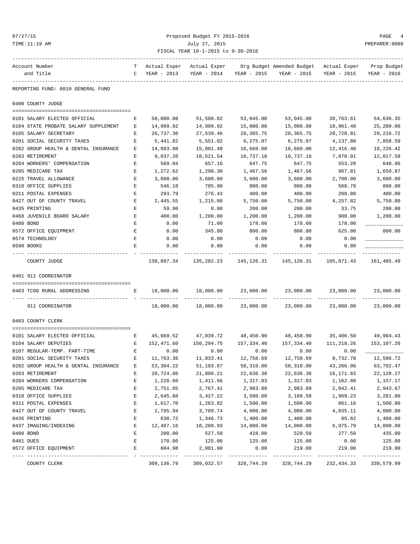| 07/27/<br>× |
|-------------|
|-------------|

### Proposed Budget FY 2015-2016 PAGE 4 TIME:11:19 AM July 27, 2015 PREPARER:0008 FISCAL YEAR 10-1-2015 to 9-30-2016

| Account Number<br>and Title          | т<br>C | Actual Exper<br>YEAR - 2013 | Actual Exper<br>YEAR - 2014 | YEAR - 2015                 | Org Budget Amended Budget Actual Exper<br>YEAR - 2015 | YEAR - 2015                 | Prop Budget<br>YEAR - 2016 |
|--------------------------------------|--------|-----------------------------|-----------------------------|-----------------------------|-------------------------------------------------------|-----------------------------|----------------------------|
| REPORTING FUND: 0010 GENERAL FUND    |        |                             |                             |                             |                                                       |                             |                            |
| 0400 COUNTY JUDGE                    |        |                             |                             |                             |                                                       |                             |                            |
|                                      |        |                             |                             |                             |                                                       |                             |                            |
| 0101 SALARY ELECTED OFFICIAL         | Е      | 50,000.08                   | 51,500.02                   | 53,045.00                   | 53,045.00                                             | 38,763.61                   | 54,636.35                  |
| 0104 STATE PROBATE SALARY SUPPLEMENT | Е      | 14,999.92                   | 14,999.92                   | 15,000.00                   | 15,000.00                                             | 10,961.48                   | 25,200.00                  |
| 0105 SALARY SECRETARY                | Е      | 26,737.36                   | 27,539.46                   | 28, 365. 75                 | 28, 365. 75                                           | 20,728.81                   | 29, 216.72                 |
| 0201 SOCIAL SECURITY TAXES           | E      | 5,441.82                    | 5,551.02                    | 6,275.07                    | 6,275.07                                              | 4,137.88                    | 7,058.59                   |
| 0202 GROUP HEALTH & DENTAL INSURANCE | Е      | 14,893.88                   | 15,801.48                   | 16,660.00                   | 16,660.00                                             | 12,416.40                   | 18,226.42                  |
| 0203 RETIREMENT                      | Е      | 9,637.20                    | 10,521.54                   | 10,737.18                   | 10,737.18                                             | 7,870.01                    | 12,017.58                  |
| 0204 WORKERS' COMPENSATION           | Е      | 569.04                      | 657.16                      | 647.75                      | 647.75                                                | 553.28                      | 648.96                     |
| 0205 MEDICARE TAX                    | Е      | 1,272.62                    | 1,298.30                    | 1,467.56                    | 1,467.56                                              | 967.81                      | 1,650.87                   |
| 0225 TRAVEL ALLOWANCE                | Е      | 3,600.00                    | 3,600.00                    | 3,600.00                    | 3,600.00                                              | 2,700.00                    | 3,600.00                   |
| 0310 OFFICE SUPPLIES                 | Е      | 546.18                      | 705.90                      | 800.00                      | 800.00                                                | 568.78                      | 800.00                     |
| 0311 POSTAL EXPENSES                 | Е      | 293.79                      | 276.43                      | 400.00                      | 400.00                                                | 208.80                      | 400.00                     |
| 0427 OUT OF COUNTY TRAVEL            | Ε      | 2,445.55                    | 1,215.00                    | 5,750.00                    | 5,750.00                                              | 4,257.82                    | 5,750.00                   |
| 0435 PRINTING                        | E      | 59.90                       | 0.00                        | 200.00                      | 200.00                                                | 33.75                       | 200.00                     |
| 0468 JUVENILE BOARD SALARY           | Е      | 400.00                      | 1,200.00                    | 1,200.00                    | 1,200.00                                              | 900.00                      | 1,200.00                   |
| 0480 BOND                            | Е      | 0.00                        | 71.00                       | 178.00                      | 178.00                                                | 178.00                      |                            |
| 0572 OFFICE EQUIPMENT                | Е      | 0.00                        | 345.00                      | 800.00                      | 800.00                                                | 625.00                      | 800.00                     |
| 0574 TECHNOLOGY                      | Е      | 0.00                        | 0.00                        | 0.00                        | 0.00                                                  | 0.00                        |                            |
| 0590 BOOKS                           | E      | 0.00                        | 0.00                        | 0.00                        | 0.00                                                  | 0.00                        |                            |
| COUNTY JUDGE                         |        | 130,897.34                  | 135,282.23                  | 145,126.31                  | 145,126.31                                            | 105,871.43                  | 161,405.49                 |
| 0401 911 COORDINATOR                 |        |                             |                             |                             |                                                       |                             |                            |
| 0403 TCOG RURAL ADDRESSING           | E      | 18,000.00                   | 18,000.00                   | 23,000.00                   | 23,000.00                                             | 23,000.00                   | 23,000.00                  |
| 911 COORDINATOR                      |        | 18,000.00                   | 18,000.00                   | 23,000.00                   | 23,000.00                                             | 23,000.00                   | 23,000.00                  |
| 0403 COUNTY CLERK                    |        |                             |                             |                             |                                                       |                             |                            |
|                                      |        |                             |                             |                             |                                                       |                             |                            |
| 0101 SALARY ELECTED OFFICIAL         | E      | 45,669.52                   | 47,039.72                   | 48,450.90                   | 48,450.90                                             | 35,406.50                   | 49,904.43                  |
| 0104 SALARY DEPUTIES                 | Е      | 152,471.60                  | 150,294.75                  | 157,334.40                  | 157,334.40                                            | 111,218.26                  | 153,107.26                 |
| 0107 REGULAR-TEMP. PART-TIME         | Е      | 0.00                        | 0.00                        | 0.00                        | 0.00                                                  | 0.00                        |                            |
| 0201 SOCIAL SECURITY TAXES           | Е      | 11,763.36                   | 11,833.41                   | 12,758.69                   | 12,758.69                                             | 8,732.78                    | 12,586.72                  |
| 0202 GROUP HEALTH & DENTAL INSURANCE |        | 53,304.22                   | 51,193.87                   | 58,310.00                   | 58,310.00                                             | 43,266.06                   | 63,792.47                  |
| 0203 RETIREMENT                      | Е      | 20,724.06                   | 21,800.21                   | 22,636.38                   | 22,636.38                                             | 16,171.83                   | 22, 128.27                 |
| 0204 WORKERS COMPENSATION            | E      | 1,220.60                    | 1,411.66                    | 1,317.03                    | 1,317.03                                              | 1,162.88                    | 1,157.17                   |
| 0205 MEDICARE TAX                    | E      | 2,751.05                    | 2,767.41                    | 2,983.89                    | 2,983.89                                              | 2,042.41                    | 2,943.67                   |
| 0310 OFFICE SUPPLIES                 | Ε      | 2,645.88                    | 3,427.22                    | 3,500.00                    | 3,188.50                                              | 1,969.23                    | 3,281.00                   |
| 0311 POSTAL EXPENSES                 | Ε      | 1,617.70                    | 1,263.82                    | 1,500.00                    | 1,500.00                                              | 861.16                      | 1,500.00                   |
| 0427 OUT OF COUNTY TRAVEL            | E      | 2,795.94                    | 3,709.74                    | 4,000.00                    | 4,000.00                                              | 4,035.11                    | 4,000.00                   |
| 0435 PRINTING                        | Е      | 630.72                      | 1,346.73                    | 1,400.00                    | 1,400.00                                              | 95.82                       | 1,400.00                   |
| 0437 IMAGING/INDEXING                | E      | 12,487.16                   | 10,209.93                   | 14,000.00                   | 14,000.00                                             | 6,975.79                    | 14,000.00                  |
| 0480 BOND                            | Е      | 200.00                      | 527.50                      | 428.00                      | 520.50                                                | 277.50                      | 435.00                     |
| 0481 DUES                            | Е      | 170.00                      | 125.00                      | 125.00                      | 125.00                                                | 0.00                        | 125.00                     |
| 0572 OFFICE EQUIPMENT                | E      | 684.98                      | 2,081.60                    | 0.00                        | 219.00                                                | 219.00                      | 219.00                     |
| COUNTY CLERK                         |        | -----------<br>309,136.79   | 309,032.57                  | -------------<br>328,744.29 | ------------<br>328,744.29                            | -------------<br>232,434.33 | 330,579.99                 |
|                                      |        |                             |                             |                             |                                                       |                             |                            |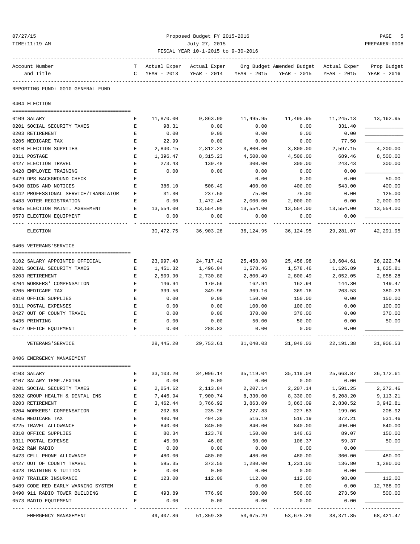| 27<br>O.<br>×<br>٠ |  |
|--------------------|--|
|--------------------|--|

### Proposed Budget FY 2015-2016 PAGE 5 TIME:11:19 AM July 27, 2015 PREPARER:0008 FISCAL YEAR 10-1-2015 to 9-30-2016

| Account Number                                        |              | Actual Exper     |                     |                  | Actual Exper     Org Budget Amended Budget   Actual Exper |                     | Prop Budget |
|-------------------------------------------------------|--------------|------------------|---------------------|------------------|-----------------------------------------------------------|---------------------|-------------|
| and Title                                             | $\mathbf{C}$ | YEAR - 2013      | YEAR - 2014         | YEAR - 2015      | YEAR - 2015                                               | YEAR - 2015         | YEAR - 2016 |
| REPORTING FUND: 0010 GENERAL FUND                     |              |                  |                     |                  |                                                           |                     |             |
| 0404 ELECTION                                         |              |                  |                     |                  |                                                           |                     |             |
| 0109 SALARY                                           | Е            | 11,870.00        | 9,863.90            |                  | 11,495.95 11,495.95                                       | 11,245.13 13,162.95 |             |
| 0201 SOCIAL SECURITY TAXES                            | Е            | 98.31            | 0.00                | 0.00             | 0.00                                                      | 331.40              |             |
| 0203 RETIREMENT                                       | Е            | 0.00             | 0.00                | 0.00             | 0.00                                                      | 0.00                |             |
| 0205 MEDICARE TAX                                     | Е            | 22.99            | 0.00                | 0.00             | 0.00                                                      | 77.50               |             |
| 0310 ELECTION SUPPLIES                                | Е            | 2,840.15         | 2,812.23            | 3,800.00         | 3,800.00                                                  | 2,597.15            | 4,200.00    |
| 0311 POSTAGE                                          | E            | 1,396.47         | 8,315.23            | 4,500.00         | 4,500.00                                                  | 689.46              | 8,500.00    |
| 0427 ELECTION TRAVEL                                  | Е            | 273.43           | 139.48              | 300.00           | 300.00                                                    | 243.43              | 300.00      |
| 0428 EMPLOYEE TRAINING                                | E            | 0.00             | 0.00                | 0.00             | 0.00                                                      | 0.00                |             |
| 0429 DPS BACKGROUND CHECK                             | Е            |                  |                     | 0.00             | 0.00                                                      | 0.00                | 50.00       |
| 0430 BIDS AND NOTICES                                 | Е            | 386.10           | 508.49              | 400.00           | 400.00                                                    | 543.00              | 400.00      |
| 0442 PROFESSIONAL SERVICE/TRANSLATOR                  | Е            | 31.30            | 237.50              | 75.00            | 75.00                                                     | 0.00                | 125.00      |
| 0483 VOTER REGISTRATION                               | Е            | 0.00             | 1,472.45            | 2,000.00         | 2,000.00                                                  | 0.00                | 2,000.00    |
| 0485 ELECTION MAINT. AGREEMENT                        | Е            | 13,554.00        | 13,554.00           | 13,554.00        | 13,554.00                                                 | 13,554.00           | 13,554.00   |
| 0573 ELECTION EQUIPMENT                               | Е            | 0.00             | 0.00                | 0.00             | 0.00                                                      | 0.00                |             |
| ELECTION                                              |              |                  |                     |                  | 30,472.75 36,903.28 36,124.95 36,124.95 29,281.07         |                     | 42,291.95   |
| 0405 VETERANS'SERVICE                                 |              |                  |                     |                  |                                                           |                     |             |
| 0102 SALARY APPOINTED OFFICIAL                        | Е            | 23,997.48        | 24,717.42           | 25,458.98        | 25,458.98                                                 | 18,604.61           | 26, 222.74  |
| 0201 SOCIAL SECURITY TAXES                            | Е            | 1,451.32         | 1,496.04            | 1,578.46         | 1,578.46                                                  | 1,126.89            | 1,625.81    |
| 0203 RETIREMENT                                       | Е            | 2,509.90         | 2,730.80            | 2,800.49         | 2,800.49                                                  | 2,052.05            | 2,858.28    |
| 0204 WORKERS' COMPENSATION                            | Е            | 146.94           | 170.56              | 162.94           | 162.94                                                    | 144.30              | 149.47      |
| 0205 MEDICARE TAX                                     | Е            | 339.56           | 349.96              | 369.16           | 369.16                                                    | 263.53              | 380.23      |
| 0310 OFFICE SUPPLIES                                  | Е            | 0.00             | 0.00                | 150.00           | 150.00                                                    | 0.00                | 150.00      |
| 0311 POSTAL EXPENSES                                  | Е            | 0.00             | 0.00                | 100.00           | 100.00                                                    | 0.00                | 100.00      |
| 0427 OUT OF COUNTY TRAVEL                             | Е            | 0.00             | 0.00                | 370.00           | 370.00                                                    | 0.00                | 370.00      |
| 0435 PRINTING                                         | Е            | 0.00             | 0.00                | 50.00            | 50.00                                                     | 0.00                | 50.00       |
| 0572 OFFICE EQUIPMENT                                 | Е            | 0.00             | 288.83              | 0.00             | 0.00                                                      | 0.00                |             |
| VETERANS ' SERVICE                                    |              | 28,445.20        | 29,753.61 31,040.03 |                  | 31,040.03                                                 | 22,191.38           | 31,906.53   |
| 0406 EMERGENCY MANAGEMENT                             |              |                  |                     |                  |                                                           |                     |             |
| =================                                     |              |                  |                     |                  |                                                           |                     |             |
| 0103 SALARY                                           | Е<br>E       | 33,103.20        | 34,096.14           | 35,119.04        | 35,119.04                                                 | 25,663.87           | 36,172.61   |
| 0107 SALARY TEMP./EXTRA<br>0201 SOCIAL SECURITY TAXES | E            | 0.00<br>2,054.62 | 0.00<br>2,113.84    | 0.00<br>2,207.14 | 0.00<br>2,207.14                                          | 0.00<br>1,591.25    | 2,272.46    |
| 0202 GROUP HEALTH & DENTAL INS                        | Е            | 7,446.94         | 7,900.74            | 8,330.00         | 8,330.00                                                  | 6,208.20            | 9,113.21    |
| 0203 RETIREMENT                                       | Е            | 3,462.44         | 3,766.92            | 3,863.09         | 3,863.09                                                  | 2,830.52            | 3,942.81    |
| 0204 WORKERS' COMPENSATION                            | E            | 202.68           | 235.26              | 227.83           | 227.83                                                    | 199.06              | 208.92      |
| 0205 MEDICARE TAX                                     | Ε            | 480.40           | 494.30              | 516.19           | 516.19                                                    | 372.21              | 531.46      |
| 0225 TRAVEL ALLOWANCE                                 | Е            | 840.00           | 840.00              | 840.00           | 840.00                                                    | 490.00              | 840.00      |
| 0310 OFFICE SUPPLIES                                  | Ε            | 80.34            | 123.78              | 150.00           | 140.63                                                    | 89.07               | 150.00      |
| 0311 POSTAL EXPENSE                                   | Е            | 45.00            | 46.00               | 50.00            | 108.37                                                    | 59.37               | 50.00       |
| 0422 R&M RADIO                                        | E            | 0.00             | 0.00                | 0.00             | 0.00                                                      | 0.00                |             |
| 0423 CELL PHONE ALLOWANCE                             | Ε            | 480.00           | 480.00              | 480.00           | 480.00                                                    | 360.00              | 480.00      |
| 0427 OUT OF COUNTY TRAVEL                             | Ε            | 595.35           | 373.50              | 1,280.00         | 1,231.00                                                  | 136.80              | 1,280.00    |
| 0428 TRAINING & TUITION                               | Ε            | 0.00             | 0.00                | 0.00             | 0.00                                                      | 0.00                |             |
| 0487 TRAILER INSURANCE                                | E            | 123.00           | 112.00              | 112.00           | 112.00                                                    | 98.00               | 112.00      |
| 0489 CODE RED EARLY WARNING SYSTEM                    | E            |                  |                     | 0.00             | 0.00                                                      | 0.00                | 12,768.00   |
| 0490 911 RADIO TOWER BUILDING                         | $\mathbf{E}$ | 493.89           | 776.90              | 500.00           | 500.00                                                    | 273.50              | 500.00      |
| 0573 RADIO EQUIPMENT                                  | E            | 0.00             | 0.00                | 0.00             | 0.00                                                      | 0.00                |             |
|                                                       |              |                  |                     |                  |                                                           |                     |             |

EMERGENCY MANAGEMENT 49,407.86 51,359.38 53,675.29 53,675.29 38,371.85 68,421.47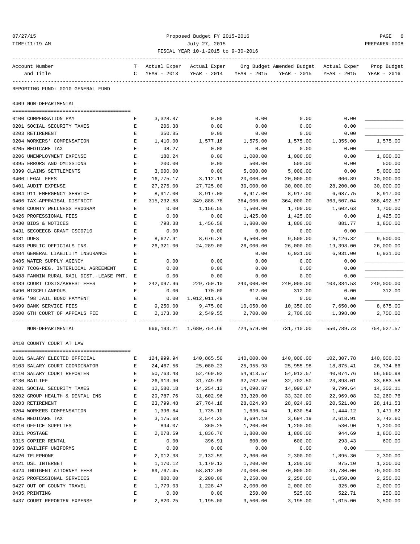### 07/27/15 Proposed Budget FY 2015-2016 PAGE 6 TIME:11:19 AM July 27, 2015 PREPARER:0008 FISCAL YEAR 10-1-2015 to 9-30-2016

| Account Number                                                | T                                                                                              | Actual Exper       | Actual Exper                           |              | Org Budget Amended Budget Actual Exper              |              | Prop Budget |
|---------------------------------------------------------------|------------------------------------------------------------------------------------------------|--------------------|----------------------------------------|--------------|-----------------------------------------------------|--------------|-------------|
| and Title                                                     | $\mathbf{C}$                                                                                   | YEAR - 2013        | YEAR - 2014                            | YEAR - 2015  | YEAR - 2015                                         | YEAR - 2015  | YEAR - 2016 |
| REPORTING FUND: 0010 GENERAL FUND                             |                                                                                                |                    |                                        |              |                                                     |              |             |
|                                                               |                                                                                                |                    |                                        |              |                                                     |              |             |
| 0409 NON-DEPARTMENTAL                                         |                                                                                                |                    |                                        |              |                                                     |              |             |
|                                                               |                                                                                                |                    |                                        |              |                                                     |              |             |
| 0100 COMPENSATION PAY<br>0201 SOCIAL SECURITY TAXES           | Е<br>Е                                                                                         | 3,328.87<br>206.38 | 0.00<br>0.00                           | 0.00<br>0.00 | 0.00<br>0.00                                        | 0.00<br>0.00 |             |
| 0203 RETIREMENT                                               | $\mathbf E$                                                                                    | 350.85             | 0.00                                   | 0.00         | 0.00                                                | 0.00         |             |
| 0204 WORKERS' COMPENSATION                                    | Е                                                                                              | 1,410.00           | 1,577.16                               | 1,575.00     | 1,575.00                                            | 1,355.00     | 1,575.00    |
| 0205 MEDICARE TAX                                             | Е                                                                                              | 48.27              | 0.00                                   | 0.00         | 0.00                                                | 0.00         |             |
| 0206 UNEMPLOYMENT EXPENSE                                     | $\mathbf E$                                                                                    | 180.24             | 0.00                                   | 1,000.00     | 1,000.00                                            | 0.00         | 1,000.00    |
| 0395 ERRORS AND OMISSIONS                                     | Е                                                                                              | 200.00             | 0.00                                   | 500.00       | 500.00                                              | 0.00         | 500.00      |
| 0399 CLAIMS SETTLEMENTS                                       | Е                                                                                              | 3,000.00           | 0.00                                   | 5,000.00     | 5,000.00                                            | 0.00         | 5,000.00    |
| 0400 LEGAL FEES                                               | $\mathbf E$                                                                                    | 16,775.17          | 3,112.19                               | 20,000.00    | 20,000.00                                           | 666.89       | 20,000.00   |
| 0401 AUDIT EXPENSE                                            | Е                                                                                              | 27, 275.00         | 27,725.00                              | 30,000.00    | 30,000.00                                           | 28,200.00    | 30,000.00   |
| 0404 911 EMERGENCY SERVICE                                    | Е                                                                                              | 8,917.00           | 8,917.00                               | 8,917.00     | 8,917.00                                            | 6,687.75     | 8,917.00    |
|                                                               | Е                                                                                              | 315,232.88         | 349,888.78                             | 364,000.00   | 364,000.00                                          | 363,507.04   | 388, 492.57 |
| 0406 TAX APPRAISAL DISTRICT                                   |                                                                                                |                    |                                        |              |                                                     |              | 1,700.00    |
| 0408 COUNTY WELLNESS PROGRAM<br>0426 PROFESSIONAL FEES        | E                                                                                              | 0.00               | 1,156.55                               | 1,500.00     | 1,700.00                                            | 1,602.63     |             |
|                                                               | $\mathbf E$                                                                                    | 0.00               | 0.00                                   | 1,425.00     | 1,425.00                                            | 0.00         | 1,425.00    |
| 0430 BIDS & NOTICES                                           | Е                                                                                              | 798.38             | 1,456.58                               | 1,800.00     | 1,800.00                                            | 881.77       | 1,800.00    |
| 0431 SECOEECB GRANT CSC0710                                   | E                                                                                              | 0.00               | 0.00                                   | 0.00         | 0.00                                                | 0.00         |             |
| 0481 DUES                                                     | $\mathbf E$                                                                                    | 8,627.91           | 8,676.26                               | 9,500.00     | 9,500.00                                            | 9,126.32     | 9,500.00    |
| 0483 PUBLIC OFFICIALS INS.                                    | Е                                                                                              | 26,321.00          | 24,289.00                              | 26,000.00    | 26,000.00                                           | 19,398.00    | 26,000.00   |
| 0484 GENERAL LIABILITY INSURANCE                              | $\mathbf E$                                                                                    |                    |                                        | 0.00         | 6,931.00                                            | 6,931.00     | 6,931.00    |
| 0485 WATER SUPPLY AGENCY                                      | E                                                                                              | 0.00               | 0.00                                   | 0.00         | 0.00                                                | 0.00         |             |
| 0487 TCOG-REG. INTERLOCAL AGREEMENT                           | Е                                                                                              | 0.00               | 0.00                                   | 0.00         | 0.00                                                | 0.00         |             |
| 0488 FANNIN RURAL RAIL DIST.-LEASE PMT. E                     |                                                                                                | 0.00               | 0.00                                   | 0.00         | 0.00                                                | 0.00         |             |
| 0489 COURT COSTS/ARREST FEES                                  | Е                                                                                              | 242,097.96         | 229,750.10                             | 240,000.00   | 240,000.00                                          | 103,384.53   | 240,000.00  |
| 0490 MISCELLANEOUS                                            | Е                                                                                              | 0.00               | 170.00                                 | 612.00       | 312.00                                              | 0.00         | 312.00      |
| 0495 '98 JAIL BOND PAYMENT                                    | $\mathbf{E}% _{t}\left  \mathbf{1}\right\rangle =\mathbf{1}_{t}\left  \mathbf{1}\right\rangle$ | 0.00               | 1,012,011.49                           | 0.00         | 0.00                                                | 0.00         |             |
| 0499 BANK SERVICE FEES                                        | E                                                                                              | 9,250.00           | 9,475.00                               | 10,050.00    | 10,350.00                                           | 7,650.00     | 8,675.00    |
| 0500 6TH COURT OF APPEALS FEE                                 | E                                                                                              | 2,173.30           | 2,549.55                               | 2,700.00     | 2,700.00                                            | 1,398.80     | 2,700.00    |
| NON-DEPARTMENTAL                                              |                                                                                                |                    | 666, 193.21 1, 680, 754.66 724, 579.00 |              | 731,710.00                                          | 550,789.73   | 754,527.57  |
| 0410 COUNTY COURT AT LAW                                      |                                                                                                |                    |                                        |              |                                                     |              |             |
|                                                               |                                                                                                |                    |                                        |              |                                                     |              |             |
| 0101 SALARY ELECTED OFFICIAL<br>$\mathbf{E}$ and $\mathbf{E}$ |                                                                                                |                    |                                        |              | $124,999.94$ $140,865.50$ $140,000.00$ $140,000.00$ | 102,307.78   | 140,000.00  |
| 0103 SALARY COURT COORDINATOR                                 | Ε                                                                                              | 24,467.56          | 25,080.23                              | 25,955.98    | 25,955.98                                           | 18,875.41    | 26,734.66   |
| 0110 SALARY COURT REPORTER                                    | $\mathbf E$                                                                                    | 50,763.48          | 52,469.02                              | 54,913.57    | 54, 913. 57                                         | 40,074.76    | 56,560.98   |
| 0130 BAILIFF                                                  | $\mathbf E$                                                                                    | 26,913.90          | 31,749.90                              | 32,702.50    | 32,702.50                                           | 23,898.01    | 33,683.58   |
| 0201 SOCIAL SECURITY TAXES                                    | E                                                                                              | 12,580.18          | 14,254.13                              | 14,090.87    | 14,090.87                                           | 9,799.64     | 14,302.11   |
| 0202 GROUP HEALTH & DENTAL INS                                | $\mathbf E$                                                                                    | 29,787.76          | 31,602.96                              | 33,320.00    | 33,320.00                                           | 22,969.08    | 32,260.76   |
| 0203 RETIREMENT                                               | $\mathbf E$                                                                                    | 23,799.48          | 27,764.18                              | 28,024.93    | 28,024.93                                           | 20,521.08    | 28,141.53   |
| 0204 WORKERS COMPENSATION                                     | E                                                                                              | 1,396.84           | 1,735.10                               | 1,630.54     | 1,630.54                                            | 1,444.12     | 1,471.62    |
| 0205 MEDICARE TAX                                             | E                                                                                              | 3,175.68           | 3,544.25                               | 3,694.19     | 3,694.19                                            | 2,618.91     | 3,743.60    |
| 0310 OFFICE SUPPLIES                                          | $\mathbf E$                                                                                    | 894.07             | 360.25                                 | 1,200.00     | 1,200.00                                            | 530.90       | 1,200.00    |
| 0311 POSTAGE                                                  | E                                                                                              | 2,078.59           | 1,836.76                               | 1,800.00     | 1,800.00                                            | 944.69       | 1,800.00    |
| 0315 COPIER RENTAL                                            | $\mathbf E$                                                                                    | 0.00               | 396.91                                 | 600.00       | 600.00                                              | 293.43       | 600.00      |
| 0395 BAILIFF UNIFORMS                                         | E                                                                                              | 0.00               | 0.00                                   | 0.00         | 0.00                                                | 0.00         |             |
| 0420 TELEPHONE                                                | $\mathbf{E}% _{t}\left  \mathbf{1}\right\rangle =\mathbf{1}_{t}\left  \mathbf{1}\right\rangle$ | 2,012.38           | 2,132.59                               | 2,300.00     | 2,300.00                                            | 1,895.30     | 2,300.00    |
| 0421 DSL INTERNET                                             | $\mathbf E$                                                                                    | 1,170.12           | 1,170.12                               | 1,200.00     | 1,200.00                                            | 975.10       | 1,200.00    |
| 0424 INDIGENT ATTORNEY FEES                                   | E                                                                                              | 69,767.45          | 58,812.00                              | 70,000.00    | 70,000.00                                           | 39,780.00    | 70,000.00   |
| 0425 PROFESSIONAL SERVICES                                    | $\mathbf E$                                                                                    | 800.00             | 2,200.00                               | 2,250.00     | 2,250.00                                            | 1,050.00     | 2,250.00    |
| 0427 OUT OF COUNTY TRAVEL                                     | E                                                                                              | 1,779.03           | 1,228.47                               | 2,000.00     | 2,000.00                                            | 325.00       | 2,000.00    |
| 0435 PRINTING                                                 | $\mathbf E$                                                                                    | 0.00               | 0.00                                   | 250.00       | 525.00                                              | 522.71       | 250.00      |

0437 COURT REPORTER EXPENSE  $\begin{array}{cccccccccc} E & 2,820.25 & 1,195.00 & 3,500.00 & 3,195.00 & 1,015.00 & 3,500.00 \end{array}$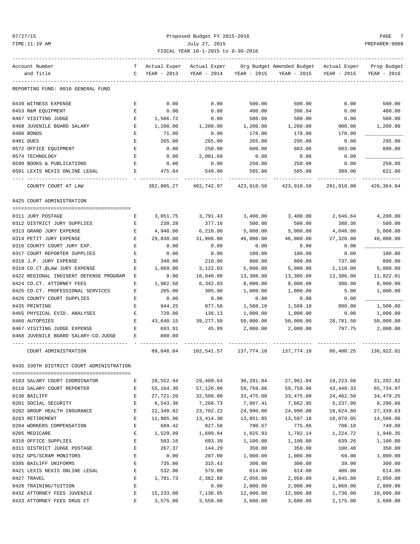### 07/27/15 Proposed Budget FY 2015-2016 PAGE 7 TIME:11:19 AM July 27, 2015 PREPARER:0008 FISCAL YEAR 10-1-2015 to 9-30-2016

| Account Number                           | т | Actual Exper | Actual Exper |             | Org Budget Amended Budget | Actual Exper | Prop Budget |
|------------------------------------------|---|--------------|--------------|-------------|---------------------------|--------------|-------------|
| and Title                                | C | YEAR - 2013  | YEAR - 2014  | YEAR - 2015 | YEAR - 2015               | YEAR - 2015  | YEAR - 2016 |
| REPORTING FUND: 0010 GENERAL FUND        |   |              |              |             |                           |              |             |
| 0439 WITNESS EXPENSE                     | Ε | 0.00         | 0.00         | 500.00      | 500.00                    | 0.00         | 500.00      |
| 0453 R&M EQUIPMENT                       | E | 0.00         | 0.00         | 400.00      | 396.94                    | 0.00         | 400.00      |
| 0467 VISITING JUDGE                      | Е | 1,586.72     | 0.00         | 500.00      | 500.00                    | 0.00         | 500.00      |
| 0468 JUVENILE BOARD SALARY               | Ε | 1,200.00     | 1,200.00     | 1,200.00    | 1,200.00                  | 900.00       | 1,200.00    |
| 0480 BONDS                               | E | 71.00        | 0.00         | 178.00      | 178.00                    | 178.00       |             |
| 0481 DUES                                | E | 265.00       | 265.00       | 265.00      | 295.00                    | 0.00         | 295.00      |
| 0572 OFFICE EQUIPMENT                    | E | 0.00         | 250.00       | 600.00      | 603.06                    | 603.06       | 600.00      |
| 0574 TECHNOLOGY                          | E | 0.00         | 2,081.60     | 0.00        | 0.00                      | 0.00         |             |
| 0590 BOOKS & PUBLICATIONS                | E | 0.00         | 0.00         | 250.00      | 250.00                    | 0.00         | 250.00      |
| 0591 LEXIS NEXIS ONLINE LEGAL            | Ε | 475.84       | 549.00       | 585.00      | 585.00                    | 389.00       | 621.00      |
| COUNTY COURT AT LAW                      |   | 382,805.27   | 402,742.97   | 423,910.58  | 423,910.58                | 291,910.98   | 426,364.84  |
| 0425 COURT ADMINISTRATION                |   |              |              |             |                           |              |             |
| 0311 JURY POSTAGE                        | Е | 3,051.75     | 3,791.43     | 3,400.00    | 3,400.00                  | 2,646.64     | 4,200.00    |
| 0312 DISTRICT JURY SUPPLIES              | Ε | 230.28       | 377.16       | 500.00      | 500.00                    | 388.36       | 500.00      |
| 0313 GRAND JURY EXPENSE                  | Ε | 4,940.00     | 6,210.00     | 5,000.00    | 5,000.00                  | 4,040.00     | 5,000.00    |
| 0314 PETIT JURY EXPENSE                  | E | 29,830.00    | 31,806.00    | 46,000.00   | 46,000.00                 | 27,328.00    | 46,000.00   |
| 0316 COUNTY COURT JURY EXP.              | Ε | 0.00         | 0.00         | 0.00        | 0.00                      | 0.00         |             |
| 0317 COURT REPORTER SUPPLIES             | E | 0.00         | 0.00         | 100.00      | 100.00                    | 0.00         | 100.00      |
| 0318 J.P. JURY EXPENSE                   | E | 340.00       | 210.00       | 800.00      | 800.00                    | 737.00       | 800.00      |
| 0319 CO.CT.@LAW JURY EXPENSE             | Ε | 1,669.00     | 3,122.03     | 5,000.00    | 5,000.00                  | 1,110.00     | 5,000.00    |
| 0422 REGIONAL INDIGENT DEFENSE PROGRAM   | Ε | 0.00         | 10,040.00    | 13,386.00   | 13,386.00                 | 13,386.00    | 11,822.01   |
| 0424 CO.CT. ATTORNEY FEES                | E | 1,982.50     | 6,342.93     | 8,000.00    | 8,000.00                  | 300.00       | 8,000.00    |
| 0425 CO.CT. PROFESSIONAL SERVICES        | Ε | 205.00       | 305.00       | 1,000.00    | 1,000.00                  | 5.00         | 1,000.00    |
| 0426 COUNTY COURT SUPPLIES               | Ε | 0.00         | 0.00         | 0.00        | 0.00                      | 0.00         |             |
| 0435 PRINTING                            | Ε | 944.25       | 877.50       | 1,588.10    | 1,588.10                  | 880.00       | 1,500.00    |
| 0465 PHYSICAL EVID. ANALYSES             | E | 720.00       | 136.13       | 1,000.00    | 1,000.00                  | 0.00         | 1,000.00    |
| 0466 AUTOPSIES                           | E | 43,640.15    | 39,277.50    | 50,000.00   | 50,000.00                 | 28,781.50    | 50,000.00   |
| 0467 VISITING JUDGE EXPENSE              | E | 693.91       | 45.89        | 2,000.00    | 2,000.00                  | 797.75       | 2,000.00    |
| 0468 JUVENILE BOARD SALARY-CO.JUDGE      | Е | 800.00       |              |             |                           |              |             |
| COURT ADMINISTRATION                     |   | 89,046.84    | 102,541.57   | 137,774.10  | 137,774.10                | 80,400.25    | 136,922.01  |
| 0435 336TH DISTRICT COURT ADMINISTRATION |   |              |              |             |                           |              |             |
| 0103 SALARY COURT COORDINATOR            | Ε | 28,552.94    | 29,409.64    | 30,291.84   | 27,961.84                 | 19,223.66    | 31,202.82   |
| 0110 SALARY COURT REPORTER               | E | 55, 164.30   | 57,126.00    | 59,759.06   | 59,759.06                 | 43, 440. 33  | 65,734.97   |
| 0130 BAILIFF                             | Е | 27,721.20    | 32,500.00    | 33, 475.00  | 33,475.00                 | 24,462.50    | 34, 479. 25 |
| 0201 SOCIAL SECURITY                     | Е | 6,543.36     | 7,268.73     | 7,807.41    | 7,662.95                  | 5,237.00     | 8,296.66    |
| 0202 GROUP HEALTH INSURANCE              | E | 22,340.82    | 23,702.22    | 24,990.00   | 24,990.00                 | 18,624.80    | 27,339.63   |
| 0203 RETIREMENT                          | E | 11,905.96    | 13, 414.30   | 13,851.85   | 13,597.18                 | 10,079.05    | 14,586.06   |
| 0204 WORKERS COMPENSATION                | E | 689.42       | 827.50       | 790.57      | 775.66                    | 700.18       | 749.08      |
| 0205 MEDICARE                            | E | 1,529.99     | 1,699.84     | 1,825.93    | 1,792.14                  | 1,224.72     | 1,940.35    |
| 0310 OFFICE SUPPLIES                     | E | 503.16       | 693.39       | 1,100.00    | 1,100.00                  | 639.26       | 1,100.00    |
| 0311 DISTRICT JUDGE POSTAGE              | E | 267.37       | 144.29       | 350.00      | 350.00                    | 100.48       | 350.00      |
| 0352 GPS/SCRAM MONITORS                  | E | 0.00         | 207.00       | 1,000.00    | 1,000.00                  | 69.00        | 1,000.00    |
| 0395 BAILIFF UNIFORMS                    | E | 735.00       | 315.43       | 300.00      | 300.00                    | 39.00        | 300.00      |
| 0421 LEXIS NEXIS ONLINE LEGAL            | E | 532.00       | 579.00       | 614.00      | 614.00                    | 408.00       | 614.00      |
| 0427 TRAVEL                              | E | 1,701.73     | 2,382.88     | 2,050.00    | 2,050.00                  | 1,845.80     | 2,050.00    |
| 0428 TRAINING/TUITION                    | E |              | 0.00         | 2,000.00    | 2,000.00                  | 1,060.00     | 2,000.00    |
|                                          |   |              |              |             |                           |              |             |
| 0432 ATTORNEY FEES JUVENILE              | E | 15,233.00    | 7,136.05     | 12,000.00   | 12,000.00                 | 1,736.00     | 10,000.00   |

0433 ATTORNEY FEES DRUG CT E 3,575.00 3,550.00 3,600.00 3,600.00 2,175.00 3,600.00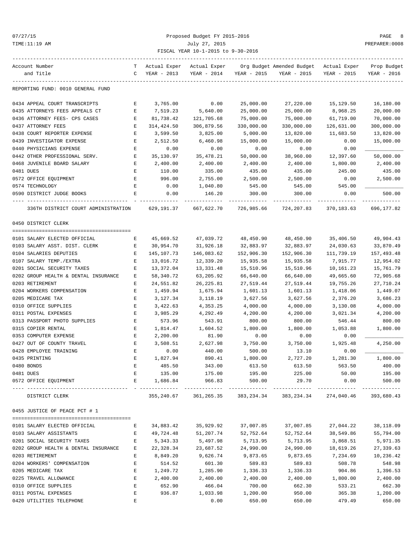### 07/27/15 Proposed Budget FY 2015-2016 PAGE 8 TIME:11:19 AM July 27, 2015 PREPARER:0008 FISCAL YEAR 10-1-2015 to 9-30-2016

| Account Number                       | T. | Actual Exper | Actual Exper            |                         | Org Budget Amended Budget - Actual Exper |             | Prop Budget |
|--------------------------------------|----|--------------|-------------------------|-------------------------|------------------------------------------|-------------|-------------|
| and Title                            | C  | YEAR - 2013  | YEAR - 2014             | YEAR - 2015             | YEAR - 2015                              | YEAR - 2015 | YEAR - 2016 |
| REPORTING FUND: 0010 GENERAL FUND    |    |              |                         |                         |                                          |             |             |
| 0434 APPEAL COURT TRANSCRIPTS        | Е  | 3,765.00     | 0.00                    | 25,000.00               | 27,220.00                                | 15,129.50   | 16,180.00   |
| 0435 ATTORNEYS FEES APPEALS CT       | Е  | 7,519.23     | 5,640.00                | 25,000.00               | 25,000.00                                | 8,968.25    | 20,000.00   |
| 0436 ATTORNEY FEES- CPS CASES        | Е  | 81,738.42    | 121,705.68              | 75,000.00               | 75,000.00                                | 61,719.00   | 70,000.00   |
| 0437 ATTORNEY FEES                   | Е  | 314, 424.50  | 306,879.56              | 330,000.00              | 330,000.00                               | 126,631.00  | 300,000.00  |
| 0438 COURT REPORTER EXPENSE          | Е  | 3,599.50     | 3,825.00                | 5,000.00                | 13,820.00                                | 11,683.50   | 13,820.00   |
| 0439 INVESTIGATOR EXPENSE            | Е  | 2,512.50     | 6,460.98                | 15,000.00               | 15,000.00                                | 0.00        | 15,000.00   |
| 0440 PHYSICIANS EXPENSE              | Е  | 0.00         | 0.00                    | 0.00                    | 0.00                                     | 0.00        |             |
| 0442 OTHER PROFESSIONAL SERV.        | Е  | 35,130.97    | 35,478.21               | 50,000.00               | 38,960.00                                | 12,397.60   | 50,000.00   |
| 0468 JUVENILE BOARD SALARY           | Е  | 2,400.00     | 2,400.00                | 2,400.00                | 2,400.00                                 | 1,800.00    | 2,400.00    |
| 0481 DUES                            | Е  | 110.00       | 335.00                  | 435.00                  | 435.00                                   | 245.00      | 435.00      |
| 0572 OFFICE EQUIPMENT                | Е  | 996.00       | 2,755.00                | 2,500.00                | 2,500.00                                 | 0.00        | 2,500.00    |
| 0574 TECHNOLOGY                      | Е  | 0.00         | 1,040.80                | 545.00                  | 545.00                                   | 545.00      |             |
| 0590 DISTRICT JUDGE BOOKS            | Е  | 0.00         | 146.20                  | 300.00                  | 300.00                                   | 0.00        | 500.00      |
|                                      |    |              |                         |                         |                                          |             |             |
| 336TH DISTRICT COURT ADMINISTRATION  |    | 629,191.37   | 667,622.70              | 726,985.66              | 724,207.83                               | 370,183.63  | 696,177.82  |
| 0450 DISTRICT CLERK                  |    |              |                         |                         |                                          |             |             |
|                                      |    |              |                         |                         |                                          |             |             |
| 0101 SALARY ELECTED OFFICIAL         | Е  | 45,669.52    | 47,039.72               | 48,450.90               | 48,450.90                                | 35,406.50   | 49,904.43   |
| 0103 SALARY ASST. DIST. CLERK        | Е  | 30,954.70    | 31,926.18               | 32,883.97               | 32,883.97                                | 24,030.63   | 33,870.49   |
| 0104 SALARIES DEPUTIES               | Е  | 145, 107. 73 | 146,083.62              | 152,906.30              | 152,906.30                               | 111,739.19  | 157,493.48  |
| 0107 SALARY TEMP./EXTRA              | Е  | 13,016.72    | 12,339.20               | 15,935.58               | 15,935.58                                | 7,915.77    | 12,954.02   |
| 0201 SOCIAL SECURITY TAXES           | Е  | 13,372.04    | 13,331.48               | 15,510.96               | 15,510.96                                | 10,161.23   | 15,761.79   |
| 0202 GROUP HEALTH & DENTAL INSURANCE | Е  | 58,340.72    | 63,205.92               | 66,640.00               | 66,640.00                                | 49,665.60   | 72,905.68   |
| 0203 RETIREMENT                      | Е  | 24,551.82    | 26,225.81               | 27,519.44               | 27,519.44                                | 19,755.26   | 27,710.24   |
| 0204 WORKERS COMPENSATION            | E  | 1,459.94     | 1,675.94                | 1,601.13                | 1,601.13                                 | 1,418.06    | 1,449.07    |
| 0205 MEDICARE TAX                    | Е  | 3,127.34     | 3,118.19                | 3,627.56                | 3,627.56                                 | 2,376.20    | 3,686.23    |
| 0310 OFFICE SUPPLIES                 | Е  | 3,422.63     | 4,353.25                | 4,000.00                | 4,000.00                                 | 3,130.08    | 4,000.00    |
| 0311 POSTAL EXPENSES                 | Е  | 3,985.29     | 4,292.49                | 4,200.00                | 4,200.00                                 | 3,021.34    | 4,200.00    |
| 0313 PASSPORT PHOTO SUPPLIES         | Е  | 573.96       | 543.91                  | 800.00                  | 800.00                                   | 546.44      | 800.00      |
| 0315 COPIER RENTAL                   | Е  | 1,814.47     | 1,604.52                | 1,800.00                | 1,800.00                                 | 1,053.88    | 1,800.00    |
| 0353 COMPUTER EXPENSE                | Е  | 2,200.00     | 81.90                   | 0.00                    | 0.00                                     | 0.00        |             |
| 0427 OUT OF COUNTY TRAVEL            | Е  | 3,508.51     | 2,627.98                | 3,750.00                | 3,750.00                                 | 1,925.48    | 4,250.00    |
| 0428 EMPLOYEE TRAINING               | Е  | 0.00         | 440.00                  | 500.00                  | 13.10                                    | 0.00        |             |
| 0435 PRINTING                        | Ε  | 1,827.94     | 890.41                  | 1,800.00                | 2,727.20                                 | 1,281.30    | 1,800.00    |
| 0480 BONDS                           |    | 485.50       | 343.00                  | 613.50                  | 613.50                                   | 563.50      | 400.00      |
| 0481 DUES                            | Е  | 135.00       | 175.00                  | 195.00                  | 225.00                                   | 50.00       | 195.00      |
| 0572 OFFICE EQUIPMENT                | E  | 1,686.84     | 966.83                  | 500.00<br>------------- | 29.70                                    | 0.00        | 500.00      |
| DISTRICT CLERK                       |    |              | 355, 240.67 361, 265.35 |                         | 383, 234.34 383, 234.34                  | 274,040.46  | 393,680.43  |
| 0455 JUSTICE OF PEACE PCT # 1        |    |              |                         |                         |                                          |             |             |
|                                      |    |              |                         |                         |                                          |             |             |
| 0101 SALARY ELECTED OFFICIAL         | Е  | 34,883.42    | 35,929.92               | 37,007.85               | 37,007.85                                | 27,044.22   | 38,118.09   |
| 0103 SALARY ASSISTANTS               | Е  | 49,724.48    | 51,207.74               | 52,752.64               | 52,752.64                                | 38,549.86   | 55,794.00   |
| 0201 SOCIAL SECURITY TAXES           | Е  | 5,343.33     | 5,497.98                | 5,713.95                | 5,713.95                                 | 3,868.51    | 5,971.35    |
| 0202 GROUP HEALTH & DENTAL INSURANCE | Е  | 22,328.34    | 23,687.52               | 24,990.00               | 24,990.00                                | 18,619.26   | 27,339.63   |
| 0203 RETIREMENT                      | Е  | 8,849.20     | 9,626.74                | 9,873.65                | 9,873.65                                 | 7,234.69    | 10,236.42   |
| 0204 WORKERS' COMPENSATION           | Е  | 514.52       | 601.30                  | 589.83                  | 589.83                                   | 508.78      | 548.98      |
| 0205 MEDICARE TAX                    | Е  | 1,249.72     | 1,285.90                | 1,336.33                | 1,336.33                                 | 904.86      | 1,396.53    |
| 0225 TRAVEL ALLOWANCE                | Е  | 2,400.00     | 2,400.00                | 2,400.00                | 2,400.00                                 | 1,800.00    | 2,400.00    |
| 0310 OFFICE SUPPLIES                 | E  | 652.90       | 466.04                  | 700.00                  | 662.30                                   | 533.21      | 662.30      |
| 0311 POSTAL EXPENSES                 | E  | 936.87       | 1,033.98                | 1,200.00                | 950.00                                   | 365.38      | 1,200.00    |
| 0420 UTILITIES TELEPHONE             | E  |              | 0.00                    | 650.00                  | 650.00                                   | 479.49      | 650.00      |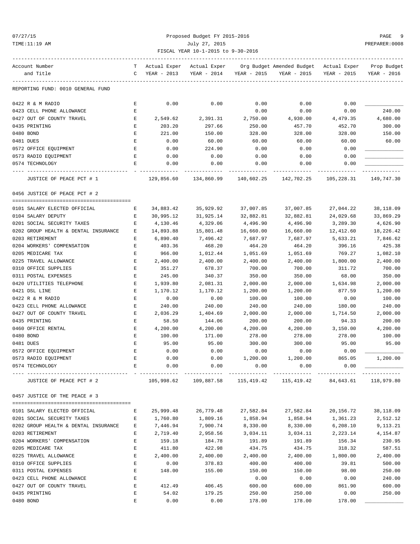### 07/27/15 Proposed Budget FY 2015-2016 PAGE 9 TIME:11:19 AM July 27, 2015 PREPARER:0008 FISCAL YEAR 10-1-2015 to 9-30-2016

| Account Number                       |   | Actual Exper | Actual Exper                                          |             | Org Budget Amended Budget | Actual Exper | Prop Budget |
|--------------------------------------|---|--------------|-------------------------------------------------------|-------------|---------------------------|--------------|-------------|
| and Title                            | C | YEAR - 2013  | YEAR - 2014                                           | YEAR - 2015 | YEAR - 2015               | YEAR - 2015  | YEAR - 2016 |
| REPORTING FUND: 0010 GENERAL FUND    |   |              |                                                       |             |                           |              |             |
| 0422 R & M RADIO                     | Е | 0.00         | 0.00                                                  | 0.00        | 0.00                      | 0.00         |             |
| 0423 CELL PHONE ALLOWANCE            | Е |              |                                                       | 0.00        | 0.00                      | 0.00         | 240.00      |
| 0427 OUT OF COUNTY TRAVEL            | Е | 2,549.62     | 2,391.31                                              | 2,750.00    | 4,930.00                  | 4,479.35     | 4,680.00    |
| 0435 PRINTING                        | Ε | 203.20       | 297.66                                                | 250.00      | 457.70                    | 452.70       | 300.00      |
| 0480 BOND                            | Ε | 221.00       | 150.00                                                | 328.00      | 328.00                    | 328.00       | 150.00      |
| 0481 DUES                            | Ε | 0.00         | 60.00                                                 | 60.00       | 60.00                     | 60.00        | 60.00       |
| 0572 OFFICE EQUIPMENT                | Ε | 0.00         | 224.90                                                | 0.00        | 0.00                      | 0.00         |             |
| 0573 RADIO EQUIPMENT                 | Ε | 0.00         | 0.00                                                  | 0.00        | 0.00                      | 0.00         |             |
| 0574 TECHNOLOGY                      | Ε | 0.00         | 0.00                                                  | 0.00        | 0.00                      | 0.00         |             |
| JUSTICE OF PEACE PCT # 1             |   | 129,856.60   | 134,860.99                                            | 140,602.25  | 142,702.25                | 105,228.31   | 149,747.30  |
| 0456 JUSTICE OF PEACE PCT # 2        |   |              |                                                       |             |                           |              |             |
| 0101 SALARY ELECTED OFFICIAL         | Е | 34,883.42    | 35,929.92                                             | 37,007.85   | 37,007.85                 | 27,044.22    | 38,118.09   |
| 0104 SALARY DEPUTY                   | Е | 30,995.12    | 31,925.14                                             | 32,882.81   | 32,882.81                 | 24,029.68    | 33,869.29   |
| 0201 SOCIAL SECURITY TAXES           | Е | 4,130.46     | 4,329.06                                              | 4,496.90    | 4,496.90                  | 3,289.30     | 4,626.90    |
| 0202 GROUP HEALTH & DENTAL INSURANCE | Е | 14,893.88    | 15,801.48                                             | 16,660.00   | 16,660.00                 | 12,412.60    | 18,226.42   |
| 0203 RETIREMENT                      | Е | 6,890.40     | 7,496.42                                              | 7,687.97    | 7,687.97                  | 5,633.21     | 7,846.62    |
| 0204 WORKERS' COMPENSATION           | Ε | 403.36       | 468.20                                                | 464.20      | 464.20                    | 396.16       | 425.38      |
| 0205 MEDICARE TAX                    | E | 966.00       | 1,012.44                                              | 1,051.69    | 1,051.69                  | 769.27       | 1,082.10    |
| 0225 TRAVEL ALLOWANCE                | Е | 2,400.00     | 2,400.00                                              | 2,400.00    | 2,400.00                  | 1,800.00     | 2,400.00    |
| 0310 OFFICE SUPPLIES                 | Е | 351.27       | 678.37                                                | 700.00      | 700.00                    | 311.72       | 700.00      |
| 0311 POSTAL EXPENSES                 | Ε | 245.00       | 340.37                                                | 350.00      | 350.00                    | 68.00        | 350.00      |
| 0420 UTILITIES TELEPHONE             | Е | 1,939.80     | 2,081.31                                              | 2,000.00    | 2,000.00                  | 1,634.98     | 2,000.00    |
| 0421 DSL LINE                        | E | 1,170.12     | 1,170.12                                              | 1,200.00    | 1,200.00                  | 877.59       | 1,200.00    |
| 0422 R & M RADIO                     | E | 0.00         | 0.00                                                  | 100.00      | 100.00                    | 0.00         | 100.00      |
| 0423 CELL PHONE ALLOWANCE            | Е | 240.00       | 240.00                                                | 240.00      | 240.00                    | 180.00       | 240.00      |
| 0427 OUT OF COUNTY TRAVEL            | Ε | 2,036.29     | 1,404.69                                              | 2,000.00    | 2,000.00                  | 1,714.50     | 2,000.00    |
| 0435 PRINTING                        | Ε | 58.50        | 144.06                                                | 200.00      | 200.00                    | 94.33        | 200.00      |
| 0460 OFFICE RENTAL                   | Е | 4,200.00     | 4,200.00                                              | 4,200.00    | 4,200.00                  | 3,150.00     | 4,200.00    |
| 0480 BOND                            | E | 100.00       | 171.00                                                | 278.00      | 278.00                    | 278.00       | 100.00      |
| 0481 DUES                            | E | 95.00        | 95.00                                                 | 300.00      | 300.00                    | 95.00        | 95.00       |
| 0572 OFFICE EQUIPMENT                | Ε | 0.00         | 0.00                                                  | 0.00        | 0.00                      | 0.00         |             |
| 0573 RADIO EQUIPMENT                 | Е | 0.00         | 0.00                                                  | 1,200.00    | 1,200.00                  | 865.05       | 1,200.00    |
| 0574 TECHNOLOGY                      |   | 0.00         | 0.00                                                  | 0.00        | 0.00                      | 0.00         |             |
| JUSTICE OF PEACE PCT # 2             |   |              | 105,998.62 109,887.58 115,419.42 115,419.42 84,643.61 |             |                           |              | 118,979.80  |
| 0457 JUSTICE OF THE PEACE # 3        |   |              |                                                       |             |                           |              |             |
| 0101 SALARY ELECTED OFFICIAL         | Е | 25,999.48    | 26,779.48                                             | 27,582.84   | 27,582.84                 | 20,156.72    | 38,118.09   |
| 0201 SOCIAL SECURITY TAXES           | Е | 1,760.80     | 1,809.16                                              | 1,858.94    | 1,858.94                  | 1,361.23     | 2,512.12    |
| 0202 GROUP HEALTH & DENTAL INSURANCE | E | 7,446.94     | 7,900.74                                              | 8,330.00    | 8,330.00                  | 6,208.10     | 9,113.21    |
| 0203 RETIREMENT                      | Е | 2,719.40     | 2,958.56                                              | 3,034.11    | 3,034.11                  | 2,223.14     | 4,154.87    |
| 0204 WORKERS' COMPENSATION           | Е | 159.18       | 184.78                                                | 191.89      | 191.89                    | 156.34       | 230.95      |
| 0205 MEDICARE TAX                    | Е | 411.80       | 422.98                                                | 434.75      | 434.75                    | 318.32       | 587.51      |
| 0225 TRAVEL ALLOWANCE                | Е | 2,400.00     | 2,400.00                                              | 2,400.00    | 2,400.00                  | 1,800.00     | 2,400.00    |
| 0310 OFFICE SUPPLIES                 | Ε | 0.00         | 378.83                                                | 400.00      | 400.00                    | 39.81        | 500.00      |
| 0311 POSTAL EXPENSES                 | Е | 148.00       | 155.00                                                | 150.00      | 150.00                    | 98.00        | 250.00      |
| 0423 CELL PHONE ALLOWANCE            | Ε |              |                                                       | 0.00        | 0.00                      | 0.00         | 240.00      |
| 0427 OUT OF COUNTY TRAVEL            | Е | 412.49       | 406.45                                                | 600.00      | 600.00                    | 861.90       | 600.00      |
| 0435 PRINTING                        | Е | 54.02        | 179.25                                                | 250.00      | 250.00                    | 0.00         | 250.00      |
| 0480 BOND                            | E | 0.00         | 0.00                                                  | 178.00      | 178.00                    | 178.00       |             |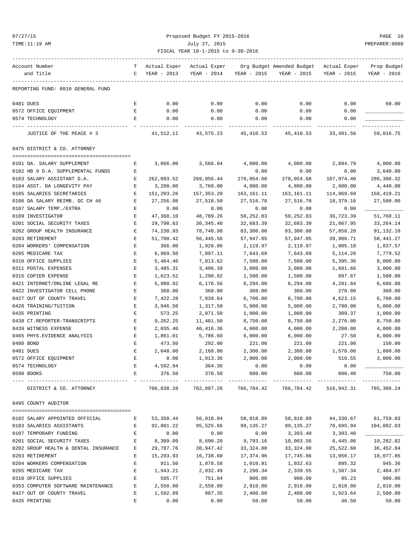# 07/27/15 Proposed Budget FY 2015-2016 PAGE 10 TIME:11:19 AM July 27, 2015 PREPARER:0008 FISCAL YEAR 10-1-2015 to 9-30-2016

| Account Number                                       | т           | Actual Exper       | Actual Exper                |                | Org Budget Amended Budget Actual Exper |                | Prop Budget |
|------------------------------------------------------|-------------|--------------------|-----------------------------|----------------|----------------------------------------|----------------|-------------|
| and Title                                            | C           | YEAR - 2013        | YEAR - 2014                 | YEAR - 2015    | YEAR - 2015                            | YEAR - 2015    | YEAR - 2016 |
| REPORTING FUND: 0010 GENERAL FUND                    |             |                    |                             |                |                                        |                |             |
| 0481 DUES                                            | Е           | 0.00               | 0.00                        | 0.00           | 0.00                                   | 0.00           | 60.00       |
| 0572 OFFICE EQUIPMENT                                | Ε           | 0.00               | 0.00                        | 0.00           | 0.00                                   | 0.00           |             |
| 0574 TECHNOLOGY                                      | E           | 0.00               | 0.00                        | 0.00           | 0.00                                   | 0.00           |             |
| JUSTICE OF THE PEACE # 3                             |             | 41,512.11          | 43,575.23                   | 45,410.53      | 45,410.53                              | 33,401.56      | 59,016.75   |
| 0475 DISTRICT & CO. ATTORNEY                         |             |                    |                             |                |                                        |                |             |
| 0101 DA. SALARY SUPPLEMENT                           | Е           | 3,066.00           | 3,566.04                    | 4,000.00       | 4,000.00                               | 2,894.79       | 4,000.00    |
| 0102 HB 9 D.A. SUPPLEMENTAL FUNDS                    | Е           |                    |                             | 0.00           | 0.00                                   | 0.00           | 3,640.00    |
| 0103 SALARY ASSISTANT D.A.                           | Е           | 262,093.52         | 269,956.44                  | 278,054.68     | 278,054.68                             | 187,974.40     | 286,396.32  |
| 0104 ASST. DA LONGEVITY PAY                          | Е           | 3,280.00           | 3,760.00                    | 4,880.00       | 4,880.00                               | 2,600.00       | 4,440.00    |
| 0105 SALARIES SECRETARIES                            | $\mathbf E$ | 151,203.26         | 157,353.20                  | 163,161.11     | 163, 161. 11                           | 114,069.69     | 158,419.21  |
| 0106 DA SALARY REIMB. GC CH 46                       | E           | 27,256.08          | 27,518.50                   | 27,516.70      | 27,516.70                              | 18,379.16      | 27,500.00   |
| 0107 SALARY TEMP./EXTRA                              | Е           | 0.00               | 0.00                        | 0.00           | 0.00                                   | 0.00           |             |
| 0109 INVESTIGATOR                                    | Е           | 47,368.10          | 48,789.26                   | 50,252.83      | 50,252.83                              | 36,723.39      | 51,760.11   |
| 0201 SOCIAL SECURITY TAXES                           | Е           | 29,798.63          | 30, 345.40                  | 32,683.39      | 32,683.39                              | 21,867.95      | 33, 264. 14 |
| 0202 GROUP HEALTH INSURANCE                          | E           | 74,230.93          | 78,748.98                   | 83,300.00      | 83,300.00                              | 57,858.20      | 91,132.10   |
| 0203 RETIREMENT                                      | Е           | 51,700.42          | 56,445.56                   | 57,947.05      | 57,947.05                              | 39,986.71      | 58,441.27   |
| 0204 WORKERS' COMPENSATION                           | E           | 366.00             | 1,928.06                    | 2,119.97       | 2,119.97                               | 1,805.18       | 1,837.57    |
| 0205 MEDICARE TAX                                    | $\mathbf E$ | 6,969.50           | 7,097.11                    | 7,643.69       | 7,643.69                               | 5, 114.26      | 7,779.52    |
| 0310 OFFICE SUPPLIES                                 | Е           | 5,464.46           | 7,013.62                    | 7,500.00       | 7,500.00                               | 5,395.36       | 8,000.00    |
| 0311 POSTAL EXPENSES                                 | Ε           | 3,485.31           | 3,496.39                    | 3,000.00       | 3,000.00                               | 1,681.66       | 3,000.00    |
| 0315 COPIER EXPENSE                                  | $\mathbf E$ | 1,623.52           | 1,290.82                    | 1,500.00       | 1,500.00                               | 897.67         | 1,500.00    |
| 0421 INTERNET/ONLINE LEGAL RE                        | Е           | 5,980.92           | 6,176.56                    | 6,294.00       | 6,294.00                               | 4,281.84       | 6,686.00    |
| 0422 INVESTIGATOR CELL PHONE                         | Е           | 360.00             | 360.00                      | 360.00         | 360.00                                 | 270.00         | 360.00      |
| 0427 OUT OF COUNTY TRAVEL                            | Ε           | 7,422.28           | 7,039.64                    | 6,700.00       | 6,700.00                               | 4,623.15       | 6,700.00    |
| 0428 TRAINING/TUITION                                | E           | 3,946.50           | 1,317.50                    | 5,000.00       | 5,000.00                               | 2,790.00       | 5,000.00    |
| 0435 PRINTING                                        | E           | 573.25             | 2,871.50                    | 1,000.00       | 1,000.00                               | 309.37         | 1,000.00    |
| 0438 CT.REPORTER-TRANSCRIPTS                         | Е           | 9,262.25           | 11,401.50                   | 8,750.00       | 8,750.00                               | 2,276.00       | 8,750.00    |
|                                                      |             |                    |                             |                |                                        |                |             |
| 0439 WITNESS EXPENSE<br>0465 PHYS. EVIDENCE ANALYSIS | E           | 2,035.40           | 46, 416.36                  | 4,000.00       | 4,000.00                               | 2,200.00       | 4,000.00    |
|                                                      | Ε           | 1,861.01           | 5,786.60                    | 6,000.00       | 6,000.00                               | 27.50          | 6,000.00    |
| 0480 BOND                                            | Е<br>E      | 473.50             | 292.00                      | 221.00         | 221.00                                 | 221.00         | 150.00      |
| 0481 DUES                                            |             | 2,048.00           | 2,168.00                    | 2,300.00       | 2,300.00                               | 1,578.00       | 1,800.00    |
| 0572 OFFICE EQUIPMENT                                | E           | 0.00               | 1,013.36<br>364.36          | 2,000.00       | 2,000.00                               | 516.55         | 3,000.00    |
| 0574 TECHNOLOGY<br>0590 BOOKS                        | Е<br>E      | 4,592.94<br>376.50 | 370.50                      | 0.00<br>600.00 | 0.00<br>600.00                         | 0.00<br>600.48 | 750.00      |
| DISTRICT & CO. ATTORNEY                              |             | 706,838.28         | -------------<br>782,887.26 | 766,784.42     | 766,784.42 516,942.31                  |                | 785,306.24  |
| 0495 COUNTY AUDITOR                                  |             |                    |                             |                |                                        |                |             |
|                                                      |             |                    |                             |                |                                        |                |             |
| 0102 SALARY APPOINTED OFFICIAL                       | Е           | 53,350.44          | 56,018.04                   | 58,818.89      | 58,818.89                              | 44,330.67      | 61,759.83   |
| 0103 SALARIES ASSISTANTS                             | Е           | 92,881.22          | 95,525.66                   | 99,135.27      | 99,135.27                              | 70,695.94      | 104,092.03  |
| 0107 TEMPORARY FUNDING                               | E           | 0.00               | 0.00                        | 0.00           | 3,393.40                               | 3,393.40       |             |
| 0201 SOCIAL SECURITY TAXES                           | E           | 8,309.09           | 8,690.20                    | 9,793.16       | 10,003.56                              | 6,445.06       | 10,282.82   |
| 0202 GROUP HEALTH & DENTAL INSURANCE                 | Е           | 29,787.76          | 30,947.42                   | 33, 324.00     | 33,324.00                              | 25,522.60      | 36,452.84   |
| 0203 RETIREMENT                                      | Е           | 15,293.93          | 16,738.60                   | 17,374.96      | 17,745.86                              | 13,056.17      | 18,077.85   |
| 0204 WORKERS COMPENSATION                            | Е           | 911.50             | 1,078.58                    | 1,010.91       | 1,032.63                               | 895.32         | 945.36      |
| 0205 MEDICARE TAX                                    | Е           | 1,943.21           | 2,032.49                    | 2,290.34       | 2,339.55                               | 1,507.34       | 2,404.87    |
| 0310 OFFICE SUPPLIES                                 | Ε           | 595.77             | 751.04                      | 900.00         | 900.00                                 | 95.23          | 900.00      |
| 0353 COMPUTER SOFTWARE MAINTENANCE                   | Е           | 2,550.00           | 2,550.00                    | 2,910.00       | 2,910.00                               | 2,810.00       | 2,810.00    |
| 0427 OUT OF COUNTY TRAVEL                            | Е           | 1,592.89           | 987.35                      | 2,400.00       | 2,400.00                               | 1,923.64       | 2,500.00    |
| 0435 PRINTING                                        | Ε           | 0.00               | 0.00                        | 50.00          | 50.00                                  | 46.50          | 50.00       |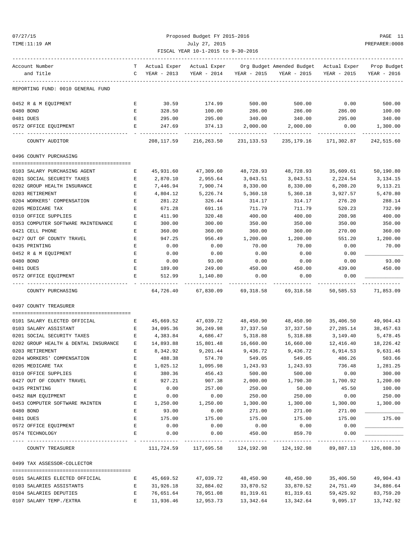### Proposed Budget FY 2015-2016 PAGE 11 TIME:11:19 AM July 27, 2015 PREPARER:0008 FISCAL YEAR 10-1-2015 to 9-30-2016

| Account Number                 |                                      |   | T Actual Exper | Actual Exper                                                |             | Org Budget Amended Budget - Actual Exper |             | Prop Budget |
|--------------------------------|--------------------------------------|---|----------------|-------------------------------------------------------------|-------------|------------------------------------------|-------------|-------------|
| and Title                      |                                      | C | YEAR - 2013    | YEAR - 2014                                                 | YEAR - 2015 | YEAR - 2015                              | YEAR - 2015 | YEAR - 2016 |
|                                |                                      |   |                |                                                             |             |                                          |             |             |
|                                | REPORTING FUND: 0010 GENERAL FUND    |   |                |                                                             |             |                                          |             |             |
| 0452 R & M EQUIPMENT           |                                      | Е | 30.59          | 174.99                                                      | 500.00      | 500.00                                   | 0.00        | 500.00      |
| 0480 BOND                      |                                      | E | 328.50         | 100.00                                                      | 286.00      | 286.00                                   | 286.00      | 100.00      |
| 0481 DUES                      |                                      | Е | 295.00         | 295.00                                                      | 340.00      | 340.00                                   | 295.00      | 340.00      |
| 0572 OFFICE EQUIPMENT          |                                      | Е | 247.69         | 374.13                                                      | 2,000.00    | 2,000.00                                 | 0.00        | 1,300.00    |
| COUNTY AUDITOR                 |                                      |   | 208,117.59     | 216,263.50                                                  | 231,133.53  | 235,179.16                               | 171,302.87  | 242,515.60  |
| 0496 COUNTY PURCHASING         |                                      |   |                |                                                             |             |                                          |             |             |
| 0103 SALARY PURCHASING AGENT   |                                      | Е | 45,931.60      | 47,309.60                                                   | 48,728.93   | 48,728.93                                | 35,609.61   | 50,190.80   |
| 0201 SOCIAL SECURITY TAXES     |                                      | Е | 2,870.10       | 2,955.64                                                    | 3,043.51    | 3,043.51                                 | 2,224.54    | 3,134.15    |
| 0202 GROUP HEALTH INSURANCE    |                                      | Е | 7,446.94       | 7,900.74                                                    | 8,330.00    | 8,330.00                                 | 6,208.20    | 9,113.21    |
| 0203 RETIREMENT                |                                      | Е | 4,804.12       | 5,226.74                                                    | 5,360.18    | 5,360.18                                 | 3,927.57    | 5,470.80    |
| 0204 WORKERS' COMPENSATION     |                                      | Ε | 281.22         | 326.44                                                      | 314.17      | 314.17                                   | 276.20      | 288.14      |
| 0205 MEDICARE TAX              |                                      | E | 671.28         | 691.16                                                      | 711.79      | 711.79                                   | 520.23      | 732.99      |
| 0310 OFFICE SUPPLIES           |                                      | Е | 411.90         | 320.48                                                      | 400.00      | 400.00                                   | 208.98      | 400.00      |
|                                | 0353 COMPUTER SOFTWARE MAINTENANCE   | Е | 300.00         | 300.00                                                      | 350.00      | 350.00                                   | 350.00      | 350.00      |
| 0421 CELL PHONE                |                                      | Ε | 360.00         | 360.00                                                      | 360.00      | 360.00                                   | 270.00      | 360.00      |
| 0427 OUT OF COUNTY TRAVEL      |                                      | Ε | 947.25         | 956.49                                                      | 1,200.00    | 1,200.00                                 | 551.20      | 1,200.00    |
| 0435 PRINTING                  |                                      | Ε | 0.00           | 0.00                                                        | 70.00       | 70.00                                    | 0.00        | 70.00       |
| 0452 R & M EQUIPMENT           |                                      | Ε | 0.00           | 0.00                                                        | 0.00        | 0.00                                     | 0.00        |             |
| 0480 BOND                      |                                      | Е | 0.00           | 93.00                                                       | 0.00        | 0.00                                     | 0.00        | 93.00       |
| 0481 DUES                      |                                      | Е | 189.00         | 249.00                                                      | 450.00      | 450.00                                   | 439.00      | 450.00      |
| 0572 OFFICE EQUIPMENT          |                                      | Е | 512.99         | 1,140.80                                                    | 0.00        | 0.00                                     | 0.00        |             |
| COUNTY PURCHASING              |                                      |   | 64,726.40      | 67,830.09                                                   | 69,318.58   | 69,318.58                                | 50,585.53   | 71,853.09   |
| 0497 COUNTY TREASURER          |                                      |   |                |                                                             |             |                                          |             |             |
|                                |                                      |   |                |                                                             |             |                                          |             |             |
| 0101 SALARY ELECTED OFFICIAL   |                                      | Е | 45,669.52      | 47,039.72                                                   | 48,450.90   | 48,450.90                                | 35,406.50   | 49,904.43   |
| 0103 SALARY ASSISTANT          |                                      | Е | 34,095.36      | 36,249.98                                                   | 37,337.50   | 37,337.50                                | 27,285.14   | 38,457.63   |
| 0201 SOCIAL SECURITY TAXES     |                                      | Е | 4,383.84       | 4,686.47                                                    | 5,318.88    | 5,318.88                                 | 3,149.40    | 5,478.45    |
|                                | 0202 GROUP HEALTH & DENTAL INSURANCE | Е | 14,893.88      | 15,801.48                                                   | 16,660.00   | 16,660.00                                | 12,416.40   | 18,226.42   |
| 0203 RETIREMENT                |                                      | Е | 8,342.92       | 9,201.44                                                    | 9,436.72    | 9,436.72                                 | 6,914.53    | 9,631.46    |
| 0204 WORKERS' COMPENSATION     |                                      | Ε | 488.38         | 574.70                                                      | 549.05      | 549.05                                   | 486.26      | 503.66      |
| 0205 MEDICARE TAX              |                                      |   | 1,025.12       | 1,095.98                                                    | 1,243.93    | 1,243.93                                 | 736.48      | 1,281.25    |
| 0310 OFFICE SUPPLIES           |                                      | Ε | 380.36         | 456.43                                                      | 500.00      | 500.00                                   | 0.00        | 300.00      |
| 0427 OUT OF COUNTY TRAVEL      |                                      | E | 927.21         | 907.38                                                      | 2,000.00    | 1,790.30                                 | 1,700.92    | 1,200.00    |
| 0435 PRINTING                  |                                      | Ε | 0.00           | 257.00                                                      | 250.00      | 50.00                                    | 45.50       | 100.00      |
| 0452 R&M EQUIPMENT             |                                      | Ε | 0.00           | 0.00                                                        | 250.00      | 250.00                                   | 0.00        | 250.00      |
| 0453 COMPUTER SOFTWARE MAINTEN |                                      | Е | 1,250.00       | 1,250.00                                                    | 1,300.00    | 1,300.00                                 | 1,300.00    | 1,300.00    |
| 0480 BOND                      |                                      | E | 93.00          | 0.00                                                        | 271.00      | 271.00                                   | 271.00      |             |
| 0481 DUES                      |                                      | Ε | 175.00         | 175.00                                                      | 175.00      | 175.00                                   | 175.00      | 175.00      |
| 0572 OFFICE EOUIPMENT          |                                      | Ε | 0.00           | 0.00                                                        | 0.00        | 0.00                                     | 0.00        |             |
| 0574 TECHNOLOGY                |                                      | Е | 0.00           | 0.00                                                        | 450.00      | 859.70                                   | 0.00        |             |
| COUNTY TREASURER               |                                      |   | -----------    | ------------<br>111,724.59 117,695.58 124,192.98 124,192.98 |             |                                          | 89,887.13   | 126,808.30  |
| 0499 TAX ASSESSOR-COLLECTOR    |                                      |   |                |                                                             |             |                                          |             |             |
| 0101 SALARIES ELECTED OFFICIAL |                                      | Е | 45,669.52      | 47,039.72                                                   | 48,450.90   | 48,450.90                                | 35,406.50   | 49,904.43   |
| 0103 SALARIES ASSISTANTS       |                                      | Е | 31,926.18      | 32,884.02                                                   | 33,870.52   | 33,870.52                                | 24,751.49   | 34,886.64   |
| 0104 SALARIES DEPUTIES         |                                      | Е | 76,651.64      | 78,951.08                                                   | 81,319.61   | 81,319.61                                | 59,425.92   | 83,759.20   |

0107 SALARY TEMP./EXTRA E 11,936.46 12,953.73 13,342.64 13,342.64 9,095.17 13,742.92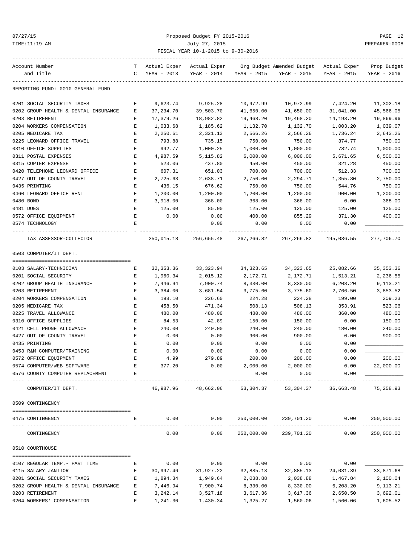### 07/27/15 Proposed Budget FY 2015-2016 PAGE 12 TIME:11:19 AM July 27, 2015 PREPARER:0008 FISCAL YEAR 10-1-2015 to 9-30-2016

| Account Number                       | T.          | Actual Exper  | Actual Exper          |             | Org Budget Amended Budget - Actual Exper                        |                         | Prop Budget               |
|--------------------------------------|-------------|---------------|-----------------------|-------------|-----------------------------------------------------------------|-------------------------|---------------------------|
| and Title                            |             | C YEAR - 2013 | YEAR - 2014           | YEAR - 2015 | YEAR - 2015                                                     | YEAR - 2015             | YEAR - 2016               |
| REPORTING FUND: 0010 GENERAL FUND    |             |               |                       |             |                                                                 |                         |                           |
| 0201 SOCIAL SECURITY TAXES           | Е           | 9,623.74      | 9,925.28              | 10,972.99   | 10,972.99                                                       | 7,424.20                | 11,302.18                 |
| 0202 GROUP HEALTH & DENTAL INSURANCE | Е           | 37,234.70     | 39,503.70             | 41,650.00   | 41,650.00                                                       | 31,041.00               | 45,566.05                 |
| 0203 RETIREMENT                      | Е           | 17,379.26     | 18,982.82             | 19,468.20   | 19,468.20                                                       | 14,193.20               | 19,869.96                 |
| 0204 WORKERS COMPENSATION            | $\mathbf E$ | 1,033.68      | 1,185.62              | 1,132.70    | 1,132.70                                                        | 1,003.20                | 1,039.07                  |
| 0205 MEDICARE TAX                    | Е           | 2,250.61      | 2,321.13              | 2,566.26    | 2,566.26                                                        | 1,736.24                | 2,643.25                  |
| 0225 LEONARD OFFICE TRAVEL           | E           | 793.88        | 735.15                | 750.00      | 750.00                                                          | 374.77                  | 750.00                    |
| 0310 OFFICE SUPPLIES                 | E           | 992.77        | 1,000.25              | 1,000.00    | 1,000.00                                                        | 782.74                  | 1,000.00                  |
| 0311 POSTAL EXPENSES                 | Е           | 4,987.59      | 5,115.82              | 6,000.00    | 6,000.00                                                        | 5,671.65                | 6,500.00                  |
| 0315 COPIER EXPENSE                  | Е           | 523.06        | 437.80                | 450.00      | 450.00                                                          | 321.28                  | 450.00                    |
| 0420 TELEPHONE LEONARD OFFICE        | Е           | 607.31        | 651.03                | 700.00      | 700.00                                                          | 512.33                  | 700.00                    |
| 0427 OUT OF COUNTY TRAVEL            | Е           | 2,725.63      | 2,638.71              | 2,750.00    | 2,294.71                                                        | 1,355.80                | 2,750.00                  |
| 0435 PRINTING                        | Е           | 436.15        | 676.62                | 750.00      | 750.00                                                          | 544.76                  | 750.00                    |
| 0460 LEONARD OFFICE RENT             | E           | 1,200.00      | 1,200.00              | 1,200.00    | 1,200.00                                                        | 900.00                  | 1,200.00                  |
| 0480 BOND                            | Е           | 3,918.00      | 368.00                | 368.00      | 368.00                                                          | 0.00                    | 368.00                    |
| 0481 DUES                            | Е           | 125.00        | 85.00                 | 125.00      | 125.00                                                          | 125.00                  | 125.00                    |
| 0572 OFFICE EQUIPMENT                | E           | 0.00          | 0.00                  | 400.00      | 855.29                                                          | 371.30                  | 400.00                    |
| 0574 TECHNOLOGY                      | Е           |               | 0.00                  | 0.00        | 0.00                                                            | 0.00                    |                           |
| TAX ASSESSOR-COLLECTOR               |             | 250,015.18    | 256,655.48 267,266.82 |             |                                                                 | 267, 266.82 195, 036.55 | 277,706.70                |
| 0503 COMPUTER/IT DEPT.               |             |               |                       |             |                                                                 |                         |                           |
| 0103 SALARY-TECHNICIAN               | Е           | 32,353.36     | 33,323.94             | 34,323.65   | 34,323.65                                                       | 25,082.66               | 35, 353.36                |
| 0201 SOCIAL SECURITY                 | Е           | 1,960.34      | 2,015.12              | 2,172.71    | 2,172.71                                                        | 1,513.21                | 2,236.55                  |
| 0202 GROUP HEALTH INSURANCE          | E           | 7,446.94      | 7,900.74              | 8,330.00    | 8,330.00                                                        | 6,208.20                | 9,113.21                  |
| 0203 RETIREMENT                      | Е           | 3,384.00      | 3,681.54              | 3,775.60    | 3,775.60                                                        | 2,766.50                | 3,853.52                  |
| 0204 WORKERS COMPENSATION            | Е           | 198.10        | 226.60                | 224.28      | 224.28                                                          | 199.00                  | 209.23                    |
| 0205 MEDICARE TAX                    | E           | 458.50        | 471.34                | 508.13      | 508.13                                                          | 353.91                  | 523.06                    |
| 0225 TRAVEL ALLOWANCE                | Е           | 480.00        | 480.00                | 480.00      | 480.00                                                          | 360.00                  | 480.00                    |
| 0310 OFFICE SUPPLIES                 | Е           | 84.53         | 42.89                 | 150.00      | 150.00                                                          | 0.00                    | 150.00                    |
| 0421 CELL PHONE ALLOWANCE            | Е           | 240.00        | 240.00                | 240.00      | 240.00                                                          | 180.00                  | 240.00                    |
| 0427 OUT OF COUNTY TRAVEL            | Е           | 0.00          | 0.00                  | 900.00      | 900.00                                                          | 0.00                    | 900.00                    |
| 0435 PRINTING                        | Е           | 0.00          | 0.00                  | 0.00        | 0.00                                                            | 0.00                    |                           |
| 0453 R&M COMPUTER/TRAINING           | Е           | 0.00          | 0.00                  | 0.00        | 0.00                                                            | 0.00                    |                           |
| 0572 OFFICE EQUIPMENT                | E           | 4.99          | 279.89                | 200.00      | 200.00                                                          | 0.00                    | 200.00                    |
| 0574 COMPUTER/WEB SOFTWARE           |             | 377.20        | 0.00                  | 2,000.00    | 2,000.00                                                        | 0.00                    | 22,000.00                 |
| 0576 COUNTY COMPUTER REPLACEMENT     | E           |               |                       | 0.00        | 0.00                                                            | 0.00                    |                           |
| COMPUTER/IT DEPT.                    |             |               | 46,987.96 48,662.06   | 53,304.37   |                                                                 | 53, 304. 37 36, 663. 48 | ------------<br>75,258.93 |
| 0509 CONTINGENCY                     |             |               |                       |             |                                                                 |                         |                           |
|                                      |             |               |                       |             |                                                                 |                         |                           |
| 0475 CONTINGENCY                     | Е           | 0.00          |                       |             | $0.00$ 250,000.00 239,701.20<br>--- ------------- ------------- |                         | 0.00 250,000.00           |
| CONTINGENCY                          |             | 0.00          | 0.00                  | 250,000.00  | 239,701.20                                                      | 0.00                    | 250,000.00                |
| 0510 COURTHOUSE                      |             |               |                       |             |                                                                 |                         |                           |
| 0107 REGULAR TEMP.- PART TIME        | Е           | 0.00          | 0.00                  | 0.00        | 0.00                                                            | 0.00                    |                           |
| 0115 SALARY JANITOR                  | Е           | 30,997.46     | 31,927.22             | 32,885.13   | 32,885.13                                                       | 24,031.39               | 33,871.68                 |
| 0201 SOCIAL SECURITY TAXES           | E           | 1,894.34      | 1,949.64              | 2,038.88    | 2,038.88                                                        | 1,467.84                | 2,100.04                  |
| 0202 GROUP HEALTH & DENTAL INSURANCE | E           | 7,446.94      | 7,900.74              | 8,330.00    | 8,330.00                                                        | 6,208.20                | 9,113.21                  |
| 0203 RETIREMENT                      | Е           | 3,242.14      | 3,527.18              | 3,617.36    | 3,617.36                                                        | 2,650.50                | 3,692.01                  |

0204 WORKERS' COMPENSATION E 1,241.30 1,430.34 1,325.27 1,560.06 1,560.06 1,605.52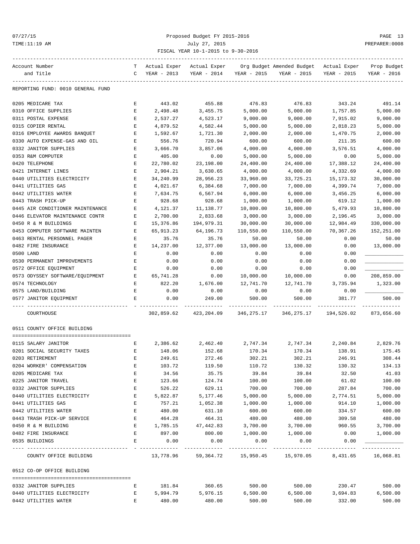### 07/27/15 Proposed Budget FY 2015-2016 PAGE 13 TIME:11:19 AM July 27, 2015 PREPARER:0008 FISCAL YEAR 10-1-2015 to 9-30-2016

| Account Number                                     | T.           | Actual Exper        | Actual Exper        |                      | Org Budget Amended Budget - Actual Exper |                              | Prop Budget                 |
|----------------------------------------------------|--------------|---------------------|---------------------|----------------------|------------------------------------------|------------------------------|-----------------------------|
| and Title                                          | $\mathbf{C}$ | YEAR - 2013         | YEAR - 2014         | YEAR - 2015          | YEAR - 2015                              | YEAR - 2015                  | YEAR - 2016                 |
| REPORTING FUND: 0010 GENERAL FUND                  |              |                     |                     |                      |                                          |                              |                             |
| 0205 MEDICARE TAX                                  | Е            | 443.02              | 455.88              | 476.83               | 476.83                                   | 343.24                       | 491.14                      |
| 0310 OFFICE SUPPLIES                               | Е            | 2,498.48            | 3,455.75            | 5,000.00             | 5,000.00                                 | 1,757.85                     | 5,000.00                    |
| 0311 POSTAL EXPENSE                                | Е            | 2,537.27            | 4,523.17            | 9,000.00             | 9,000.00                                 | 7,915.02                     | 9,000.00                    |
| 0315 COPIER RENTAL                                 | $\mathbf E$  | 4,879.52            | 4,582.44            | 5,000.00             | 5,000.00                                 | 2,818.23                     | 5,000.00                    |
| 0316 EMPLOYEE AWARDS BANQUET                       | Е            | 1,592.67            | 1,721.30            | 2,000.00             | 2,000.00                                 | 1,470.75                     | 2,000.00                    |
| 0330 AUTO EXPENSE-GAS AND OIL                      | Е            | 556.76              | 720.94              | 600.00               | 600.00                                   | 211.35                       | 600.00                      |
| 0332 JANITOR SUPPLIES                              | Е            | 3,666.70            | 3,857.06            | 4,000.00             | 4,000.00                                 | 3,576.51                     | 4,000.00                    |
| 0353 R&M COMPUTER                                  | Е            | 405.00              | 0.00                | 5,000.00             | 5,000.00                                 | 0.00                         | 5,000.00                    |
| 0420 TELEPHONE                                     | E            | 22,780.02           | 23,198.00           | 24,400.00            | 24,400.00                                | 17,388.12                    | 24,400.00                   |
| 0421 INTERNET LINES                                | Е            | 2,904.21            | 3,630.65            | 4,000.00             | 4,000.00                                 | 4,332.69                     | 4,000.00                    |
| 0440 UTILITIES ELECTRICITY                         | Е            | 34,240.99           | 28,956.23           | 33,960.00            | 33,725.21                                | 15,173.32                    | 30,000.00                   |
| 0441 UTILITIES GAS                                 | Е            | 4,021.67            | 6,384.68            | 7,000.00             | 7,000.00                                 | 4,399.74                     | 7,000.00                    |
| 0442 UTILITIES WATER                               | Е            | 7,634.75            | 6,567.94            | 6,000.00             | 6,000.00                                 | 3,456.25                     | 6,000.00                    |
| 0443 TRASH PICK-UP                                 | E            | 928.68              | 928.68              | 1,000.00             | 1,000.00                                 | 619.12                       | 1,000.00                    |
| 0445 AIR CONDITIONER MAINTENANCE                   | $\mathbf E$  | 4,121.37            | 11,138.77           | 10,800.00            | 10,800.00                                | 5,479.93                     | 10,800.00                   |
| 0446 ELEVATOR MAINTENANCE CONTR                    | Е            | 2,700.00            | 2,833.68            | 3,000.00             | 3,000.00                                 | 2,196.45                     | 3,000.00                    |
| 0450 R & M BUILDINGS                               | Е            | 15,376.86           | 194,979.31          | 30,000.00            | 30,000.00                                | 12,984.49                    | 330,000.00                  |
| 0453 COMPUTER SOFTWARE MAINTEN                     | Е            | 65,913.23           | 64,196.73           | 110,550.00           | 110,550.00                               | 70,367.26                    | 152,251.00                  |
| 0463 RENTAL PERSONNEL PAGER                        | Е            | 35.76               | 35.76               | 50.00                | 50.00                                    | 0.00                         | 50.00                       |
| 0482 FIRE INSURANCE                                | Е            | 14,237.00           | 12,377.00           | 13,000.00            | 13,000.00                                | 0.00                         | 13,000.00                   |
| 0500 LAND                                          | Е            | 0.00                | 0.00                | 0.00                 | 0.00                                     | 0.00                         |                             |
| 0530 PERMANENT IMPROVEMENTS                        | Е            | 0.00                | 0.00                | 0.00                 | 0.00                                     | 0.00                         |                             |
| 0572 OFFICE EQUIPMENT                              | Е            | 0.00                | 0.00                | 0.00                 | 0.00                                     | 0.00                         |                             |
|                                                    | E            |                     | 0.00                | 10,000.00            | 10,000.00                                | 0.00                         | 208,859.00                  |
| 0573 ODYSSEY SOFTWARE/EQUIPMENT<br>0574 TECHNOLOGY | Е            | 65,741.28<br>822.20 | 1,676.00            | 12,741.70            | 12,741.70                                |                              | 1,323.00                    |
| 0575 LAND/BUILDING                                 | Е            |                     | 0.00                | 0.00                 | 0.00                                     | 3,735.94<br>0.00             |                             |
|                                                    |              | 0.00                |                     |                      |                                          |                              |                             |
| 0577 JANITOR EQUIPMENT                             | Е            | 0.00                | 249.00              | 500.00               | 500.00                                   | 381.77                       | 500.00                      |
| COURTHOUSE                                         |              | 302,859.62          | 423,204.09          | 346,275.17           | 346,275.17                               | 194,526.02                   | 873,656.60                  |
| 0511 COUNTY OFFICE BUILDING                        |              |                     |                     |                      |                                          |                              |                             |
| 0115 SALARY JANITOR                                |              | 2,386.62            |                     |                      |                                          |                              |                             |
| 0201 SOCIAL SECURITY TAXES                         | Е<br>Е       |                     | 2,462.40<br>152.68  |                      | 2,747.34 2,747.34<br>170.34              | 138.91                       | 2,240.84 2,829.76<br>175.45 |
| 0203 RETIREMENT                                    | Е            | 148.06<br>249.61    | 272.46              | 170.34<br>302.21     | 302.21                                   | 246.91                       | 308.44                      |
|                                                    |              | 103.72              | 119.50              | 110.72               | 130.32                                   | 130.32                       | 134.13                      |
| 0204 WORKER' COMPENSATION<br>0205 MEDICARE TAX     | Е            | 34.56               | 35.75               | 39.84                | 39.84                                    | 32.50                        | 41.03                       |
| 0225 JANITOR TRAVEL                                | Е            | 123.66              | 124.74              | 100.00               | 100.00                                   | 61.02                        | 100.00                      |
| 0332 JANITOR SUPPLIES                              | Е            | 526.22              | 629.11              | 700.00               | 700.00                                   | 287.84                       | 700.00                      |
| 0440 UTILITIES ELECTRICITY                         | Е            | 5,822.87            | 5,177.46            | 5,000.00             | 5,000.00                                 |                              | 5,000.00                    |
|                                                    | Ε            | 757.21              | 1,052.38            |                      |                                          | 2,774.51                     |                             |
| 0441 UTILITIES GAS                                 | Ε            |                     |                     | 1,000.00             | 1,000.00                                 | 914.10                       | 1,000.00<br>600.00          |
| 0442 UTILITIES WATER                               |              | 480.00              | 631.10              | 600.00               | 600.00                                   | 334.57                       |                             |
| 0443 TRASH PICK-UP SERVICE                         | Е            | 464.28              | 464.31              | 480.00               | 480.00<br>3,700.00                       | 309.58<br>960.55             | 480.00                      |
| 0450 R & M BUILDING<br>0482 FIRE INSURANCE         | $\mathbf{E}$ | 1,785.15            | 47,442.83<br>800.00 | 3,700.00             | 1,000.00                                 |                              | 3,700.00                    |
|                                                    | Е            | 897.00              |                     | 1,000.00             |                                          | 0.00                         | 1,000.00                    |
| 0535 BUILDINGS                                     | E            | 0.00                | 0.00                | 0.00<br>------------ | 0.00<br>. <u>.</u>                       | 0.00                         |                             |
| COUNTY OFFICE BUILDING                             |              |                     | 13,778.96 59,364.72 | 15,950.45            |                                          | 15,970.05 8,431.65 16,068.81 |                             |
| 0512 CO-OP OFFICE BUILDING                         |              |                     |                     |                      |                                          |                              |                             |
| 0332 JANITOR SUPPLIES                              | Е            | 181.84              | 360.65              | 500.00               | 500.00                                   | 230.47                       | 500.00                      |
| 0440 UTILITIES ELECTRICITY                         | E            | 5,994.79            | 5,976.15            | 6,500.00             | 6,500.00                                 | 3,694.83                     | 6,500.00                    |

0442 UTILITIES WATER E 480.00 480.00 500.00 500.00 332.00 500.00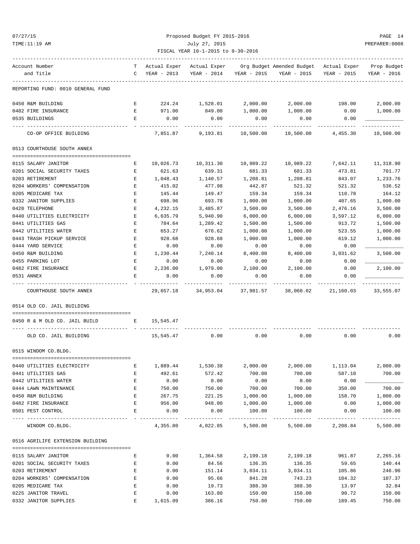| TIME:11:19 AM                     |              |               | PREPARER: 0008              |           |                                                                                                                       |                               |             |
|-----------------------------------|--------------|---------------|-----------------------------|-----------|-----------------------------------------------------------------------------------------------------------------------|-------------------------------|-------------|
| Account Number<br>and Title       |              | C YEAR - 2013 |                             |           | T Actual Exper Actual Exper Org Budget Amended Budget Actual Exper Prop Budget<br>YEAR - 2014 YEAR - 2015 YEAR - 2015 | YEAR - 2015                   | YEAR - 2016 |
| REPORTING FUND: 0010 GENERAL FUND |              |               |                             |           |                                                                                                                       |                               |             |
| 0450 R&M BUILDING                 | $\mathbf{E}$ |               |                             |           | $224.24$ $1,528.01$ $2,000.00$ $2,000.00$ $198.00$                                                                    |                               | 2,000.00    |
| 0482 FIRE INSURANCE               | E            | 971.00        | 849.00                      | 1,000.00  | 1,000.00                                                                                                              | 0.00                          | 1,000.00    |
| 0535 BUILDINGS                    | Е            | 0.00          | 0.00                        | 0.00      | 0.00                                                                                                                  | 0.00                          |             |
| CO-OP OFFICE BUILDING             |              |               | 7,851.87 9,193.81 10,500.00 |           | 10,500.00                                                                                                             | 4,455.30                      | 10,500.00   |
| 0513 COURTHOUSE SOUTH ANNEX       |              |               |                             |           |                                                                                                                       |                               |             |
| 0115 SALARY JANITOR               |              | 10,026.73     | 10,311.30                   | 10,989.22 | 10,989.22                                                                                                             | 7,642.11                      | 11,318.90   |
| 0201 SOCIAL SECURITY TAXES        | Е<br>E       | 621.63        | 639.31                      | 681.33    | 681.33                                                                                                                | 473.81                        | 701.77      |
| 0203 RETIREMENT                   | E            | 1,048.43      | 1,140.57                    | 1,208.81  | 1,208.81                                                                                                              | 843.07                        | 1,233.76    |
| 0204 WORKERS' COMPENSATION        | $\mathbf{E}$ | 415.02        | 477.98                      | 442.87    | 521.32                                                                                                                | 521.32                        | 536.52      |
| 0205 MEDICARE TAX                 | E            | 145.44        | 149.47                      | 159.34    | 159.34                                                                                                                | 110.78                        | 164.12      |
| 0332 JANITOR SUPPLIES             | Е            | 698.96        | 693.78                      | 1,000.00  | 1,000.00                                                                                                              | 407.65                        | 1,000.00    |
| 0420 TELEPHONE                    | Е            | 4,232.15      | 3,485.87                    | 3,500.00  | 3,500.00                                                                                                              | 2,476.16                      | 3,500.00    |
| 0440 UTILITIES ELECTRICITY        | Е            | 6,635.79      | 5,940.90                    | 6,000.00  | 6,000.00                                                                                                              | 3,597.12                      | 6,000.00    |
| 0441 UTILITIES GAS                | E            | 784.64        | 1,289.42                    | 1,500.00  | 1,500.00                                                                                                              | 913.72                        | 1,500.00    |
| 0442 UTILITIES WATER              | Е            | 653.27        | 676.62                      | 1,000.00  | 1,000.00                                                                                                              | 523.55                        | 1,000.00    |
| 0443 TRASH PICKUP SERVICE         | Е            | 928.68        | 928.68                      | 1,000.00  | 1,000.00                                                                                                              | 619.12                        | 1,000.00    |
| 0444 YARD SERVICE                 | Е            | 0.00          | 0.00                        | 0.00      | 0.00                                                                                                                  | 0.00                          |             |
| 0450 R&M BUILDING                 | Е            | 1,230.44      | 7,240.14                    | 8,400.00  | 8,400.00                                                                                                              | 3,031.62                      | 3,500.00    |
| 0455 PARKING LOT                  | Е            | 0.00          | 0.00                        | 0.00      | 0.00                                                                                                                  | 0.00                          |             |
| 0482 FIRE INSURANCE               | Е            | 2,236.00      | 1,979.00                    | 2,100.00  | 2,100.00                                                                                                              | 0.00                          | 2,100.00    |
| 0531 ANNEX                        | Е            | 0.00          | 0.00                        | 0.00      | 0.00                                                                                                                  | 0.00                          |             |
| COURTHOUSE SOUTH ANNEX            |              | 29,657.18     | 34,953.04                   | 37,981.57 |                                                                                                                       | 38,060.02 21,160.03 33,555.07 |             |
| 0514 OLD CO. JAIL BUILDING        |              |               |                             |           |                                                                                                                       |                               |             |
| 0450 R & M OLD CO. JAIL BUILD     |              | E 15,545.47   |                             |           |                                                                                                                       |                               |             |
| OLD CO. JAIL BUILDING             |              | 15,545.47     | 0.00                        | 0.00      | 0.00                                                                                                                  | 0.00                          | 0.00        |
| 0515 WINDOM CO.BLDG.              |              |               |                             |           |                                                                                                                       |                               |             |
|                                   |              |               |                             |           |                                                                                                                       |                               |             |
| 0440 UTILITIES ELECTRICITY        | Е            | 1,889.44      | 1,530.38                    | 2,000.00  | 2,000.00                                                                                                              | 1,113.04                      | 2,000.00    |
| 0441 UTILITIES GAS                | E            | 492.61        | 572.42                      | 700.00    | 700.00                                                                                                                | 587.10                        | 700.00      |
| 0442 UTILITIES WATER              | Е            | 0.00          | 0.00                        | 0.00      | 0.00                                                                                                                  | 0.00                          |             |
| 0444 LAWN MAINTENANCE             | Е            | 750.00        | 750.00                      | 700.00    | 700.00                                                                                                                | 350.00                        | 700.00      |
| 0450 R&M BUILDING                 | Е            | 267.75        | 221.25                      | 1,000.00  | 1,000.00                                                                                                              | 158.70                        | 1,000.00    |
| 0482 FIRE INSURANCE               | Е            | 956.00        | 948.00                      | 1,000.00  | 1,000.00                                                                                                              | 0.00                          | 1,000.00    |
| 0501 PEST CONTROL                 | Е            | 0.00          | 0.00                        | 100.00    | 100.00                                                                                                                | 0.00                          | 100.00      |
| WINDOM CO.BLDG.                   |              |               | 4,355.80 4,022.05 5,500.00  |           | 5,500.00                                                                                                              | 2,208.84                      | 5,500.00    |
| 0516 AGRILIFE EXTENSION BUILDING  |              |               |                             |           |                                                                                                                       |                               |             |
| 0115 SALARY JANITOR               | Е            | 0.00          | 1,364.58                    | 2,199.18  | 2,199.18                                                                                                              | 961.87                        | 2,265.16    |
| 0201 SOCIAL SECURITY TAXES        | E            | 0.00          | 84.56                       | 136.35    | 136.35                                                                                                                | 59.65                         | 140.44      |
| 0203 RETIREMENT                   | Е            | 0.00          | 151.14                      | 3,034.11  | 3,034.11                                                                                                              | 105.86                        | 246.90      |
| 0204 WORKERS' COMPENSATION        | Е            | 0.00          | 95.66                       | 841.28    | 743.23                                                                                                                | 104.32                        | 107.37      |
| 0205 MEDICARE TAX                 | Е            | 0.00          | 19.73                       | 388.30    | 388.30                                                                                                                | 13.97                         | 32.84       |

0225 JANITOR TRAVEL E 0.00 163.80 150.00 150.00 90.72 150.00 0332 JANITOR SUPPLIES E 1,615.09 386.16 750.00 750.00 189.45 750.00

07/27/15 Proposed Budget FY 2015-2016 PAGE 14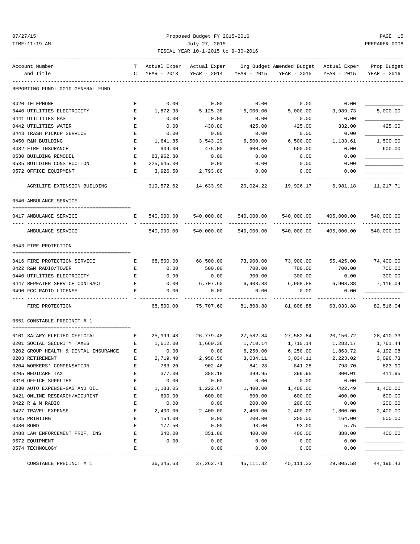### 07/27/15 Proposed Budget FY 2015-2016 PAGE 15 TIME:11:19 AM July 27, 2015 PREPARER:0008 FISCAL YEAR 10-1-2015 to 9-30-2016

| Account Number    |                                      | T – | Actual Exper | Actual Exper |             | Org Budget Amended Budget - Actual Exper |             | Prop Budget            |
|-------------------|--------------------------------------|-----|--------------|--------------|-------------|------------------------------------------|-------------|------------------------|
| and Title         |                                      | C   | YEAR - 2013  | YEAR - 2014  | YEAR - 2015 | YEAR - 2015                              | YEAR - 2015 | YEAR - 2016            |
|                   |                                      |     |              |              |             |                                          |             |                        |
|                   | REPORTING FUND: 0010 GENERAL FUND    |     |              |              |             |                                          |             |                        |
| 0420 TELEPHONE    |                                      | Е   | 0.00         | 0.00         | 0.00        | 0.00                                     | 0.00        |                        |
|                   | 0440 UTILITIES ELECTRICITY           | E   | 1,872.38     | 5,125.38     | 5,000.00    | 5,000.00                                 | 3,989.73    | 5,000.00               |
|                   | 0441 UTILITIES GAS                   | Е   | 0.00         | 0.00         | 0.00        | 0.00                                     | 0.00        |                        |
|                   | 0442 UTILITIES WATER                 | E   | 0.00         | 430.80       | 425.00      | 425.00                                   | 332.00      | 425.00                 |
|                   | 0443 TRASH PICKUP SERVICE            | Е   | 0.00         | 0.00         | 0.00        | 0.00                                     | 0.00        |                        |
| 0450 R&M BUILDING |                                      | E   | 1,641.85     | 3,543.29     | 6,500.00    | 6,500.00                                 | 1,133.61    | 1,500.00               |
|                   | 0482 FIRE INSURANCE                  | Е   | 909.00       | 475.00       | 600.00      | 600.00                                   | 0.00        | 600.00                 |
|                   | 0530 BUILDING REMODEL                | Е   | 83,962.80    | 0.00         | 0.00        | 0.00                                     | 0.00        |                        |
|                   | 0535 BUILDING CONSTRUCTION           | Е   | 225,645.00   | 0.00         | 0.00        | 0.00                                     | 0.00        |                        |
|                   | 0572 OFFICE EQUIPMENT                | Е   | 3,926.50     | 2,793.80     | 0.00        | 0.00                                     | 0.00        |                        |
|                   | AGRILIFE EXTENSION BUILDING          |     | 319,572.62   | 14,633.90    | 20,024.22   | 19,926.17                                | 6,981.18    | ---------<br>11,217.71 |
|                   | 0540 AMBULANCE SERVICE               |     |              |              |             |                                          |             |                        |
|                   | 0417 AMBULANCE SERVICE               | Е   | 540,000.00   | 540,000.00   | 540,000.00  | 540,000.00                               | 405,000.00  | 540,000.00             |
|                   | AMBULANCE SERVICE                    |     | 540,000.00   | 540,000.00   | 540,000.00  | 540,000.00                               | 405,000.00  | 540,000.00             |
|                   | 0543 FIRE PROTECTION                 |     |              |              |             |                                          |             |                        |
|                   |                                      |     |              |              |             |                                          |             |                        |
|                   | 0416 FIRE PROTECTION SERVICE         | Е   | 68,500.00    | 68,500.00    | 73,900.00   | 73,900.00                                | 55,425.00   | 74,400.00              |
|                   | 0422 R&M RADIO/TOWER                 | Е   | 0.00         | 500.00       | 700.00      | 700.00                                   | 700.00      | 700.00                 |
|                   | 0440 UTILITIES ELECTRICITY           | E   | 0.00         | 0.00         | 300.00      | 300.00                                   | 0.00        | 300.00                 |
|                   | 0447 REPEATER SERVICE CONTRACT       | Е   | 0.00         | 6,707.60     | 6,908.88    | 6,908.88                                 | 6,908.88    | 7,116.04               |
|                   | 0490 FCC RADIO LICENSE               | Е   | 0.00         | 0.00         | 0.00        | 0.00                                     | 0.00        |                        |
|                   | FIRE PROTECTION                      |     | 68,500.00    | 75,707.60    | 81,808.88   | 81,808.88                                | 63,033.88   | 82,516.04              |
|                   | 0551 CONSTABLE PRECINCT # 1          |     |              |              |             |                                          |             |                        |
|                   |                                      |     |              |              |             |                                          |             |                        |
|                   | 0101 SALARY ELECTED OFFICIAL         | Е   | 25,999.48    | 26,779.48    | 27,582.84   | 27,582.84                                | 20,156.72   | 28, 410.33             |
|                   | 0201 SOCIAL SECURITY TAXES           | E   | 1,612.00     | 1,660.36     | 1,710.14    | 1,710.14                                 | 1,283.17    | 1,761.44               |
|                   | 0202 GROUP HEALTH & DENTAL INSURANCE | Е   | 0.00         | 0.00         | 6,250.00    | 6,250.00                                 | 1,863.72    | 4,192.08               |
| 0203 RETIREMENT   |                                      | Е   | 2,719.40     | 2,958.56     | 3,034.11    | 3,034.11                                 | 2,223.02    | 3,096.73               |
|                   | 0204 WORKERS' COMPENSATION           |     | 783.20       | 902.46       | 841.28      | 841.28                                   | 798.70      | 823.90                 |
| 0205 MEDICARE TAX |                                      | Ε   | 377.00       | 388.18       | 399.95      | 399.95                                   | 300.01      | 411.95                 |
|                   | 0310 OFFICE SUPPLIES                 | E   | 0.00         | 0.00         | 0.00        | 0.00                                     | 0.00        |                        |
|                   | 0330 AUTO EXPENSE-GAS AND OIL        | Ε   | 1,183.05     | 1,222.67     | 1,400.00    | 1,400.00                                 | 422.49      | 1,400.00               |
|                   | 0421 ONLINE RESEARCH/ACCURINT        | Ε   | 600.00       | 600.00       | 600.00      | 600.00                                   | 400.00      | 600.00                 |
| 0422 R & M RADIO  |                                      | Ε   | 0.00         | 0.00         | 200.00      | 200.00                                   | 0.00        | 200.00                 |
|                   | 0427 TRAVEL EXPENSE                  | E   | 2,400.00     | 2,400.00     | 2,400.00    | 2,400.00                                 | 1,800.00    | 2,400.00               |
| 0435 PRINTING     |                                      | Ε   | 154.00       | 0.00         | 200.00      | 200.00                                   | 164.00      | 500.00                 |
| 0480 BOND         |                                      | E   | 177.50       | 0.00         | 93.00       | 93.00                                    | 5.75        |                        |
|                   | 0488 LAW ENFORCEMENT PROF. INS       | Ε   | 340.00       | 351.00       | 400.00      | 400.00                                   | 388.00      | 400.00                 |
| 0572 EQUIPMENT    |                                      | Ε   | 0.00         | 0.00         | 0.00        | 0.00                                     | 0.00        |                        |
|                   | 0574 TECHNOLOGY                      | E   |              | 0.00         | 0.00        | 0.00                                     | 0.00        |                        |

CONSTABLE PRECINCT # 1 36,345.63 37,262.71 45,111.32 45,111.32 29,805.58 44,196.43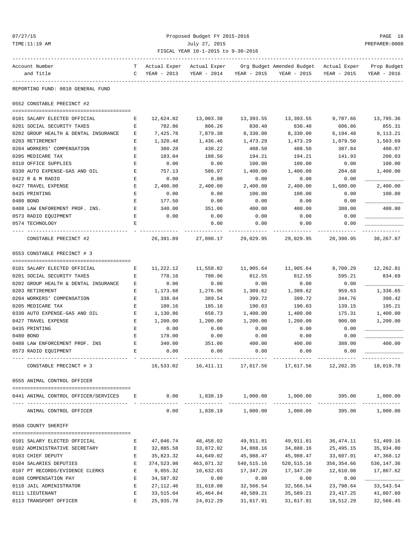| 07/27/<br>× |
|-------------|
|-------------|

### Proposed Budget FY 2015-2016 PAGE 16 TIME:11:19 AM July 27, 2015 PREPARER:0008 FISCAL YEAR 10-1-2015 to 9-30-2016

| Account Number                       | T.          | Actual Exper  | Actual Exper |             | Org Budget Amended Budget Actual Exper |             | Prop Budget |
|--------------------------------------|-------------|---------------|--------------|-------------|----------------------------------------|-------------|-------------|
| and Title                            |             | C YEAR - 2013 | YEAR - 2014  | YEAR - 2015 | YEAR - 2015                            | YEAR - 2015 | YEAR - 2016 |
| REPORTING FUND: 0010 GENERAL FUND    |             |               |              |             |                                        |             |             |
| 0552 CONSTABLE PRECINCT #2           |             |               |              |             |                                        |             |             |
|                                      |             |               |              |             |                                        |             |             |
| 0101 SALARY ELECTED OFFICIAL         | Е           | 12,624.82     | 13,003.38    | 13,393.55   | 13,393.55                              | 9,787.66    | 13,795.36   |
| 0201 SOCIAL SECURITY TAXES           | $\mathbf E$ | 782.86        | 806.26       | 830.40      | 830.40                                 | 606.86      | 855.31      |
| 0202 GROUP HEALTH & DENTAL INSURANCE | Е           | 7,425.78      | 7,879.38     | 8,330.00    | 8,330.00                               | 6,194.48    | 9,113.21    |
| 0203 RETIREMENT                      | Е           | 1,320.48      | 1,436.46     | 1,473.29    | 1,473.29                               | 1,079.50    | 1,503.69    |
| 0204 WORKERS' COMPENSATION           | Е           | 380.28        | 438.22       | 408.50      | 408.50                                 | 387.84      | 400.07      |
| 0205 MEDICARE TAX                    | Е           | 183.04        | 188.50       | 194.21      | 194.21                                 | 141.93      | 200.03      |
| 0310 OFFICE SUPPLIES                 | Е           | 0.00          | 0.00         | 100.00      | 100.00                                 | 0.00        | 100.00      |
| 0330 AUTO EXPENSE-GAS AND OIL        | Е           | 757.13        | 586.97       | 1,400.00    | 1,400.00                               | 204.68      | 1,400.00    |
| 0422 R & M RADIO                     | Е           | 0.00          | 0.00         | 0.00        | 0.00                                   | 0.00        |             |
| 0427 TRAVEL EXPENSE                  | Е           | 2,400.00      | 2,400.00     | 2,400.00    | 2,400.00                               | 1,600.00    | 2,400.00    |
| 0435 PRINTING                        | Е           | 0.00          | 0.00         | 100.00      | 100.00                                 | 0.00        | 100.00      |
| 0480 BOND                            | E           | 177.50        | 0.00         | 0.00        | 0.00                                   | 0.00        |             |
| 0488 LAW ENFOREMENT PROF. INS.       | E           | 340.00        | 351.00       | 400.00      | 400.00                                 | 388.00      | 400.00      |
| 0573 RADIO EQUIPMENT                 | Е           | 0.00          | 0.00         | 0.00        | 0.00                                   | 0.00        |             |
| 0574 TECHNOLOGY                      | Е           |               | 0.00         | 0.00        | 0.00                                   | 0.00        |             |
|                                      |             |               |              |             |                                        |             |             |
| CONSTABLE PRECINCT #2                |             | 26,391.89     | 27,090.17    | 29,029.95   | 29,029.95                              | 20,390.95   | 30,267.67   |
| 0553 CONSTABLE PRECINCT # 3          |             |               |              |             |                                        |             |             |
| 0101 SALARY ELECTED OFFICIAL         | Е           | 11,222.12     | 11,558.82    | 11,905.64   | 11,905.64                              | 8,700.29    | 12,262.81   |
| 0201 SOCIAL SECURITY TAXES           | Е           | 770.16        | 790.96       | 812.55      | 812.55                                 | 595.21      | 834.69      |
| 0202 GROUP HEALTH & DENTAL INSURANCE | Е           | 0.00          | 0.00         | 0.00        | 0.00                                   | 0.00        |             |
| 0203 RETIREMENT                      | Е           | 1,173.68      | 1,276.96     | 1,309.62    | 1,309.62                               | 959.63      | 1,336.65    |
| 0204 WORKERS' COMPENSATION           | Е           | 338.04        | 389.54       | 399.72      | 399.72                                 | 344.76      | 390.42      |
| 0205 MEDICARE TAX                    | E           | 180.16        | 185.10       | 190.03      | 190.03                                 | 139.15      | 195.21      |
| 0330 AUTO EXPENSE-GAS AND OIL        | Е           | 1,130.86      | 658.73       | 1,400.00    | 1,400.00                               | 175.31      | 1,400.00    |
| 0427 TRAVEL EXPENSE                  | Е           | 1,200.00      | 1,200.00     | 1,200.00    | 1,200.00                               | 900.00      | 1,200.00    |
| 0435 PRINTING                        | $\mathbf E$ | 0.00          | 0.00         | 0.00        | 0.00                                   | 0.00        |             |
| 0480 BOND                            | Е           | 178.00        | 0.00         | 0.00        | 0.00                                   | 0.00        |             |
| 0488 LAW ENFORCEMENT PROF. INS       | Е           | 340.00        | 351.00       | 400.00      | 400.00                                 | 388.00      | 400.00      |
| 0573 RADIO EQUIPMENT                 | E           | 0.00          | 0.00         | 0.00        | 0.00                                   | 0.00        |             |
|                                      |             |               |              |             |                                        |             |             |
| CONSTABLE PRECINCT # 3               |             | 16,533.02     | 16,411.11    | 17,617.56   | 17,617.56                              | 12,202.35   | 18,019.78   |
| 0555 ANIMAL CONTROL OFFICER          |             |               |              |             |                                        |             |             |
| 0441 ANIMAL CONTROL OFFICER/SERVICES | E           | 0.00          |              |             | $1,838.19$ $1,000.00$ $1,000.00$       | 395.00      | 1,000.00    |
|                                      |             |               |              |             |                                        |             |             |
| ANIMAL CONTROL OFFICER               |             | 0.00          | 1,838.19     |             | $1,000.00$ $1,000.00$                  | 395.00      | 1,000.00    |
| 0560 COUNTY SHERIFF                  |             |               |              |             |                                        |             |             |
| 0101 SALARY ELECTED OFFICIAL         | Е           | 47,046.74     | 48,458.02    | 49,911.81   | 49,911.81                              | 36,474.11   | 51,409.16   |
| 0102 ADMINISTRATIVE SECRETARY        | Е           | 32,885.58     | 33,872.02    | 34,888.16   | 34,888.16                              | 25,495.15   | 35,934.80   |
| 0103 CHIEF DEPUTY                    | $\mathbf E$ | 35,823.32     | 44,649.02    | 45,988.47   | 45,988.47                              | 33,607.01   | 47,368.12   |
| 0104 SALARIES DEPUTIES               | Е           | 374,523.98    | 463,071.32   | 540, 515.16 | 520, 515.16                            | 356, 354.66 | 536,147.36  |
| 0107 PT RECORDS/EVIDENCE CLERKS      | E           | 9,055.32      | 10,632.03    | 17,347.20   | 17,347.20                              | 12,610.08   | 17,867.62   |
| 0108 COMPENSATION PAY                | Е           | 34,587.02     | 0.00         | 0.00        | 0.00                                   | 0.00        |             |
| 0110 JAIL ADMINISTRATOR              | Е           | 27, 112.46    | 31,618.08    | 32,566.54   | 32,566.54                              | 23,798.64   | 33,543.54   |
| 0111 LIEUTENANT                      | E           | 33,515.04     | 45,464.84    | 40,589.21   | 35,589.21                              | 23, 417.25  | 41,807.60   |

0113 TRANSPORT OFFICER THE 25,935.78 24,012.29 31,617.91 31,617.91 18,512.29 32,566.45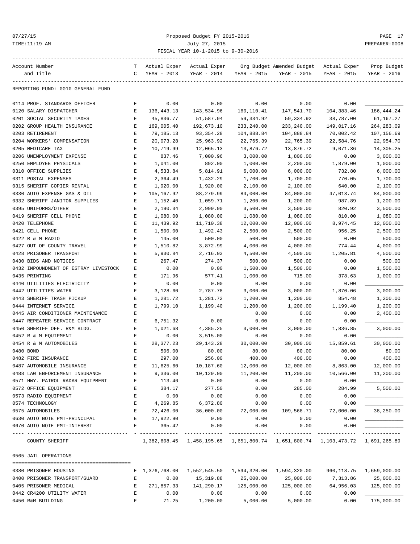### 07/27/15 Proposed Budget FY 2015-2016 PAGE 17 TIME:11:19 AM July 27, 2015 PREPARER:0008 FISCAL YEAR 10-1-2015 to 9-30-2016

| Account Number                       | т           | Actual Exper    | Actual Exper   |               | Org Budget Amended Budget                                                     | Actual Exper | Prop Budget |
|--------------------------------------|-------------|-----------------|----------------|---------------|-------------------------------------------------------------------------------|--------------|-------------|
| and Title                            | C           | YEAR - 2013     | YEAR - 2014    | YEAR - 2015   | YEAR - 2015                                                                   | YEAR - 2015  | YEAR - 2016 |
| REPORTING FUND: 0010 GENERAL FUND    |             |                 |                |               |                                                                               |              |             |
|                                      |             |                 |                |               |                                                                               |              |             |
| 0114 PROF. STANDARDS OFFICER         | Е           | 0.00            | 0.00           | 0.00          | 0.00                                                                          | 0.00         |             |
| 0120 SALARY DISPATCHER               | Е           | 136,443.13      | 143,534.96     | 160,110.41    | 147,541.70                                                                    | 104, 383.46  | 186,444.24  |
| 0201 SOCIAL SECURITY TAXES           | Е           | 45,836.77       | 51,587.94      | 59,334.92     | 59,334.92                                                                     | 38,787.00    | 61,167.27   |
| 0202 GROUP HEALTH INSURANCE          | $\mathbf E$ | 169,005.40      | 192,673.10     | 233,240.00    | 233,240.00                                                                    | 149,017.16   | 264, 283.09 |
| 0203 RETIREMENT                      | Е           | 79,185.13       | 93, 354. 28    | 104,888.84    | 104,888.84                                                                    | 70,002.42    | 107,156.69  |
| 0204 WORKERS' COMPENSATION           | Е           | 20,073.28       | 25,963.92      | 22,765.39     | 22,765.39                                                                     | 22,584.76    | 22,954.70   |
| 0205 MEDICARE TAX                    | Е           | 10,719.99       | 12,065.13      | 13,876.72     | 13,876.72                                                                     | 9,071.36     | 14,305.25   |
| 0206 UNEMPLOYMENT EXPENSE            | Ε           | 837.46          | 7,000.96       | 3,000.00      | 1,800.00                                                                      | 0.00         | 3,000.00    |
| 0250 EMPLOYEE PHYSICALS              | E           | 1,041.00        | 892.00         | 1,000.00      | 2,200.00                                                                      | 1,879.00     | 1,000.00    |
| 0310 OFFICE SUPPLIES                 | Ε           | 4,533.84        | 5,814.91       | 6,000.00      | 6,000.00                                                                      | 732.80       | 6,000.00    |
| 0311 POSTAL EXPENSES                 | Ε           | 2,364.49        | 1,432.29       | 1,700.00      | 1,700.00                                                                      | 770.05       | 1,700.00    |
| 0315 SHERIFF COPIER RENTAL           | Ε           | 1,920.00        | 1,920.00       | 2,100.00      | 2,100.00                                                                      | 640.00       | 2,100.00    |
| 0330 AUTO EXPENSE GAS & OIL          | Е           | 105,167.92      | 88,279.99      | 84,000.00     | 84,000.00                                                                     | 47,013.74    | 84,000.00   |
| 0332 SHERIFF JANITOR SUPPLIES        | Ε           | 1,152.40        | 1,059.71       | 1,200.00      | 1,200.00                                                                      | 987.89       | 1,200.00    |
| 0395 UNIFORMS/OTHER                  | $\mathbf E$ | 2,190.34        | 2,999.90       | 3,500.00      | 3,500.00                                                                      | 820.92       | 3,500.00    |
| 0419 SHERIFF CELL PHONE              | Е           | 1,080.00        | 1,080.00       | 1,080.00      | 1,080.00                                                                      | 810.00       | 1,080.00    |
| 0420 TELEPHONE                       | Ε           | 11,439.92       | 11,710.38      | 12,000.00     | 12,000.00                                                                     | 8,974.45     | 12,000.00   |
| 0421 CELL PHONE                      | Ε           | 1,500.00        | 1,492.43       | 2,500.00      | 2,500.00                                                                      | 956.25       | 2,500.00    |
| 0422 R & M RADIO                     | E           | 145.00          | 500.00         | 500.00        | 500.00                                                                        | 0.00         | 500.00      |
| 0427 OUT OF COUNTY TRAVEL            | E           | 1,510.82        | 3,872.99       | 4,000.00      | 4,000.00                                                                      | 774.44       | 4,000.00    |
| 0428 PRISONER TRANSPORT              | Ε           | 5,930.84        | 2,716.03       | 4,500.00      | 4,500.00                                                                      | 1,205.81     | 4,500.00    |
| 0430 BIDS AND NOTICES                | Ε           | 267.47          | 274.37         | 500.00        | 500.00                                                                        | 0.00         | 500.00      |
| 0432 IMPOUNDMENT OF ESTRAY LIVESTOCK |             |                 |                | 1,500.00      |                                                                               |              | 1,500.00    |
|                                      | Ε           | 0.00            | 0.00           |               | 1,500.00                                                                      | 0.00         |             |
| 0435 PRINTING                        | Ε           | 171.96          | 577.41         | 1,000.00      | 715.00                                                                        | 378.63       | 1,000.00    |
| 0440 UTILITIES ELECTRICITY           | E           | 0.00            | 0.00           | 0.00          | 0.00                                                                          | 0.00         |             |
| 0442 UTILITIES WATER                 | E           | 3,128.60        | 2,787.78       | 3,000.00      | 3,000.00                                                                      | 1,870.06     | 3,000.00    |
| 0443 SHERIFF TRASH PICKUP            | Ε           | 1,281.72        | 1,281.72       | 1,200.00      | 1,200.00                                                                      | 854.48       | 1,200.00    |
| 0444 INTERNET SERVICE                | E           | 1,799.10        | 1,199.40       | 1,200.00      | 1,200.00                                                                      | 1,199.40     | 1,200.00    |
| 0445 AIR CONDITIONER MAINTENANCE     | Ε           |                 |                | 0.00          | 0.00                                                                          | 0.00         | 2,400.00    |
| 0447 REPEATER SERVICE CONTRACT       | Ε           | 6,751.32        | 0.00           | 0.00          | 0.00                                                                          | 0.00         |             |
| 0450 SHERIFF OFF. R&M BLDG.          | Е           | 1,021.68        | 4,385.25       | 3,000.00      | 3,000.00                                                                      | 1,836.85     | 3,000.00    |
| 0452 R & M EQUIPMENT                 | Ε           | 0.00            | 3,515.00       | 0.00          | 0.00                                                                          | 0.00         |             |
| 0454 R & M AUTOMOBILES               | Е           | 28, 377. 23     | 29, 143. 28    | 30,000.00     | 30,000.00                                                                     | 15,859.61    | 30,000.00   |
| 0480 BOND                            | Ε           | 506.00          | 80.00          | 80.00         | 80.00                                                                         | 80.00        | 80.00       |
| 0482 FIRE INSURANCE                  | E           | 297.00          | 256.00         | 400.00        | 400.00                                                                        | 0.00         | 400.00      |
| 0487 AUTOMOBILE INSURANCE            |             | 11,625.60       | 10,187.60      | 12,000.00     | 12,000.00                                                                     | 8,863.00     | 12,000.00   |
| 0488 LAW ENFORCEMENT INSURANCE       | Ε           | 9,336.00        | 10,129.00      | 11,200.00     | 11,200.00                                                                     | 10,566.00    | 11,200.00   |
| 0571 HWY. PATROL RADAR EQUIPMENT     | Е           | 113.46          | 0.00           | 0.00          | 0.00                                                                          | 0.00         |             |
| 0572 OFFICE EQUIPMENT                | Е           | 384.17          | 277.50         | 0.00          | 285.00                                                                        | 284.99       | 5,500.00    |
| 0573 RADIO EQUIPMENT                 | Ε           | 0.00            | 0.00           | 0.00          | 0.00                                                                          | 0.00         |             |
| 0574 TECHNOLOGY                      | Ε           | 4,269.85        | 6,372.80       | 0.00          | 0.00                                                                          | 0.00         |             |
| 0575 AUTOMOBILES                     | E           | 72,426.00       | 36,000.00      | 72,000.00     | 109,568.71                                                                    | 72,000.00    | 38,250.00   |
| 0630 AUTO NOTE PMT-PRINCIPAL         | Е           | 17,922.90       | 0.00           | 0.00          | 0.00                                                                          | 0.00         |             |
| 0670 AUTO NOTE PMT-INTEREST          | E           | 365.42          | 0.00           | 0.00          | 0.00                                                                          | 0.00         |             |
| ----------------------------------   |             | - ------------- | -------------- | ------------- | -------------                                                                 |              |             |
| COUNTY SHERIFF                       |             |                 |                |               | 1,382,608.45 1,458,195.65 1,651,800.74 1,651,800.74 1,103,473.72 1,691,265.89 |              |             |
| 0565 JAIL OPERATIONS                 |             |                 |                |               |                                                                               |              |             |
| 0380 PRISONER HOUSING                |             |                 |                |               | E 1,376,768.00 1,552,545.50 1,594,320.00 1,594,320.00 960,118.75 1,659,000.00 |              |             |
| 0400 PRISONER TRANSPORT/GUARD        | E           | 0.00            | 15,319.88      | 25,000.00     | 25,000.00                                                                     | 7,313.86     | 25,000.00   |
| 0405 PRISONER MEDICAL                | Е           |                 | 141,290.17     | 125,000.00    | 125,000.00                                                                    |              | 125,000.00  |
|                                      |             | 271,857.33      |                |               |                                                                               | 64,956.03    |             |
| 0442 CR4200 UTILITY WATER            | $\mathbf E$ | 0.00            | 0.00           | 0.00          | 0.00                                                                          | 0.00         |             |
| 0450 R&M BUILDING                    | E           | 71.25           | 1,200.00       | 5,000.00      | 5,000.00                                                                      | 0.00         | 175,000.00  |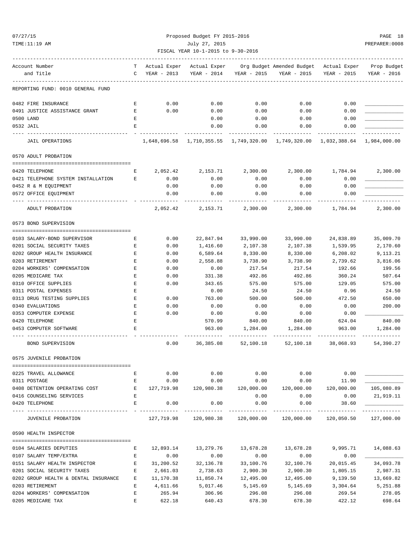07/27/15 Proposed Budget FY 2015-2016 PAGE 18 TIME:11:19 AM July 27, 2015 PREPARER:0008 FISCAL YEAR 10-1-2015 to 9-30-2016

| Account Number                       |                    |             | T Actual Exper Actual Exper Org Budget Amended Budget Actual Exper Prop Budget |                           |                 |                             |                 |
|--------------------------------------|--------------------|-------------|--------------------------------------------------------------------------------|---------------------------|-----------------|-----------------------------|-----------------|
| and Title                            | $\mathbf{C}$       | YEAR - 2013 | YEAR - 2014                                                                    | YEAR - 2015               | YEAR - 2015     | YEAR - 2015                 | YEAR - 2016     |
| REPORTING FUND: 0010 GENERAL FUND    |                    |             |                                                                                |                           |                 |                             |                 |
| 0482 FIRE INSURANCE                  | Е                  | 0.00        | 0.00                                                                           | 0.00                      | 0.00            | 0.00                        |                 |
| 0491 JUSTICE ASSISTANCE GRANT        | Е                  | 0.00        | 0.00                                                                           | 0.00                      | 0.00            | 0.00                        |                 |
| 0500 LAND                            | Е                  |             | 0.00                                                                           | 0.00                      | 0.00            | 0.00                        |                 |
| 0532 JAIL                            | Е                  |             | 0.00                                                                           | 0.00                      | 0.00            | 0.00                        |                 |
| <b>JAIL OPERATIONS</b>               |                    |             | 1,648,696.58 1,710,355.55 1,749,320.00 1,749,320.00 1,032,388.64 1,984,000.00  |                           |                 |                             |                 |
| 0570 ADULT PROBATION                 |                    |             |                                                                                |                           |                 |                             |                 |
| 0420 TELEPHONE                       | Е                  | 2,052.42    | 2,153.71                                                                       | 2,300.00                  |                 | 2,300.00 1,784.94           | 2,300.00        |
|                                      | Е                  |             |                                                                                |                           |                 |                             |                 |
| 0421 TELEPHONE SYSTEM INSTALLATION   |                    | 0.00        | 0.00                                                                           | 0.00                      | 0.00            | 0.00                        |                 |
| 0452 R & M EQUIPMENT                 |                    | 0.00        | 0.00                                                                           | 0.00                      | 0.00            | 0.00                        |                 |
| 0572 OFFICE EQUIPMENT                |                    | 0.00        | 0.00                                                                           | 0.00                      | 0.00            | 0.00                        |                 |
| ADULT PROBATION                      |                    | 2,052.42    | 2,153.71                                                                       | 2,300.00                  | 2,300.00        | 1,784.94                    | 2,300.00        |
| 0573 BOND SUPERVISION                |                    |             |                                                                                |                           |                 |                             |                 |
|                                      |                    |             |                                                                                |                           |                 |                             |                 |
| 0103 SALARY-BOND SUPERVISOR          | Е                  | 0.00        | 22,847.94                                                                      | 33,990.00                 | 33,990.00       | 24,838.89                   | 35,009.70       |
| 0201 SOCIAL SECURITY TAXES           | Е                  | 0.00        | 1,416.60                                                                       | 2,107.38                  | 2,107.38        | 1,539.95                    | 2,170.60        |
| 0202 GROUP HEALTH INSURANCE          | Е                  | 0.00        | 6,589.64                                                                       | 8,330.00                  | 8,330.00        | 6,208.02                    | 9,113.21        |
| 0203 RETIREMENT                      | Е                  | 0.00        | 2,558.88                                                                       | 3,738.90                  | 3,738.90        | 2,739.62                    | 3,816.06        |
| 0204 WORKERS' COMPENSATION           | Е                  | 0.00        | 0.00                                                                           | 217.54                    | 217.54          | 192.66                      | 199.56          |
| 0205 MEDICARE TAX                    | Е                  | 0.00        | 331.38                                                                         | 492.86                    | 492.86          | 360.24                      | 507.64          |
| 0310 OFFICE SUPPLIES                 | E                  | 0.00        | 343.65                                                                         | 575.00                    | 575.00          | 129.05                      | 575.00          |
| 0311 POSTAL EXPENSES                 | E                  |             | 0.00                                                                           | 24.50                     | 24.50           | 0.96                        | 24.50           |
| 0313 DRUG TESTING SUPPLIES           | Е                  | 0.00        | 763.00                                                                         | 500.00                    | 500.00          | 472.50                      | 650.00          |
| 0340 EVALUATIONS                     | E                  | 0.00        | 0.00                                                                           | 0.00                      | 0.00            | 0.00                        | 200.00          |
| 0353 COMPUTER EXPENSE                | $\mathbf E$        | 0.00        | 0.00                                                                           | 0.00                      | 0.00            | 0.00                        |                 |
| 0420 TELEPHONE                       | Е                  |             | 570.99                                                                         | 840.00                    | 840.00          | 624.04                      | 840.00          |
| 0453 COMPUTER SOFTWARE               | Ε                  |             | 963.00                                                                         | 1,284.00                  | 1,284.00        | 963.00                      | 1,284.00        |
| BOND SUPERVISION                     |                    | 0.00        | 36,385.08                                                                      | 52,100.18                 |                 | 52,100.18 38,068.93         | 54,390.27       |
| 0575 JUVENILE PROBATION              |                    |             |                                                                                |                           |                 |                             |                 |
| 0225 TRAVEL ALLOWANCE                | Е                  | 0.00        | 0.00                                                                           | 0.00                      | 0.00            | 0.00                        |                 |
| 0311 POSTAGE                         | $\mathbf{E}$       | 0.00        | 0.00                                                                           | 0.00                      | 0.00            | 11.90                       |                 |
| 0408 DETENTION OPERATING COST        | $\mathbf{E}$       | 127,719.98  | 120,980.38                                                                     | 120,000.00                | 120,000.00      | 120,000.00                  | 105,080.89      |
| 0416 COUNSELING SERVICES             | E                  |             |                                                                                | 0.00                      | 0.00            | 0.00                        | 21,919.11       |
| 0420 TELEPHONE                       | Е                  | 0.00        | 0.00                                                                           | 0.00                      | 0.00            | 38.60                       |                 |
| JUVENILE PROBATION                   |                    |             | -------------<br>127,719.98 120,980.38                                         | -----------<br>120,000.00 | .<br>120,000.00 | -------------<br>120,050.50 | .<br>127,000.00 |
| 0590 HEALTH INSPECTOR                |                    |             |                                                                                |                           |                 |                             |                 |
|                                      |                    |             |                                                                                |                           |                 |                             |                 |
| 0104 SALARIES DEPUTIES               | Е                  | 12,893.14   | 13,279.76                                                                      | 13,678.28                 | 13,678.28       | 9,995.71                    | 14,088.63       |
| 0107 SALARY TEMP/EXTRA               | Е                  | 0.00        | 0.00                                                                           | 0.00                      | 0.00            | 0.00                        |                 |
| 0151 SALARY HEALTH INSPECTOR         | $\mathbf{E}% _{0}$ | 31,200.52   | 32,136.78                                                                      | 33,100.76                 | 32,100.76       | 20,015.45                   | 34,093.78       |
| 0201 SOCIAL SECURITY TAXES           | Е                  | 2,661.03    | 2,738.63                                                                       | 2,900.30                  | 2,900.30        | 1,805.15                    | 2,987.31        |
| 0202 GROUP HEALTH & DENTAL INSURANCE | Е                  | 11,170.38   | 11,850.74                                                                      | 12,495.00                 | 12,495.00       | 9,139.50                    | 13,669.82       |
| 0203 RETIREMENT                      | Е                  | 4,611.66    | 5,017.46                                                                       | 5,145.69                  | 5,145.69        | 3,304.64                    | 5,251.88        |
| 0204 WORKERS' COMPENSATION           | $\mathbf E$        | 265.94      | 306.96                                                                         | 296.08                    | 296.08          | 269.54                      | 278.05          |
|                                      |                    |             |                                                                                |                           |                 |                             |                 |

0205 MEDICARE TAX E 622.18 640.43 678.30 678.30 422.12 698.64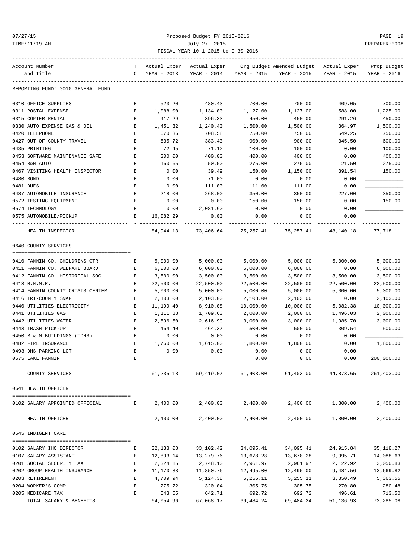### 07/27/15 Proposed Budget FY 2015-2016 PAGE 19 TIME:11:19 AM July 27, 2015 PREPARER:0008 FISCAL YEAR 10-1-2015 to 9-30-2016

| Account Number                    | T                                                  | Actual Exper | Actual Exper               |             | Org Budget Amended Budget – Actual Exper               |             | Prop Budget |
|-----------------------------------|----------------------------------------------------|--------------|----------------------------|-------------|--------------------------------------------------------|-------------|-------------|
| and Title                         | C                                                  | YEAR - 2013  | YEAR - 2014                | YEAR - 2015 | YEAR - 2015                                            | YEAR - 2015 | YEAR - 2016 |
|                                   |                                                    |              |                            |             |                                                        |             |             |
| REPORTING FUND: 0010 GENERAL FUND |                                                    |              |                            |             |                                                        |             |             |
| 0310 OFFICE SUPPLIES              | Е                                                  | 523.20       | 480.43                     | 700.00      | 700.00                                                 | 409.05      | 700.00      |
| 0311 POSTAL EXPENSE               | Е                                                  | 1,088.00     | 1,134.00                   | 1,127.00    | 1,127.00                                               | 588.00      | 1,225.00    |
| 0315 COPIER RENTAL                | Е                                                  | 417.29       | 396.33                     | 450.00      | 450.00                                                 | 291.26      | 450.00      |
| 0330 AUTO EXPENSE GAS & OIL       | Е                                                  | 1,451.32     | 1,240.40                   | 1,500.00    | 1,500.00                                               | 364.97      | 1,500.00    |
| 0420 TELEPHONE                    | Е                                                  | 670.36       | 708.58                     | 750.00      | 750.00                                                 | 549.25      | 750.00      |
| 0427 OUT OF COUNTY TRAVEL         | Е                                                  | 535.72       | 383.43                     | 900.00      | 900.00                                                 | 345.50      | 600.00      |
| 0435 PRINTING                     | Ε                                                  | 72.45        | 71.12                      | 100.00      | 100.00                                                 | 0.00        | 100.00      |
| 0453 SOFTWARE MAINTENANCE SAFE    | Е                                                  | 300.00       | 400.00                     | 400.00      | 400.00                                                 | 0.00        | 400.00      |
| 0454 R&M AUTO                     | Е                                                  | 160.65       | 50.50                      | 275.00      | 275.00                                                 | 21.50       | 275.00      |
| 0467 VISITING HEALTH INSPECTOR    | Ε                                                  | 0.00         | 39.49                      | 150.00      | 1,150.00                                               | 391.54      | 150.00      |
| 0480 BOND                         | Ε                                                  | 0.00         | 71.00                      | 0.00        | 0.00                                                   | 0.00        |             |
| 0481 DUES                         | Е                                                  | 0.00         | 111.00                     | 111.00      | 111.00                                                 | 0.00        |             |
| 0487 AUTOMOBILE INSURANCE         | Е                                                  | 218.00       | 268.00                     | 350.00      | 350.00                                                 | 227.00      | 350.00      |
| 0572 TESTING EQUIPMENT            | Е                                                  | 0.00         | 0.00                       | 150.00      | 150.00                                                 | 0.00        | 150.00      |
|                                   |                                                    |              |                            |             |                                                        |             |             |
| 0574 TECHNOLOGY                   | E                                                  | 0.00         | 2,081.60                   | 0.00        | 0.00                                                   | 0.00        |             |
| 0575 AUTOMOBILE/PICKUP            | Е                                                  | 16,082.29    | 0.00                       | 0.00        | 0.00                                                   | 0.00        |             |
| HEALTH INSPECTOR                  |                                                    |              |                            |             | 84,944.13 73,406.64 75,257.41 75,257.41 48,140.18      |             | 77,718.11   |
| 0640 COUNTY SERVICES              |                                                    |              |                            |             |                                                        |             |             |
|                                   |                                                    |              |                            |             | 5,000.00                                               | 5,000.00    |             |
| 0410 FANNIN CO. CHILDRENS CTR     | Е                                                  | 5,000.00     | 5,000.00                   | 5,000.00    |                                                        |             | 5,000.00    |
| 0411 FANNIN CO. WELFARE BOARD     | Е                                                  | 6,000.00     | 6,000.00                   | 6,000.00    | 6,000.00                                               | 0.00        | 6,000.00    |
| 0412 FANNIN CO. HISTORICAL SOC    | Е                                                  | 3,500.00     | 3,500.00                   | 3,500.00    | 3,500.00                                               | 3,500.00    | 3,500.00    |
| 0413 M.H.M.R.                     | Е                                                  | 22,500.00    | 22,500.00                  | 22,500.00   | 22,500.00                                              | 22,500.00   | 22,500.00   |
| 0414 FANNIN COUNTY CRISIS CENTER  | E                                                  | 5,000.00     | 5,000.00                   | 5,000.00    | 5,000.00                                               | 5,000.00    | 5,000.00    |
| 0416 TRI-COUNTY SNAP              | Е                                                  | 2,103.00     | 2,103.00                   | 2,103.00    | 2,103.00                                               | 0.00        | 2,103.00    |
| 0440 UTILITIES ELECTRICITY        | Е                                                  | 11,199.40    | 8,910.08                   | 10,000.00   | 10,000.00                                              | 5,082.38    | 10,000.00   |
| 0441 UTILITIES GAS                | Е                                                  | 1,111.88     | 1,709.63                   | 2,000.00    | 2,000.00                                               | 1,496.03    | 2,000.00    |
| 0442 UTILITIES WATER              | Е                                                  | 2,596.50     | 2,616.99                   | 3,000.00    | 3,000.00                                               | 1,985.70    | 3,000.00    |
| 0443 TRASH PICK-UP                | E                                                  | 464.40       | 464.37                     | 500.00      | 500.00                                                 | 309.54      | 500.00      |
| 0450 R & M BUILDINGS (TDHS)       | Е                                                  | 0.00         | 0.00                       | 0.00        | 0.00                                                   | 0.00        |             |
| 0482 FIRE INSURANCE               | Е                                                  | 1,760.00     | 1,615.00                   | 1,800.00    | 1,800.00                                               | 0.00        | 1,800.00    |
| 0493 DHS PARKING LOT              | Ε                                                  | 0.00         | 0.00                       | 0.00        | 0.00                                                   | 0.00        |             |
| 0575 LAKE FANNIN                  | E                                                  |              |                            | 0.00        | 0.00                                                   | 0.00        | 200,000.00  |
| COUNTY SERVICES                   |                                                    | 61,235.18    | 59,419.07                  | 61,403.00   | 61,403.00                                              | 44,873.65   | 261,403.00  |
| 0641 HEALTH OFFICER               |                                                    |              |                            |             |                                                        |             |             |
| 0102 SALARY APPOINTED OFFICIAL    | <b>Experience of Excellent Excellent Excellent</b> |              |                            |             | $2,400.00$ $2,400.00$ $2,400.00$ $2,400.00$ $1,800.00$ |             | 2,400.00    |
|                                   |                                                    |              |                            |             |                                                        |             |             |
| HEALTH OFFICER                    |                                                    |              | 2,400.00 2,400.00 2,400.00 |             | 2,400.00                                               | 1,800.00    | 2,400.00    |
| 0645 INDIGENT CARE                |                                                    |              |                            |             |                                                        |             |             |
| 0102 SALARY IHC DIRECTOR          | Е                                                  | 32,138.08    | 33,102.42                  | 34,095.41   | 34,095.41                                              | 24,915.84   | 35, 118.27  |
| 0107 SALARY ASSISTANT             | Е                                                  | 12,893.14    | 13,279.76                  | 13,678.28   | 13,678.28                                              | 9,995.71    | 14,088.63   |
| 0201 SOCIAL SECURITY TAX          | Е                                                  | 2,324.15     | 2,748.10                   | 2,961.97    | 2,961.97                                               | 2,122.92    | 3,050.83    |
| 0202 GROUP HEALTH INSURANCE       | Е                                                  |              | 11,170.38 11,850.76        | 12,495.00   | 12,495.00                                              | 9,484.56    | 13,669.82   |
| 0203 RETIREMENT                   | Е                                                  | 4,709.94     | 5,124.38                   | 5,255.11    | 5,255.11                                               | 3,850.49    | 5,363.55    |
| 0204 WORKER'S COMP                | Е                                                  | 275.72       | 320.04                     | 305.75      | 305.75                                                 | 270.80      | 280.48      |
| 0205 MEDICARE TAX                 | Е                                                  | 543.55       | 642.71                     | 692.72      | 692.72                                                 | 496.61      | 713.50      |
| TOTAL SALARY & BENEFITS           |                                                    | 64,054.96    | 67,068.17                  | 69,484.24   | 69,484.24                                              | 51,136.93   | 72,285.08   |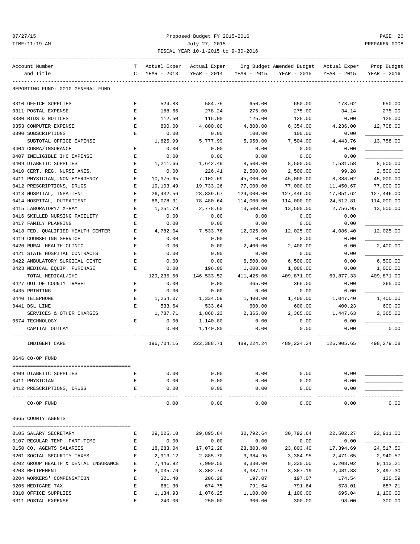### 07/27/15 Proposed Budget FY 2015-2016 PAGE 20 TIME:11:19 AM July 27, 2015 PREPARER:0008 FISCAL YEAR 10-1-2015 to 9-30-2016

| Account Number                                               | T | Actual Exper     | Actual Exper     |                   | Org Budget Amended Budget – Actual Exper |                   | Prop Budget |
|--------------------------------------------------------------|---|------------------|------------------|-------------------|------------------------------------------|-------------------|-------------|
| and Title                                                    | C | YEAR - 2013      | YEAR - 2014      | YEAR - 2015       | YEAR - 2015                              | YEAR - 2015       | YEAR - 2016 |
| REPORTING FUND: 0010 GENERAL FUND                            |   |                  |                  |                   |                                          |                   |             |
| 0310 OFFICE SUPPLIES                                         | Е | 524.83           | 584.75           | 650.00            | 650.00                                   | 173.62            | 650.00      |
| 0311 POSTAL EXPENSE                                          | E | 188.66           | 278.24           | 275.00            | 275.00                                   | 34.14             | 275.00      |
| 0330 BIDS & NOTICES                                          | E | 112.50           | 115.00           | 125.00            | 125.00                                   | 0.00              | 125.00      |
| 0353 COMPUTER EXPENSE                                        | E | 800.00           | 4,800.00         | 4,800.00          | 6,354.00                                 | 4,236.00          | 12,708.00   |
| 0390 SUBSCRIPTIONS                                           | Ε | 0.00             | 0.00             | 100.00            | 100.00                                   | 0.00              |             |
| SUBTOTAL OFFICE EXPENSE                                      |   | 1,625.99         | 5,777.99         | 5,950.00          | 7,504.00                                 | 4, 443.76         | 13,758.00   |
| 0404 COBRA/INSURANCE                                         | Е | 0.00             | 0.00             | 0.00              | 0.00                                     | 0.00              |             |
| 0407 INELIGIBLE IHC EXPENSE                                  | E | 0.00             | 0.00             | 0.00              | 0.00                                     | 0.00              |             |
| 0409 DIABETIC SUPPLIES                                       | Е |                  | 1,642.49         | 8,500.00          | 8,500.00                                 |                   | 8,500.00    |
| 0410 CERT. REG. NURSE ANES.                                  | Ε | 1,211.66<br>0.00 | 226.41           | 2,500.00          | 2,500.00                                 | 1,531.58<br>99.28 | 2,500.00    |
| 0411 PHYSICIAN, NON-EMERGENCY                                | Е | 10,375.65        | 7,102.69         | 45,000.00         | 45,000.00                                | 8,388.02          | 45,000.00   |
| 0412 PRESCRIPTIONS, DRUGS                                    | Е | 19,103.49        | 19,733.26        | 77,000.00         | 77,000.00                                | 11,450.67         | 77,000.00   |
| 0413 HOSPITAL, INPATIENT                                     | Е | 26,432.56        | 28,839.67        | 129,000.00        | 127,446.00                               | 17,051.62         | 127,446.00  |
| 0414 HOSPITAL, OUTPATIENT                                    | Е | 66,078.31        | 78,480.64        | 114,000.00        | 114,000.00                               | 24,512.81         | 114,000.00  |
|                                                              | E |                  |                  |                   |                                          |                   |             |
| 0415 LABORATORY/ X-RAY<br>0416 SKILLED NURSING FACILITY      | E | 1,251.79         | 2,778.60<br>0.00 | 13,500.00<br>0.00 | 13,500.00                                | 2,756.95<br>0.00  | 13,500.00   |
| 0417 FAMILY PLANNING                                         | Е | 0.00             |                  |                   | 0.00                                     | 0.00              |             |
|                                                              |   | 0.00             | 0.00<br>7,533.76 | 0.00              | 0.00<br>12,025.00                        |                   |             |
| 0418 FED. QUALIFIED HEALTH CENTER<br>0419 COUNSELING SERVICE | Е | 4,782.04         |                  | 12,025.00         |                                          | 4,086.40          | 12,025.00   |
|                                                              | Е | 0.00             | 0.00             | 0.00              | 0.00                                     | 0.00              |             |
| 0420 RURAL HEALTH CLINIC                                     | E | 0.00             | 0.00             | 2,400.00          | 2,400.00                                 | 0.00              | 2,400.00    |
| 0421 STATE HOSPITAL CONTRACTS                                | Е | 0.00             | 0.00             | 0.00              | 0.00                                     | 0.00              |             |
| 0422 AMBULATORY SURGICAL CENTE                               | Е | 0.00             | 0.00             | 6,500.00          | 6,500.00                                 | 0.00              | 6,500.00    |
| 0423 MEDICAL EQUIP. PURCHASE                                 | Е | 0.00             | 196.00           | 1,000.00          | 1,000.00                                 | 0.00              | 1,000.00    |
| TOTAL MEDICAL/IHC                                            |   | 129,235.50       | 146,533.52       | 411,425.00        | 409,871.00                               | 69,877.33         | 409,871.00  |
| 0427 OUT OF COUNTY TRAVEL                                    | Е | 0.00             | 0.00             | 365.00            | 365.00                                   | 0.00              | 365.00      |
| 0435 PRINTING                                                | Ε | 0.00             | 0.00             | 0.00              | 0.00                                     | 0.00              |             |
| 0440 TELEPHONE                                               | Е | 1,254.07         | 1,334.59         | 1,400.00          | 1,400.00                                 | 1,047.40          | 1,400.00    |
| 0441 DSL LINE                                                | E | 533.64           | 533.64           | 600.00            | 600.00                                   | 400.23            | 600.00      |
| SERVICES & OTHER CHARGES                                     |   | 1,787.71         | 1,868.23         | 2,365.00          | 2,365.00                                 | 1,447.63          | 2,365.00    |
| 0574 TECHNOLOGY                                              | Е | 0.00             | 1,140.80         | 0.00              | 0.00                                     | 0.00              |             |
| CAPITAL OUTLAY                                               |   | 0.00             | 1,140.80         | 0.00              | 0.00                                     | 0.00              | 0.00        |
| INDIGENT CARE                                                |   | 196,704.16       | 222,388.71       | 489,224.24        | 489,224.24                               | 126,905.65        | 498,279.08  |
| 0646 CO-OP FUND                                              |   |                  |                  |                   |                                          |                   |             |
| 0409 DIABETIC SUPPLIES                                       | Ε | 0.00             | 0.00             | 0.00              | 0.00                                     | 0.00              |             |
| 0411 PHYSICIAN                                               | E | 0.00             | 0.00             | 0.00              | 0.00                                     | 0.00              |             |
| 0412 PRESCRIPTIONS, DRUGS                                    | Е | 0.00             | 0.00             | 0.00              | 0.00                                     | 0.00              |             |
| CO-OP FUND                                                   |   | 0.00             | 0.00             | 0.00              | 0.00                                     | 0.00              | 0.00        |
| 0665 COUNTY AGENTS                                           |   |                  |                  |                   |                                          |                   |             |
| 0105 SALARY SECRETARY                                        | Е | 29,025.10        | 29,895.84        | 30,792.64         | 30,792.64                                | 22,502.27         | 22,911.00   |
| 0107 REGULAR-TEMP. PART-TIME                                 | Ε | 0.00             | 0.00             | 0.00              | 0.00                                     | 0.00              |             |
| 0150 CO. AGENTS SALARIES                                     | Е | 18,283.04        | 17,072.28        | 23,803.40         | 23,803.40                                | 17,394.69         | 24,517.50   |
| 0201 SOCIAL SECURITY TAXES                                   | E | 2,913.12         | 2,885.70         | 3,384.95          | 3,384.95                                 | 2,471.65          | 2,940.57    |
| 0202 GROUP HEALTH & DENTAL INSURANCE                         | Е | 7,446.92         | 7,900.50         | 8,330.00          | 8,330.00                                 | 6,208.02          | 9,113.21    |
| 0203 RETIREMENT                                              | Ε | 3,035.76         | 3,302.74         | 3,387.19          | 3,387.19                                 | 2,481.88          | 2,497.30    |
| 0204 WORKERS' COMPENSATION                                   | Ε | 321.40           | 206.28           | 197.07            | 197.07                                   | 174.54            | 130.59      |
| 0205 MEDICARE TAX                                            | E | 681.30           | 674.75           | 791.64            | 791.64                                   | 578.01            | 687.21      |
| 0310 OFFICE SUPPLIES                                         | E | 1,134.93         | 1,076.25         | 1,100.00          | 1,100.00                                 | 695.04            | 1,100.00    |
| 0311 POSTAL EXPENSE                                          | E | 240.00           | 250.00           | 300.00            | 300.00                                   | 98.00             | 300.00      |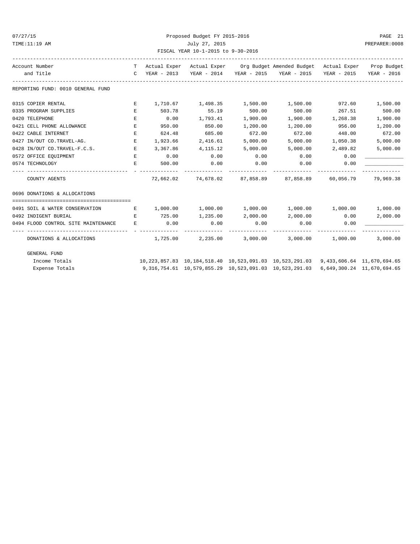| 07/27/15 |  |
|----------|--|
|----------|--|

# Proposed Budget FY 2015-2016 PAGE 21 TIME:11:19 AM July 27, 2015 PREPARER:0008 FISCAL YEAR 10-1-2015 to 9-30-2016

| Account Number                      |              |          |                       |                | T Actual Exper Actual Exper Org Budget Amended Budget Actual Exper Prop Budget     |               |                            |
|-------------------------------------|--------------|----------|-----------------------|----------------|------------------------------------------------------------------------------------|---------------|----------------------------|
| and Title                           | $\mathbb{C}$ |          |                       |                | YEAR - 2013 YEAR - 2014 YEAR - 2015 YEAR - 2015 YEAR - 2015                        |               | YEAR - 2016                |
| REPORTING FUND: 0010 GENERAL FUND   |              |          |                       |                |                                                                                    |               |                            |
| 0315 COPIER RENTAL                  | Е            |          |                       |                | $1,710.67$ $1,498.35$ $1,500.00$ $1,500.00$ $972.60$                               |               | 1,500.00                   |
| 0335 PROGRAM SUPPLIES               | E.           | 503.78   | 55.19                 | 500.00         | 500.00                                                                             | 267.51        | 500.00                     |
| 0420 TELEPHONE                      | Е            | 0.00     | 1,793.41              | 1,900.00       | 1,900.00                                                                           | 1,268.38      | 1,900.00                   |
| 0421 CELL PHONE ALLOWANCE           | Е            | 950.00   | 850.00                | 1,200.00       | 1,200.00                                                                           | 956.00        | 1,200.00                   |
| 0422 CABLE INTERNET                 | E.           | 624.48   | 685.00                | 672.00         | 672.00                                                                             | 448.00        | 672.00                     |
| 0427 IN/OUT CO.TRAVEL-AG.           | E.           | 1,923.66 | 2,416.61              | 5,000.00       | 5,000.00                                                                           | 1,050.38      | 5,000.00                   |
| 0428 IN/OUT CO.TRAVEL-F.C.S.        | E            | 3,367.86 | 4,115.12              | 5,000.00       | 5,000.00                                                                           | 2,489.82      | 5,000.00                   |
| 0572 OFFICE EQUIPMENT               | E            | 0.00     | 0.00                  | 0.00           | 0.00                                                                               | 0.00          |                            |
| 0574 TECHNOLOGY                     | Е            | 500.00   | 0.00<br>------------- | 0.00           | 0.00<br>-------------                                                              | 0.00          |                            |
| COUNTY AGENTS                       |              |          |                       | -------------- | 72,662.02 74,678.02 87,858.89 87,858.89 60,056.79 79,969.38                        | ------------- |                            |
| 0696 DONATIONS & ALLOCATIONS        |              |          |                       |                |                                                                                    |               |                            |
| 0491 SOIL & WATER CONSERVATION      | E            |          | $1,000.00$ $1,000.00$ |                | $1,000.00$ $1,000.00$ $1,000.00$ $1,000.00$                                        |               |                            |
| 0492 INDIGENT BURIAL                | E.           | 725.00   | 1,235.00              | 2,000.00       | $2,000.00$ 0.00                                                                    |               | 2,000.00                   |
| 0494 FLOOD CONTROL SITE MAINTENANCE | E.           | 0.00     | 0.00                  | 0.00           | 0.00                                                                               | 0.00          |                            |
| DONATIONS & ALLOCATIONS             |              | 1,725.00 |                       |                | $2,235.00$ $3,000.00$ $3,000.00$ $1,000.00$                                        |               | 3,000.00                   |
| GENERAL FUND                        |              |          |                       |                |                                                                                    |               |                            |
| Income Totals                       |              |          |                       |                | 10,223,857.83 10,184,518.40 10,523,091.03 10,523,291.03 9,433,606.64 11,670,694.65 |               |                            |
| Expense Totals                      |              |          |                       |                | 9,316,754.61  10,579,855.29  10,523,091.03  10,523,291.03                          |               | 6,649,300.24 11,670,694.65 |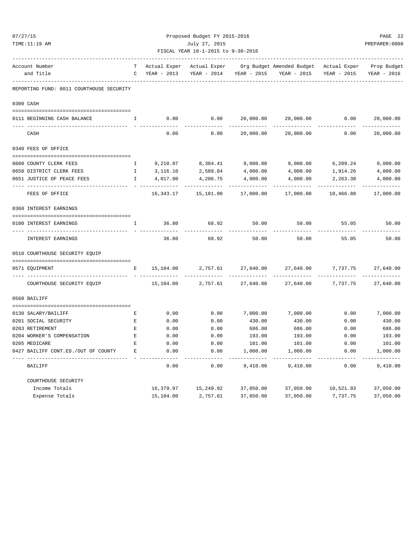| 07/27/15 |                                               |                                                     |                             | Proposed Budget FY 2015-2016 |                          |                                                       |                         | PAGE 22<br>PREPARER: 0008  |  |
|----------|-----------------------------------------------|-----------------------------------------------------|-----------------------------|------------------------------|--------------------------|-------------------------------------------------------|-------------------------|----------------------------|--|
|          | TIME:11:19 AM                                 | July 27, 2015<br>FISCAL YEAR 10-1-2015 to 9-30-2016 |                             |                              |                          |                                                       |                         |                            |  |
|          |                                               |                                                     |                             |                              |                          |                                                       |                         |                            |  |
|          | Account Number<br>and Title                   | T<br>$\mathsf{C}$                                   | Actual Exper<br>YEAR - 2013 | Actual Exper<br>YEAR - 2014  | YEAR - 2015              | Org Budget Amended Budget Actual Exper<br>YEAR - 2015 | YEAR - 2015             | Prop Budget<br>YEAR - 2016 |  |
|          | REPORTING FUND: 0011 COURTHOUSE SECURITY      |                                                     |                             |                              |                          |                                                       |                         |                            |  |
|          | 0300 CASH                                     |                                                     |                             |                              |                          |                                                       |                         |                            |  |
|          |                                               |                                                     |                             |                              |                          |                                                       |                         |                            |  |
|          | 0111 BEGINNING CASH BALANCE                   | I.                                                  | 0.00                        | 0.00                         | 20,000.00<br>----------- | 20,000.00                                             | 0.00                    | 20,000.00<br>------------  |  |
|          | CASH                                          |                                                     | 0.00                        | 0.00                         | 20,000.00                | 20,000.00                                             | 0.00                    | 20,000.00                  |  |
|          | 0340 FEES OF OFFICE                           |                                                     |                             |                              |                          |                                                       |                         |                            |  |
|          | 0600 COUNTY CLERK FEES                        | $\mathbf{I}$                                        |                             | 9,210.07 8,384.41 9,000.00   |                          | 9,000.00                                              | 6,289.24                | 9,000.00                   |  |
|          | 0650 DISTRICT CLERK FEES                      | Ι.                                                  | 3,116.10                    | 2,589.84                     | 4,000.00                 | 4,000.00                                              | 1,914.26                | 4,000.00                   |  |
|          | 0651 JUSTICE OF PEACE FEES                    | $\mathbb{I}$                                        | 4,017.00                    | 4,206.75                     | 4,000.00                 | 4,000.00                                              | 2,263.38                | 4,000.00                   |  |
|          | FEES OF OFFICE                                |                                                     | 16,343.17                   | -------------<br>15,181.00   | 17,000.00                | 17,000.00                                             | . <u>.</u><br>10,466.88 | -------------<br>17,000.00 |  |
|          | 0360 INTEREST EARNINGS                        |                                                     |                             |                              |                          |                                                       |                         |                            |  |
|          | 0100 INTEREST EARNINGS                        | Ι.                                                  | 36.80                       | 68.92                        | 50.00                    | 50.00                                                 | 55.05                   | 50.00                      |  |
|          |                                               |                                                     |                             |                              |                          |                                                       |                         |                            |  |
|          | INTEREST EARNINGS                             |                                                     | 36.80                       | 68.92                        | 50.00                    | 50.00                                                 | 55.05                   | 50.00                      |  |
|          | 0510 COURTHOUSE SECURITY EQUIP                |                                                     |                             |                              |                          |                                                       |                         |                            |  |
|          | 0571 EQUIPMENT                                | Е                                                   | 15,104.00                   | 2,757.61                     | 27,640.00                | 27,640.00                                             | 7,737.75                | 27,640.00                  |  |
|          | COURTHOUSE SECURITY EQUIP                     |                                                     | 15,104.00                   | 2,757.61                     | 27,640.00                | 27,640.00                                             | 7,737.75                | 27,640.00                  |  |
|          | 0560 BAILIFF                                  |                                                     |                             |                              |                          |                                                       |                         |                            |  |
|          |                                               |                                                     |                             |                              |                          |                                                       |                         |                            |  |
|          | 0130 SALARY/BAILIFF                           | Е                                                   | 0.00                        | 0.00                         | 7,000.00                 | 7,000.00                                              | 0.00                    | 7,000.00                   |  |
|          | 0201 SOCIAL SECURITY                          | E<br>$\mathbf{E}% _{0}$                             | 0.00                        | 0.00                         | 430.00                   | 430.00                                                | 0.00                    | 430.00                     |  |
|          | 0203 RETIREMENT<br>0204 WORKER'S COMPENSATION | E                                                   | 0.00<br>0.00                | 0.00<br>0.00                 | 686.00<br>193.00         | 686.00<br>193.00                                      | 0.00<br>0.00            | 686.00<br>193.00           |  |
|          | 0205 MEDICARE                                 | E                                                   | 0.00                        | 0.00                         | 101.00                   | 101.00                                                | 0.00                    | 101.00                     |  |
|          | 0427 BAILIFF CONT.ED./OUT OF COUNTY           | E                                                   | 0.00                        | 0.00                         | 1,000.00                 | 1,000.00                                              | 0.00                    | 1,000.00                   |  |
|          | BAILIFF                                       |                                                     | 0.00                        | 0.00                         | 9,410.00                 | 9,410.00                                              | 0.00                    | 9,410.00                   |  |
|          | COURTHOUSE SECURITY                           |                                                     |                             |                              |                          |                                                       |                         |                            |  |
|          | Income Totals                                 |                                                     | 16,379.97                   | 15,249.92                    | 37,050.00                | 37,050.00                                             | 10,521.93               | 37,050.00                  |  |
|          | Expense Totals                                |                                                     | 15,104.00                   | 2,757.61                     | 37,050.00                | 37,050.00                                             | 7,737.75                | 37,050.00                  |  |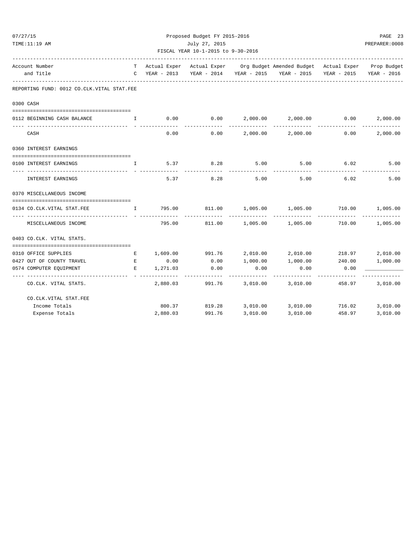| 07/27/15 | TIME:11:19 AM                                                 |                                                                                                                                                                                                                                      | Proposed Budget FY 2015-2016<br>July 27, 2015<br>FISCAL YEAR 10-1-2015 to 9-30-2016 | PAGE 23<br>PREPARER: 0008 |          |                                                                                                    |             |          |
|----------|---------------------------------------------------------------|--------------------------------------------------------------------------------------------------------------------------------------------------------------------------------------------------------------------------------------|-------------------------------------------------------------------------------------|---------------------------|----------|----------------------------------------------------------------------------------------------------|-------------|----------|
|          | Account Number                                                |                                                                                                                                                                                                                                      |                                                                                     |                           |          | ________________<br>T Actual Exper Actual Exper Org Budget Amended Budget Actual Exper Prop Budget |             |          |
|          | and Title                                                     |                                                                                                                                                                                                                                      |                                                                                     |                           |          | C YEAR - 2013 YEAR - 2014 YEAR - 2015 YEAR - 2015 YEAR - 2015 YEAR - 2016                          |             |          |
|          | REPORTING FUND: 0012 CO.CLK.VITAL STAT.FEE                    |                                                                                                                                                                                                                                      |                                                                                     |                           |          |                                                                                                    |             |          |
|          | 0300 CASH                                                     |                                                                                                                                                                                                                                      |                                                                                     |                           |          |                                                                                                    |             |          |
|          |                                                               |                                                                                                                                                                                                                                      |                                                                                     |                           |          |                                                                                                    |             |          |
|          | 0112 BEGINNING CASH BALANCE                                   | <b>The Community of The Table 1</b>                                                                                                                                                                                                  |                                                                                     |                           |          | $0.00$ $0.00$ $2,000.00$ $2,000.00$ $0.00$                                                         |             | 2,000.00 |
|          | CASH                                                          |                                                                                                                                                                                                                                      | 0.00                                                                                | 0.00                      |          | 2,000.00 2,000.00                                                                                  | 0.00        | 2,000.00 |
|          | 0360 INTEREST EARNINGS                                        |                                                                                                                                                                                                                                      |                                                                                     |                           |          |                                                                                                    |             |          |
|          |                                                               |                                                                                                                                                                                                                                      |                                                                                     |                           |          |                                                                                                    |             |          |
|          | 0100 INTEREST EARNINGS                                        | $\mathbf{I}$                                                                                                                                                                                                                         | 5.37                                                                                | 8.28                      | 5.00     |                                                                                                    | $5.00$ 6.02 | 5.00     |
|          | INTEREST EARNINGS                                             |                                                                                                                                                                                                                                      | 5.37                                                                                | 8.28                      | 5.00     | 5.00                                                                                               | 6.02        | 5.00     |
|          | 0370 MISCELLANEOUS INCOME                                     |                                                                                                                                                                                                                                      |                                                                                     |                           |          |                                                                                                    |             |          |
|          | 0134 CO.CLK.VITAL STAT.FEE                                    | $\mathbf{I}$ and $\mathbf{I}$                                                                                                                                                                                                        |                                                                                     |                           |          | 795.00     811.00    1,005.00    1,005.00     710.00    1,005.00                                   |             |          |
|          | MISCELLANEOUS INCOME                                          |                                                                                                                                                                                                                                      | 795.00                                                                              | 811.00                    | 1,005.00 | 1,005.00                                                                                           | 710.00      | 1,005.00 |
|          | 0403 CO.CLK. VITAL STATS.                                     |                                                                                                                                                                                                                                      |                                                                                     |                           |          |                                                                                                    |             |          |
|          |                                                               |                                                                                                                                                                                                                                      |                                                                                     |                           |          |                                                                                                    |             |          |
|          | 0310 OFFICE SUPPLIES                                          | E                                                                                                                                                                                                                                    |                                                                                     |                           |          | $1,609.00$ 991.76 $2,010.00$ $2,010.00$ 218.97                                                     |             | 2,010.00 |
|          | 0427 OUT OF COUNTY TRAVEL                                     | <b>Experimental Experimental Experimental Experimental Experimental Experimental Experimental Experimental Experimental Experimental Experimental Experimental Experimental Experimental Experimental Experimental Experimental </b> | 0.00                                                                                | 0.00                      | 1,000.00 | 1,000.00 240.00                                                                                    |             | 1,000.00 |
|          | 0574 COMPUTER EQUIPMENT<br>---------------------------------- | E                                                                                                                                                                                                                                    | 1,271.03                                                                            | 0.00                      | 0.00     | 0.00                                                                                               | 0.00        |          |
|          | CO.CLK. VITAL STATS.                                          |                                                                                                                                                                                                                                      | 2,880.03                                                                            | 991.76                    | 3,010.00 | 3,010.00                                                                                           | 458.97      | 3,010.00 |
|          | CO.CLK.VITAL STAT.FEE                                         |                                                                                                                                                                                                                                      |                                                                                     |                           |          |                                                                                                    |             |          |
|          | Income Totals                                                 |                                                                                                                                                                                                                                      | 800.37                                                                              | 819.28                    |          | 3,010.00 3,010.00 716.02                                                                           |             | 3,010.00 |
|          | Expense Totals                                                |                                                                                                                                                                                                                                      | 2,880.03                                                                            | 991.76                    | 3,010.00 | 3,010.00                                                                                           | 458.97      | 3,010.00 |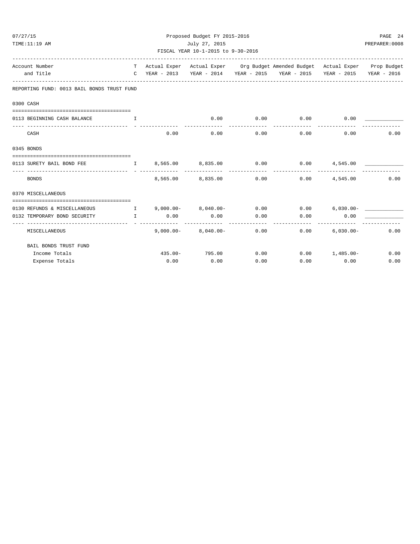| Proposed Budget FY 2015-2016<br>07/27/15<br>PAGE 24<br>July 27, 2015<br>PREPARER: 0008<br>TIME:11:19 AM<br>FISCAL YEAR 10-1-2015 to 9-30-2016 |                                                     |                                               |                              |                      |                                                                                                                                                             |                               |                   |  |  |
|-----------------------------------------------------------------------------------------------------------------------------------------------|-----------------------------------------------------|-----------------------------------------------|------------------------------|----------------------|-------------------------------------------------------------------------------------------------------------------------------------------------------------|-------------------------------|-------------------|--|--|
| Account Number<br>and Title                                                                                                                   |                                                     |                                               |                              |                      | T Actual Exper Actual Exper Org Budget Amended Budget Actual Exper Prop Budget<br>C YEAR - 2013 YEAR - 2014 YEAR - 2015 YEAR - 2015 YEAR - 2015 YEAR - 2016 |                               |                   |  |  |
| REPORTING FUND: 0013 BAIL BONDS TRUST FUND                                                                                                    |                                                     |                                               |                              |                      |                                                                                                                                                             |                               |                   |  |  |
| 0300 CASH                                                                                                                                     |                                                     |                                               |                              |                      |                                                                                                                                                             |                               |                   |  |  |
| 0113 BEGINNING CASH BALANCE                                                                                                                   | $\mathbf{I}$ . The set of the set of $\mathbf{I}$ , |                                               | 0.00                         | 0.00                 | 0.00                                                                                                                                                        | 0.00                          |                   |  |  |
| CASH                                                                                                                                          |                                                     | 0.00                                          | 0.00                         | ------------<br>0.00 | -------------                                                                                                                                               | -------------<br>0.00<br>0.00 | 0.00              |  |  |
| 0345 BONDS                                                                                                                                    |                                                     |                                               |                              |                      |                                                                                                                                                             |                               |                   |  |  |
| 0113 SURETY BAIL BOND FEE $1 \t 8,565.00 \t 8,835.00 \t 0.00 \t 0.00 \t 4,545.00$                                                             |                                                     |                                               |                              |                      |                                                                                                                                                             |                               |                   |  |  |
| <b>BONDS</b>                                                                                                                                  |                                                     |                                               | 8,565.00 8,835.00            | -------------        | 0.00                                                                                                                                                        | $0.00$ $4,545.00$             | 0.00              |  |  |
| 0370 MISCELLANEOUS                                                                                                                            |                                                     |                                               |                              |                      |                                                                                                                                                             |                               |                   |  |  |
| 0130 REFUNDS & MISCELLANEOUS                                                                                                                  |                                                     | $I \qquad 9,000.00 - 8,040.00 -$              |                              |                      | $0.00$ $0.00$ $6.030.00-$                                                                                                                                   |                               |                   |  |  |
| 0132 TEMPORARY BOND SECURITY                                                                                                                  |                                                     | $\qquad \qquad \mathbb{I} \qquad \qquad 0.00$ | 0.00                         | 0.00                 | 0.00                                                                                                                                                        | 0.00                          |                   |  |  |
| MISCELLANEOUS                                                                                                                                 |                                                     |                                               | $9,000.00 - 8,040.00 - 0.00$ | -----------          | ------------<br>0.00                                                                                                                                        |                               | $6,030.00 - 0.00$ |  |  |
| BAIL BONDS TRUST FUND                                                                                                                         |                                                     |                                               |                              |                      |                                                                                                                                                             |                               |                   |  |  |
| Income Totals                                                                                                                                 |                                                     |                                               | 435.00- 795.00               | 0.00                 |                                                                                                                                                             | $0.00 1,485.00-$              | 0.00              |  |  |
| Expense Totals                                                                                                                                |                                                     | $0.00$ 0.00                                   |                              | 0.00                 |                                                                                                                                                             | $0.00$ $0.00$                 | 0.00              |  |  |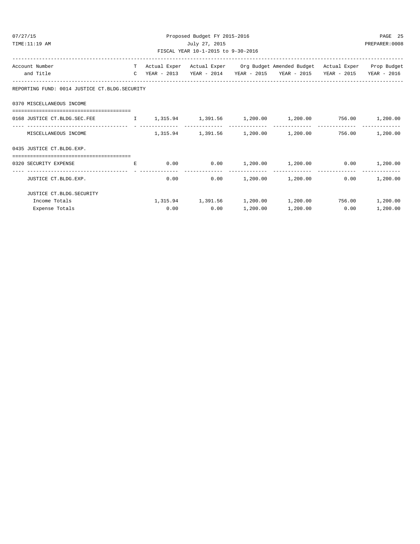| 07/27/15                                                                           |   | Proposed Budget FY 2015-2016 | PAGE 25                            |                |                                                                                |               |          |
|------------------------------------------------------------------------------------|---|------------------------------|------------------------------------|----------------|--------------------------------------------------------------------------------|---------------|----------|
| TIME:11:19 AM                                                                      |   |                              |                                    | PREPARER: 0008 |                                                                                |               |          |
|                                                                                    |   |                              | FISCAL YEAR 10-1-2015 to 9-30-2016 |                |                                                                                |               |          |
| Account Number                                                                     |   |                              |                                    |                | T Actual Exper Actual Exper Org Budget Amended Budget Actual Exper Prop Budget |               |          |
| and Title                                                                          |   |                              |                                    |                | C YEAR - 2013 YEAR - 2014 YEAR - 2015 YEAR - 2015 YEAR - 2015 YEAR - 2016      |               |          |
| REPORTING FUND: 0014 JUSTICE CT.BLDG.SECURITY                                      |   |                              |                                    |                |                                                                                |               |          |
| 0370 MISCELLANEOUS INCOME                                                          |   |                              |                                    |                |                                                                                |               |          |
| 0168 JUSTICE CT.BLDG.SEC.FEE 1 1,315.94 1,391.56 1,200.00 1,200.00 756.00 1,200.00 |   |                              |                                    |                |                                                                                |               |          |
| MISCELLANEOUS INCOME                                                               |   |                              |                                    |                | $1,315.94$ $1,391.56$ $1,200.00$ $1,200.00$ $756.00$ $1,200.00$                |               |          |
| 0435 JUSTICE CT.BLDG.EXP.                                                          |   |                              |                                    |                |                                                                                |               |          |
| --------------------------------------                                             |   |                              |                                    |                |                                                                                |               |          |
| 0320 SECURITY EXPENSE                                                              | E |                              |                                    |                | $0.00$ $0.00$ $1,200.00$ $1,200.00$ $0.00$ $1,200.00$                          |               |          |
| JUSTICE CT.BLDG.EXP.                                                               |   |                              | 0.00                               |                | $0.00$ 1,200.00 1,200.00                                                       | 0.00          | 1,200.00 |
| JUSTICE CT.BLDG.SECURITY                                                           |   |                              |                                    |                |                                                                                |               |          |
| Income Totals                                                                      |   |                              |                                    |                | $1,315.94$ $1,391.56$ $1,200.00$ $1,200.00$ $756.00$ $1,200.00$                |               |          |
| Expense Totals                                                                     |   |                              | 0.00<br>0.00                       | 1,200.00       |                                                                                | 1,200.00 0.00 | 1,200.00 |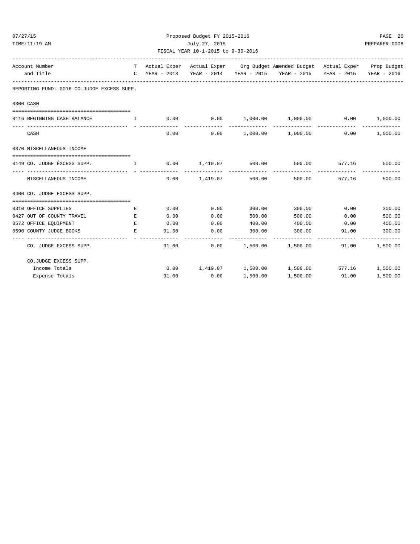| 07/27/15                                                           | Proposed Budget FY 2015-2016  |       |                                                                                                                                                                                                                                     |                 |                                                                                |                               |                |  |  |
|--------------------------------------------------------------------|-------------------------------|-------|-------------------------------------------------------------------------------------------------------------------------------------------------------------------------------------------------------------------------------------|-----------------|--------------------------------------------------------------------------------|-------------------------------|----------------|--|--|
| TIME:11:19 AM                                                      |                               |       | July 27, 2015                                                                                                                                                                                                                       |                 |                                                                                |                               | PREPARER: 0008 |  |  |
|                                                                    |                               |       | FISCAL YEAR 10-1-2015 to 9-30-2016                                                                                                                                                                                                  |                 |                                                                                |                               |                |  |  |
| Account Number                                                     |                               |       |                                                                                                                                                                                                                                     |                 | T Actual Exper Actual Exper Org Budget Amended Budget Actual Exper Prop Budget |                               |                |  |  |
| and Title                                                          |                               |       |                                                                                                                                                                                                                                     |                 | C YEAR - 2013 YEAR - 2014 YEAR - 2015 YEAR - 2015 YEAR - 2015 YEAR - 2016      |                               |                |  |  |
| REPORTING FUND: 0016 CO.JUDGE EXCESS SUPP.                         |                               |       |                                                                                                                                                                                                                                     |                 |                                                                                |                               |                |  |  |
| 0300 CASH                                                          |                               |       |                                                                                                                                                                                                                                     |                 |                                                                                |                               |                |  |  |
|                                                                    |                               |       |                                                                                                                                                                                                                                     |                 |                                                                                |                               |                |  |  |
| 0116 BEGINNING CASH BALANCE<br><b>The Community of The Table 1</b> |                               |       |                                                                                                                                                                                                                                     |                 | $0.00$ $0.00$ $1,000.00$ $1,000.00$ $0.00$                                     |                               | 1,000.00       |  |  |
| CASH                                                               |                               | 0.00  |                                                                                                                                                                                                                                     |                 | $0.00$ 1,000.00 1,000.00                                                       | 0.00                          | 1,000.00       |  |  |
| 0370 MISCELLANEOUS INCOME                                          |                               |       |                                                                                                                                                                                                                                     |                 |                                                                                |                               |                |  |  |
| 0149 CO. JUDGE EXCESS SUPP.                                        | $\mathbf{I}$ and $\mathbf{I}$ |       | -----------------------------                                                                                                                                                                                                       |                 | $0.00$ 1,419.07 500.00 500.00 577.16 500.00<br>-------------                   | ----------------------------- |                |  |  |
| MISCELLANEOUS INCOME                                               |                               | 0.00  |                                                                                                                                                                                                                                     | 1,419.07 500.00 |                                                                                | 500.00 577.16                 | 500.00         |  |  |
| 0400 CO. JUDGE EXCESS SUPP.                                        |                               |       |                                                                                                                                                                                                                                     |                 |                                                                                |                               |                |  |  |
| 0310 OFFICE SUPPLIES                                               | Е                             |       | 0.00<br>$0.00$ and $0.00$ and $0.00$ and $0.00$ and $0.00$ and $0.00$ and $0.00$ and $0.00$ and $0.00$ and $0.00$ and $0.00$ and $0.00$ and $0.00$ and $0.00$ and $0.00$ and $0.00$ and $0.00$ and $0.00$ and $0.00$ and $0.00$ and | 300.00          | 300.00                                                                         | 0.00                          | 300.00         |  |  |
| 0427 OUT OF COUNTY TRAVEL<br><b>Example 2005</b> Control Press     |                               | 0.00  | 0.00                                                                                                                                                                                                                                | 500.00          | 500.00                                                                         | 0.00                          | 500.00         |  |  |
| 0572 OFFICE EOUIPMENT                                              | E                             | 0.00  | 0.00                                                                                                                                                                                                                                | 400.00          | 400.00 0.00                                                                    |                               | 400.00         |  |  |
| 0590 COUNTY JUDGE BOOKS                                            | E                             | 91.00 | 0.00                                                                                                                                                                                                                                | 300.00          | 300.00 91.00                                                                   |                               | 300.00         |  |  |
| CO. JUDGE EXCESS SUPP.                                             |                               |       | 91.00                                                                                                                                                                                                                               |                 | $0.00$ 1,500.00 1,500.00 91.00                                                 |                               | 1,500.00       |  |  |
| CO.JUDGE EXCESS SUPP.                                              |                               |       |                                                                                                                                                                                                                                     |                 |                                                                                |                               |                |  |  |
| Income Totals                                                      |                               |       |                                                                                                                                                                                                                                     |                 | $0.00$ $1,419.07$ $1,500.00$ $1,500.00$ $577.16$                               |                               | 1,500.00       |  |  |
| Expense Totals                                                     |                               | 91.00 | 0.00                                                                                                                                                                                                                                | 1,500.00        | 1,500.00                                                                       | 91.00                         | 1,500.00       |  |  |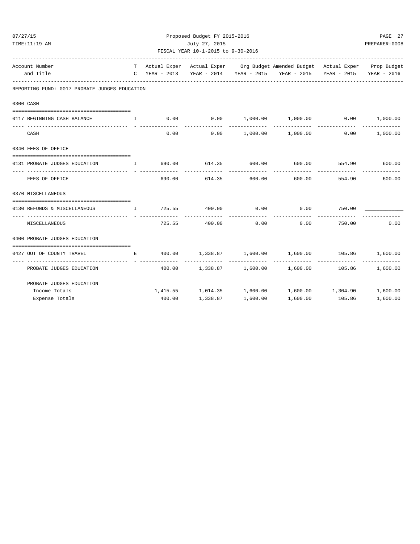| 07/27/15                                                                  |                                        | Proposed Budget FY 2015-2016                        |                    |              |                                                                                |                       |          |  |  |
|---------------------------------------------------------------------------|----------------------------------------|-----------------------------------------------------|--------------------|--------------|--------------------------------------------------------------------------------|-----------------------|----------|--|--|
| TIME:11:19 AM                                                             |                                        | July 27, 2015<br>FISCAL YEAR 10-1-2015 to 9-30-2016 |                    |              |                                                                                |                       |          |  |  |
|                                                                           |                                        |                                                     |                    |              |                                                                                |                       |          |  |  |
| Account Number                                                            |                                        |                                                     |                    |              | T Actual Exper Actual Exper Org Budget Amended Budget Actual Exper Prop Budget |                       |          |  |  |
| and Title                                                                 |                                        |                                                     |                    |              | C YEAR - 2013 YEAR - 2014 YEAR - 2015 YEAR - 2015 YEAR - 2015 YEAR - 2016      |                       |          |  |  |
| REPORTING FUND: 0017 PROBATE JUDGES EDUCATION                             |                                        |                                                     |                    |              |                                                                                |                       |          |  |  |
| 0300 CASH                                                                 |                                        |                                                     |                    |              |                                                                                |                       |          |  |  |
| 0117 BEGINNING CASH BALANCE                                               | $\mathbf{I}$ . The set of $\mathbf{I}$ |                                                     |                    |              | $0.00$ $0.00$ $1,000.00$ $1,000.00$ $0.00$ $0.00$ $1,000.00$                   |                       |          |  |  |
| CASH                                                                      |                                        |                                                     |                    |              | $0.00$ $0.00$ $1,000.00$ $1,000.00$                                            | 0.00                  | 1,000.00 |  |  |
| 0340 FEES OF OFFICE                                                       |                                        |                                                     |                    |              |                                                                                |                       |          |  |  |
| 0131 PROBATE JUDGES EDUCATION T 690.00 614.35 600.00 600.00 554.90 600.00 |                                        |                                                     |                    | ------------ | -------------                                                                  | --------------        |          |  |  |
| FEES OF OFFICE                                                            |                                        |                                                     | 690.00 614.35      | 600.00       | 600.00                                                                         | 554.90                | 600.00   |  |  |
| 0370 MISCELLANEOUS                                                        |                                        |                                                     |                    |              |                                                                                |                       |          |  |  |
| 0130 REFUNDS & MISCELLANEOUS I                                            |                                        |                                                     | 725.55 400.00 0.00 |              | $0.00$ 750.00                                                                  |                       |          |  |  |
| MISCELLANEOUS                                                             |                                        |                                                     | 725.55 400.00      | 0.00         | 0.00                                                                           | -----------<br>750.00 | 0.00     |  |  |
| 0400 PROBATE JUDGES EDUCATION                                             |                                        |                                                     |                    |              |                                                                                |                       |          |  |  |
| 0427 OUT OF COUNTY TRAVEL                                                 |                                        |                                                     |                    |              | E 400.00 1,338.87 1,600.00 1,600.00 105.86 1,600.00                            |                       |          |  |  |
| PROBATE JUDGES EDUCATION                                                  |                                        |                                                     |                    |              | $400.00$ 1,338.87 1,600.00 1,600.00 105.86 1,600.00                            |                       |          |  |  |
| PROBATE JUDGES EDUCATION                                                  |                                        |                                                     |                    |              |                                                                                |                       |          |  |  |
| Income Totals                                                             |                                        |                                                     |                    |              | $1,415.55$ $1,014.35$ $1,600.00$ $1,600.00$ $1,304.90$ $1,600.00$              |                       |          |  |  |
| Expense Totals                                                            |                                        | 400.00                                              | 1,338.87           | 1,600.00     | 1,600.00                                                                       | 105.86                | 1,600.00 |  |  |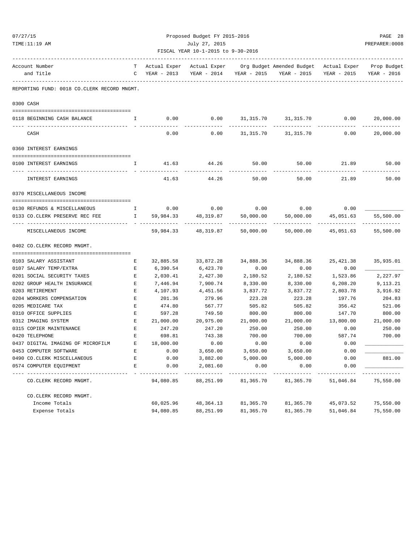| 07/27/15 |                                             | Proposed Budget FY 2015-2016           |             |                                    |                             |                                                                  |                            |             |  |
|----------|---------------------------------------------|----------------------------------------|-------------|------------------------------------|-----------------------------|------------------------------------------------------------------|----------------------------|-------------|--|
|          | TIME:11:19 AM                               | July 27, 2015                          |             |                                    |                             |                                                                  |                            |             |  |
|          |                                             |                                        |             | FISCAL YEAR 10-1-2015 to 9-30-2016 |                             | ---------------------                                            |                            |             |  |
|          | Account Number                              | T –                                    |             |                                    |                             | Actual Exper Actual Exper Org Budget Amended Budget Actual Exper |                            | Prop Budget |  |
|          | and Title                                   | $\mathbb{C}$                           | YEAR - 2013 |                                    |                             | YEAR - 2014 YEAR - 2015 YEAR - 2015                              | YEAR - 2015                | YEAR - 2016 |  |
|          | REPORTING FUND: 0018 CO.CLERK RECORD MNGMT. |                                        |             |                                    |                             |                                                                  |                            |             |  |
|          | 0300 CASH                                   |                                        |             |                                    |                             |                                                                  |                            |             |  |
|          | 0118 BEGINNING CASH BALANCE                 | $\mathbf{I}$                           | 0.00        |                                    |                             | $0.00$ $31,315.70$ $31,315.70$ $0.00$ $20,000.00$                |                            |             |  |
|          |                                             |                                        |             |                                    |                             |                                                                  |                            |             |  |
|          | CASH                                        |                                        | 0.00        |                                    | $0.00$ $31,315.70$          | 31,315.70                                                        | 0.00                       | 20,000.00   |  |
|          | 0360 INTEREST EARNINGS                      |                                        |             |                                    |                             |                                                                  |                            |             |  |
|          | 0100 INTEREST EARNINGS                      | Ι.                                     | 41.63       | 44.26                              | 50.00                       | 50.00                                                            | 21.89                      | 50.00       |  |
|          | INTEREST EARNINGS                           |                                        | 41.63       | 44.26                              | 50.00                       | . <u>.</u> .<br>50.00                                            | 21.89                      | 50.00       |  |
|          | 0370 MISCELLANEOUS INCOME                   |                                        |             |                                    |                             |                                                                  |                            |             |  |
|          |                                             |                                        |             |                                    |                             |                                                                  |                            |             |  |
|          | 0130 REFUNDS & MISCELLANEOUS                | $\mathbb{I}$                           | 0.00        | 0.00                               |                             | $0.00$ $0.00$ $0.00$ $0.00$                                      |                            |             |  |
|          | 0133 CO.CLERK PRESERVE REC FEE              | $\mathbb{I}$ . The set of $\mathbb{I}$ | 59,984.33   | 48,319.87<br>--------------        | 50,000.00<br>-------------- | 50,000.00<br>------------                                        | 45,051.63<br>------------- | 55,500.00   |  |
|          | MISCELLANEOUS INCOME                        |                                        |             | 59,984.33 48,319.87                | 50,000.00                   | 50,000.00                                                        | 45,051.63                  | 55,500.00   |  |
|          | 0402 CO. CLERK RECORD MNGMT.                |                                        |             |                                    |                             |                                                                  |                            |             |  |
|          |                                             |                                        |             |                                    |                             |                                                                  |                            |             |  |
|          | 0103 SALARY ASSISTANT                       | Е                                      | 32,885.58   | 33,872.28                          | 34,888.36                   | 34,888.36                                                        | 25,421.38                  | 35,935.01   |  |
|          | 0107 SALARY TEMP/EXTRA                      | Е                                      | 6,390.54    | 6,423.70                           | 0.00                        | 0.00                                                             | 0.00                       |             |  |
|          | 0201 SOCIAL SECURITY TAXES                  | Е                                      | 2,030.41    | 2,427.30                           | 2,180.52                    | 2,180.52                                                         | 1,523.86                   | 2,227.97    |  |
|          | 0202 GROUP HEALTH INSURANCE                 | Е                                      | 7,446.94    | 7,900.74                           | 8,330.00                    | 8,330.00                                                         | 6,208.20                   | 9,113.21    |  |
|          | 0203 RETIREMENT                             | Е                                      | 4,107.93    | 4,451.56                           | 3,837.72                    | 3,837.72                                                         | 2,803.78                   | 3,916.92    |  |
|          | 0204 WORKERS COMPENSATION                   | $\mathbf{E}% _{0}$                     | 201.36      | 279.96                             | 223.28                      | 223.28                                                           | 197.76                     | 204.83      |  |
|          | 0205 MEDICARE TAX                           | Е                                      | 474.80      | 567.77                             | 505.82                      | 505.82                                                           | 356.42                     | 521.06      |  |
|          | 0310 OFFICE SUPPLIES                        | Е                                      | 597.28      | 749.50                             | 800.00                      | 800.00                                                           | 147.70                     | 800.00      |  |
|          | 0312 IMAGING SYSTEM                         | Е                                      | 21,000.00   | 20,975.00                          | 21,000.00                   | 21,000.00                                                        | 13,800.00                  | 21,000.00   |  |
|          | 0315 COPIER MAINTENANCE                     | E                                      | 247.20      | 247.20                             | 250.00                      | 250.00                                                           | 0.00                       | 250.00      |  |
|          | 0420 TELEPHONE                              | $\mathbf E$                            | 698.81      | 743.38                             | 700.00                      | 700.00                                                           | 587.74                     | 700.00      |  |
|          | 0437 DIGITAL IMAGING OF MICROFILM           | Ε                                      | 18,000.00   | 0.00                               | 0.00                        | 0.00                                                             | 0.00                       |             |  |
|          | 0453 COMPUTER SOFTWARE                      | Ε                                      | 0.00        | 3,650.00                           | 3,650.00                    | 3,650.00                                                         | 0.00                       |             |  |
|          | 0490 CO. CLERK MISCELLANEOUS                | $\mathbf E$                            | 0.00        | 3,882.00                           | 5,000.00                    | 5,000.00                                                         | 0.00                       | 881.00      |  |
|          | 0574 COMPUTER EQUIPMENT                     | Ε                                      | 0.00        | 2,081.60                           | 0.00                        | 0.00                                                             | 0.00                       |             |  |
|          | CO. CLERK RECORD MNGMT.                     |                                        | 94,080.85   | 88,251.99                          | 81,365.70                   | 81,365.70                                                        | 51,046.84                  | 75,550.00   |  |
|          | CO. CLERK RECORD MNGMT.                     |                                        |             |                                    |                             |                                                                  |                            |             |  |
|          | Income Totals                               |                                        | 60,025.96   | 48,364.13                          | 81,365.70                   | 81,365.70                                                        | 45,073.52                  | 75,550.00   |  |
|          | Expense Totals                              |                                        | 94,080.85   | 88, 251.99                         | 81,365.70                   | 81,365.70                                                        | 51,046.84                  | 75,550.00   |  |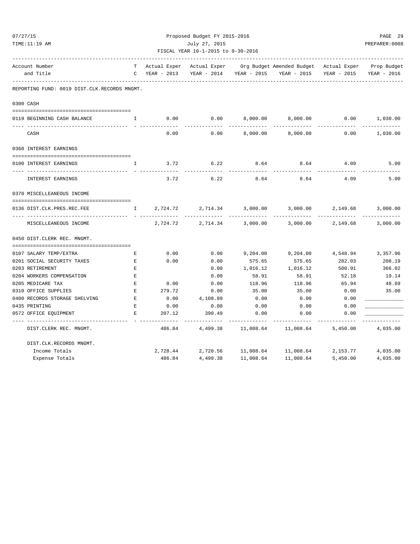| 07/27/15                                            |              |                             | Proposed Budget FY 2015-2016                             |                  |                                        |                           | PAGE 29                   |  |  |
|-----------------------------------------------------|--------------|-----------------------------|----------------------------------------------------------|------------------|----------------------------------------|---------------------------|---------------------------|--|--|
| TIME:11:19 AM                                       |              | July 27, 2015               |                                                          |                  |                                        |                           |                           |  |  |
|                                                     |              |                             | FISCAL YEAR 10-1-2015 to 9-30-2016<br>------------------ |                  |                                        |                           |                           |  |  |
| Account Number                                      | т            | Actual Exper                | Actual Exper                                             |                  | Org Budget Amended Budget Actual Exper |                           | Prop Budget               |  |  |
| and Title                                           | C            | YEAR - 2013                 | YEAR - 2014                                              | YEAR - 2015      | YEAR - 2015                            | YEAR - 2015               | YEAR - 2016               |  |  |
| REPORTING FUND: 0019 DIST.CLK.RECORDS MNGMT.        |              |                             |                                                          |                  |                                        |                           |                           |  |  |
| 0300 CASH                                           |              |                             |                                                          |                  |                                        |                           |                           |  |  |
| 0119 BEGINNING CASH BALANCE                         | I.           | 0.00                        | 0.00                                                     | 8,000.00         | 8,000.00                               | 0.00                      | 1,030.00<br>---------     |  |  |
| CASH                                                |              | 0.00                        | 0.00                                                     | 8,000.00         | 8,000.00                               | 0.00                      | 1,030.00                  |  |  |
| 0360 INTEREST EARNINGS                              |              |                             |                                                          |                  |                                        |                           |                           |  |  |
| 0100 INTEREST EARNINGS                              | I.           | 3.72                        | 6.22<br>-------                                          | 8.64<br>-------- | 8.64                                   | 4.09                      | 5.00                      |  |  |
| INTEREST EARNINGS                                   |              | 3.72                        | 6.22                                                     | 8.64             | 8.64                                   | 4.09                      | 5.00                      |  |  |
| 0370 MISCELLEANEOUS INCOME                          |              |                             |                                                          |                  |                                        |                           |                           |  |  |
| 0136 DIST.CLK.PRES.REC.FEE<br>-- ------------------ | $\mathbf{I}$ | 2,724.72<br>- ------------- | 2,714.34<br>-------------                                | 3,000.00         | 3,000.00<br>------------               | 2,149.68<br>------------- | 3,000.00<br>------------- |  |  |
| MISCELLEANEOUS INCOME                               |              | 2,724.72                    | 2,714.34                                                 | 3,000.00         | 3,000.00                               | 2,149.68                  | 3,000.00                  |  |  |
| 0450 DIST. CLERK REC. MNGMT.                        |              |                             |                                                          |                  |                                        |                           |                           |  |  |
|                                                     |              |                             |                                                          |                  |                                        |                           |                           |  |  |
| 0107 SALARY TEMP/EXTRA                              | Е            | 0.00                        | 0.00                                                     | 9,204.00         | 9,204.00                               | 4,548.94                  | 3,357.96                  |  |  |
| 0201 SOCIAL SECURITY TAXES                          | Ε            | 0.00                        | 0.00                                                     | 575.65           | 575.65                                 | 282.03                    | 208.19                    |  |  |
| 0203 RETIREMENT                                     | $\mathbf E$  |                             | 0.00                                                     | 1,016.12         | 1,016.12                               | 500.91                    | 366.02                    |  |  |
| 0204 WORKERS COMPENSATION                           | E            |                             | 0.00                                                     | 58.91            | 58.91                                  | 52.18                     | 19.14                     |  |  |
| 0205 MEDICARE TAX                                   | $\mathbf{E}$ | 0.00                        | 0.00                                                     | 118.96           | 118.96                                 | 65.94                     | 48.69                     |  |  |
| 0310 OFFICE SUPPLIES                                | $\mathbf E$  | 279.72                      | 0.00                                                     | 35.00            | 35.00                                  | 0.00                      | 35.00                     |  |  |
| 0400 RECORDS STORAGE SHELVING                       | $\mathbf E$  | 0.00                        | 4,108.89                                                 | 0.00             | 0.00                                   | 0.00                      |                           |  |  |
| 0435 PRINTING                                       | E            | 0.00                        | 0.00                                                     | 0.00             | 0.00                                   | 0.00                      |                           |  |  |
| 0572 OFFICE EQUIPMENT                               | E            | 207.12                      | 390.49                                                   | 0.00             | 0.00                                   | 0.00                      |                           |  |  |
| DIST. CLERK REC. MNGMT.                             |              | 486.84                      | 4,499.38                                                 | 11,008.64        | 11,008.64                              | 5,450.00                  | 4,035.00                  |  |  |
| DIST.CLK.RECORDS MNGMT.                             |              |                             |                                                          |                  |                                        |                           |                           |  |  |
| Income Totals                                       |              | 2,728.44                    | 2,720.56                                                 |                  | 11,008.64    11,008.64                 | 2,153.77                  | 4,035.00                  |  |  |
| Expense Totals                                      |              | 486.84                      | 4,499.38                                                 | 11,008.64        | 11,008.64                              | 5,450.00                  | 4,035.00                  |  |  |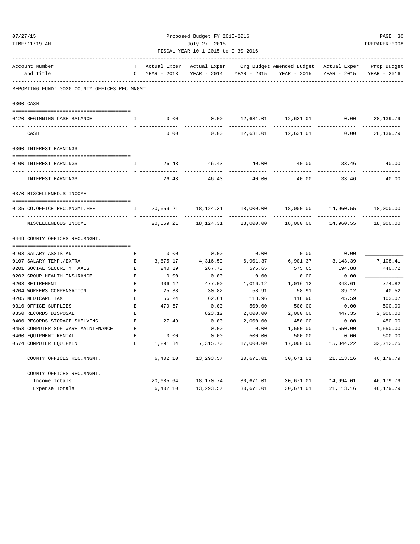|                                                          |                                                |                    | Proposed Budget FY 2015-2016 |                                    |           |                                        |             |                |  |
|----------------------------------------------------------|------------------------------------------------|--------------------|------------------------------|------------------------------------|-----------|----------------------------------------|-------------|----------------|--|
| 07/27/15<br>TIME:11:19 AM<br>Account Number<br>and Title |                                                |                    |                              | July 27, 2015                      |           |                                        |             | PREPARER: 0008 |  |
|                                                          |                                                |                    |                              | FISCAL YEAR 10-1-2015 to 9-30-2016 |           |                                        |             |                |  |
|                                                          |                                                |                    | Actual Exper                 | Actual Exper                       |           | Org Budget Amended Budget Actual Exper |             | Prop Budget    |  |
|                                                          |                                                |                    | $C$ YEAR - 2013              | YEAR - 2014 YEAR - 2015            |           | YEAR - 2015 YEAR - 2015                |             | YEAR - 2016    |  |
|                                                          | REPORTING FUND: 0020 COUNTY OFFICES REC.MNGMT. |                    |                              |                                    |           |                                        |             |                |  |
|                                                          | 0300 CASH                                      |                    |                              |                                    |           |                                        |             |                |  |
|                                                          |                                                |                    |                              |                                    |           |                                        |             |                |  |
|                                                          | 0120 BEGINNING CASH BALANCE                    | $\mathbf{I}$       | 0.00                         | 0.00                               | 12,631.01 | 12,631.01                              | 0.00        | 28, 139. 79    |  |
|                                                          | CASH                                           |                    | 0.00                         | 0.00                               | 12,631.01 | 12,631.01                              | 0.00        | 28, 139. 79    |  |
|                                                          | 0360 INTEREST EARNINGS                         |                    |                              |                                    |           |                                        |             |                |  |
|                                                          | 0100 INTEREST EARNINGS                         | I.                 | 26.43                        | 46.43                              | 40.00     | 40.00                                  | 33.46       | 40.00          |  |
|                                                          | ---- --------------<br>INTEREST EARNINGS       |                    | 26.43                        | 46.43                              | 40.00     | 40.00                                  | 33.46       | 40.00          |  |
|                                                          | 0370 MISCELLENEOUS INCOME                      |                    |                              |                                    |           |                                        |             |                |  |
|                                                          | 0135 CO.OFFICE REC.MNGMT.FEE                   | $\mathbf{I}$       | 20,659.21                    |                                    |           | 18,000.00                              | 14,960.55   | 18,000.00      |  |
|                                                          | MISCELLENEOUS INCOME                           |                    | 20,659.21                    | 18,124.31                          | 18,000.00 | 18,000.00                              | 14,960.55   | 18,000.00      |  |
|                                                          | 0449 COUNTY OFFICES REC.MNGMT.                 |                    |                              |                                    |           |                                        |             |                |  |
|                                                          | 0103 SALARY ASSISTANT                          | Е                  | 0.00                         | 0.00                               | 0.00      | 0.00                                   | 0.00        |                |  |
|                                                          | 0107 SALARY TEMP./EXTRA                        | $\mathbf{E}$       | 3,875.17                     | 4,316.59                           | 6,901.37  | 6,901.37                               | 3, 143.39   | 7,108.41       |  |
|                                                          | 0201 SOCIAL SECURITY TAXES                     | $\mathbf{E}$       | 240.19                       | 267.73                             | 575.65    | 575.65                                 | 194.88      | 440.72         |  |
|                                                          | 0202 GROUP HEALTH INSURANCE                    | E                  | 0.00                         | 0.00                               | 0.00      | 0.00                                   | 0.00        |                |  |
|                                                          | 0203 RETIREMENT                                | $\mathbf{E}$       | 406.12                       | 477.00                             | 1,016.12  | 1,016.12                               | 348.61      | 774.82         |  |
|                                                          | 0204 WORKERS COMPENSATION                      | E                  | 25.38                        | 30.82                              | 58.91     | 58.91                                  | 39.12       | 40.52          |  |
|                                                          | 0205 MEDICARE TAX                              | E                  | 56.24                        | 62.61                              | 118.96    | 118.96                                 | 45.59       | 103.07         |  |
|                                                          | 0310 OFFICE SUPPLIES                           | $\mathbf{E}% _{0}$ | 479.67                       | 0.00                               | 500.00    | 500.00                                 | 0.00        | 500.00         |  |
|                                                          | 0350 RECORDS DISPOSAL                          | E.                 |                              | 823.12                             | 2,000.00  | 2,000.00                               | 447.35      | 2,000.00       |  |
|                                                          | 0400 RECORDS STORAGE SHELVING                  | Ε                  | 27.49                        | 0.00                               | 2,000.00  | 450.00                                 | 0.00        | 450.00         |  |
|                                                          | 0453 COMPUTER SOFTWARE MAINTENANCE             | E                  |                              | 0.00                               | 0.00      | 1,550.00                               | 1,550.00    | 1,550.00       |  |
|                                                          | 0460 EQUIPMENT RENTAL                          | $\mathbf{E}$       | 0.00                         | 0.00                               | 500.00    | 500.00                                 | 0.00        | 500.00         |  |
|                                                          | 0574 COMPUTER EQUIPMENT                        | E.                 | 1,291.84                     | 7,315.70                           | 17,000.00 | 17,000.00                              | 15,344.22   | 32,712.25      |  |
|                                                          | COUNTY OFFICES REC.MNGMT.                      |                    | 6,402.10                     | 13,293.57                          | 30,671.01 | 30,671.01                              | 21,113.16   | 46,179.79      |  |
|                                                          | COUNTY OFFICES REC.MNGMT.                      |                    |                              |                                    |           |                                        |             |                |  |
|                                                          | Income Totals                                  |                    | 20,685.64                    | 18,170.74                          | 30,671.01 | 30,671.01                              | 14,994.01   | 46,179.79      |  |
|                                                          | Expense Totals                                 |                    | 6,402.10                     | 13,293.57                          | 30,671.01 | 30,671.01                              | 21, 113. 16 | 46,179.79      |  |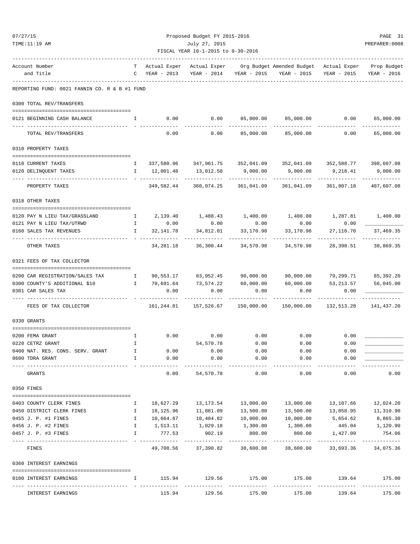| TIME:11:19 AM                                                   |                                                |                            | July 27, 2015                      |                     |                                                                                                                                                                                 |                                 | PREPARER: 0008                     |
|-----------------------------------------------------------------|------------------------------------------------|----------------------------|------------------------------------|---------------------|---------------------------------------------------------------------------------------------------------------------------------------------------------------------------------|---------------------------------|------------------------------------|
|                                                                 |                                                |                            | FISCAL YEAR 10-1-2015 to 9-30-2016 |                     |                                                                                                                                                                                 |                                 |                                    |
| Account Number                                                  |                                                |                            |                                    |                     | -------------------------<br>T Actual Exper Actual Exper Org Budget Amended Budget Actual Exper Prop Budget                                                                     |                                 |                                    |
| and Title                                                       |                                                |                            |                                    |                     | C YEAR - 2013 YEAR - 2014 YEAR - 2015 YEAR - 2015 YEAR - 2015                                                                                                                   |                                 | YEAR - 2016                        |
| REPORTING FUND: 0021 FANNIN CO. R & B #1 FUND                   |                                                |                            |                                    |                     |                                                                                                                                                                                 |                                 |                                    |
| 0300 TOTAL REV/TRANSFERS                                        |                                                |                            |                                    |                     |                                                                                                                                                                                 |                                 |                                    |
| 0121 BEGINNING CASH BALANCE                                     | $\mathbf{I}$ and $\mathbf{I}$ and $\mathbf{I}$ |                            |                                    |                     | $0.00$ $0.00$ $85,000.00$ $85,000.00$ $0.00$<br>_____________                                                                                                                   |                                 | 65,000.00<br>. _ _ _ _ _ _ _ _ _ _ |
| TOTAL REV/TRANSFERS                                             |                                                | 0.00                       | 0.00                               |                     | 85,000.00 85,000.00                                                                                                                                                             | 0.00                            | 65,000.00                          |
| 0310 PROPERTY TAXES                                             |                                                |                            |                                    |                     |                                                                                                                                                                                 |                                 |                                    |
| 0110 CURRENT TAXES                                              |                                                |                            |                                    |                     | I  337,580.96   347,961.75   352,041.09   352,041.09   352,588.77   398,607.08                                                                                                  |                                 |                                    |
| 0120 DELINQUENT TAXES                                           |                                                | I 12,001.48                | 13,012.50                          | 9,000.00            | 9,000.00                                                                                                                                                                        | 9,218.41                        | 9,000.00                           |
| PROPERTY TAXES                                                  |                                                | _______________            |                                    |                     | -------------<br>349,582.44 360,974.25 361,041.09 361,041.09 361,807.18                                                                                                         |                                 | 407,607.08                         |
| 0318 OTHER TAXES                                                |                                                |                            |                                    |                     |                                                                                                                                                                                 |                                 |                                    |
| 0120 PAY N LIEU TAX/GRASSLAND                                   |                                                |                            |                                    |                     | $\begin{array}{ccccccccccccc} \text{I} & & 2\text{,}139.40 & & 1\text{,}488.43 & & 1\text{,}400.00 & & 1\text{,}400.00 & & & 1\text{,}287.81 & & & 1\text{,}400.00 \end{array}$ |                                 |                                    |
| 0121 PAY N LIEU TAX/UTRWD                                       |                                                | I 0.00                     | 0.00                               | 0.00                | 0.00                                                                                                                                                                            | 0.00                            |                                    |
| 0160 SALES TAX REVENUES<br>------------------------------------ | $\mathbb{I}$                                   | 32,141.78<br>------------- |                                    | 34,812.01 33,170.98 | 33,170.98<br>-------------                                                                                                                                                      | 27,110.70<br>--------------     | 37,469.35<br>-------------         |
| OTHER TAXES                                                     |                                                |                            | 34, 281.18 36, 300.44 34, 570.98   |                     | 34,570.98                                                                                                                                                                       | 28,398.51                       | 38,869.35                          |
| 0321 FEES OF TAX COLLECTOR                                      |                                                |                            |                                    |                     |                                                                                                                                                                                 |                                 |                                    |
| 0200 CAR REGISTRATION/SALES TAX                                 | $\mathbb{I}$                                   |                            |                                    |                     | 90,553.17 83,952.45 90,000.00 90,000.00 79,299.71 85,392.20                                                                                                                     |                                 |                                    |
| 0300 COUNTY'S ADDITIONAL \$10                                   |                                                |                            | I 70,691.64 73,574.22 60,000.00    |                     | 60,000.00                                                                                                                                                                       | 53, 213.57                      | 56,045.00                          |
| 0301 CAR SALES TAX<br>--- -----------------                     |                                                | 0.00                       | 0.00<br>-----------                | 0.00<br>----------- | 0.00<br>. <u>.</u>                                                                                                                                                              | 0.00<br>-----------             |                                    |
| FEES OF TAX COLLECTOR                                           |                                                | 161,244.81                 |                                    |                     |                                                                                                                                                                                 | 132,513.28                      | 141,437.20                         |
| 0330 GRANTS                                                     |                                                |                            |                                    |                     |                                                                                                                                                                                 |                                 |                                    |
| 0200 FEMA GRANT                                                 |                                                | I 0.00 0.00                |                                    | 0.00                | 0.00                                                                                                                                                                            | 0.00                            |                                    |
| 0220 CETRZ GRANT                                                | Ι.                                             |                            | 54,570.78                          | 0.00                | 0.00                                                                                                                                                                            | 0.00                            |                                    |
| 0400 NAT. RES. CONS. SERV. GRANT                                | I                                              | 0.00                       | 0.00                               | 0.00                | 0.00                                                                                                                                                                            | 0.00                            |                                    |
| 0600 TDRA GRANT                                                 | I                                              | 0.00                       | 0.00                               | 0.00                | 0.00                                                                                                                                                                            | 0.00                            |                                    |
| GRANTS                                                          |                                                | 0.00                       | 54,570.78                          | 0.00                | 0.00                                                                                                                                                                            | 0.00                            | 0.00                               |
| 0350 FINES                                                      |                                                |                            |                                    |                     |                                                                                                                                                                                 |                                 |                                    |
| 0403 COUNTY CLERK FINES                                         | Ι.                                             | 18,627.29                  | 13,173.54                          | 13,000.00           | 13,000.00                                                                                                                                                                       | 13,107.66                       | 12,024.20                          |
| 0450 DISTRICT CLERK FINES                                       | Ι.                                             | 18,125.96                  | 11,881.09                          | 13,500.00           | 13,500.00                                                                                                                                                                       | 13,058.95                       | 11,310.90                          |
| 0455 J. P. #1 FINES                                             | I                                              | 10,664.67                  | 10,404.82                          | 10,000.00           | 10,000.00                                                                                                                                                                       | 5,654.62                        | 8,865.30                           |
| 0456 J. P. #2 FINES                                             | Ι.                                             | 1,513.11                   | 1,029.18                           | 1,300.00            | 1,300.00                                                                                                                                                                        | 445.04                          | 1,120.90                           |
| 0457 J. P. #3 FINES                                             | I.                                             | 777.53                     | 902.19                             | 800.00              | 800.00                                                                                                                                                                          | 1,427.09                        | 754.06                             |
| FINES                                                           |                                                | 49,708.56                  | 37,390.82                          | 38,600.00           | 38,600.00                                                                                                                                                                       | 33,693.36                       | 34,075.36                          |
| 0360 INTEREST EARNINGS                                          |                                                |                            |                                    |                     |                                                                                                                                                                                 |                                 |                                    |
| 0100 INTEREST EARNINGS                                          | I.                                             | 115.94                     | 129.56                             | 175.00              | 175.00                                                                                                                                                                          | 139.64                          | 175.00                             |
|                                                                 |                                                |                            | --------------                     | --------------      | --------------                                                                                                                                                                  | ------------------------------- |                                    |

INTEREST EARNINGS 115.94 129.56 175.00 175.00 139.64 175.00

07/27/15 Proposed Budget FY 2015-2016 PAGE 31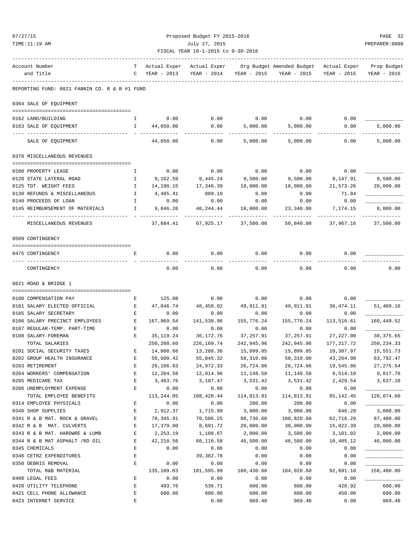| 07/27/15<br>TIME:11:19 AM |                                                       |                                                | Proposed Budget FY 2015-2016<br>July 27, 2015<br>FISCAL YEAR 10-1-2015 to 9-30-2016 |                         |                         |                                                                                               |                           |                           |
|---------------------------|-------------------------------------------------------|------------------------------------------------|-------------------------------------------------------------------------------------|-------------------------|-------------------------|-----------------------------------------------------------------------------------------------|---------------------------|---------------------------|
|                           |                                                       |                                                |                                                                                     |                         |                         |                                                                                               |                           |                           |
|                           | Account Number<br>and Title                           | $\mathbf{C}$                                   | YEAR - 2013                                                                         |                         | YEAR - 2014 YEAR - 2015 | T Actual Exper Actual Exper Org Budget Amended Budget Actual Exper Prop Budget<br>YEAR - 2015 | YEAR - 2015               | YEAR - 2016               |
|                           | REPORTING FUND: 0021 FANNIN CO. R & B #1 FUND         |                                                |                                                                                     |                         |                         |                                                                                               |                           |                           |
|                           | 0364 SALE OF EQUIPMENT                                |                                                |                                                                                     |                         |                         |                                                                                               |                           |                           |
|                           |                                                       |                                                |                                                                                     |                         |                         |                                                                                               |                           |                           |
|                           | 0162 LAND/BUILDING<br>0163 SALE OF EQUIPMENT          | $\mathbf{I}$                                   | 0.00<br>$\mathbf{I}$ and $\mathbf{I}$<br>44,650.00                                  | 0.00<br>0.00            | 0.00<br>5,000.00        | 0.00<br>5,000.00                                                                              | 0.00<br>0.00              | 5.000.00                  |
|                           |                                                       |                                                |                                                                                     |                         | ---------               | ---------                                                                                     |                           | ---------                 |
|                           | SALE OF EQUIPMENT                                     |                                                | 44,650.00                                                                           | 0.00                    | 5,000.00                | 5,000.00                                                                                      | 0.00                      | 5,000.00                  |
|                           | 0370 MISCELLANEOUS REVENUES                           |                                                |                                                                                     |                         |                         |                                                                                               |                           |                           |
|                           |                                                       |                                                |                                                                                     |                         |                         |                                                                                               |                           |                           |
|                           | 0100 PROPERTY LEASE                                   | $\mathbf{I}$                                   | 0.00                                                                                | 0.00                    | 0.00                    | 0.00                                                                                          | 0.00                      |                           |
|                           | 0120 STATE LATERAL ROAD                               | Ι.<br>$\mathbf{I}$                             | 9,162.59                                                                            | 9,445.24                | 9,500.00                | 9,500.00                                                                                      | 9,147.91                  | 9,500.00                  |
|                           | 0125 TDT. WEIGHT FEES<br>0130 REFUNDS & MISCELLANEOUS | $\mathbf{I}$                                   | 14,190.15<br>4,485.41                                                               | 17,346.39<br>889.10     | 18,000.00<br>0.00       | 18,000.00<br>0.00                                                                             | 21,573.26<br>71.84        | 20,000.00                 |
|                           | 0140 PROCEEDS OF LOAN                                 | $\mathbb{I}$                                   | 0.00                                                                                | 0.00                    | 0.00                    | 0.00                                                                                          | 0.00                      |                           |
|                           | 0145 REIMBURSEMENT OF MATERIALS                       | $\mathbf{I}$                                   | 9,846.26                                                                            | 40, 244.44              | 10,000.00               | 23,340.00                                                                                     | 7,174.15                  | 8,000.00                  |
|                           | MISCELLANEOUS REVENUES                                |                                                | 37,684.41                                                                           | 67,925.17               | 37,500.00               | 50,840.00                                                                                     | ---------<br>37,967.16    | ----------<br>37,500.00   |
|                           |                                                       |                                                |                                                                                     |                         |                         |                                                                                               |                           |                           |
|                           | 0509 CONTINGENCY                                      |                                                |                                                                                     |                         |                         |                                                                                               |                           |                           |
|                           |                                                       |                                                |                                                                                     |                         |                         |                                                                                               |                           |                           |
|                           | 0475 CONTINGENCY                                      | E                                              | 0.00                                                                                | 0.00                    | 0.00                    | 0.00                                                                                          | 0.00                      |                           |
|                           | CONTINGENCY                                           |                                                | 0.00                                                                                | 0.00                    | 0.00                    | 0.00                                                                                          | 0.00                      | 0.00                      |
|                           | 0621 ROAD & BRIDGE 1                                  |                                                |                                                                                     |                         |                         |                                                                                               |                           |                           |
|                           |                                                       |                                                |                                                                                     |                         |                         |                                                                                               |                           |                           |
|                           | 0100 COMPENSATION PAY                                 | Е                                              | 125.08                                                                              | 0.00                    | 0.00                    | 0.00                                                                                          | 0.00                      |                           |
|                           | 0101 SALARY ELECTED OFFICIAL                          | E                                              | 47,046.74                                                                           | 48,458.02               | 49,911.81               | 49,911.81                                                                                     | 36,474.11                 | 51,409.16                 |
|                           | 0105 SALARY SECRETARY                                 | E                                              | 0.00                                                                                | 0.00                    | 0.00                    | 0.00                                                                                          | 0.00                      |                           |
|                           | 0106 SALARY PRECINCT EMPLOYEES                        | $\mathbf{E}$ and $\mathbf{E}$ and $\mathbf{E}$ | 167,969.54                                                                          | 141,538.96              | 155,776.24              | 155,776.24                                                                                    | 113,516.61                | 160,449.52                |
|                           | 0107 REGULAR-TEMP. PART-TIME<br>0108 SALARY-FOREMAN   | E<br>E.                                        | 0.00<br>35, 119.24                                                                  | 0.00<br>36,172.76       | 0.00                    | 0.00                                                                                          | 0.00                      |                           |
|                           |                                                       |                                                | 250,260.60                                                                          |                         | 37,257.91               | 37, 257.91<br>242,945.96                                                                      | 27, 227.00<br>177, 217.72 | 38, 375.65<br>250, 234.33 |
|                           | TOTAL SALARIES<br>0201 SOCIAL SECURITY TAXES          | E                                              | 14,808.66                                                                           | 226,169.74<br>13,288.36 | 242,945.96<br>15,099.85 | 15,099.85                                                                                     | 10,387.97                 | 15,551.73                 |
|                           | 0202 GROUP HEALTH INSURANCE                           | $\mathbf E$                                    | 56,600.42                                                                           | 55,045.32               | 58,310.00               | 58,310.00                                                                                     | 43, 264.98                | 63,792.47                 |
|                           | 0203 RETIREMENT                                       | E                                              | 26, 166.63                                                                          | 24,972.33               | 26,724.06               | 26,724.06                                                                                     | 19,545.86                 | 27, 275.54                |
|                           | 0204 WORKERS' COMPENSATION                            | E                                              | 12,204.58                                                                           | 12,014.96               | 11,148.58               | 11,148.58                                                                                     | 9,514.10                  | 9,817.76                  |
|                           | 0205 MEDICARE TAX                                     | E                                              | 3,463.76                                                                            | 3,107.47                | 3,531.42                | 3,531.42                                                                                      | 2,429.54                  | 3,637.10                  |
|                           | 0206 UNEMPLOYMENT EXPENSE                             | E                                              | 0.00                                                                                | 0.00                    | 0.00                    | 0.00                                                                                          | 0.00                      |                           |
|                           | TOTAL EMPLOYEE BENEFITS                               |                                                | 113,244.05                                                                          | 108,428.44              | 114,813.91              | 114,813.91                                                                                    | 85, 142.45                | 120,074.60                |
|                           | 0314 EMPLOYEE PHYSICALS                               | Ε                                              | 0.00                                                                                | 0.00                    | 200.00                  | 200.00                                                                                        | 0.00                      |                           |
|                           | 0340 SHOP SUPPLIES                                    | E                                              | 2,912.37                                                                            | 1,715.99                | 3,000.00                | 3,000.00                                                                                      | 646.28                    | 3,000.00                  |
|                           | 0341 R & B MAT. ROCK & GRAVEL                         | Е                                              | 70,345.91                                                                           | 70,586.25               | 88,730.60               | 100,820.60                                                                                    | 62,716.29                 | 87,480.00                 |
|                           | 0342 R & B MAT. CULVERTS                              | E                                              | 17,379.00                                                                           | 8,691.72                | 20,000.00               | 30,000.00                                                                                     | 15,822.39                 | 20,000.00                 |
|                           | 0343 R & B MAT. HARDWRE & LUMB                        | $\mathbf E$                                    | 2,253.19                                                                            | 1,108.67                | 2,000.00                | 3,500.00                                                                                      | 3,101.02                  | 2,000.00                  |
|                           | 0344 R & B MAT ASPHALT /RD OIL                        | Е                                              | 42,218.56                                                                           | 60,110.58               | 46,500.00               | 46,500.00                                                                                     | 10,405.12                 | 46,000.00                 |
|                           | 0345 CHEMICALS                                        | E                                              | 0.00                                                                                | 0.00                    | 0.00                    | 0.00                                                                                          | 0.00                      |                           |
|                           | 0346 CETRZ EXPENDITURES                               | $\mathbf E$                                    |                                                                                     | 39, 382. 78             | 0.00                    | 0.00                                                                                          | 0.00                      |                           |
|                           | 0350 DEBRIS REMOVAL                                   | Ε                                              | 0.00                                                                                | 0.00                    | 0.00                    | 0.00                                                                                          | 0.00                      |                           |
|                           | TOTAL R&B MATERIAL                                    |                                                | 135,109.03                                                                          | 181,595.99              | 160,430.60              | 184,020.60                                                                                    | 92,691.10                 | 158, 480.00               |
|                           | 0400 LEGAL FEES                                       | Ε                                              | 0.00                                                                                | 0.00                    | 0.00                    | 0.00                                                                                          | 0.00                      |                           |
|                           | 0420 UTILITY TELEPHONE                                | $\mathbf E$                                    | 493.76                                                                              | 536.71                  | 600.00                  | 600.00                                                                                        | 426.92                    | 600.00                    |
|                           | 0421 CELL PHONE ALLOWANCE                             | $\mathbf E$                                    | 600.00                                                                              | 600.00                  | 600.00                  | 600.00                                                                                        | 450.00                    | 600.00                    |

0423 INTERNET SERVICE E 0.00 969.40 969.40 0.00 969.40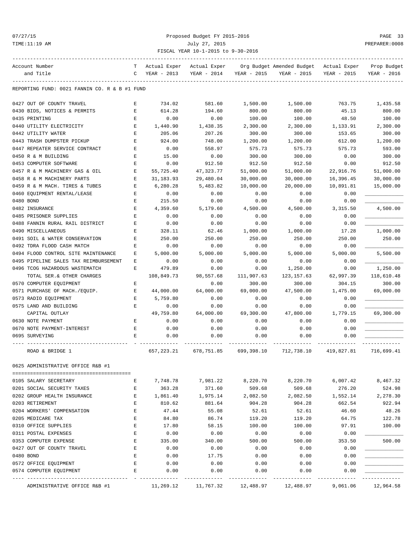### 07/27/15 Proposed Budget FY 2015-2016 PAGE 33 TIME:11:19 AM July 27, 2015 PREPARER:0008 FISCAL YEAR 10-1-2015 to 9-30-2016

| Account Number                                | т           | Actual Exper | Actual Exper |             | Org Budget Amended Budget | Actual Exper | Prop Budget |
|-----------------------------------------------|-------------|--------------|--------------|-------------|---------------------------|--------------|-------------|
| and Title                                     | C           | YEAR - 2013  | YEAR - 2014  | YEAR - 2015 | YEAR - 2015               | YEAR - 2015  | YEAR - 2016 |
| REPORTING FUND: 0021 FANNIN CO. R & B #1 FUND |             |              |              |             |                           |              |             |
|                                               |             |              |              |             |                           |              |             |
| 0427 OUT OF COUNTY TRAVEL                     | Е           | 734.02       | 581.60       | 1,500.00    | 1,500.00                  | 763.75       | 1,435.58    |
| 0430 BIDS, NOTICES & PERMITS                  | Е           | 614.28       | 194.60       | 800.00      | 800.00                    | 45.13        | 800.00      |
| 0435 PRINTING                                 | E           | 0.00         | 0.00         | 100.00      | 100.00                    | 48.50        | 100.00      |
| 0440 UTILITY ELECTRICITY                      | E           | 1,440.90     | 1,438.35     | 2,300.00    | 2,300.00                  | 1,133.91     | 2,300.00    |
| 0442 UTILITY WATER                            | $\mathbf E$ | 205.06       | 207.26       | 300.00      | 300.00                    | 153.65       | 300.00      |
| 0443 TRASH DUMPSTER PICKUP                    | Е           | 924.00       | 748.00       | 1,200.00    | 1,200.00                  | 612.00       | 1,200.00    |
| 0447 REPEATER SERVICE CONTRACT                | Е           | 0.00         | 558.97       | 575.73      | 575.73                    | 575.73       | 593.00      |
| 0450 R & M BUILDING                           | E           | 15.00        | 0.00         | 300.00      | 300.00                    | 0.00         | 300.00      |
| 0453 COMPUTER SOFTWARE                        | $\mathbf E$ | 0.00         | 912.50       | 912.50      | 912.50                    | 0.00         | 912.50      |
| 0457 R & M MACHINERY GAS & OIL                | Е           | 55,725.40    | 47,323.77    | 51,000.00   | 51,000.00                 | 22,916.76    | 51,000.00   |
| 0458 R & M MACHINERY PARTS                    | Е           | 31, 183.93   | 29,480.04    | 30,000.00   | 30,000.00                 | 16,396.45    | 30,000.00   |
| 0459 R & M MACH. TIRES & TUBES                | Е           | 6,280.28     | 5,483.82     | 10,000.00   | 20,000.00                 | 10,891.81    | 15,000.00   |
| 0460 EQUIPMENT RENTAL/LEASE                   | Е           | 0.00         | 0.00         | 0.00        | 0.00                      | 0.00         |             |
| 0480 BOND                                     | Ε           | 215.50       | 0.00         | 0.00        | 0.00                      | 0.00         |             |
| 0482 INSURANCE                                | E           | 4,359.60     | 5,179.60     | 4,500.00    | 4,500.00                  | 3,315.50     | 4,500.00    |
| 0485 PRISONER SUPPLIES                        | $\mathbf E$ | 0.00         | 0.00         | 0.00        | 0.00                      | 0.00         |             |
| 0488 FANNIN RURAL RAIL DISTRICT               | Е           | 0.00         | 0.00         | 0.00        | 0.00                      | 0.00         |             |
| 0490 MISCELLANEOUS                            | Е           | 328.11       | 62.46        | 1,000.00    | 1,000.00                  | 17.28        | 1,000.00    |
| 0491 SOIL & WATER CONSERVATION                | E           | 250.00       | 250.00       | 250.00      | 250.00                    | 250.00       | 250.00      |
| 0492 TDRA FLOOD CASH MATCH                    | E           | 0.00         | 0.00         | 0.00        | 0.00                      | 0.00         |             |
| 0494 FLOOD CONTROL SITE MAINTENANCE           | Е           | 5,000.00     | 5,000.00     | 5,000.00    | 5,000.00                  | 5,000.00     | 5,500.00    |
| 0495 PIPELINE SALES TAX REIMBURSEMENT         | Е           | 0.00         | 0.00         | 0.00        | 0.00                      | 0.00         |             |
| 0496 TCOG HAZARDOUS WASTEMATCH                | Е           | 479.89       | 0.00         | 0.00        | 1,250.00                  | 0.00         | 1,250.00    |
| TOTAL SER. & OTHER CHARGES                    |             | 108,849.73   | 98,557.68    | 111,907.63  | 123, 157.63               | 62,997.39    | 118,610.48  |
| 0570 COMPUTER EQUIPMENT                       | Е           |              | 0.00         | 300.00      | 300.00                    | 304.15       | 300.00      |
| 0571 PURCHASE OF MACH./EQUIP.                 | E           | 44,000.00    | 64,000.00    | 69,000.00   | 47,500.00                 | 1,475.00     | 69,000.00   |
| 0573 RADIO EQUIPMENT                          | Е           | 5,759.80     | 0.00         | 0.00        | 0.00                      | 0.00         |             |
| 0575 LAND AND BUILDING                        | Е           | 0.00         | 0.00         | 0.00        | 0.00                      | 0.00         |             |
| CAPITAL OUTLAY                                |             | 49,759.80    | 64,000.00    | 69,300.00   | 47,800.00                 | 1,779.15     | 69,300.00   |
| 0630 NOTE PAYMENT                             | E           | 0.00         | 0.00         | 0.00        | 0.00                      | 0.00         |             |
| 0670 NOTE PAYMENT-INTEREST                    | E           | 0.00         | 0.00         | 0.00        | 0.00                      | 0.00         |             |
| 0695 SURVEYING                                | Е           | 0.00         | 0.00         | 0.00        | 0.00                      | 0.00         |             |
|                                               |             |              |              |             |                           |              |             |
| ROAD & BRIDGE 1                               |             | 657, 223. 21 | 678,751.85   | 699,398.10  | 712,738.10                | 419,827.81   | 716,699.41  |
| 0025 ADMINISTRATIVE OFFICE R&B #I             |             |              |              |             |                           |              |             |
|                                               |             |              |              |             |                           |              |             |
| 0105 SALARY SECRETARY                         | Ε           | 7,748.78     | 7,981.22     | 8,220.70    | 8,220.70                  | 6,007.42     | 8,467.32    |
| 0201 SOCIAL SECURITY TAXES                    | E           | 363.28       | 371.60       | 509.68      | 509.68                    | 276.20       | 524.98      |
| 0202 GROUP HEALTH INSURANCE                   | Ε           | 1,861.40     | 1,975.14     | 2,082.50    | 2,082.50                  | 1,552.14     | 2,278.30    |
| 0203 RETIREMENT                               | E           | 810.62       | 881.64       | 904.28      | 904.28                    | 662.54       | 922.94      |
| 0204 WORKERS' COMPENSATION                    | $\mathbf E$ | 47.44        | 55.08        | 52.61       | 52.61                     | 46.60        | 48.26       |
| 0205 MEDICARE TAX                             | E           | 84.80        | 86.74        | 119.20      | 119.20                    | 64.75        | 122.78      |
| 0310 OFFICE SUPPLIES                          | E           | 17.80        | 58.15        | 100.00      | 100.00                    | 97.91        | 100.00      |
| 0311 POSTAL EXPENSES                          | E           | 0.00         | 0.00         | 0.00        | 0.00                      | 0.00         |             |
| 0353 COMPUTER EXPENSE                         | Ε           | 335.00       | 340.00       | 500.00      | 500.00                    | 353.50       | 500.00      |
| 0427 OUT OF COUNTY TRAVEL                     | E           | 0.00         | 0.00         | 0.00        | 0.00                      | 0.00         |             |
| 0480 BOND                                     | E           | 0.00         | 17.75        | 0.00        | 0.00                      | 0.00         |             |
| 0572 OFFICE EQUIPMENT                         | Ε           | 0.00         | 0.00         | 0.00        | 0.00                      | 0.00         |             |
| 0574 COMPUTER EQUIPMENT                       | E           | 0.00         | 0.00         | 0.00        | 0.00                      | 0.00         |             |
|                                               |             |              |              |             |                           |              |             |

ADMINISTRATIVE OFFICE R&B #1  $11,269.12$   $11,767.32$   $12,488.97$   $12,488.97$   $9,061.06$   $12,964.58$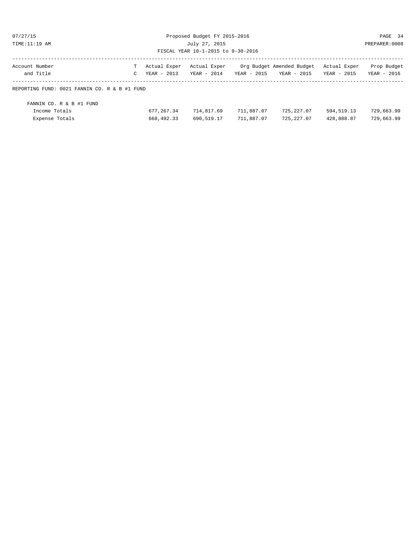| Account Number                                      |                              | : Actual Exper Actual Exper |  | Org Budget Amended Budget Actual Exper |  | Prop Budget    |
|-----------------------------------------------------|------------------------------|-----------------------------|--|----------------------------------------|--|----------------|
| July 27, 2015<br>FISCAL YEAR 10-1-2015 to 9-30-2016 |                              |                             |  |                                        |  | PREPARER: 0008 |
| TIME: 11:19 AM                                      |                              |                             |  |                                        |  |                |
| 07/27/15                                            | Proposed Budget FY 2015-2016 |                             |  |                                        |  |                |
|                                                     |                              |                             |  |                                        |  |                |

| Account Number                                | Actual Exper - Actual Exper |               |             | - Org Budget Amended Budget - Actual Exper |             | Prop Budget |
|-----------------------------------------------|-----------------------------|---------------|-------------|--------------------------------------------|-------------|-------------|
| and Title                                     | $C$ YEAR - 2013             | $YEAR - 2014$ | YEAR - 2015 | YEAR - 2015                                | YEAR - 2015 | YEAR - 2016 |
| REPORTING FUND: 0021 FANNIN CO. R & B #1 FUND |                             |               |             |                                            |             |             |
| FANNIN CO. R & B #1 FUND                      |                             |               |             |                                            |             |             |
| Income Totals                                 | 677,267.34                  | 714,817.69    | 711,887.07  | 725,227.07                                 | 594,519.13  | 729,663.99  |

Expense Totals 668,492.33 690,519.17 711,887.07 725,227.07 428,888.87 729,663.99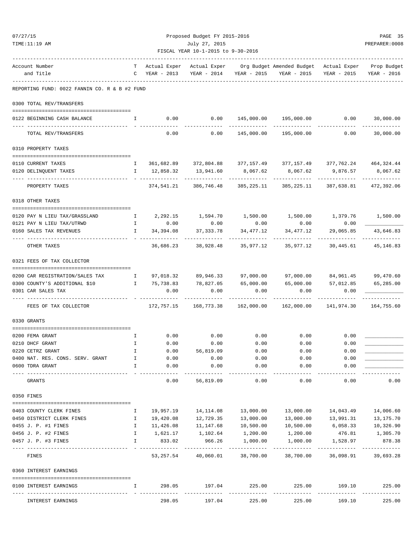| TIME:11:19 AM                                                                                 |              |                      | July 27, 2015<br>FISCAL YEAR 10-1-2015 to 9-30-2016 |                           |                                                                                   |                                           | PREPARER:0008           |
|-----------------------------------------------------------------------------------------------|--------------|----------------------|-----------------------------------------------------|---------------------------|-----------------------------------------------------------------------------------|-------------------------------------------|-------------------------|
| Account Number                                                                                |              |                      |                                                     |                           | T Actual Exper Actual Exper Org Budget Amended Budget Actual Exper Prop Budget    |                                           |                         |
| and Title                                                                                     |              |                      |                                                     |                           | C YEAR - 2013 YEAR - 2014 YEAR - 2015 YEAR - 2015 YEAR - 2015 YEAR - 2016         |                                           |                         |
| REPORTING FUND: 0022 FANNIN CO. R & B #2 FUND                                                 |              |                      |                                                     |                           |                                                                                   |                                           |                         |
| 0300 TOTAL REV/TRANSFERS                                                                      |              |                      |                                                     |                           |                                                                                   |                                           |                         |
| 0122 BEGINNING CASH BALANCE<br>$\mathbf{I}$ and $\mathbf{I}$ and $\mathbf{I}$                 |              |                      |                                                     |                           | $0.00$ $0.00$ $145,000.00$ $195,000.00$ $0.00$ $0.00$ $30,000.00$                 |                                           |                         |
| TOTAL REV/TRANSFERS                                                                           |              |                      |                                                     |                           | $0.00$ 0.00 145,000.00 195,000.00 0.00 0.00                                       |                                           | 30,000.00               |
| 0310 PROPERTY TAXES                                                                           |              |                      |                                                     |                           |                                                                                   |                                           |                         |
| 0110 CURRENT TAXES                                                                            | $\mathbb{I}$ |                      |                                                     |                           | 361,682.89 372,804.88 377,157.49 377,157.49 377,762.24 464,324.44                 |                                           |                         |
| 0120 DELINQUENT TAXES                                                                         |              |                      |                                                     |                           | I 12,858.32 13,941.60 8,067.62 8,067.62 9,876.57 8,067.62                         |                                           |                         |
| --------------------<br>PROPERTY TAXES                                                        |              |                      | ------------                                        | -------------             | ------------<br>374,541.21 386,746.48 385,225.11 385,225.11 387,638.81 472,392.06 | -------------                             |                         |
| 0318 OTHER TAXES                                                                              |              |                      |                                                     |                           |                                                                                   |                                           |                         |
| 0120 PAY N LIEU TAX/GRASSLAND $I$ 2,292.15 1,594.70 1,500.00 1,500.00 1,379.76 1,500.00       |              |                      |                                                     |                           |                                                                                   |                                           |                         |
| 0121 PAY N LIEU TAX/UTRWD                                                                     |              | I 0.00               | 0.00                                                | 0.00                      |                                                                                   | $0.00$ 0.00                               |                         |
| 0160 SALES TAX REVENUES                                                                       |              | I 34,394.08          | 37, 333. 78                                         | 34,477.12                 | 34,477.12                                                                         | 29,065.85<br>-------------- ------------- | 43,646.83               |
| OTHER TAXES                                                                                   |              |                      |                                                     |                           | 36,686.23 38,928.48 35,977.12 35,977.12 30,445.61 45,146.83                       |                                           |                         |
| 0321 FEES OF TAX COLLECTOR                                                                    |              |                      |                                                     |                           |                                                                                   |                                           |                         |
| 0200 CAR REGISTRATION/SALES TAX 1 97,018.32 89,946.33 97,000.00 97,000.00 84,961.45 99,470.60 |              |                      |                                                     |                           |                                                                                   |                                           |                         |
| 0300 COUNTY'S ADDITIONAL \$10                                                                 |              |                      |                                                     |                           | I 75,738.83 78,827.05 65,000.00 65,000.00 57,012.85 65,285.00                     |                                           |                         |
| 0301 CAR SALES TAX<br>------------------------                                                |              | 0.00                 | 0.00                                                | 0.00                      | 0.00                                                                              | 0.00                                      |                         |
| FEES OF TAX COLLECTOR                                                                         |              |                      |                                                     |                           | 172,757.15 168,773.38 162,000.00 162,000.00 141,974.30 164,755.60                 |                                           |                         |
| 0330 GRANTS                                                                                   |              |                      |                                                     |                           |                                                                                   |                                           |                         |
| 0200 FEMA GRANT                                                                               | $\mathbf{I}$ | 0.00                 | 0.00                                                | 0.00                      | 0.00                                                                              | 0.00                                      |                         |
| 0210 DHCF GRANT                                                                               | Ι.           | 0.00                 | 0.00                                                | 0.00                      | 0.00                                                                              | 0.00                                      |                         |
| 0220 CETRZ GRANT                                                                              |              | 0.00                 | 56,819.09                                           | 0.00                      | 0.00                                                                              | 0.00                                      |                         |
| 0400 NAT. RES. CONS. SERV. GRANT                                                              | Ι.           | 0.00                 | 0.00                                                | 0.00                      | 0.00                                                                              | 0.00                                      |                         |
| 0600 TDRA GRANT                                                                               | I.           | 0.00                 | 0.00                                                | 0.00<br>----------        | 0.00                                                                              | 0.00                                      |                         |
| GRANTS                                                                                        |              | 0.00                 | 56,819.09                                           | 0.00                      | 0.00                                                                              | 0.00                                      | 0.00                    |
| 0350 FINES                                                                                    |              |                      |                                                     |                           |                                                                                   |                                           |                         |
| 0403 COUNTY CLERK FINES                                                                       | Ι.           | 19,957.19            | 14,114.08                                           | 13,000.00                 | 13,000.00                                                                         | 14,043.49                                 | 14,006.60               |
| 0450 DISTRICT CLERK FINES                                                                     | Ι.           | 19,420.08            | 12,729.35                                           | 13,000.00                 | 13,000.00                                                                         | 13,991.31                                 | 13, 175. 70             |
| 0455 J. P. #1 FINES                                                                           | Ι.           | 11,426.08            | 11,147.68                                           | 10,500.00                 | 10,500.00                                                                         | 6,058.33                                  | 10,326.90               |
| 0456 J. P. #2 FINES                                                                           | $\mathbb{I}$ | 1,621.17             | 1,102.64                                            | 1,200.00                  | 1,200.00                                                                          | 476.81                                    | 1,305.70                |
| 0457 J. P. #3 FINES                                                                           | $\mathbb{I}$ | 833.02<br>---------- | 966.26<br>-------------                             | 1,000.00<br>------------- | 1,000.00<br>------------                                                          | 1,528.97<br>-------------                 | 878.38<br>------------- |
| FINES                                                                                         |              | 53,257.54            | 40,060.01                                           | 38,700.00                 | 38,700.00                                                                         | 36,098.91                                 | 39,693.28               |
| 0360 INTEREST EARNINGS                                                                        |              |                      |                                                     |                           |                                                                                   |                                           |                         |
| 0100 INTEREST EARNINGS                                                                        | Ι.           | 298.05               | 197.04                                              | 225.00                    | 225.00                                                                            | 169.10<br>----------                      | 225.00<br>------------- |
| INTEREST EARNINGS                                                                             |              |                      | 298.05 197.04                                       | 225.00                    | 225.00                                                                            | 169.10                                    | 225.00                  |

07/27/15 Proposed Budget FY 2015-2016 PAGE 35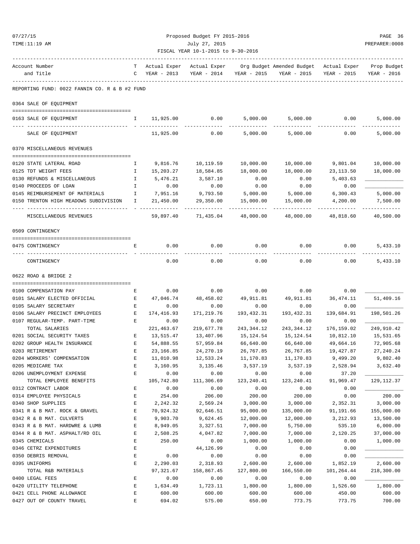| TIME:11:19 AM                                                    | July 27, 2015<br>FISCAL YEAR 10-1-2015 to 9-30-2016 |                                 |                             |                      |                                                                   |                    |                            |  |
|------------------------------------------------------------------|-----------------------------------------------------|---------------------------------|-----------------------------|----------------------|-------------------------------------------------------------------|--------------------|----------------------------|--|
| Account Number<br>and Title                                      |                                                     | T Actual Exper<br>C YEAR - 2013 | Actual Exper<br>YEAR - 2014 |                      | Org Budget Amended Budget Actual Exper<br>YEAR - 2015 YEAR - 2015 | YEAR - 2015        | Prop Budget<br>YEAR - 2016 |  |
| REPORTING FUND: 0022 FANNIN CO. R & B #2 FUND                    |                                                     |                                 |                             |                      |                                                                   |                    |                            |  |
| 0364 SALE OF EQUIPMENT                                           |                                                     |                                 |                             |                      |                                                                   |                    |                            |  |
| 0163 SALE OF EQUIPMENT                                           | $\mathbb{I}$                                        | 11,925.00 0.00                  |                             | 5,000.00             |                                                                   | 5,000.00 0.00      | 5,000.00                   |  |
| SALE OF EQUIPMENT                                                |                                                     | 11,925.00                       | 0.00                        | 5,000.00             | 5,000.00                                                          | 0.00               | 5,000.00                   |  |
| 0370 MISCELLANEOUS REVENUES                                      |                                                     |                                 |                             |                      |                                                                   |                    |                            |  |
| 0120 STATE LATERAL ROAD                                          | $\mathbb{I}$                                        | 9,816.76                        | 10,119.59                   | 10,000.00            | 10,000.00                                                         | 9,801.04           | 10,000.00                  |  |
| 0125 TDT WEIGHT FEES                                             | $\mathbf{I}$                                        | 15,203.27                       | 18,584.85                   | 18,000.00            | 18,000.00                                                         | 23, 113.50         | 18,000.00                  |  |
| 0130 REFUNDS & MISCELLANEOUS                                     | $\mathbb{I}$                                        | 5,476.21                        | 3,587.10                    | 0.00                 | 0.00                                                              | 5,403.63           |                            |  |
| 0140 PROCEEDS OF LOAN                                            | $\mathbb{I}$                                        | 0.00                            | 0.00                        | 0.00                 | 0.00                                                              | 0.00               |                            |  |
| 0145 REIMBURSEMENT OF MATERIALS<br>$\mathbf{I}$ and $\mathbf{I}$ |                                                     | 7,951.16                        | 9,793.50                    | 5,000.00             | 5,000.00                                                          | 6,300.43           | 5,000.00                   |  |
| 0150 TRENTON HIGH MEADOWS SUBDIVISION I                          |                                                     | 21,450.00                       | 29,350.00                   | 15,000.00            | 15,000.00                                                         | 4,200.00           | 7,500.00                   |  |
| MISCELLANEOUS REVENUES                                           |                                                     | 59,897.40                       |                             | 71,435.04 48,000.00  | 48,000.00                                                         | 48,818.60          | 40,500.00                  |  |
| 0509 CONTINGENCY                                                 |                                                     |                                 |                             |                      |                                                                   |                    |                            |  |
| 0475 CONTINGENCY                                                 | Е                                                   | 0.00                            | 0.00                        | 0.00                 | 0.00                                                              | 0.00               | 5,433.10                   |  |
| CONTINGENCY                                                      |                                                     | 0.00                            | 0.00                        | 0.00                 | 0.00                                                              | 0.00               | 5,433.10                   |  |
| 0622 ROAD & BRIDGE 2                                             |                                                     |                                 |                             |                      |                                                                   |                    |                            |  |
| 0100 COMPENSATION PAY                                            | Е                                                   | 0.00                            | 0.00                        | 0.00                 | 0.00                                                              | 0.00               |                            |  |
| 0101 SALARY ELECTED OFFICIAL                                     | E                                                   | 47,046.74                       | 48,458.02                   | 49,911.81            | 49,911.81                                                         | 36,474.11          | 51,409.16                  |  |
| 0105 SALARY SECRETARY                                            | E                                                   | 0.00                            | 0.00                        | 0.00                 | 0.00                                                              | 0.00               |                            |  |
| 0106 SALARY PRECINCT EMPLOYEES<br><b>Expanding B</b>             |                                                     | 174,416.93                      | 171,219.76                  | 193,432.31           | 193,432.31                                                        | 139,684.91         | 198,501.26                 |  |
| 0107 REGULAR-TEMP. PART-TIME                                     | Е                                                   | 0.00                            | 0.00                        | 0.00                 | 0.00                                                              | 0.00               |                            |  |
| TOTAL SALARIES                                                   |                                                     | 221, 463.67                     | 219,677.78                  | 243,344.12           | 243,344.12                                                        | 176,159.02         | 249,910.42                 |  |
| 0201 SOCIAL SECURITY TAXES                                       | Е                                                   | 13,515.47                       | 13,407.96                   | 15,124.54            | 15,124.54                                                         | 10,812.10          | 15,531.65                  |  |
| 0202 GROUP HEALTH INSURANCE                                      | $\mathbf{E}$                                        | 54,888.55                       | 57,959.84                   | 66,640.00            | 66,640.00                                                         | 49,664.16          | 72,905.68                  |  |
| 0203 RETIREMENT                                                  | E                                                   | 23,166.85                       | 24, 270.19                  | 26,767.85            | 26,767.85                                                         | 19,427.87          | 27, 240.24                 |  |
| 0204 WORKERS' COMPENSATION                                       | E                                                   | 11,010.98                       | 12,533.24                   | 11,170.83            | 11,170.83                                                         | 9,499.20           | 9,802.40                   |  |
| 0205 MEDICARE TAX                                                | E                                                   | 3,160.95                        | 3,135.46                    | 3,537.19             | 3,537.19                                                          | 2,528.94           | 3,632.40                   |  |
| 0206 UNEMPLOYMENT EXPENSE                                        | E                                                   | 0.00                            | 0.00                        | 0.00                 | 0.00                                                              | 37.20              |                            |  |
| TOTAL EMPLOYEE BENEFITS                                          |                                                     | 105,742.80                      | 111,306.69                  | 123, 240.41          | 123, 240.41                                                       | 91,969.47          | 129, 112.37                |  |
| 0312 CONTRACT LABOR                                              | Е                                                   | 0.00                            | 0.00                        | 0.00                 | 0.00                                                              | 0.00               |                            |  |
| 0314 EMPLOYEE PHYSICALS                                          | E                                                   | 254.00                          | 206.00                      | 200.00               | 200.00                                                            | 0.00               | 200.00                     |  |
| 0340 SHOP SUPPLIES                                               | E                                                   | 2,242.32                        | 2,569.24                    | 3,000.00             | 3,000.00                                                          | 2,352.31           | 3,000.00                   |  |
| 0341 R & B MAT. ROCK & GRAVEL                                    | E                                                   | 70,924.32                       | 92,646.51                   | 95,000.00            | 135,000.00                                                        | 91,191.66          | 155,000.00                 |  |
| 0342 R & B MAT. CULVERTS                                         | $\mathbf E$                                         | 9,903.70                        | 9,624.45                    | 12,000.00            | 12,000.00                                                         | 3, 212.93          | 13,500.00                  |  |
| 0343 R & B MAT. HARDWRE & LUMB<br>0344 R & B MAT. ASPHALT/RD OIL | E<br>E                                              | 8,949.05<br>2,508.25            | 3,327.51<br>4,047.82        | 7,000.00<br>7,000.00 | 5,750.00<br>7,000.00                                              | 535.10<br>2,120.25 | 6,000.00<br>37,000.00      |  |
| 0345 CHEMICALS                                                   | E                                                   | 250.00                          | 0.00                        | 1,000.00             | 1,000.00                                                          | 0.00               | 1,000.00                   |  |
| 0346 CETRZ EXPENDITURES                                          | E                                                   |                                 | 44,126.99                   | 0.00                 | 0.00                                                              | 0.00               |                            |  |
| 0350 DEBRIS REMOVAL                                              | E                                                   | 0.00                            | 0.00                        | 0.00                 | 0.00                                                              | 0.00               |                            |  |
| 0395 UNIFORMS                                                    | E                                                   | 2,290.03                        | 2,318.93                    | 2,600.00             | 2,600.00                                                          | 1,852.19           | 2,600.00                   |  |
| TOTAL R&B MATERIALS                                              |                                                     | 97, 321.67                      | 158,867.45                  | 127,800.00           | 166,550.00                                                        | 101,264.44         | 218,300.00                 |  |
| 0400 LEGAL FEES                                                  | Ε                                                   | 0.00                            | 0.00                        | 0.00                 | 0.00                                                              | 0.00               |                            |  |
| 0420 UTILITY TELEPHONE                                           | Е                                                   | 1,634.49                        | 1,723.11                    | 1,800.00             | 1,800.00                                                          | 1,526.60           | 1,800.00                   |  |
|                                                                  |                                                     |                                 |                             |                      |                                                                   |                    |                            |  |

0421 CELL PHONE ALLOWANCE E 600.00 600.00 600.00 600.00 450.00 600.00 0427 OUT OF COUNTY TRAVEL E 694.02 575.00 650.00 773.75 773.75 700.00

07/27/15 Proposed Budget FY 2015-2016 PAGE 36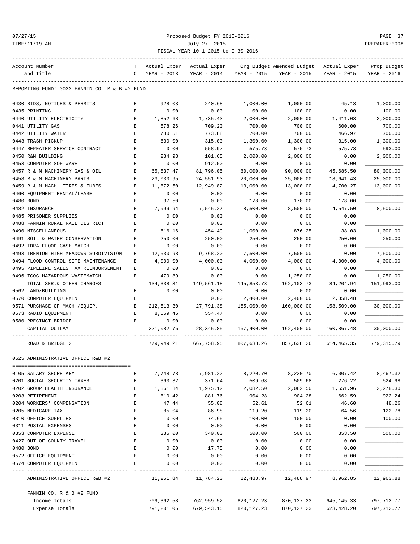# 07/27/15 Proposed Budget FY 2015-2016 PAGE 37 TIME:11:19 AM July 27, 2015 PREPARER:0008 FISCAL YEAR 10-1-2015 to 9-30-2016

| Account Number                                | T<br>C             | Actual Exper                 | Actual Exper |                  | Org Budget Amended Budget | Actual Exper | Prop Budget |
|-----------------------------------------------|--------------------|------------------------------|--------------|------------------|---------------------------|--------------|-------------|
| and Title                                     |                    | YEAR - 2013                  | YEAR - 2014  | YEAR - 2015      | YEAR - 2015               | YEAR - 2015  | YEAR - 2016 |
| REPORTING FUND: 0022 FANNIN CO. R & B #2 FUND |                    |                              |              |                  |                           |              |             |
| 0430 BIDS, NOTICES & PERMITS                  | Е                  | 928.03                       | 240.68       | 1,000.00         | 1,000.00                  | 45.13        | 1,000.00    |
| 0435 PRINTING                                 | Е                  | 0.00                         | 0.00         | 100.00           | 100.00                    | 0.00         | 100.00      |
| 0440 UTILITY ELECTRICITY                      | Е                  | 1,852.68                     | 1,735.43     | 2,000.00         | 2,000.00                  | 1,411.03     | 2,000.00    |
| 0441 UTILITY GAS                              | E                  | 578.26                       | 709.20       | 700.00           | 700.00                    | 600.00       | 700.00      |
| 0442 UTILITY WATER                            | Ε                  | 780.51                       | 773.88       | 700.00           | 700.00                    | 466.97       | 700.00      |
| 0443 TRASH PICKUP                             | Е                  | 630.00                       | 315.00       | 1,300.00         | 1,300.00                  | 315.00       | 1,300.00    |
| 0447 REPEATER SERVICE CONTRACT                | Ε                  | 0.00                         | 558.97       | 575.73           | 575.73                    | 575.73       | 593.00      |
| 0450 R&M BUILDING                             | Е                  | 284.93                       | 101.65       | 2,000.00         | 2,000.00                  | 0.00         | 2,000.00    |
| 0453 COMPUTER SOFTWARE                        | $\mathbf E$        | 0.00                         | 912.50       | 0.00             | 0.00                      | 0.00         |             |
| 0457 R & M MACHINERY GAS & OIL                | Е                  | 65,537.47                    | 81,796.05    | 80,000.00        | 90,000.00                 | 45,685.50    | 80,000.00   |
| 0458 R & M MACHINERY PARTS                    | Е                  | 23,030.95                    | 24,551.93    | 20,000.00        | 25,000.00                 | 18,641.43    | 25,000.00   |
| 0459 R & M MACH. TIRES & TUBES                | Е                  | 11,872.50                    | 12,949.82    | 13,000.00        | 13,000.00                 | 4,700.27     | 13,000.00   |
| 0460 EQUIPMENT RENTAL/LEASE                   | Е                  | 0.00                         | 0.00         | 0.00             | 0.00                      | 0.00         |             |
| 0480 BOND                                     | Е                  | 37.50                        | 0.00         | 178.00           | 178.00                    | 178.00       |             |
| 0482 INSURANCE                                | E                  | 7,999.94                     | 7,545.27     | 8,500.00         | 8,500.00                  | 4,547.50     | 8,500.00    |
| 0485 PRISONER SUPPLIES                        | E                  | 0.00                         | 0.00         | 0.00             | 0.00                      | 0.00         |             |
| 0488 FANNIN RURAL RAIL DISTRICT               | Е                  | 0.00                         | 0.00         | 0.00             | 0.00                      | 0.00         |             |
| 0490 MISCELLANEOUS                            | Е                  | 616.16                       | 454.49       | 1,000.00         | 876.25                    | 38.03        | 1,000.00    |
| 0491 SOIL & WATER CONSERVATION                | Ε                  | 250.00                       | 250.00       | 250.00           | 250.00                    | 250.00       | 250.00      |
|                                               | E                  |                              |              |                  |                           |              |             |
| 0492 TDRA FLOOD CASH MATCH                    |                    | 0.00<br>12,530.98            | 0.00         | 0.00<br>7,500.00 | 0.00                      | 0.00         |             |
| 0493 TRENTON HIGH MEADOWS SUBDIVISION         | Ε                  |                              | 9,768.20     |                  | 7,500.00                  | 0.00         | 7,500.00    |
| 0494 FLOOD CONTROL SITE MAINTENANCE           | Е                  | 4,000.00                     | 4,000.00     | 4,000.00         | 4,000.00                  | 4,000.00     | 4,000.00    |
| 0495 PIPELINE SALES TAX REIMBURSEMENT         | Ε                  | 0.00                         | 0.00         | 0.00             | 0.00                      | 0.00         |             |
| 0496 TCOG HAZARDOUS WASTEMATCH                | Е                  | 479.89                       | 0.00         | 0.00             | 1,250.00                  | 0.00         | 1,250.00    |
| TOTAL SER.& OTHER CHARGES                     |                    | 134,338.31                   | 149,561.18   | 145,853.73       | 162,103.73                | 84,204.94    | 151,993.00  |
| 0562 LAND/BUILDING                            | Е                  | 0.00                         | 0.00         | 0.00             | 0.00                      | 0.00         |             |
| 0570 COMPUTER EQUIPMENT                       | Е                  |                              | 0.00         | 2,400.00         | 2,400.00                  | 2,358.48     |             |
| 0571 PURCHASE OF MACH./EQUIP.                 | Е                  | 212,513.30                   | 27,791.38    | 165,000.00       | 160,000.00                | 158,509.00   | 30,000.00   |
| 0573 RADIO EQUIPMENT                          | E                  | 8,569.46                     | 554.47       | 0.00             | 0.00                      | 0.00         |             |
| 0580 PRECINCT BRIDGE                          | Е                  | 0.00                         | 0.00         | 0.00             | 0.00                      | 0.00         |             |
| CAPITAL OUTLAY                                |                    | 221,082.76                   | 28,345.85    | 167,400.00       | 162,400.00                | 160,867.48   | 30,000.00   |
| ROAD & BRIDGE 2                               |                    | 779,949.21                   | 667,758.95   | 807,638.26       | 857,638.26                | 614,465.35   | 779,315.79  |
| 0625 ADMINISTRATIVE OFFICE R&B #2             |                    |                              |              |                  |                           |              |             |
| 0105 SALARY SECRETARY                         | Е                  | 7,748.78                     | 7,981.22     | 8,220.70         | 8,220.70                  | 6,007.42     | 8,467.32    |
| 0201 SOCIAL SECURITY TAXES                    | Ε                  | 363.32                       | 371.64       | 509.68           | 509.68                    | 276.22       | 524.98      |
| 0202 GROUP HEALTH INSURANCE                   | E                  | 1,861.84                     | 1,975.12     | 2,082.50         | 2,082.50                  | 1,551.96     | 2,278.30    |
| 0203 RETIREMENT                               | Е                  | 810.42                       | 881.76       | 904.28           | 904.28                    | 662.59       | 922.24      |
| 0204 WORKERS' COMPENSATION                    | E                  | 47.44                        | 55.08        | 52.61            | 52.61                     | 46.60        | 48.26       |
| 0205 MEDICARE TAX                             | $\mathbf{E}% _{0}$ | 85.04                        | 86.98        | 119.20           | 119.20                    | 64.56        | 122.78      |
| 0310 OFFICE SUPPLIES                          | E                  | 0.00                         | 74.65        | 100.00           | 100.00                    | 0.00         | 100.00      |
| 0311 POSTAL EXPENSES                          | E                  | 0.00                         | 0.00         | 0.00             | 0.00                      | 0.00         |             |
| 0353 COMPUTER EXPENSE                         | Ε                  | 335.00                       | 340.00       | 500.00           | 500.00                    | 353.50       | 500.00      |
| 0427 OUT OF COUNTY TRAVEL                     | E                  | 0.00                         | 0.00         | 0.00             | 0.00                      |              |             |
| 0480 BOND                                     | E                  | 0.00                         | 17.75        | 0.00             | 0.00                      | 0.00<br>0.00 |             |
| 0572 OFFICE EQUIPMENT                         | E                  | 0.00                         | 0.00         | 0.00             | 0.00                      | 0.00         |             |
| 0574 COMPUTER EQUIPMENT                       | Е                  | 0.00                         | 0.00         | 0.00             | 0.00                      | 0.00         |             |
| ADMINISTRATIVE OFFICE R&B #2                  |                    | $- - - - - - -$<br>11,251.84 | 11,784.20    | 12,488.97        | 12,488.97                 | 8,962.85     | 12,963.88   |
| FANNIN CO. R & B #2 FUND                      |                    |                              |              |                  |                           |              |             |
| Income Totals                                 |                    | 709,362.58                   | 762,959.52   | 820, 127. 23     | 870,127.23                | 645,145.33   | 797,712.77  |
| Expense Totals                                |                    | 791,201.05                   | 679,543.15   | 820, 127. 23     | 870,127.23                | 623,428.20   | 797,712.77  |
|                                               |                    |                              |              |                  |                           |              |             |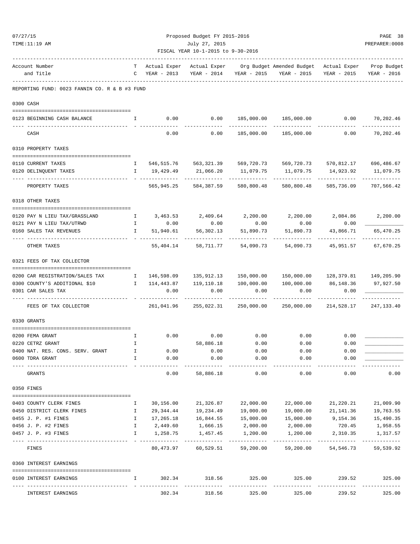| 07/27/15                                      |                                                | Proposed Budget FY 2015-2016 |                                    |                         |                                                                               |                          |                           |  |  |  |
|-----------------------------------------------|------------------------------------------------|------------------------------|------------------------------------|-------------------------|-------------------------------------------------------------------------------|--------------------------|---------------------------|--|--|--|
| TIME:11:19 AM                                 |                                                | July 27, 2015                |                                    |                         |                                                                               |                          |                           |  |  |  |
|                                               |                                                |                              | FISCAL YEAR 10-1-2015 to 9-30-2016 |                         |                                                                               |                          |                           |  |  |  |
| Account Number<br>and Title                   | т<br>C                                         | Actual Exper<br>YEAR - 2013  | Actual Exper<br>YEAR - 2014        |                         | Org Budget Amended Budget Actual Exper Prop Budget<br>YEAR - 2015 YEAR - 2015 | YEAR - 2015              | YEAR - 2016               |  |  |  |
| REPORTING FUND: 0023 FANNIN CO. R & B #3 FUND |                                                |                              |                                    |                         |                                                                               |                          |                           |  |  |  |
| 0300 CASH                                     |                                                |                              |                                    |                         |                                                                               |                          |                           |  |  |  |
|                                               |                                                |                              |                                    |                         |                                                                               |                          |                           |  |  |  |
| 0123 BEGINNING CASH BALANCE                   | Ι.                                             | 0.00                         | 0.00                               |                         | 185,000.00 185,000.00 0.00                                                    |                          | 70,202.46                 |  |  |  |
| CASH                                          |                                                | 0.00                         | 0.00                               | 185,000.00              |                                                                               | 185,000.00 0.00          | 70,202.46                 |  |  |  |
| 0310 PROPERTY TAXES                           |                                                |                              |                                    |                         |                                                                               |                          |                           |  |  |  |
| 0110 CURRENT TAXES                            | Ι.                                             |                              | 546,515.76 563,321.39 569,720.73   |                         | 569,720.73                                                                    | 570,812.17               | 696,486.67                |  |  |  |
| 0120 DELINQUENT TAXES                         |                                                | 19,429.49                    | 21,066.20                          | 11,079.75               | 11,079.75                                                                     | 14,923.92                | 11,079.75                 |  |  |  |
| PROPERTY TAXES                                |                                                | 565,945.25                   | 584,387.59                         | 580,800.48              | -----------<br>580,800.48                                                     | 585,736.09               | -----------<br>707,566.42 |  |  |  |
| 0318 OTHER TAXES                              |                                                |                              |                                    |                         |                                                                               |                          |                           |  |  |  |
| 0120 PAY N LIEU TAX/GRASSLAND                 | $\mathbf{I}$ and $\mathbf{I}$ .                |                              |                                    |                         | $3,463.53$ $2,409.64$ $2,200.00$ $2,200.00$ $2,084.86$                        |                          | 2,200.00                  |  |  |  |
| 0121 PAY N LIEU TAX/UTRWD                     | $\mathbf{I}$                                   | 0.00                         | 0.00                               | 0.00                    | 0.00                                                                          | 0.00                     |                           |  |  |  |
| 0160 SALES TAX REVENUES                       | Ι.                                             | 51,940.61                    | 56,302.13                          | 51,890.73               | 51,890.73                                                                     | 43,866.71                | 65,470.25                 |  |  |  |
| OTHER TAXES                                   |                                                | 55,404.14                    | 58,711.77                          | 54,090.73               | 54,090.73                                                                     | 45,951.57                | 67,670.25                 |  |  |  |
| 0321 FEES OF TAX COLLECTOR                    |                                                |                              |                                    |                         |                                                                               |                          |                           |  |  |  |
| 0200 CAR REGISTRATION/SALES TAX               | $\mathbf{I}$                                   | 146,598.09                   | 135,912.13                         | 150,000.00              |                                                                               |                          |                           |  |  |  |
| 0300 COUNTY'S ADDITIONAL \$10                 | $\mathbf{I}$ and $\mathbf{I}$ and $\mathbf{I}$ | 114,443.87                   | 119,110.18                         | 100,000.00              | 100,000.00                                                                    | 86,148.36                | 97,927.50                 |  |  |  |
| 0301 CAR SALES TAX                            |                                                | 0.00                         | 0.00                               | 0.00                    | 0.00                                                                          | 0.00                     |                           |  |  |  |
| FEES OF TAX COLLECTOR                         |                                                | 261,041.96                   | 255,022.31                         | 250,000.00              | 250,000.00                                                                    | 214,528.17               | 247, 133.40               |  |  |  |
| 0330 GRANTS                                   |                                                |                              |                                    |                         |                                                                               |                          |                           |  |  |  |
| 0200 FEMA GRANT                               | Ι.                                             |                              | $0.00$ 0.00 0.00 0.00 0.00         |                         |                                                                               | 0.00                     |                           |  |  |  |
| 0220 CETRZ GRANT                              | Ι.                                             |                              | 58,886.18                          | 0.00                    | 0.00                                                                          | 0.00                     |                           |  |  |  |
| 0400 NAT. RES. CONS. SERV. GRANT              | Ι.                                             | 0.00                         | 0.00                               | 0.00                    | 0.00                                                                          | 0.00                     |                           |  |  |  |
| 0600 TDRA GRANT                               | I.                                             | 0.00<br>_______________      | 0.00<br>----------                 | 0.00<br>----------      | 0.00<br>-------                                                               | 0.00                     |                           |  |  |  |
| GRANTS                                        |                                                | 0.00                         | 58,886.18                          | 0.00                    | 0.00                                                                          | 0.00                     | 0.00                      |  |  |  |
| 0350 FINES                                    |                                                |                              |                                    |                         |                                                                               |                          |                           |  |  |  |
| 0403 COUNTY CLERK FINES                       | Ι.                                             | 30,156.00                    | 21,326.87                          | 22,000.00               | 22,000.00                                                                     | 21,220.21                | 21,009.90                 |  |  |  |
| 0450 DISTRICT CLERK FINES                     | I.                                             | 29,344.44                    | 19,234.49                          | 19,000.00               | 19,000.00                                                                     | 21,141.36                | 19,763.55                 |  |  |  |
| 0455 J. P. #1 FINES                           | I.                                             | 17,265.18                    | 16,844.55                          | 15,000.00               | 15,000.00                                                                     | 9,154.36                 | 15,490.35                 |  |  |  |
| 0456 J. P. #2 FINES                           | I.                                             |                              | 2,449.60 1,666.15                  | 2,000.00                | 2,000.00                                                                      | 720.45                   | 1,958.55                  |  |  |  |
| 0457 J. P. #3 FINES                           | I.                                             | 1,258.75                     | 1,457.45<br>-------------          | 1,200.00<br>----------- | 1,200.00<br>-----------                                                       | 2,310.35<br>------------ | 1,317.57<br>------------- |  |  |  |
| FINES                                         |                                                | 80,473.97                    | 60,529.51                          | 59,200.00               | 59,200.00                                                                     | 54,546.73                | 59,539.92                 |  |  |  |
| 0360 INTEREST EARNINGS                        |                                                |                              |                                    |                         |                                                                               |                          |                           |  |  |  |
| 0100 INTEREST EARNINGS                        | I.                                             | 302.34                       | 318.56                             | 325.00                  | 325.00                                                                        | 239.52                   | 325.00                    |  |  |  |
| INTEREST EARNINGS                             |                                                | 302.34                       | 318.56                             | 325.00                  | 325.00                                                                        | 239.52                   | 325.00                    |  |  |  |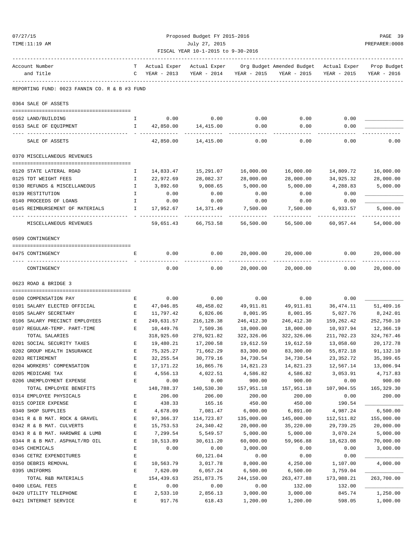| 07/27/15                                                | Proposed Budget FY 2015-2016<br>PREPARER: 0008      |                         |                        |                            |                                                                                               |                         |                            |  |  |
|---------------------------------------------------------|-----------------------------------------------------|-------------------------|------------------------|----------------------------|-----------------------------------------------------------------------------------------------|-------------------------|----------------------------|--|--|
| TIME:11:19 AM                                           | July 27, 2015<br>FISCAL YEAR 10-1-2015 to 9-30-2016 |                         |                        |                            |                                                                                               |                         |                            |  |  |
|                                                         |                                                     |                         |                        |                            |                                                                                               |                         |                            |  |  |
| Account Number<br>and Title                             |                                                     | C YEAR - 2013           |                        | YEAR - 2014 YEAR - 2015    | T Actual Exper Actual Exper Org Budget Amended Budget Actual Exper Prop Budget<br>YEAR - 2015 | YEAR - 2015             | YEAR - 2016                |  |  |
|                                                         |                                                     |                         |                        |                            |                                                                                               |                         |                            |  |  |
| REPORTING FUND: 0023 FANNIN CO. R & B #3 FUND           |                                                     |                         |                        |                            |                                                                                               |                         |                            |  |  |
| 0364 SALE OF ASSETS                                     |                                                     |                         |                        |                            |                                                                                               |                         |                            |  |  |
| 0162 LAND/BUILDING                                      | $\mathbf{I}$                                        |                         | $0.00$ 0.00            | 0.00                       | 0.00                                                                                          | 0.00                    |                            |  |  |
| 0163 SALE OF EQUIPMENT                                  |                                                     | I 42,850.00             | 14,415.00              | 0.00                       | 0.00                                                                                          | 0.00                    |                            |  |  |
| SALE OF ASSETS                                          |                                                     | 42,850.00               | 14,415.00              | 0.00                       | 0.00                                                                                          | 0.00                    | 0.00                       |  |  |
| 0370 MISCELLANEOUS REVENUES                             |                                                     |                         |                        |                            |                                                                                               |                         |                            |  |  |
|                                                         |                                                     |                         |                        |                            |                                                                                               |                         |                            |  |  |
| 0120 STATE LATERAL ROAD                                 | Ι.                                                  | 14,833.47               | 15,291.07              | 16,000.00                  | 16,000.00                                                                                     | 14,809.72               | 16,000.00                  |  |  |
| 0125 TDT WEIGHT FEES                                    | Ι.                                                  | 22,972.69               | 28,082.37              | 28,000.00                  | 28,000.00                                                                                     | 34,925.32               | 28,000.00                  |  |  |
| 0130 REFUNDS & MISCELLANEOUS<br>0139 RESTITUTION        | $\mathbb{I}$<br>$\mathbb{I}$                        | 3,892.60<br>0.00        | 9,008.65<br>0.00       | 5,000.00<br>0.00           | 5,000.00<br>0.00                                                                              | 4,288.83<br>0.00        | 5,000.00                   |  |  |
| 0140 PROCEEDS OF LOANS                                  | $\mathbb{I}$                                        | 0.00                    | 0.00                   | 0.00                       | 0.00                                                                                          | 0.00                    |                            |  |  |
| 0145 REIMBURSEMENT OF MATERIALS                         | <b>I</b> and <b>I</b>                               | 17,952.67               | 14,371.49              | 7,500.00                   | 7,500.00                                                                                      | 6,933.57                | 5,000.00                   |  |  |
| MISCELLANEOUS REVENUES                                  |                                                     | 59,651.43               | 66,753.58              | 56,500.00                  | 56,500.00                                                                                     | ---------<br>60,957.44  | ----------<br>54,000.00    |  |  |
|                                                         |                                                     |                         |                        |                            |                                                                                               |                         |                            |  |  |
| 0509 CONTINGENCY                                        |                                                     |                         |                        |                            |                                                                                               |                         |                            |  |  |
| 0475 CONTINGENCY                                        | E                                                   | 0.00                    | 0.00                   | 20,000.00                  | 20,000.00                                                                                     | 0.00                    | 20,000.00                  |  |  |
| CONTINGENCY                                             |                                                     | 0.00                    | 0.00                   | -------------<br>20,000.00 | -----------------------------                                                                 | 20,000.00 0.00          | -------------<br>20,000.00 |  |  |
| 0623 ROAD & BRIDGE 3                                    |                                                     |                         |                        |                            |                                                                                               |                         |                            |  |  |
|                                                         |                                                     |                         |                        |                            |                                                                                               |                         |                            |  |  |
| 0100 COMPENSATION PAY                                   | Е                                                   | 0.00                    | 0.00                   | 0.00                       | 0.00                                                                                          | 0.00                    |                            |  |  |
| 0101 SALARY ELECTED OFFICIAL                            | E                                                   | 47,046.85               | 48,458.02              | 49,911.81                  | 49,911.81                                                                                     | 36,474.11               | 51,409.16                  |  |  |
| 0105 SALARY SECRETARY<br>0106 SALARY PRECINCT EMPLOYEES | Е<br>$\mathbf{E}$                                   | 11,797.42<br>249,631.57 | 6,826.06               | 8,001.95<br>246,412.30     | 8,001.95<br>246,412.30                                                                        | 5,027.76                | 8,242.01<br>252,750.10     |  |  |
| 0107 REGULAR-TEMP. PART-TIME                            | <b>Expanding Expanding Expanding Expanding</b>      | 10,449.76               | 216,128.38<br>7,509.36 | 18,000.00                  | 18,000.00                                                                                     | 159,262.42<br>10,937.94 | 12,366.19                  |  |  |
| TOTAL SALARIES                                          |                                                     | 318,925.60              | 278,921.82             | 322,326.06                 | 322,326.06                                                                                    | 211,702.23              | 324,767.46                 |  |  |
| 0201 SOCIAL SECURITY TAXES                              | Ε                                                   | 19,480.21               | 17,200.58              | 19,612.59                  | 19,612.59                                                                                     | 13,058.60               | 20, 172. 78                |  |  |
| 0202 GROUP HEALTH INSURANCE                             | $\mathbf E$                                         | 75, 325.27              | 71,662.29              | 83,300.00                  | 83,300.00                                                                                     | 55,872.18               | 91,132.10                  |  |  |
| 0203 RETIREMENT                                         | E                                                   | 32, 255.54              | 30,779.16              | 34,730.54                  | 34,730.54                                                                                     | 23, 352.72              | 35, 399.65                 |  |  |
| 0204 WORKERS' COMPENSATION                              | E                                                   | 17,171.22               | 16,865.76              | 14,821.23                  | 14,821.23                                                                                     | 12,567.14               | 13,006.94                  |  |  |
| 0205 MEDICARE TAX                                       | E                                                   | 4,556.13                | 4,022.51               | 4,586.82                   | 4,586.82                                                                                      | 3,053.91                | 4,717.83                   |  |  |
| 0206 UNEMPLOYMENT EXPENSE                               | E                                                   | 0.00                    | 0.00                   | 900.00                     | 900.00                                                                                        | 0.00                    | 900.00                     |  |  |
| TOTAL EMPLOYEE BENEFITS                                 |                                                     | 148,788.37              | 140,530.30             | 157,951.18                 | 157,951.18                                                                                    | 107,904.55              | 165, 329.30                |  |  |
| 0314 EMPLOYEE PHYSICALS                                 | Ε                                                   | 206.00                  | 206.00                 | 200.00                     | 200.00                                                                                        | 0.00                    | 200.00                     |  |  |
| 0315 COPIER EXPENSE                                     | Ε                                                   | 438.33                  | 165.16                 | 450.00                     | 450.00                                                                                        | 190.54                  |                            |  |  |
| 0340 SHOP SUPPLIES                                      | E                                                   | 4,678.09                | 7,081.47               | 6,000.00                   | 6,891.00                                                                                      | 4,987.24                | 6,500.00                   |  |  |
| 0341 R & B MAT. ROCK & GRAVEL                           | Ε                                                   | 97,366.37               | 114,723.87             | 135,000.00                 | 145,000.00                                                                                    | 112,511.82              | 155,000.00                 |  |  |
| 0342 R & B MAT. CULVERTS                                | E                                                   | 15,753.53               | 24,340.42              | 20,000.00                  | 35,220.00                                                                                     | 29,739.25               | 20,000.00                  |  |  |
| 0343 R & B MAT. HARDWRE & LUMB                          | $\mathbf E$                                         | 7,299.54                | 5,549.57               | 5,000.00                   | 5,000.00                                                                                      | 3,070.24                | 5,000.00                   |  |  |
| 0344 R & B MAT. ASPHALT/RD OIL                          | Ε                                                   | 10,513.89               | 30,611.20              | 60,000.00                  | 59,966.88                                                                                     | 18,623.08               | 70,000.00                  |  |  |
| 0345 CHEMICALS                                          | E                                                   | 0.00                    | 0.00                   | 3,000.00                   | 0.00                                                                                          | 0.00                    | 3,000.00                   |  |  |
| 0346 CETRZ EXPENDITURES                                 | $\mathbf E$                                         |                         | 60,121.04              | 0.00                       | 0.00                                                                                          | 0.00                    |                            |  |  |
| 0350 DEBRIS REMOVAL                                     | Ε<br>$\mathbf E$                                    | 10,563.79               | 3,017.78               | 8,000.00                   | 4,250.00                                                                                      | 1,107.00                | 4,000.00                   |  |  |
| 0395 UNIFORMS<br>TOTAL R&B MATERIALS                    |                                                     | 7,620.09<br>154,439.63  | 6,057.24<br>251,873.75 | 6,500.00<br>244,150.00     | 6,500.00<br>263, 477.88                                                                       | 3,759.04<br>173,988.21  | 263,700.00                 |  |  |
| 0400 LEGAL FEES                                         | Ε                                                   | 0.00                    | 0.00                   | 0.00                       | 132.00                                                                                        | 132.00                  |                            |  |  |
| 0420 UTILITY TELEPHONE                                  | Ε                                                   | 2,533.10                | 2,856.13               | 3,000.00                   | 3,000.00                                                                                      | 845.74                  | 1,250.00                   |  |  |

0421 INTERNET SERVICE E 917.76 618.43 1,200.00 1,200.00 598.05 1,000.00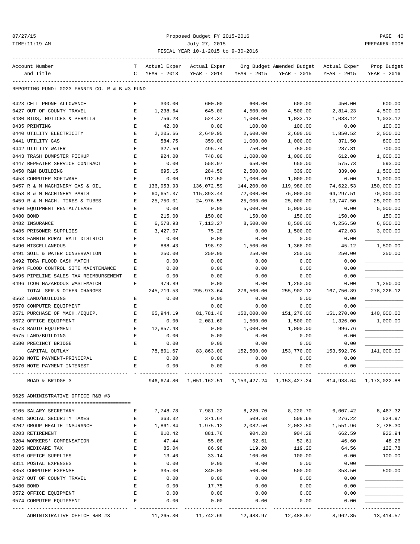## 07/27/15 Proposed Budget FY 2015-2016 PAGE 40 TIME:11:19 AM July 27, 2015 PREPARER:0008 FISCAL YEAR 10-1-2015 to 9-30-2016

| Account Number                                                                          | т           | Actual Exper | Actual Exper      |             | Org Budget Amended Budget                                                 | Actual Exper | Prop Budget  |
|-----------------------------------------------------------------------------------------|-------------|--------------|-------------------|-------------|---------------------------------------------------------------------------|--------------|--------------|
| and Title                                                                               | C           | YEAR - 2013  | YEAR - 2014       | YEAR - 2015 | YEAR - 2015                                                               | YEAR - 2015  | YEAR - 2016  |
|                                                                                         |             |              |                   |             |                                                                           |              |              |
| REPORTING FUND: 0023 FANNIN CO. R & B #3 FUND                                           |             |              |                   |             |                                                                           |              |              |
| 0423 CELL PHONE ALLOWANCE                                                               | Е           | 300.00       | 600.00            | 600.00      | 600.00                                                                    | 450.00       | 600.00       |
| 0427 OUT OF COUNTY TRAVEL                                                               | E           | 1,238.64     | 645.00            | 4,500.00    | 4,500.00                                                                  | 2,814.23     | 4,500.00     |
| 0430 BIDS, NOTICES & PERMITS                                                            | $\mathbf E$ | 756.28       | 524.37            | 1,000.00    | 1,033.12                                                                  | 1,033.12     | 1,033.12     |
| 0435 PRINTING                                                                           | E           | 42.00        | 0.00              | 100.00      | 100.00                                                                    | 0.00         | 100.00       |
| 0440 UTILITY ELECTRICITY                                                                | E           | 2,205.66     | 2,640.95          | 2,600.00    | 2,600.00                                                                  | 1,850.52     | 2,000.00     |
| 0441 UTILITY GAS                                                                        | E           | 584.75       | 359.00            | 1,000.00    | 1,000.00                                                                  | 371.50       | 800.00       |
| 0442 UTILITY WATER                                                                      | E           | 327.56       | 495.74            | 750.00      | 750.00                                                                    | 287.81       | 700.00       |
| 0443 TRASH DUMPSTER PICKUP                                                              | E           | 924.00       | 748.00            | 1,000.00    | 1,000.00                                                                  | 612.00       | 1,000.00     |
| 0447 REPEATER SERVICE CONTRACT                                                          | $\mathbf E$ | 0.00         | 558.97            | 650.00      | 650.00                                                                    | 575.73       | 593.00       |
| 0450 R&M BUILDING                                                                       | E           | 695.15       | 284.50            | 2,500.00    | 339.00                                                                    | 339.00       | 1,500.00     |
| 0453 COMPUTER SOFTWARE                                                                  | $\mathbf E$ | 0.00         | 912.50            | 1,000.00    | 1,000.00                                                                  | 0.00         | 1,000.00     |
| 0457 R & M MACHINERY GAS & OIL                                                          | Е           | 136,953.93   | 136,072.59        | 144,200.00  | 119,980.00                                                                | 74,622.53    | 150,000.00   |
| 0458 R & M MACHINERY PARTS                                                              | Е           | 60,651.37    | 115,893.44        | 72,000.00   | 75,000.00                                                                 | 64,297.51    | 70,000.00    |
| 0459 R & M MACH. TIRES & TUBES                                                          | E           | 25,750.01    | 24,976.55         | 25,000.00   | 25,000.00                                                                 | 13,747.50    | 25,000.00    |
| 0460 EQUIPMENT RENTAL/LEASE                                                             | $\mathbf E$ | 0.00         | 0.00              | 5,000.00    | 5,000.00                                                                  | 0.00         | 5,000.00     |
| 0480 BOND                                                                               | E           | 215.00       | 150.00            | 150.00      | 150.00                                                                    | 150.00       | 150.00       |
| 0482 INSURANCE                                                                          | $\mathbf E$ | 6,578.93     | 7,113.27          | 8,500.00    | 8,500.00                                                                  | 4,256.50     | 6,000.00     |
| 0485 PRISONER SUPPLIES                                                                  | E           | 3,427.07     | 75.28             | 0.00        | 1,500.00                                                                  | 472.03       | 3,000.00     |
| 0488 FANNIN RURAL RAIL DISTRICT                                                         | E           | 0.00         | 0.00              | 0.00        | 0.00                                                                      | 0.00         |              |
| 0490 MISCELLANEOUS                                                                      | $\mathbf E$ | 888.43       | 198.92            | 1,500.00    | 1,368.00                                                                  | 45.12        | 1,500.00     |
| 0491 SOIL & WATER CONSERVATION                                                          | E           | 250.00       | 250.00            | 250.00      | 250.00                                                                    | 250.00       | 250.00       |
| 0492 TDRA FLOOD CASH MATCH                                                              | Ε           | 0.00         | 0.00              | 0.00        | 0.00                                                                      | 0.00         |              |
| 0494 FLOOD CONTROL SITE MAINTENANCE                                                     | Е           | 0.00         | 0.00              | 0.00        | 0.00                                                                      | 0.00         |              |
| 0495 PIPELINE SALES TAX REIMBURSEMENT                                                   | Ε           | 0.00         | 0.00              | 0.00        | 0.00                                                                      | 0.00         |              |
| 0496 TCOG HAZARDOUS WASTEMATCH                                                          | Е           | 479.89       | 0.00              | 0.00        | 1,250.00                                                                  | 0.00         | 1,250.00     |
| TOTAL SER. & OTHER CHARGES                                                              |             | 245,719.53   | 295,973.64        | 276,500.00  | 255,902.12                                                                | 167,750.89   | 278, 226. 12 |
| 0562 LAND/BUILDING                                                                      | Е           | 0.00         | 0.00              | 0.00        | 0.00                                                                      | 0.00         |              |
| 0570 COMPUTER EQUIPMENT                                                                 | $\mathbf E$ |              | 0.00              | 0.00        | 0.00                                                                      | 0.00         |              |
| 0571 PURCHASE OF MACH./EQUIP.                                                           | $\mathbf E$ | 65,944.19    | 81,781.40         | 150,000.00  | 151,270.00                                                                | 151,270.00   | 140,000.00   |
| 0572 OFFICE EQUIPMENT                                                                   | $\mathbf E$ | 0.00         | 2,081.60          | 1,500.00    | 1,500.00                                                                  | 1,326.00     | 1,000.00     |
| 0573 RADIO EQUIPMENT                                                                    | $\mathbf E$ | 12,857.48    | 0.00              | 1,000.00    | 1,000.00                                                                  | 996.76       |              |
| 0575 LAND/BUILDING                                                                      | $\mathbf E$ | 0.00         | 0.00              | 0.00        | 0.00                                                                      | 0.00         |              |
| 0580 PRECINCT BRIDGE                                                                    | Е           | 0.00         | 0.00              | 0.00        | 0.00                                                                      | 0.00         |              |
| CAPITAL OUTLAY                                                                          |             | 78,801.67    | 83,863.00         | 152,500.00  | 153,770.00                                                                | 153,592.76   | 141,000.00   |
| 0630 NOTE PAYMENT-PRINCIPAL                                                             | Е           | 0.00         | 0.00              | 0.00        | 0.00                                                                      | 0.00         |              |
| 0670 NOTE PAYMENT-INTEREST                                                              |             | 0.00         | 0.00              | 0.00        | 0.00                                                                      | 0.00         |              |
|                                                                                         |             |              |                   |             |                                                                           |              |              |
| ROAD & BRIDGE 3                                                                         |             |              |                   |             | 946,674.80 1,051,162.51 1,153,427.24 1,153,427.24 814,938.64 1,173,022.88 |              |              |
| 0625 ADMINISTRATIVE OFFICE R&B #3                                                       |             |              |                   |             |                                                                           |              |              |
| 0105 SALARY SECRETARY                                                                   | E           | 7,748.78     | 7,981.22          | 8,220.70    | 8,220.70                                                                  | 6,007.42     | 8,467.32     |
| 0201 SOCIAL SECURITY TAXES                                                              | E           | 363.32       | 371.64            | 509.68      | 509.68                                                                    | 276.22       | 524.97       |
| 0202 GROUP HEALTH INSURANCE                                                             | Е           |              | 1,861.84 1,975.12 | 2,082.50    | 2,082.50                                                                  | 1,551.96     | 2,728.30     |
| 0203 RETIREMENT                                                                         | E           | 810.42       | 881.76            | 904.28      | 904.28                                                                    | 662.59       | 922.94       |
| 0204 WORKERS' COMPENSATION                                                              | $\mathbf E$ | 47.44        | 55.08             | 52.61       | 52.61                                                                     | 46.60        | 48.26        |
| 0205 MEDICARE TAX                                                                       | E           | 85.04        | 86.98             | 119.20      | 119.20                                                                    | 64.56        | 122.78       |
| 0310 OFFICE SUPPLIES                                                                    | E           | 13.46        | 33.14             | 100.00      | 100.00                                                                    | 0.00         | 100.00       |
| 0311 POSTAL EXPENSES                                                                    | E           | 0.00         | 0.00              | 0.00        | 0.00                                                                      | 0.00         |              |
| 0353 COMPUTER EXPENSE                                                                   | Е           | 335.00       | 340.00            | 500.00      | 500.00                                                                    | 353.50       | 500.00       |
| 0427 OUT OF COUNTY TRAVEL                                                               | E           | 0.00         | 0.00              | 0.00        | 0.00                                                                      | 0.00         |              |
| 0480 BOND                                                                               | E           |              | 17.75             |             |                                                                           |              |              |
|                                                                                         | $\mathbf E$ | 0.00         |                   | 0.00        | 0.00                                                                      | 0.00         |              |
| 0572 OFFICE EQUIPMENT                                                                   |             | 0.00         | 0.00              | 0.00        | 0.00                                                                      | 0.00         |              |
| 0574 COMPUTER EQUIPMENT                                                                 | E           | 0.00         | 0.00              | 0.00        | 0.00                                                                      | 0.00         |              |
| ADMINISTRATIVE OFFICE R&B #3 11,265.30 11,742.69 12,488.97 12,488.97 8,962.85 13,414.57 |             |              |                   |             |                                                                           |              |              |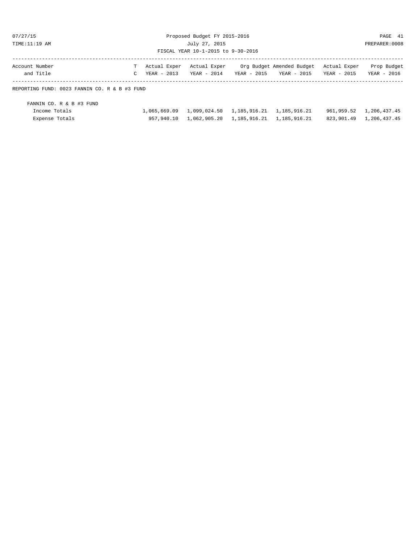07/27/15 Proposed Budget FY 2015-2016 PAGE 41 TIME:11:19 AM July 27, 2015 PREPARER:0008 FISCAL YEAR 10-1-2015 to 9-30-2016

| Account Number |  |  | T Actual Exper Actual Exper Org Budget Amended Budget Actual Exper Prop Budget |  |
|----------------|--|--|--------------------------------------------------------------------------------|--|
| and Title      |  |  | C YEAR - 2013 YEAR - 2014 YEAR - 2015 YEAR - 2015 YEAR - 2015 YEAR - 2016      |  |
|                |  |  |                                                                                |  |

### REPORTING FUND: 0023 FANNIN CO. R & B #3 FUND

| FANNIN CO. R & B #3 FUND |                                                           |  |                         |
|--------------------------|-----------------------------------------------------------|--|-------------------------|
| Income Totals            | 1,065,669.09   1,099,024.50   1,185,916.21   1,185,916.21 |  | 961,959.52 1,206,437.45 |
| Expense Totals           | 957,940.10  1,062,905.20  1,185,916.21  1,185,916.21      |  | 823,901.49 1,206,437.45 |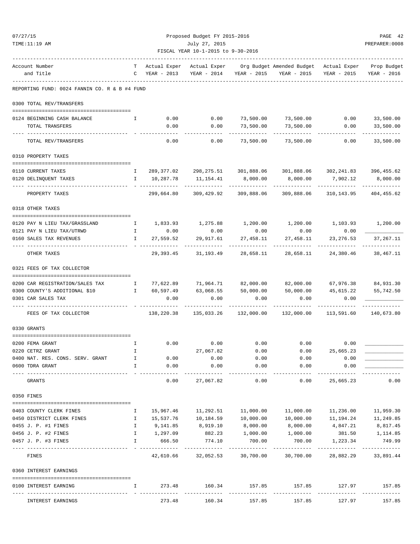|                                               |              |                          | FISCAL YEAR 10-1-2015 to 9-30-2016 |                           |                                                                               |                          |                            |
|-----------------------------------------------|--------------|--------------------------|------------------------------------|---------------------------|-------------------------------------------------------------------------------|--------------------------|----------------------------|
| Account Number                                | T.           |                          |                                    |                           | Actual Exper Actual Exper Org Budget Amended Budget Actual Exper              |                          | Prop Budget                |
| and Title                                     | $\mathbf{C}$ | YEAR - 2013              | YEAR - 2014                        |                           | YEAR - 2015 YEAR - 2015                                                       | YEAR - 2015              | YEAR - 2016                |
| REPORTING FUND: 0024 FANNIN CO. R & B #4 FUND |              |                          |                                    |                           |                                                                               |                          |                            |
| 0300 TOTAL REV/TRANSFERS                      |              |                          |                                    |                           |                                                                               |                          |                            |
| 0124 BEGINNING CASH BALANCE                   | Ι.           | 0.00                     | 0.00                               |                           | 73,500.00 73,500.00 0.00                                                      |                          | 33,500.00                  |
| TOTAL TRANSFERS                               |              | 0.00                     | 0.00                               | 73,500.00<br>----------   | 73,500.00<br>------------                                                     | 0.00                     | 33,500.00                  |
| TOTAL REV/TRANSFERS                           |              | 0.00                     | 0.00                               | 73,500.00                 | 73,500.00                                                                     | 0.00                     | 33,500.00                  |
| 0310 PROPERTY TAXES                           |              |                          |                                    |                           |                                                                               |                          |                            |
| 0110 CURRENT TAXES                            | I.           |                          |                                    |                           | 289,377.02 298,275.51 301,888.06 301,888.06 302,241.83 396,455.62             |                          |                            |
| 0120 DELINQUENT TAXES                         |              | I 10,287.78              | 11,154.41 8,000.00                 |                           | 8,000.00                                                                      | 7,902.12                 | 8,000.00                   |
| PROPERTY TAXES                                |              | ----------<br>299,664.80 | ----------<br>309,429.92           | -----------<br>309,888.06 | .<br>309,888.06                                                               | ----------<br>310,143.95 | 404,455.62                 |
| 0318 OTHER TAXES                              |              |                          |                                    |                           |                                                                               |                          |                            |
| 0120 PAY N LIEU TAX/GRASSLAND                 |              |                          |                                    |                           | $1, 200.00$ $1, 200.00$ $1, 200.00$ $1, 103.93$ $1, 200.00$                   |                          |                            |
| 0121 PAY N LIEU TAX/UTRWD                     |              | I 0.00                   | 0.00                               | 0.00                      | 0.00                                                                          | 0.00                     |                            |
| 0160 SALES TAX REVENUES                       | $\mathbf{I}$ | 27,559.52                | 29,917.61                          | 27,458.11                 | 27,458.11                                                                     | 23, 276.53               | 37,267.11                  |
| OTHER TAXES                                   |              |                          | 29, 393. 45 31, 193. 49            | 28,658.11                 | 28,658.11                                                                     | 24,380.46                | 38,467.11                  |
| 0321 FEES OF TAX COLLECTOR                    |              |                          |                                    |                           |                                                                               |                          |                            |
| 0200 CAR REGISTRATION/SALES TAX               | $\mathbf{I}$ |                          |                                    |                           | 77,622.89 71,964.71 82,000.00 82,000.00 67,976.38 84,931.30                   |                          |                            |
| 0300 COUNTY'S ADDITIONAL \$10                 |              |                          | I 60,597.49 63,068.55              | 50,000.00                 | 50,000.00                                                                     | 45,615.22                | 55,742.50                  |
| 0301 CAR SALES TAX                            |              | 0.00                     | 0.00                               | 0.00                      | 0.00                                                                          | 0.00                     |                            |
| FEES OF TAX COLLECTOR                         |              |                          |                                    |                           | $138,220.38$ $135,033.26$ $132,000.00$ $132,000.00$ $113,591.60$ $140,673.80$ |                          |                            |
| 0330 GRANTS                                   |              |                          |                                    |                           |                                                                               |                          |                            |
|                                               |              |                          |                                    |                           |                                                                               |                          |                            |
| 0200 FEMA GRANT                               | I.           |                          | $0.00$ 0.00                        | 0.00                      | $0.00$ 0.00                                                                   |                          |                            |
| 0220 CETRZ GRANT                              | Ι.           |                          | 27,067.82                          | 0.00                      | 0.00                                                                          | 25,665.23                |                            |
| 0400 NAT. RES. CONS. SERV. GRANT              |              | 0.00                     | 0.00                               | 0.00                      | 0.00                                                                          | 0.00                     |                            |
| 0600 TDRA GRANT                               | I.           | 0.00<br>-------------    | 0.00<br>-------------              | 0.00<br>-------------     | 0.00<br>------------                                                          | 0.00<br>-------------    |                            |
| GRANTS                                        |              | 0.00                     | 27,067.82                          | 0.00                      | 0.00                                                                          | 25,665.23                | 0.00                       |
| 0350 FINES                                    |              |                          |                                    |                           |                                                                               |                          |                            |
| 0403 COUNTY CLERK FINES                       | Ι.           | 15,967.46                | 11,292.51                          | 11,000.00                 | 11,000.00                                                                     | 11,236.00                | 11,959.30                  |
| 0450 DISTRICT CLERK FINES                     | Ι.           | 15,537.76                | 10,184.59                          | 10,000.00                 | 10,000.00                                                                     | 11,194.24                | 11,249.85                  |
| 0455 J. P. #1 FINES                           | I.           | 9,141.85                 | 8,919.10                           | 8,000.00                  | 8,000.00                                                                      | 4,847.21                 | 8,817.45                   |
| 0456 J. P. #2 FINES                           | I            | 1,297.09                 | 882.23                             | 1,000.00                  | 1,000.00                                                                      | 381.50                   | 1,114.85                   |
| 0457 J. P. #3 FINES                           | I.           | 666.50                   | 774.10                             | 700.00                    | 700.00                                                                        | 1,223.34                 | 749.99                     |
| FINES                                         |              | 42,610.66                | -------------<br>32,052.53         | ------------<br>30,700.00 | ----------<br>30,700.00                                                       | -----------<br>28,882.29 | -------------<br>33,891.44 |
| 0360 INTEREST EARNINGS                        |              |                          |                                    |                           |                                                                               |                          |                            |
|                                               |              |                          |                                    |                           |                                                                               |                          |                            |

0100 INTEREST EARNING I 273.48 160.34 157.85 157.85 127.97 157.85 ---- ---------------------------------- - ------------- ------------- ------------- ------------- ------------- ------------- INTEREST EARNINGS 273.48 160.34 157.85 157.85 127.97 157.85

07/27/15 Proposed Budget FY 2015-2016 PAGE 42 TIME:11:19 AM July 27, 2015 PREPARER:0008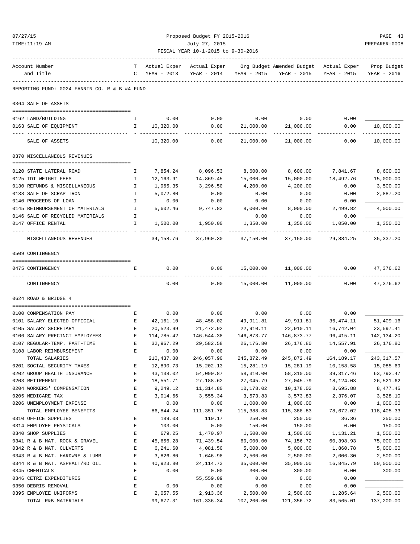| 07/27/15                                                  | Proposed Budget FY 2015-2016 |                        |                                    |                         |                                                                 |                         |                           |  |  |
|-----------------------------------------------------------|------------------------------|------------------------|------------------------------------|-------------------------|-----------------------------------------------------------------|-------------------------|---------------------------|--|--|
| TIME:11:19 AM                                             |                              |                        | July 27, 2015                      |                         |                                                                 |                         | PAGE 43<br>PREPARER: 0008 |  |  |
|                                                           |                              |                        | FISCAL YEAR 10-1-2015 to 9-30-2016 |                         |                                                                 |                         |                           |  |  |
| Account Number                                            |                              | T Actual Exper         |                                    |                         | Actual Exper Org Budget Amended Budget Actual Exper Prop Budget |                         |                           |  |  |
| and Title                                                 |                              | C YEAR - 2013          |                                    | YEAR - 2014 YEAR - 2015 | YEAR - 2015                                                     | YEAR - 2015             | YEAR - 2016               |  |  |
| REPORTING FUND: 0024 FANNIN CO. R & B #4 FUND             |                              |                        |                                    |                         |                                                                 |                         |                           |  |  |
| 0364 SALE OF ASSETS                                       |                              |                        |                                    |                         |                                                                 |                         |                           |  |  |
|                                                           |                              |                        |                                    |                         |                                                                 |                         |                           |  |  |
| 0162 LAND/BUILDING                                        | $\mathbf{I}$                 | 0.00                   | 0.00                               | 0.00                    | 0.00                                                            | 0.00                    |                           |  |  |
| 0163 SALE OF EQUIPMENT                                    | $\mathbf{I}$                 | 10,320.00              | 0.00                               | 21,000.00               | 21,000.00                                                       | 0.00                    | 10,000.00<br>----------   |  |  |
| SALE OF ASSETS                                            |                              | 10,320.00              | 0.00                               | 21,000.00               | 21,000.00                                                       | 0.00                    | 10,000.00                 |  |  |
| 0370 MISCELLANEOUS REVENUES                               |                              |                        |                                    |                         |                                                                 |                         |                           |  |  |
| 0120 STATE LATERAL ROAD                                   | Ι.                           | 7,854.24               | 8,096.53                           | 8,600.00                | 8,600.00                                                        | 7,841.67                | 8,600.00                  |  |  |
| 0125 TDT WEIGHT FEES                                      | $\mathbf{I}$                 | 12,163.91              | 14,869.45                          | 15,000.00               | 15,000.00                                                       | 18,492.76               | 15,000.00                 |  |  |
| 0130 REFUNDS & MISCELLANEOUS                              | $\mathbf{I}$                 | 1,965.35               | 3,296.50                           | 4,200.00                | 4,200.00                                                        | 0.00                    | 3,500.00                  |  |  |
| 0138 SALE OF SCRAP IRON                                   | $\mathbf{I}$                 | 5,072.80               | 0.00                               | 0.00                    | 0.00                                                            | 0.00                    | 2,887.20                  |  |  |
| 0140 PROCEEDS OF LOAN                                     | $\mathbf{I}$                 | 0.00                   | 0.00                               | 0.00                    | 0.00                                                            | 0.00                    |                           |  |  |
| 0145 REIMBURSEMENT OF MATERIALS                           | $\mathbf{I}$                 | 5,602.46               | 9,747.82                           | 8,000.00                | 8,000.00                                                        | 2,499.82                | 4,000.00                  |  |  |
| 0146 SALE OF RECYCLED MATERIALS                           | Ι.                           |                        |                                    | 0.00                    | 0.00                                                            | 0.00                    |                           |  |  |
| 0147 OFFICE RENTAL                                        | $\mathbf{I}$                 | 1,500.00               | 1,950.00                           | 1,350.00                | 1,350.00                                                        | 1,050.00                | 1,350.00                  |  |  |
| MISCELLANEOUS REVENUES                                    |                              |                        | 34, 158. 76 37, 960. 30            | 37,150.00               | 37,150.00                                                       | 29,884.25               | 35, 337. 20               |  |  |
| 0509 CONTINGENCY                                          |                              |                        |                                    |                         |                                                                 |                         |                           |  |  |
| 0475 CONTINGENCY                                          | Е                            | 0.00                   | 0.00                               | 15,000.00               | 11,000.00                                                       | 0.00                    | 47,376.62                 |  |  |
| CONTINGENCY                                               |                              | 0.00                   | 0.00                               | 15,000.00               | 11,000.00                                                       | 0.00                    | ----------<br>47,376.62   |  |  |
| 0624 ROAD & BRIDGE 4                                      |                              |                        |                                    |                         |                                                                 |                         |                           |  |  |
|                                                           |                              |                        |                                    |                         |                                                                 |                         |                           |  |  |
| 0100 COMPENSATION PAY                                     | Е                            |                        | $0.00$ $0.00$ $0.00$ $0.00$        |                         | 0.00                                                            | 0.00                    |                           |  |  |
| 0101 SALARY ELECTED OFFICIAL E                            |                              | 42,161.10              | 48,458.02 49,911.81                |                         | 49,911.81 36,474.11                                             |                         | 51,409.16                 |  |  |
| 0105 SALARY SECRETARY                                     | E                            | 20,523.99              | 21,472.92                          | 22,910.11               | 22,910.11                                                       | 16,742.04               | 23,597.41                 |  |  |
| 0106 SALARY PRECINCT EMPLOYEES                            | E                            | 114,785.42             | 146,544.38                         | 146,873.77              | 146,873.77                                                      | 96, 415.11              | 142, 134. 20              |  |  |
| 0107 REGULAR-TEMP. PART-TIME                              | Ε                            | 32,967.29              | 29,582.58                          | 26,176.80               | 26,176.80                                                       | 14,557.91               | 26,176.80                 |  |  |
| 0108 LABOR REIMBURSEMENT                                  | E                            | 0.00                   | 0.00                               | 0.00                    | 0.00                                                            | 0.00                    |                           |  |  |
| TOTAL SALARIES                                            |                              | 210,437.80             | 246,057.90                         | 245,872.49              | 245,872.49                                                      | 164, 189. 17            | 243, 317.57               |  |  |
| 0201 SOCIAL SECURITY TAXES<br>0202 GROUP HEALTH INSURANCE | Ε<br>E                       | 12,890.73              | 15,202.13                          | 15,281.19               | 15,281.19<br>58,310.00                                          | 10,158.58               | 15,085.69                 |  |  |
| 0203 RETIREMENT                                           | $\mathbf E$                  | 43,138.02<br>18,551.71 | 54,090.87<br>27,188.62             | 58,310.00<br>27,045.79  | 27,045.79                                                       | 39, 317.46<br>18,124.03 | 63,792.47<br>26,521.62    |  |  |
| 0204 WORKERS' COMPENSATION                                | E                            | 9,249.12               | 11,314.80                          | 10,178.02               | 10,178.02                                                       | 8,695.88                | 8,477.45                  |  |  |
| 0205 MEDICARE TAX                                         | E                            | 3,014.66               | 3,555.34                           | 3,573.83                | 3,573.83                                                        | 2,376.07                | 3,528.10                  |  |  |
| 0206 UNEMPLOYMENT EXPENSE                                 | E                            | 0.00                   | 0.00                               | 1,000.00                | 1,000.00                                                        | 0.00                    | 1,000.00                  |  |  |
| TOTAL EMPLOYEE BENEFITS                                   |                              | 86,844.24              | 111,351.76                         | 115,388.83              | 115,388.83                                                      | 78,672.02               | 118,405.33                |  |  |
| 0310 OFFICE SUPPLIES                                      | E                            | 189.03                 | 110.17                             | 250.00                  | 250.00                                                          | 36.36                   | 250.00                    |  |  |
| 0314 EMPLOYEE PHYSICALS                                   | E                            | 103.00                 | 0.00                               | 150.00                  | 150.00                                                          | 0.00                    | 150.00                    |  |  |
| 0340 SHOP SUPPLIES                                        | E                            | 679.25                 | 1,470.97                           | 1,500.00                | 1,500.00                                                        | 1,131.21                | 1,500.00                  |  |  |
| 0341 R & B MAT. ROCK & GRAVEL                             | E                            | 45,656.28              | 71,439.54                          | 60,000.00               | 74,156.72                                                       | 60,398.93               | 75,000.00                 |  |  |
| 0342 R & B MAT. CULVERTS                                  | E                            | 6,241.60               | 4,081.50                           | 5,000.00                | 5,000.00                                                        | 1,860.78                | 5,000.00                  |  |  |
| 0343 R & B MAT. HARDWRE & LUMB                            | E                            | 3,826.80               | 1,646.98                           | 2,500.00                | 2,500.00                                                        | 2,006.30                | 2,500.00                  |  |  |
| 0344 R & B MAT. ASPHALT/RD OIL                            | $\mathbf E$                  | 40,923.80              | 24, 114.73                         | 35,000.00               | 35,000.00                                                       | 16,845.79               | 50,000.00                 |  |  |
| 0345 CHEMICALS                                            | Е                            | 0.00                   | 0.00                               | 300.00                  | 300.00                                                          | 0.00                    | 300.00                    |  |  |
| 0346 CETRZ EXPENDITURES                                   | E                            |                        | 55,559.09                          | 0.00                    | 0.00                                                            | 0.00                    |                           |  |  |
| 0350 DEBRIS REMOVAL                                       | E                            | 0.00                   | 0.00                               | 0.00                    | 0.00                                                            | 0.00                    |                           |  |  |
| 0395 EMPLOYEE UNIFORMS<br>TOTAL R&B MATERIALS             | E                            | 2,057.55<br>99,677.31  | 2,913.36                           | 2,500.00<br>107,200.00  | 2,500.00<br>121,356.72                                          | 1,285.64<br>83,565.01   | 2,500.00<br>137,200.00    |  |  |
|                                                           |                              |                        | 161,336.34                         |                         |                                                                 |                         |                           |  |  |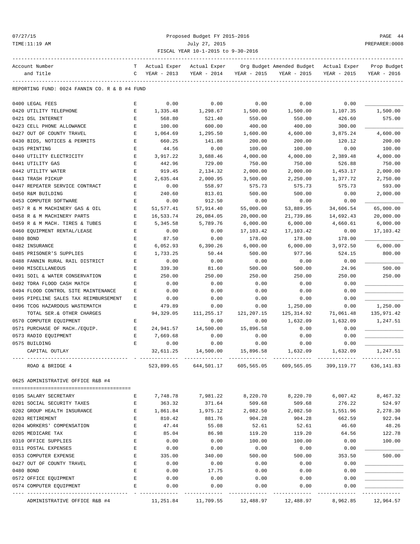## 07/27/15 Proposed Budget FY 2015-2016 PAGE 44 TIME:11:19 AM July 27, 2015 PREPARER:0008 FISCAL YEAR 10-1-2015 to 9-30-2016

| Account Number                                | т | Actual Exper | Actual Exper |             | Org Budget Amended Budget                           | Actual Exper | Prop Budget |
|-----------------------------------------------|---|--------------|--------------|-------------|-----------------------------------------------------|--------------|-------------|
| and Title                                     | C | YEAR - 2013  | YEAR - 2014  | YEAR - 2015 | YEAR - 2015                                         | YEAR - 2015  | YEAR - 2016 |
| REPORTING FUND: 0024 FANNIN CO. R & B #4 FUND |   |              |              |             |                                                     |              |             |
| 0400 LEGAL FEES                               | E | 0.00         | 0.00         | 0.00        | 0.00                                                | 0.00         |             |
| 0420 UTILITY TELEPHONE                        | Е | 1,335.48     | 1,298.67     | 1,500.00    | 1,500.00                                            | 1,107.35     | 1,500.00    |
| 0421 DSL INTERNET                             | Ε | 568.80       | 521.40       | 550.00      | 550.00                                              | 426.60       | 575.00      |
| 0423 CELL PHONE ALLOWANCE                     | Ε | 100.00       | 600.00       | 400.00      | 400.00                                              | 300.00       |             |
| 0427 OUT OF COUNTY TRAVEL                     | Е | 1,064.69     | 1,295.50     | 1,600.00    | 4,600.00                                            | 3,875.24     | 4,600.00    |
| 0430 BIDS, NOTICES & PERMITS                  | Е | 660.25       | 141.88       | 200.00      | 200.00                                              | 120.12       | 200.00      |
| 0435 PRINTING                                 | Е | 44.56        | 0.00         | 100.00      | 100.00                                              | 0.00         | 100.00      |
| 0440 UTILITY ELECTRICITY                      | Е | 3,917.22     | 3,688.46     | 4,000.00    | 4,000.00                                            | 2,389.48     | 4,000.00    |
| 0441 UTILITY GAS                              | E | 442.96       | 729.00       | 750.00      | 750.00                                              | 526.88       | 750.00      |
| 0442 UTILITY WATER                            | Е | 919.45       | 2,134.32     | 2,000.00    | 2,000.00                                            | 1,453.17     | 2,000.00    |
| 0443 TRASH PICKUP                             | Е | 2,635.44     | 2,000.95     | 3,500.00    | 2,250.00                                            | 1,377.72     | 2,750.00    |
| 0447 REPEATER SERVICE CONTRACT                | E | 0.00         | 558.97       | 575.73      | 575.73                                              | 575.73       | 593.00      |
| 0450 R&M BUILDING                             | Е | 240.60       | 813.01       | 500.00      | 500.00                                              | 0.00         | 2,000.00    |
| 0453 COMPUTER SOFTWARE                        | E | 0.00         | 912.50       | 0.00        | 0.00                                                | 0.00         |             |
| 0457 R & M MACHINERY GAS & OIL                | Е | 51,577.41    | 57,914.40    | 55,000.00   | 53,889.95                                           | 34,606.54    | 65,000.00   |
| 0458 R & M MACHINERY PARTS                    | Ε | 16,533.74    | 26,084.05    | 20,000.00   | 21,739.86                                           | 14,692.43    | 20,000.00   |
| 0459 R & M MACH. TIRES & TUBES                | Е | 5,345.58     | 5,789.76     | 6,000.00    | 6,000.00                                            | 4,660.61     | 6,000.00    |
| 0460 EQUIPMENT RENTAL/LEASE                   | Е | 0.00         | 0.00         | 17,103.42   | 17,103.42                                           | 0.00         | 17,103.42   |
| 0480 BOND                                     | Е | 87.50        | 0.00         | 178.00      | 178.00                                              | 178.00       |             |
| 0482 INSURANCE                                | E | 6,052.93     | 6,390.26     | 6,000.00    | 6,000.00                                            | 3,972.50     | 6,000.00    |
| 0485 PRISONER'S SUPPLIES                      | E | 1,733.25     | 50.44        | 500.00      | 977.96                                              | 524.15       | 800.00      |
| 0488 FANNIN RURAL RAIL DISTRICT               | Е | 0.00         | 0.00         | 0.00        | 0.00                                                | 0.00         |             |
| 0490 MISCELLANEOUS                            | E | 339.30       | 81.60        | 500.00      | 500.00                                              | 24.96        | 500.00      |
| 0491 SOIL & WATER CONSERVATION                | E | 250.00       | 250.00       | 250.00      | 250.00                                              | 250.00       | 250.00      |
| 0492 TDRA FLOOD CASH MATCH                    | Е | 0.00         | 0.00         | 0.00        | 0.00                                                | 0.00         |             |
| 0494 FLOOD CONTROL SITE MAINTENANCE           | Е | 0.00         | 0.00         | 0.00        | 0.00                                                | 0.00         |             |
| 0495 PIPELINE SALES TAX REIMBURSEMENT         | Е | 0.00         | 0.00         | 0.00        | 0.00                                                | 0.00         |             |
| 0496 TCOG HAZARDOUS WASTEMATCH                | E | 479.89       | 0.00         | 0.00        | 1,250.00                                            | 0.00         | 1,250.00    |
| TOTAL SER. & OTHER CHARGES                    |   | 94,329.05    | 111,255.17   | 121,207.15  | 125, 314.92                                         | 71,061.48    | 135,971.42  |
| 0570 COMPUTER EQUIPMENT                       | Е |              | 0.00         | 0.00        | 1,632.09                                            | 1,632.09     | 1,247.51    |
| 0571 PURCHASE OF MACH./EOUIP.                 | Е | 24,941.57    | 14,500.00    | 15,896.58   | 0.00                                                | 0.00         |             |
| 0573 RADIO EQUIPMENT                          | Е | 7,669.68     | 0.00         | 0.00        | 0.00                                                | 0.00         |             |
| 0575 BUILDING                                 | Ε | 0.00         | 0.00         | 0.00        | 0.00                                                | 0.00         |             |
| CAPITAL OUTLAY                                |   | 32,611.25    | 14,500.00    | 15,896.58   | 1,632.09                                            | 1,632.09     | 1,247.51    |
|                                               |   |              |              |             |                                                     |              |             |
| ROAD & BRIDGE 4                               |   | 523,899.65   | 644,501.17   |             | 605,565.05 609,565.05 399,119.77                    |              | 636,141.83  |
| 0625 ADMINISTRATIVE OFFICE R&B #4             |   |              |              |             |                                                     |              |             |
| 0105 SALARY SECRETARY                         | Е | 7,748.78     | 7,981.22     | 8,220.70    | 8,220.70                                            | 6,007.42     | 8,467.32    |
| 0201 SOCIAL SECURITY TAXES                    | Е | 363.32       | 371.64       | 509.68      | 509.68                                              | 276.22       | 524.97      |
| 0202 GROUP HEALTH INSURANCE                   | Ε | 1,861.84     | 1,975.12     | 2,082.50    | 2,082.50                                            | 1,551.96     | 2,278.30    |
| 0203 RETIREMENT                               | E | 810.42       | 881.76       | 904.28      | 904.28                                              | 662.59       | 922.94      |
| 0204 WORKERS' COMPENSATION                    | Е | 47.44        | 55.08        | 52.61       | 52.61                                               | 46.60        | 48.26       |
| 0205 MEDICARE TAX                             | E | 85.04        | 86.98        | 119.20      | 119.20                                              | 64.56        | 122.78      |
| 0310 OFFICE SUPPLIES                          | E | 0.00         | 0.00         | 100.00      | 100.00                                              | 0.00         | 100.00      |
| 0311 POSTAL EXPENSES                          | Ε | 0.00         | 0.00         | 0.00        | 0.00                                                | 0.00         |             |
| 0353 COMPUTER EXPENSE                         | Ε | 335.00       | 340.00       | 500.00      | 500.00                                              | 353.50       | 500.00      |
| 0427 OUT OF COUNTY TRAVEL                     | Е | 0.00         | 0.00         | 0.00        | 0.00                                                | 0.00         |             |
| 0480 BOND                                     | E | 0.00         | 17.75        | 0.00        | 0.00                                                | 0.00         |             |
| 0572 OFFICE EQUIPMENT                         | Е | 0.00         | 0.00         | 0.00        | 0.00                                                | 0.00         |             |
| 0574 COMPUTER EQUIPMENT                       | E | 0.00         | 0.00         | 0.00        | 0.00                                                | 0.00         |             |
|                                               |   |              |              |             |                                                     |              |             |
| ADMINISTRATIVE OFFICE R&B #4                  |   |              |              |             | $11, 251.84$ $11, 709.55$ $12, 488.97$ $12, 488.97$ | 8,962.85     | 12,964.57   |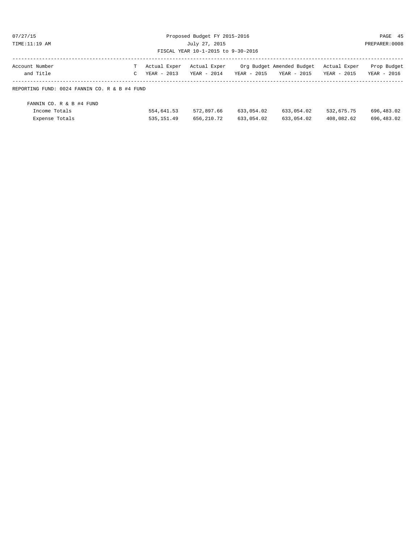| 07/27/1 |  |  |  |
|---------|--|--|--|
|         |  |  |  |

Proposed Budget FY 2015-2016 PAGE 45 TIME:11:19 AM July 27, 2015 PREPARER:0008 FISCAL YEAR 10-1-2015 to 9-30-2016

| Account Number                                | T Actual Exper Actual Exper     |  |             | Org Budget Amended Budget Actual Exper | Prop Budget |
|-----------------------------------------------|---------------------------------|--|-------------|----------------------------------------|-------------|
| and Title                                     | $C = YFAR = 2013$ $YFAR = 2014$ |  | YEAR - 2015 | YEAR - 2015 YEAR - 2015                | YEAR - 2016 |
| REPORTING FUND: 0024 FANNIN CO. R & B #4 FUND |                                 |  |             |                                        |             |

| FANNIN CO. R & B #4 FUND |              |            |            |            |            |            |
|--------------------------|--------------|------------|------------|------------|------------|------------|
| Income Totals            | 554,641.53   | 572,897.66 | 633,054.02 | 633,054.02 | 532,675.75 | 696,483.02 |
| Expense Totals           | 535, 151, 49 | 656,210.72 | 633,054.02 | 633,054.02 | 408,082.62 | 696,483.02 |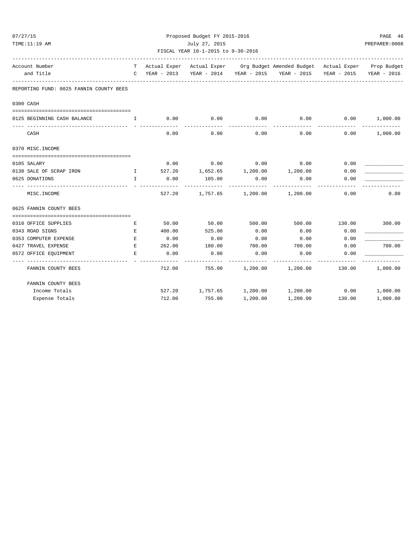| 07/27/15 |                                                                                            |              |        | Proposed Budget FY 2015-2016       |                   |                                                                              |            | PAGE 46        |
|----------|--------------------------------------------------------------------------------------------|--------------|--------|------------------------------------|-------------------|------------------------------------------------------------------------------|------------|----------------|
|          | TIME:11:19 AM                                                                              |              |        | July 27, 2015                      |                   |                                                                              |            | PREPARER: 0008 |
|          |                                                                                            |              |        | FISCAL YEAR 10-1-2015 to 9-30-2016 |                   |                                                                              |            |                |
|          | Account Number                                                                             | T.           |        |                                    |                   | Actual Exper Actual Exper Org Budget Amended Budget Actual Exper Prop Budget |            |                |
|          | and Title<br>-----------------                                                             |              |        |                                    |                   | C YEAR - 2013 YEAR - 2014 YEAR - 2015 YEAR - 2015 YEAR - 2015                |            | YEAR - 2016    |
|          | REPORTING FUND: 0025 FANNIN COUNTY BEES                                                    |              |        |                                    |                   |                                                                              |            |                |
|          | 0300 CASH                                                                                  |              |        |                                    |                   |                                                                              |            |                |
|          |                                                                                            | $\mathbf{I}$ | 0.00   | 0.00                               | 0.00              | 0.00                                                                         | 0.00       | 1,000.00       |
|          | 0125 BEGINNING CASH BALANCE                                                                |              |        |                                    |                   | ---------                                                                    | ---------- | ---------      |
|          | CASH                                                                                       |              | 0.00   | 0.00                               | 0.00              | 0.00                                                                         | 0.00       | 1,000.00       |
|          | 0370 MISC. INCOME                                                                          |              |        |                                    |                   |                                                                              |            |                |
|          | 0105 SALARY                                                                                |              | 0.00   | $0.00$ 0.00                        |                   | 0.00                                                                         | 0.00       |                |
|          | 0138 SALE OF SCRAP IRON<br>$\mathbf{I}$ and $\mathbf{I}$ and $\mathbf{I}$ and $\mathbf{I}$ |              |        |                                    |                   | $527.20$ 1,652.65 1,200.00 1,200.00                                          | 0.00       |                |
|          | 0625 DONATIONS                                                                             | $\mathbf{I}$ | 0.00   | 105.00                             | 0.00              | 0.00                                                                         | 0.00       |                |
|          | MISC. INCOME                                                                               |              | 527.20 |                                    | 1,757.65 1,200.00 | 1,200.00                                                                     | 0.00       | 0.00           |
|          | 0625 FANNIN COUNTY BEES                                                                    |              |        |                                    |                   |                                                                              |            |                |
|          | 0310 OFFICE SUPPLIES                                                                       | E            | 50.00  | 50.00                              | 500.00            | 500.00                                                                       | 130.00     | 300.00         |
|          | 0343 ROAD SIGNS                                                                            | E            | 400.00 | 525.00                             | 0.00              | 0.00                                                                         | 0.00       |                |
|          | 0353 COMPUTER EXPENSE                                                                      | E            | 0.00   | 0.00                               | 0.00              | 0.00                                                                         | 0.00       |                |
|          | 0427 TRAVEL EXPENSE                                                                        | $E_{\rm{L}}$ | 262.00 | 180.00                             | 700.00            | 700.00                                                                       | 0.00       | 700.00         |
|          | 0572 OFFICE EQUIPMENT                                                                      | F.,          | 0.00   | 0.00                               | 0.00              | 0.00                                                                         | 0.00       |                |
|          | FANNIN COUNTY BEES                                                                         |              | 712.00 | 755.00                             | 1,200.00          | 1,200.00                                                                     | 130.00     | 1,000.00       |
|          | FANNIN COUNTY BEES                                                                         |              |        |                                    |                   |                                                                              |            |                |
|          | Income Totals                                                                              |              | 527.20 | 1,757.65 1,200.00                  |                   | $1,200.00$ 0.00                                                              |            | 1,000.00       |
|          | Expense Totals                                                                             |              | 712.00 | 755.00                             | 1,200.00          | 1,200.00                                                                     | 130.00     | 1,000.00       |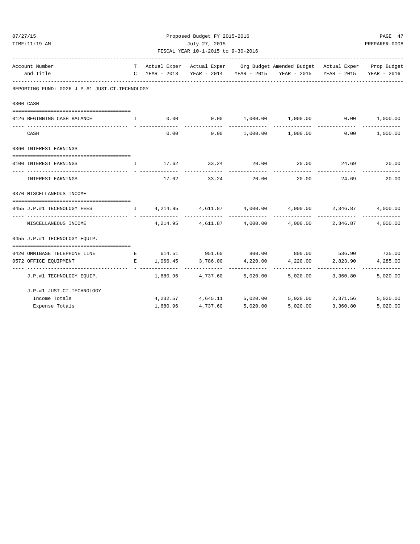| 07/27/15<br>TIME:11:19 AM                                                  |              |          | Proposed Budget FY 2015-2016<br>July 27, 2015 |          |                                                                                |                   | PAGE 47<br>PREPARER: 0008 |
|----------------------------------------------------------------------------|--------------|----------|-----------------------------------------------|----------|--------------------------------------------------------------------------------|-------------------|---------------------------|
|                                                                            |              |          | FISCAL YEAR 10-1-2015 to 9-30-2016            |          |                                                                                |                   |                           |
| -----------------------------------<br>Account Number                      |              |          |                                               |          | T Actual Exper Actual Exper Org Budget Amended Budget Actual Exper Prop Budget |                   |                           |
| and Title                                                                  |              |          |                                               |          | C YEAR - 2013 YEAR - 2014 YEAR - 2015 YEAR - 2015 YEAR - 2015 YEAR - 2016      |                   |                           |
| REPORTING FUND: 0026 J.P.#1 JUST.CT.TECHNOLOGY                             |              |          |                                               |          |                                                                                |                   |                           |
| 0300 CASH                                                                  |              |          |                                               |          |                                                                                |                   |                           |
|                                                                            |              |          |                                               |          |                                                                                |                   |                           |
| 0126 BEGINNING CASH BALANCE                                                | $\mathbf{I}$ |          |                                               |          | $0.00$ $0.00$ $1,000.00$ $1,000.00$ $0.00$ $1,000.00$                          |                   |                           |
| CASH                                                                       |              | 0.00     |                                               |          | $0.00$ $1,000.00$ $1,000.00$ $0.00$ $1,000.00$                                 |                   |                           |
| 0360 INTEREST EARNINGS                                                     |              |          |                                               |          |                                                                                |                   |                           |
| 0100 INTEREST EARNINGS                                                     | $\mathbb{I}$ |          | 17.62 33.24                                   | 20.00    |                                                                                | 20.00 24.69 20.00 |                           |
| INTEREST EARNINGS                                                          |              |          | 17.62 33.24                                   |          | 20.00 20.00 24.69                                                              |                   | 20.00                     |
| 0370 MISCELLANEOUS INCOME                                                  |              |          |                                               |          |                                                                                |                   |                           |
| 0455 J.P.#1 TECHNOLOGY FEES                                                |              |          |                                               |          | $I$ 4,214.95 4,611.87 4,000.00 4,000.00 2,346.87                               |                   | 4,000.00                  |
| MISCELLANEOUS INCOME                                                       |              |          |                                               |          | $4,214.95$ $4,611.87$ $4,000.00$ $4,000.00$ $2,346.87$                         | -------------     | 4,000.00                  |
| 0455 J.P.#1 TECHNOLOGY EQUIP.                                              |              |          |                                               |          |                                                                                |                   |                           |
|                                                                            |              |          |                                               |          |                                                                                |                   |                           |
| 0420 OMNIBASE TELEPHONE LINE $E$ 614.51 951.60 800.00 800.00 536.90 735.00 |              |          |                                               |          |                                                                                |                   |                           |
| 0572 OFFICE EQUIPMENT                                                      |              |          |                                               |          | E 1,066.45 3,786.00 4,220.00 4,220.00 2,823.90                                 |                   | 4,285.00                  |
| J.P.#1 TECHNOLOGY EQUIP.                                                   |              |          |                                               |          | $1,680.96$ $4,737.60$ $5,020.00$ $5,020.00$ $3,360.80$                         |                   | -------------<br>5,020.00 |
| J.P.#1 JUST.CT.TECHNOLOGY                                                  |              |          |                                               |          |                                                                                |                   |                           |
| Income Totals                                                              |              |          |                                               |          | $4,232.57$ $4,645.11$ $5,020.00$ $5,020.00$ $2,371.56$                         |                   | 5,020.00                  |
| Expense Totals                                                             |              | 1,680.96 | 4,737.60                                      | 5,020.00 | 5,020.00                                                                       | 3,360.80          | 5,020.00                  |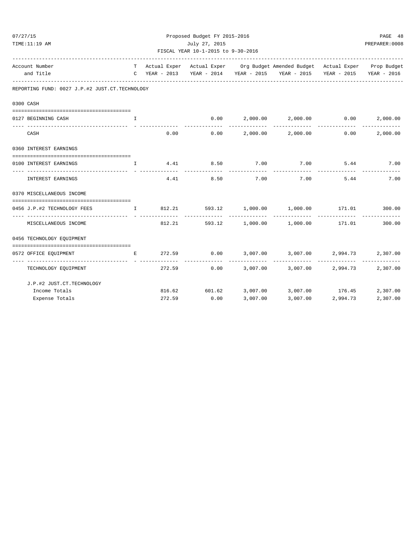| 07/27/15<br>TIME:11:19 AM                                      | Proposed Budget FY 2015-2016<br>July 27, 2015<br>FISCAL YEAR 10-1-2015 to 9-30-2016 |        |                                       |                |                                                                                                                                                                                                                                                                                                                  |                   | PAGE 48<br>PREPARER: 0008 |
|----------------------------------------------------------------|-------------------------------------------------------------------------------------|--------|---------------------------------------|----------------|------------------------------------------------------------------------------------------------------------------------------------------------------------------------------------------------------------------------------------------------------------------------------------------------------------------|-------------------|---------------------------|
| Account Number<br>and Title                                    |                                                                                     |        |                                       |                | T Actual Exper Actual Exper Org Budget Amended Budget Actual Exper Prop Budget<br>C YEAR - 2013 YEAR - 2014 YEAR - 2015 YEAR - 2015 YEAR - 2015                                                                                                                                                                  |                   | YEAR - 2016               |
| REPORTING FUND: 0027 J.P.#2 JUST.CT.TECHNOLOGY                 |                                                                                     |        |                                       |                |                                                                                                                                                                                                                                                                                                                  |                   |                           |
| 0300 CASH                                                      |                                                                                     |        |                                       |                |                                                                                                                                                                                                                                                                                                                  |                   |                           |
| 0127 BEGINNING CASH                                            | I                                                                                   |        |                                       |                | $0.00$ $2,000.00$ $2,000.00$ $0.00$ $2,000.00$                                                                                                                                                                                                                                                                   |                   |                           |
| CASH                                                           |                                                                                     |        | 0.00<br>0.00                          | -------------- | $2,000.00$ $2,000.00$ $0.00$                                                                                                                                                                                                                                                                                     |                   | 2,000.00                  |
| 0360 INTEREST EARNINGS<br>--------------------------           |                                                                                     |        |                                       |                |                                                                                                                                                                                                                                                                                                                  |                   |                           |
| 0100 INTEREST EARNINGS<br>------------------  - -------------- |                                                                                     |        |                                       |                | $\mathbf{I}$ and $\mathbf{I}$ and $\mathbf{I}$ and $\mathbf{I}$ and $\mathbf{I}$ and $\mathbf{I}$ and $\mathbf{I}$ and $\mathbf{I}$ and $\mathbf{I}$ and $\mathbf{I}$ and $\mathbf{I}$ and $\mathbf{I}$ and $\mathbf{I}$ and $\mathbf{I}$ and $\mathbf{I}$ and $\mathbf{I}$ and $\mathbf{I}$ and<br>------------ |                   |                           |
| INTEREST EARNINGS                                              |                                                                                     | 4.41   | 8.50                                  | 7.00           | 7.00                                                                                                                                                                                                                                                                                                             | 5.44              | 7.00                      |
| 0370 MISCELLANEOUS INCOME                                      |                                                                                     |        |                                       |                |                                                                                                                                                                                                                                                                                                                  |                   |                           |
| 0456 J.P.#2 TECHNOLOGY FEES                                    |                                                                                     |        |                                       |                | $\qquad \qquad \text{1} \qquad \qquad \text{812.21} \qquad \qquad \text{593.12} \qquad \qquad \text{1,000.00} \qquad \qquad \text{1,000.00} \qquad \qquad \text{171.01} \qquad \qquad \text{300.00}$                                                                                                             |                   |                           |
| MISCELLANEOUS INCOME                                           |                                                                                     |        |                                       |                | 812.21 593.12 1,000.00 1,000.00                                                                                                                                                                                                                                                                                  | 171.01            | 300.00                    |
| 0456 TECHNOLOGY EQUIPMENT                                      |                                                                                     |        |                                       |                |                                                                                                                                                                                                                                                                                                                  |                   |                           |
| 0572 OFFICE EQUIPMENT                                          | E                                                                                   | 272.59 |                                       |                | $0.00$ $3,007.00$ $3,007.00$ $2,994.73$ $2,307.00$<br>--------------                                                                                                                                                                                                                                             |                   |                           |
| --------------------<br>TECHNOLOGY EQUIPMENT                   |                                                                                     | 272.59 | 0.00                                  |                | 3,007.00 3,007.00 2,994.73                                                                                                                                                                                                                                                                                       |                   | 2,307.00                  |
| J.P.#2 JUST.CT.TECHNOLOGY                                      |                                                                                     |        |                                       |                |                                                                                                                                                                                                                                                                                                                  |                   |                           |
| Income Totals<br>Expense Totals                                |                                                                                     |        | 816.62 601.62 3,007.00<br>272.59 0.00 | 3,007.00       | 3,007.00 176.45                                                                                                                                                                                                                                                                                                  | 3,007.00 2,994.73 | 2,307.00<br>2,307.00      |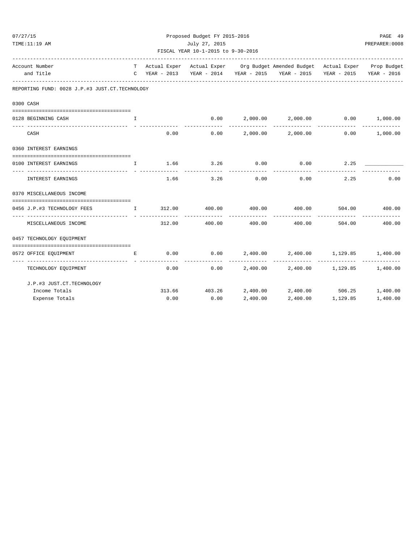| 07/27/15 |                                                |                                                                                                                                                                                                                                                                                                  |        | Proposed Budget FY 2015-2016       |                     |                                                                              |        | PAGE 49                   |
|----------|------------------------------------------------|--------------------------------------------------------------------------------------------------------------------------------------------------------------------------------------------------------------------------------------------------------------------------------------------------|--------|------------------------------------|---------------------|------------------------------------------------------------------------------|--------|---------------------------|
|          | TIME:11:19 AM                                  |                                                                                                                                                                                                                                                                                                  |        | July 27, 2015                      |                     |                                                                              |        | PREPARER: 0008            |
|          |                                                |                                                                                                                                                                                                                                                                                                  |        | FISCAL YEAR 10-1-2015 to 9-30-2016 |                     | --------------------------                                                   |        |                           |
|          | Account Number                                 | T                                                                                                                                                                                                                                                                                                |        |                                    |                     | Actual Exper Actual Exper Org Budget Amended Budget Actual Exper Prop Budget |        |                           |
|          | and Title                                      |                                                                                                                                                                                                                                                                                                  |        |                                    |                     | C YEAR - 2013 YEAR - 2014 YEAR - 2015 YEAR - 2015 YEAR - 2015                |        | YEAR - 2016               |
|          | REPORTING FUND: 0028 J.P.#3 JUST.CT.TECHNOLOGY |                                                                                                                                                                                                                                                                                                  |        |                                    |                     |                                                                              |        |                           |
|          | 0300 CASH                                      |                                                                                                                                                                                                                                                                                                  |        |                                    |                     |                                                                              |        |                           |
|          | 0128 BEGINNING CASH                            | $\mathbf{I}$                                                                                                                                                                                                                                                                                     |        |                                    |                     | $0.00$ 2,000.00 2,000.00 0.00                                                |        | 1,000.00                  |
|          | CASH                                           |                                                                                                                                                                                                                                                                                                  | 0.00   | 0.00                               | ------------        | -------------- --------------<br>2,000.00 2,000.00                           | 0.00   | -------------<br>1,000.00 |
|          | 0360 INTEREST EARNINGS                         |                                                                                                                                                                                                                                                                                                  |        |                                    |                     |                                                                              |        |                           |
|          | 0100 INTEREST EARNINGS                         | $\mathbf{I}$                                                                                                                                                                                                                                                                                     | 1.66   |                                    | $3.26$ 0.00         | 0.00                                                                         | 2.25   |                           |
|          | <b>INTEREST EARNINGS</b>                       |                                                                                                                                                                                                                                                                                                  | 1.66   | 3.26                               | -----------<br>0.00 | 0.00                                                                         | 2.25   | 0.00                      |
|          | 0370 MISCELLANEOUS INCOME                      |                                                                                                                                                                                                                                                                                                  |        |                                    |                     |                                                                              |        |                           |
|          | 0456 J.P.#3 TECHNOLOGY FEES                    | $\mathbf{I}$ and $\mathbf{I}$ and $\mathbf{I}$ and $\mathbf{I}$ and $\mathbf{I}$ and $\mathbf{I}$ and $\mathbf{I}$ and $\mathbf{I}$ and $\mathbf{I}$ and $\mathbf{I}$ and $\mathbf{I}$ and $\mathbf{I}$ and $\mathbf{I}$ and $\mathbf{I}$ and $\mathbf{I}$ and $\mathbf{I}$ and $\mathbf{I}$ and |        | 312.00 400.00 400.00               |                     | 400.00                                                                       |        | 504.00 400.00             |
|          | MISCELLANEOUS INCOME                           |                                                                                                                                                                                                                                                                                                  | 312.00 | 400.00                             | 400.00              | 400.00                                                                       | 504.00 | ----------<br>400.00      |
|          | 0457 TECHNOLOGY EQUIPMENT                      |                                                                                                                                                                                                                                                                                                  |        |                                    |                     |                                                                              |        |                           |
|          | 0572 OFFICE EQUIPMENT                          | E.                                                                                                                                                                                                                                                                                               | 0.00   | 0.00                               |                     | 2,400.00 2,400.00 1,129.85                                                   |        | 1,400.00                  |
|          | -------------------<br>TECHNOLOGY EQUIPMENT    |                                                                                                                                                                                                                                                                                                  | 0.00   | 0.00                               |                     | 2,400.00 2,400.00 1,129.85 1,400.00                                          |        | -------------             |
|          | J.P.#3 JUST.CT.TECHNOLOGY                      |                                                                                                                                                                                                                                                                                                  |        |                                    |                     |                                                                              |        |                           |
|          | Income Totals                                  |                                                                                                                                                                                                                                                                                                  |        | 313.66 403.26                      |                     | $2,400.00$ $2,400.00$ $506.25$ $1,400.00$                                    |        |                           |
|          | Expense Totals                                 |                                                                                                                                                                                                                                                                                                  |        | $0.00$ $0.00$                      | 2,400.00            | 2,400.00 1,129.85                                                            |        | 1,400.00                  |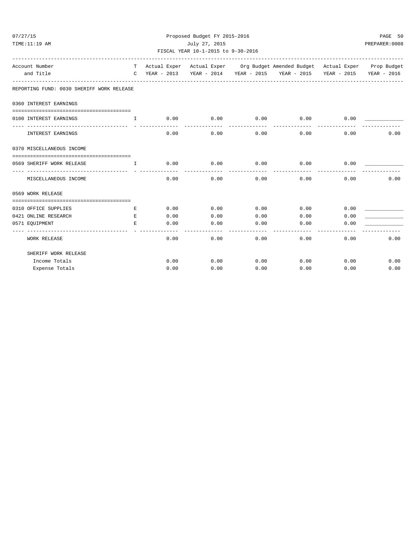| 07/27/15                                  |               |                                                                  | Proposed Budget FY 2015-2016 |                |                                                                              |      | PAGE 50     |
|-------------------------------------------|---------------|------------------------------------------------------------------|------------------------------|----------------|------------------------------------------------------------------------------|------|-------------|
| TIME:11:19 AM                             |               |                                                                  | PREPARER: 0008               |                |                                                                              |      |             |
| Account Number                            | T.            |                                                                  |                              |                | Actual Exper Actual Exper Org Budget Amended Budget Actual Exper Prop Budget |      |             |
| and Title                                 | $\mathcal{C}$ |                                                                  |                              |                | YEAR - 2013 YEAR - 2014 YEAR - 2015 YEAR - 2015 YEAR - 2015                  |      | YEAR - 2016 |
| REPORTING FUND: 0030 SHERIFF WORK RELEASE |               |                                                                  |                              |                |                                                                              |      |             |
| 0360 INTEREST EARNINGS                    |               |                                                                  |                              |                |                                                                              |      |             |
| 0100 INTEREST EARNINGS                    |               | $\qquad \qquad \mathbb{I} \qquad \qquad 0.00 \qquad \qquad 0.00$ |                              |                | $0.00$ $0.00$ $0.00$ $0.00$                                                  |      |             |
| INTEREST EARNINGS                         |               | 0.00                                                             | 0.00                         | 0.00           | 0.00                                                                         | 0.00 | 0.00        |
| 0370 MISCELLANEOUS INCOME                 |               |                                                                  |                              |                |                                                                              |      |             |
| 0569 SHERIFF WORK RELEASE                 |               | $\qquad \qquad \mathbb{I} \qquad \qquad 0.00 \qquad \qquad 0.00$ |                              | 0.00           | $0.00$ 0.00                                                                  |      |             |
| MISCELLANEOUS INCOME                      |               | 0.00                                                             | 0.00                         | 0.00           | 0.00                                                                         | 0.00 | 0.00        |
| 0569 WORK RELEASE                         |               |                                                                  |                              |                |                                                                              |      |             |
| 0310 OFFICE SUPPLIES                      | E.            |                                                                  | 0.00<br>0.00                 | 0.00           | 0.00                                                                         | 0.00 |             |
| 0421 ONLINE RESEARCH                      | E             | 0.00                                                             | 0.00                         | 0.00           | 0.00                                                                         | 0.00 |             |
| 0571 EQUIPMENT                            | E             | 0.00                                                             | 0.00                         | 0.00<br>------ | 0.00<br>-----------                                                          | 0.00 |             |
| WORK RELEASE                              |               | 0.00                                                             | 0.00                         | 0.00           | 0.00                                                                         | 0.00 | 0.00        |
| SHERIFF WORK RELEASE                      |               |                                                                  |                              |                |                                                                              |      |             |
| Income Totals                             |               | 0.00                                                             | 0.00                         | 0.00           | 0.00                                                                         | 0.00 | 0.00        |
| Expense Totals                            |               | 0.00                                                             | 0.00                         | 0.00           | 0.00                                                                         | 0.00 | 0.00        |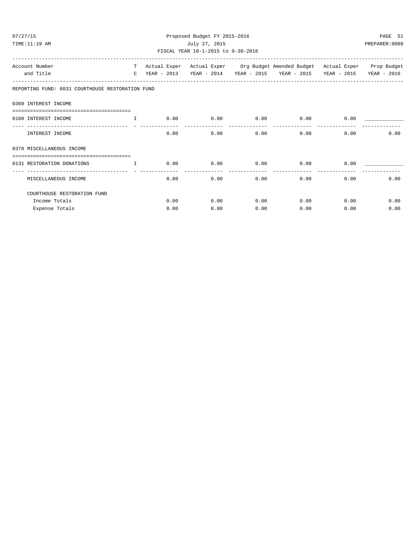| 07/27/15<br>TIME:11:19 AM                                                                                                                                                                                                                              | Proposed Budget FY 2015-2016<br>July 27, 2015<br>FISCAL YEAR 10-1-2015 to 9-30-2016 |      |      |              |                                                                                                                                                 |              | PAGE 51<br>PREPARER: 0008 |  |  |
|--------------------------------------------------------------------------------------------------------------------------------------------------------------------------------------------------------------------------------------------------------|-------------------------------------------------------------------------------------|------|------|--------------|-------------------------------------------------------------------------------------------------------------------------------------------------|--------------|---------------------------|--|--|
| Account Number<br>and Title                                                                                                                                                                                                                            |                                                                                     |      |      |              | T Actual Exper Actual Exper Org Budget Amended Budget Actual Exper Prop Budget<br>C YEAR - 2013 YEAR - 2014 YEAR - 2015 YEAR - 2015 YEAR - 2015 |              | YEAR - 2016               |  |  |
| REPORTING FUND: 0031 COURTHOUSE RESTORATION FUND                                                                                                                                                                                                       |                                                                                     |      |      |              |                                                                                                                                                 |              |                           |  |  |
| 0360 INTEREST INCOME                                                                                                                                                                                                                                   |                                                                                     |      |      |              |                                                                                                                                                 |              |                           |  |  |
| 0100 INTEREST INCOME<br>and the contract of the contract of the contract of the contract of the contract of the contract of the contract of the contract of the contract of the contract of the contract of the contract of the contract of the contra |                                                                                     |      |      |              | $0.00$ $0.00$ $0.00$ $0.00$ $0.00$ $0.00$ $0.00$                                                                                                |              |                           |  |  |
| INTEREST INCOME                                                                                                                                                                                                                                        |                                                                                     | 0.00 | 0.00 | 0.00         | 0.00                                                                                                                                            | 0.00         | 0.00                      |  |  |
| 0370 MISCELLANEOUS INCOME                                                                                                                                                                                                                              |                                                                                     |      |      |              |                                                                                                                                                 |              |                           |  |  |
| 0131 RESTORATION DONATIONS                                                                                                                                                                                                                             | $\mathbb{I}$ and $\mathbb{I}$                                                       | 0.00 |      |              | $0.00$ 0.00 0.00 0.00 0.00                                                                                                                      |              |                           |  |  |
| MISCELLANEOUS INCOME                                                                                                                                                                                                                                   |                                                                                     | 0.00 | 0.00 | 0.00         | ----------- --------------                                                                                                                      | 0.00<br>0.00 | 0.00                      |  |  |
| COURTHOUSE RESTORATION FUND                                                                                                                                                                                                                            |                                                                                     |      |      |              |                                                                                                                                                 |              |                           |  |  |
| Income Totals                                                                                                                                                                                                                                          |                                                                                     | 0.00 |      | 0.00<br>0.00 | 0.00                                                                                                                                            | 0.00         | 0.00                      |  |  |
| Expense Totals                                                                                                                                                                                                                                         |                                                                                     | 0.00 | 0.00 | 0.00         | 0.00                                                                                                                                            | 0.00         | 0.00                      |  |  |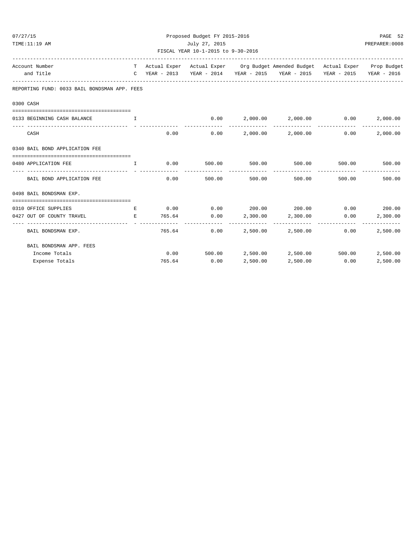| 07/27/15                                                                       |   |                | Proposed Budget FY 2015-2016<br>July 27, 2015 |              |                                                                                |        | PAGE 52                   |
|--------------------------------------------------------------------------------|---|----------------|-----------------------------------------------|--------------|--------------------------------------------------------------------------------|--------|---------------------------|
| TIME:11:19 AM                                                                  |   | PREPARER: 0008 |                                               |              |                                                                                |        |                           |
| Account Number                                                                 |   |                |                                               |              | T Actual Exper Actual Exper Org Budget Amended Budget Actual Exper Prop Budget |        |                           |
| and Title                                                                      |   |                |                                               |              | C YEAR - 2013 YEAR - 2014 YEAR - 2015 YEAR - 2015 YEAR - 2015 YEAR - 2016      |        |                           |
| REPORTING FUND: 0033 BAIL BONDSMAN APP. FEES                                   |   |                |                                               |              |                                                                                |        |                           |
| 0300 CASH                                                                      |   |                |                                               |              |                                                                                |        |                           |
| 0133 BEGINNING CASH BALANCE<br>. The contract of the state $\mathbf{I}$ is     |   |                |                                               |              | $0.00$ 2,000.00 2,000.00 0.00                                                  |        | 2,000.00                  |
| CASH                                                                           |   | 0.00           |                                               |              | $0.00$ 2,000.00 2,000.00                                                       | 0.00   | 2,000.00                  |
| 0340 BAIL BOND APPLICATION FEE                                                 |   |                |                                               |              |                                                                                |        |                           |
| 0480 APPLICATION FEE THE T                                                     |   |                |                                               |              | $0.00$ 500.00 500.00 500.00 500.00 500.00 500.00                               |        |                           |
| BAIL BOND APPLICATION FEE                                                      |   |                | $0.00$ 500.00 500.00                          |              | 500.00                                                                         | 500.00 | 500.00                    |
| 0498 BAIL BONDSMAN EXP.                                                        |   |                |                                               |              |                                                                                |        |                           |
| 0310 OFFICE SUPPLIES                                                           | E |                |                                               |              | $0.00$ $0.00$ $200.00$ $200.00$ $0.00$ $0.00$ $200.00$                         |        |                           |
| 0427 OUT OF COUNTY TRAVEL<br><b>Example 20</b> Service Service Service Service |   |                |                                               |              | $765.64$ $0.00$ $2,300.00$ $2,300.00$ $0.00$                                   |        | 2,300.00                  |
| BAIL BONDSMAN EXP.                                                             |   |                | --------- --------------                      | ------------ | $765.64$ 0.00 2,500.00 2,500.00                                                | 0.00   | -------------<br>2,500.00 |
| BAIL BONDSMAN APP. FEES                                                        |   |                |                                               |              |                                                                                |        |                           |
| Income Totals                                                                  |   |                |                                               |              | $0.00$ 500.00 $2,500.00$ $2,500.00$ 500.00                                     |        | 2,500.00                  |
| Expense Totals                                                                 |   |                | 765.64 0.00                                   | 2,500.00     | 2,500.00 0.00                                                                  |        | 2,500.00                  |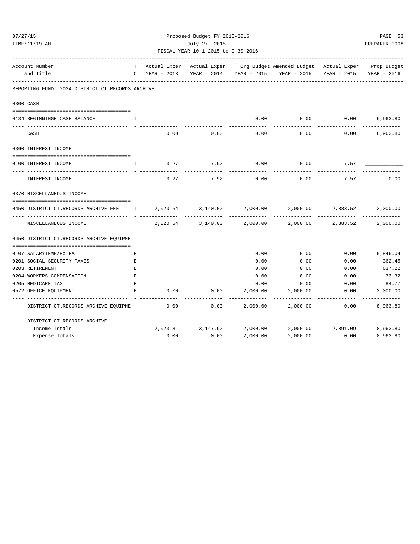| 07/27/15                                                                            |              |                         | Proposed Budget FY 2015-2016       |                         |                                                                                |                           | PAGE 53                   |
|-------------------------------------------------------------------------------------|--------------|-------------------------|------------------------------------|-------------------------|--------------------------------------------------------------------------------|---------------------------|---------------------------|
| TIME:11:19 AM                                                                       |              |                         | July 27, 2015                      |                         |                                                                                |                           | PREPARER: 0008            |
|                                                                                     |              |                         | FISCAL YEAR 10-1-2015 to 9-30-2016 |                         |                                                                                |                           |                           |
| Account Number                                                                      |              |                         |                                    |                         | T Actual Exper Actual Exper Org Budget Amended Budget Actual Exper Prop Budget |                           |                           |
| and Title                                                                           |              | C YEAR - 2013           |                                    |                         | YEAR - 2014 YEAR - 2015 YEAR - 2015 YEAR - 2015                                |                           | YEAR - 2016               |
| REPORTING FUND: 0034 DISTRICT CT.RECORDS ARCHIVE                                    |              |                         |                                    |                         |                                                                                |                           |                           |
| 0300 CASH                                                                           |              |                         |                                    |                         |                                                                                |                           |                           |
|                                                                                     |              |                         |                                    |                         |                                                                                |                           |                           |
| 0134 BEGINNINGH CASH BALANCE                                                        | T            |                         |                                    |                         | $0.00$ 0.00 0.00                                                               |                           | 6,963.80                  |
| CASH                                                                                |              | 0.00                    | 0.00                               | 0.00                    | 0.00                                                                           | 0.00                      | 6,963.80                  |
| 0360 INTEREST INCOME                                                                |              |                         |                                    |                         |                                                                                |                           |                           |
| 0100 INTEREST INCOME                                                                | $\mathbf{I}$ | 3.27                    | 7.92                               | 0.00                    | 0.00                                                                           | 7.57                      |                           |
| INTEREST INCOME                                                                     |              | - -------------<br>3.27 | 7.92                               | 0.00                    | 0.00                                                                           | 7.57                      | 0.00                      |
| 0370 MISCELLANEOUS INCOME                                                           |              |                         |                                    |                         |                                                                                |                           |                           |
| 0450 DISTRICT CT.RECORDS ARCHIVE FEE 1 2,020.54 3,140.00 2,000.00 2,000.00 2,883.52 |              |                         |                                    |                         |                                                                                |                           | 2,000.00                  |
| MISCELLANEOUS INCOME                                                                |              | 2,020.54                | 3,140.00                           | 2,000.00                | -----------<br>2,000.00                                                        | -------------<br>2,883.52 | 2,000.00                  |
| 0450 DISTRICT CT.RECORDS ARCHIVE EQUIPME                                            |              |                         |                                    |                         |                                                                                |                           |                           |
| 0107 SALARYTEMP/EXTRA                                                               | Е            |                         |                                    | 0.00                    | 0.00                                                                           | 0.00                      | 5,846.04                  |
| 0201 SOCIAL SECURITY TAXES                                                          | E            |                         |                                    | 0.00                    | 0.00                                                                           | 0.00                      | 362.45                    |
| 0203 RETIREMENT                                                                     | E            |                         |                                    | 0.00                    | 0.00                                                                           | 0.00                      | 637.22                    |
| 0204 WORKERS COMPENSATION                                                           | E            |                         |                                    | 0.00                    | 0.00                                                                           | 0.00                      | 33.32                     |
| 0205 MEDICARE TAX                                                                   | E            |                         |                                    | 0.00                    | 0.00                                                                           | 0.00                      | 84.77                     |
| 0572 OFFICE EQUIPMENT                                                               | Е            | 0.00                    | 0.00                               | 2,000.00<br>----------- | 2,000.00<br>-----------                                                        | 0.00<br>------------      | 2,000.00<br>------------- |
| DISTRICT CT.RECORDS ARCHIVE EQUIPME                                                 |              | 0.00                    | 0.00                               | 2,000.00                | 2,000.00                                                                       | 0.00                      | 8,963.80                  |
| DISTRICT CT.RECORDS ARCHIVE                                                         |              |                         |                                    |                         |                                                                                |                           |                           |
| Income Totals                                                                       |              |                         | 2,023.81 3,147.92 2,000.00         |                         | 2,000.00 2,891.09                                                              |                           | 8,963.80                  |
| Expense Totals                                                                      |              | 0.00                    | 0.00                               | 2,000.00                | 2,000.00                                                                       | 0.00                      | 8,963.80                  |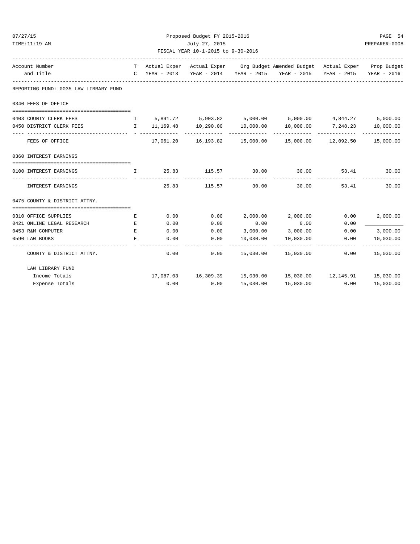| 07/27/15                                                                                   |             |      | Proposed Budget FY 2015-2016       |                         |                                                                                                                                       |      | PAGE 54                    |
|--------------------------------------------------------------------------------------------|-------------|------|------------------------------------|-------------------------|---------------------------------------------------------------------------------------------------------------------------------------|------|----------------------------|
| TIME:11:19 AM                                                                              |             |      | July 27, 2015                      |                         |                                                                                                                                       |      | PREPARER: 0008             |
|                                                                                            |             |      | FISCAL YEAR 10-1-2015 to 9-30-2016 |                         |                                                                                                                                       |      |                            |
| Account Number                                                                             |             |      |                                    |                         | T Actual Exper Actual Exper Org Budget Amended Budget Actual Exper Prop Budget                                                        |      |                            |
| and Title                                                                                  |             |      |                                    |                         | C YEAR - 2013 YEAR - 2014 YEAR - 2015 YEAR - 2015 YEAR - 2015 YEAR - 2016                                                             |      |                            |
| REPORTING FUND: 0035 LAW LIBRARY FUND                                                      |             |      |                                    |                         |                                                                                                                                       |      |                            |
| 0340 FEES OF OFFICE                                                                        |             |      |                                    |                         |                                                                                                                                       |      |                            |
| 0403 COUNTY CLERK FEES                                                                     |             |      |                                    |                         | I 5,891.72 5,903.82 5,000.00 5,000.00 4,844.27 5,000.00                                                                               |      |                            |
| 0450 DISTRICT CLERK FEES TO ALL 11,169.48 10,290.00 10,000.00 10,000.00 7,248.23 10,000.00 |             |      |                                    |                         |                                                                                                                                       |      |                            |
| FEES OF OFFICE                                                                             |             |      |                                    |                         | $17,061.20$ $16,193.82$ $15,000.00$ $15,000.00$ $12,092.50$ $15,000.00$                                                               |      |                            |
| 0360 INTEREST EARNINGS                                                                     |             |      |                                    |                         |                                                                                                                                       |      |                            |
| 0100 INTEREST EARNINGS                                                                     |             |      |                                    | . _ _ _ _ _ _ _ _ _ _ _ | $\qquad \qquad 1$ $\qquad \qquad 25.83$ $\qquad \qquad 115.57$ $\qquad \qquad 30.00$ $\qquad \qquad 30.00$<br>. _ _ _ _ _ _ _ _ _ _ _ |      | 53.41 30.00<br>----------- |
| INTEREST EARNINGS                                                                          |             |      | 25.83 115.57                       | 30.00                   | 30.00                                                                                                                                 |      | 53.41<br>30.00             |
| 0475 COUNTY & DISTRICT ATTNY.                                                              |             |      |                                    |                         |                                                                                                                                       |      |                            |
|                                                                                            |             |      |                                    |                         |                                                                                                                                       |      |                            |
| 0310 OFFICE SUPPLIES                                                                       | E           | 0.00 | 0.00                               |                         | $2,000.00$ $2,000.00$                                                                                                                 | 0.00 | 2,000.00                   |
| 0421 ONLINE LEGAL RESEARCH<br><b>Experience of the Contract Property</b>                   |             | 0.00 | 0.00                               | 0.00                    | 0.00                                                                                                                                  | 0.00 |                            |
| 0453 R&M COMPUTER                                                                          | E           | 0.00 | 0.00                               |                         | 3,000.00 3,000.00                                                                                                                     | 0.00 | 3,000.00                   |
| 0590 LAW BOOKS                                                                             | $E_{\rm c}$ | 0.00 | 0.00<br>.                          | 10,030.00               | 10,030.00                                                                                                                             | 0.00 | 10,030.00<br>------------- |
| COUNTY & DISTRICT ATTNY.                                                                   |             |      | 0.00<br>0.00                       |                         | 15,030.00  15,030.00                                                                                                                  |      | $0.00$ 15,030.00           |
| LAW LIBRARY FUND                                                                           |             |      |                                    |                         |                                                                                                                                       |      |                            |
| Income Totals                                                                              |             |      |                                    |                         | 17,087.03  16,309.39  15,030.00  15,030.00  12,145.91  15,030.00                                                                      |      |                            |
| Expense Totals                                                                             |             | 0.00 | 0.00                               | 15,030.00               | 15,030.00                                                                                                                             | 0.00 | 15,030.00                  |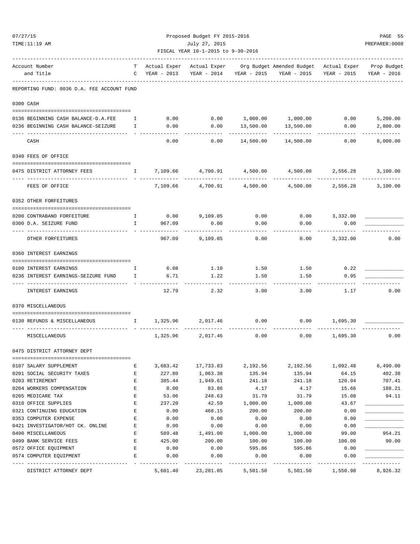| 07/27/15                                                                     |                                                                                                                                                                                                                                                                                                  |                           | Proposed Budget FY 2015-2016 |                      |                                                                                       |              | PAGE 55              |  |
|------------------------------------------------------------------------------|--------------------------------------------------------------------------------------------------------------------------------------------------------------------------------------------------------------------------------------------------------------------------------------------------|---------------------------|------------------------------|----------------------|---------------------------------------------------------------------------------------|--------------|----------------------|--|
| TIME:11:19 AM                                                                |                                                                                                                                                                                                                                                                                                  |                           | July 27, 2015                |                      |                                                                                       |              | PREPARER: 0008       |  |
|                                                                              | FISCAL YEAR 10-1-2015 to 9-30-2016                                                                                                                                                                                                                                                               |                           |                              |                      |                                                                                       |              |                      |  |
| Account Number                                                               | т                                                                                                                                                                                                                                                                                                | Actual Exper              | Actual Exper                 |                      | _______________________________<br>Org Budget Amended Budget Actual Exper Prop Budget |              |                      |  |
| and Title                                                                    | C                                                                                                                                                                                                                                                                                                | YEAR - 2013               | YEAR - 2014                  |                      | YEAR - 2015 YEAR - 2015                                                               | YEAR - 2015  | YEAR - 2016          |  |
| REPORTING FUND: 0036 D.A. FEE ACCOUNT FUND                                   |                                                                                                                                                                                                                                                                                                  |                           |                              |                      |                                                                                       |              |                      |  |
| 0300 CASH                                                                    |                                                                                                                                                                                                                                                                                                  |                           |                              |                      |                                                                                       |              |                      |  |
| 0136 BEGINNING CASH BALANCE-D.A.FEE I                                        |                                                                                                                                                                                                                                                                                                  | 0.00                      | 0.00                         |                      | 1,000.00    1,000.00    0.00                                                          |              | 5,200.00             |  |
| 0236 BEGINNING CASH BALANCE-SEIZURE                                          | $\mathbf{I}$                                                                                                                                                                                                                                                                                     | 0.00                      | 0.00                         | 13,500.00            | 13,500.00                                                                             | 0.00         | 2,800.00             |  |
| CASH                                                                         |                                                                                                                                                                                                                                                                                                  | 0.00                      | 0.00                         | 14,500.00            | 14,500.00                                                                             | 0.00         | 8,000.00             |  |
| 0340 FEES OF OFFICE                                                          |                                                                                                                                                                                                                                                                                                  |                           |                              |                      |                                                                                       |              |                      |  |
|                                                                              |                                                                                                                                                                                                                                                                                                  |                           |                              |                      |                                                                                       |              |                      |  |
| 0475 DISTRICT ATTORNEY FEES                                                  | $\mathbf{I}$                                                                                                                                                                                                                                                                                     | 7,109.66                  | 4,700.91                     | 4,500.00             | 4,500.00                                                                              | 2,556.28     | 3,100.00             |  |
| FEES OF OFFICE                                                               |                                                                                                                                                                                                                                                                                                  | 7,109.66                  | 4,700.91                     | 4,500.00             | 4,500.00                                                                              | 2,556.28     | 3,100.00             |  |
| 0352 OTHER FORFEITURES                                                       |                                                                                                                                                                                                                                                                                                  |                           |                              |                      |                                                                                       |              |                      |  |
| 0200 CONTRABAND FORFEITURE<br>$\mathbf{I}$ and $\mathbf{I}$ and $\mathbf{I}$ |                                                                                                                                                                                                                                                                                                  |                           | $0.00$ 9,109.05              |                      | $0.00$ $0.00$ $3,332.00$                                                              |              |                      |  |
| 0300 D.A. SEIZURE FUND                                                       | $\mathbf{I}$                                                                                                                                                                                                                                                                                     | 967.09                    | 0.00                         | 0.00                 | 0.00                                                                                  | 0.00         |                      |  |
| OTHER FORFEITURES                                                            |                                                                                                                                                                                                                                                                                                  | 967.09                    | 9,109.05                     | 0.00                 | 0.00                                                                                  | 3,332.00     | 0.00                 |  |
|                                                                              |                                                                                                                                                                                                                                                                                                  |                           |                              |                      |                                                                                       |              |                      |  |
| 0360 INTEREST EARNINGS                                                       |                                                                                                                                                                                                                                                                                                  |                           |                              |                      |                                                                                       |              |                      |  |
| 0100 INTEREST EARNINGS                                                       | Ι.                                                                                                                                                                                                                                                                                               | 6.08                      | 1.10                         | 1.50                 | 1.50                                                                                  | 0.22         |                      |  |
| 0236 INTEREST EARNINGS-SEIZURE FUND                                          | $\mathbf{I}$                                                                                                                                                                                                                                                                                     | 6.71                      | 1.22                         | 1.50                 | 1.50                                                                                  | 0.95         |                      |  |
| INTEREST EARNINGS                                                            |                                                                                                                                                                                                                                                                                                  | 12.79                     | 2.32                         | 3.00                 | 3.00                                                                                  | 1.17         | 0.00                 |  |
|                                                                              |                                                                                                                                                                                                                                                                                                  |                           |                              |                      |                                                                                       |              |                      |  |
| 0370 MISCELLANEOUS                                                           |                                                                                                                                                                                                                                                                                                  |                           |                              |                      |                                                                                       |              |                      |  |
| 0130 REFUNDS & MISCELLANEOUS                                                 | $\mathbf{I}$ and $\mathbf{I}$ and $\mathbf{I}$ and $\mathbf{I}$ and $\mathbf{I}$ and $\mathbf{I}$ and $\mathbf{I}$ and $\mathbf{I}$ and $\mathbf{I}$ and $\mathbf{I}$ and $\mathbf{I}$ and $\mathbf{I}$ and $\mathbf{I}$ and $\mathbf{I}$ and $\mathbf{I}$ and $\mathbf{I}$ and $\mathbf{I}$ and | 1,325.96                  | 2,017.46                     | 0.00                 | 0.00                                                                                  | 1,695.30     |                      |  |
| MISCELLANEOUS                                                                |                                                                                                                                                                                                                                                                                                  | 1,325.96                  | 2,017.46                     | 0.00                 | 0.00                                                                                  | 1,695.30     | 0.00                 |  |
| 0475 DISTRICT ATTORNEY DEPT                                                  |                                                                                                                                                                                                                                                                                                  |                           |                              |                      |                                                                                       |              |                      |  |
|                                                                              |                                                                                                                                                                                                                                                                                                  |                           |                              |                      |                                                                                       |              |                      |  |
| 0107 SALARY SUPPLEMENT                                                       | Е                                                                                                                                                                                                                                                                                                | 3,683.42                  | 17,733.83                    | 2,192.56             | 2,192.56                                                                              | 1,092.48     | 6,490.00             |  |
| 0201 SOCIAL SECURITY TAXES                                                   | Е                                                                                                                                                                                                                                                                                                | 227.80                    | 1,063.38                     | 135.94               | 135.94                                                                                | 64.15        | 402.38               |  |
| 0203 RETIREMENT                                                              | Е                                                                                                                                                                                                                                                                                                | 385.44                    | 1,949.61                     | 241.18               | 241.18                                                                                | 120.94       | 707.41               |  |
| 0204 WORKERS COMPENSATION                                                    | E                                                                                                                                                                                                                                                                                                | 0.00                      | 83.86                        | 4.17                 | 4.17                                                                                  | 15.66        | 188.21               |  |
| 0205 MEDICARE TAX                                                            | E                                                                                                                                                                                                                                                                                                | 53.06                     | 248.63                       | 31.79                | 31.79                                                                                 | 15.08        | 94.11                |  |
| 0310 OFFICE SUPPLIES                                                         | E                                                                                                                                                                                                                                                                                                | 237.20                    | 42.59                        | 1,000.00             | 1,000.00                                                                              | 43.67        |                      |  |
| 0321 CONTINUING EDUCATION<br>0353 COMPUTER EXPENSE                           | E<br>Е                                                                                                                                                                                                                                                                                           | 0.00<br>0.00              | 468.15<br>0.00               | 200.00<br>0.00       | 200.00<br>0.00                                                                        | 0.00<br>0.00 |                      |  |
| 0421 INVESTIGATOR/HOT CK. ONLINE                                             | E                                                                                                                                                                                                                                                                                                | 0.00                      | 0.00                         | 0.00                 | 0.00                                                                                  | 0.00         |                      |  |
| 0490 MISCELLANEOUS                                                           | Е                                                                                                                                                                                                                                                                                                | 589.48                    | 1,491.00                     | 1,000.00             | 1,000.00                                                                              | 99.00        | 954.21               |  |
| 0499 BANK SERVICE FEES                                                       | E                                                                                                                                                                                                                                                                                                | 425.00                    | 200.00                       | 100.00               | 100.00                                                                                | 100.00       | 90.00                |  |
| 0572 OFFICE EQUIPMENT                                                        | E                                                                                                                                                                                                                                                                                                | 0.00                      | 0.00                         | 595.86               | 595.86                                                                                | 0.00         |                      |  |
| 0574 COMPUTER EQUIPMENT                                                      | E                                                                                                                                                                                                                                                                                                | 0.00                      | 0.00                         | 0.00                 | 0.00                                                                                  | 0.00         |                      |  |
| ---------------<br>DISTRICT ATTORNEY DEPT                                    |                                                                                                                                                                                                                                                                                                  | -------------<br>5,601.40 | 23, 281.05                   | --------<br>5,501.50 | -----------<br>5,501.50                                                               | 1,550.98     | --------<br>8,926.32 |  |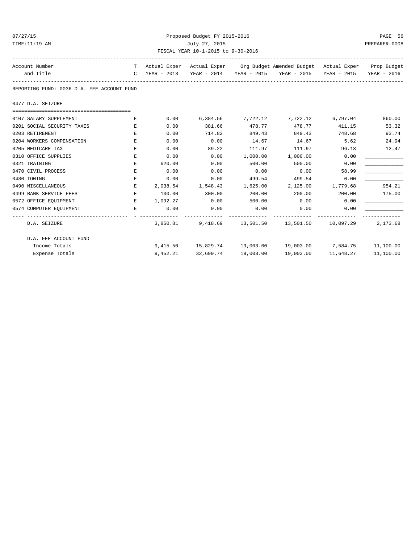| 07/27/<br>× |
|-------------|
|-------------|

# Proposed Budget FY 2015-2016 PAGE 56 TIME:11:19 AM July 27, 2015 PREPARER:0008 FISCAL YEAR 10-1-2015 to 9-30-2016

| Account Number                             |             |               |                       |                      | T Actual Exper Actual Exper Org Budget Amended Budget Actual Exper Prop Budget |                     |           |
|--------------------------------------------|-------------|---------------|-----------------------|----------------------|--------------------------------------------------------------------------------|---------------------|-----------|
| and Title                                  |             |               |                       |                      | C YEAR - 2013 YEAR - 2014 YEAR - 2015 YEAR - 2015 YEAR - 2015 YEAR - 2016      |                     |           |
| REPORTING FUND: 0036 D.A. FEE ACCOUNT FUND |             |               |                       |                      |                                                                                |                     |           |
| 0477 D.A. SEIZURE                          |             |               |                       |                      |                                                                                |                     |           |
| 0107 SALARY SUPPLEMENT                     | E           | 0.00          |                       |                      | $6,384.56$ $7,722.12$ $7,722.12$ $6,797.04$ $860.00$                           |                     |           |
| 0201 SOCIAL SECURITY TAXES                 | E.          | 0.00          | 381.66                | 478.77               | 478.77 411.15                                                                  |                     | 53.32     |
| 0203 RETIREMENT                            | $F_{\rm c}$ | 0.00          | 714.82                | 849.43               | 849.43                                                                         | 748.68              | 93.74     |
| 0204 WORKERS COMPENSATION                  | E           | 0.00          | 0.00                  | 14.67                | 14.67                                                                          | 5.62                | 24.94     |
| 0205 MEDICARE TAX                          | E.          | 0.00          | 89.22                 | 111.97               | 111.97 96.13                                                                   |                     | 12.47     |
| 0310 OFFICE SUPPLIES                       | Е           | 0.00          | 0.00                  | 1,000.00             | 1,000.00                                                                       | 0.00                |           |
| 0321 TRAINING                              | E           | 620.00        | 0.00                  | 500.00               | 500.00                                                                         | 0.00                |           |
| 0470 CIVIL PROCESS                         | E           | 0.00          | 0.00                  | 0.00                 | 0.00                                                                           | 58.99               |           |
| 0480 TOWING                                | Е           | 0.00          | 0.00                  | 499.54               | 499.54                                                                         | 0.00                |           |
| 0490 MISCELLANEOUS                         | E           |               | 2,038.54 1,548.43     |                      | 1,625.00 2,125.00 1,779.68                                                     |                     | 954.21    |
| 0499 BANK SERVICE FEES                     | E           | 100.00        | 300.00                | 200.00               | 200.00                                                                         | 200.00              | 175.00    |
| 0572 OFFICE EQUIPMENT                      | E           | 1,092.27 0.00 |                       | 500.00               | 0.00                                                                           | 0.00                |           |
| 0574 COMPUTER EQUIPMENT                    | $F_{\rm c}$ | 0.00          | 0.00<br>------------- | 0.00<br>------------ | $0.00$ 0.00<br>-------------                                                   |                     |           |
| D.A. SEIZURE                               |             | 3,850.81      |                       |                      | 9,418.69    13,501.50    13,501.50    10,097.29                                |                     | 2,173.68  |
| D.A. FEE ACCOUNT FUND                      |             |               |                       |                      |                                                                                |                     |           |
| Income Totals                              |             |               |                       |                      | 9,415.50 15,829.74 19,003.00 19,003.00 7,584.75 11,100.00                      |                     |           |
| Expense Totals                             |             |               | 9,452.21 32,699.74    | 19,003.00            |                                                                                | 19,003.00 11,648.27 | 11,100.00 |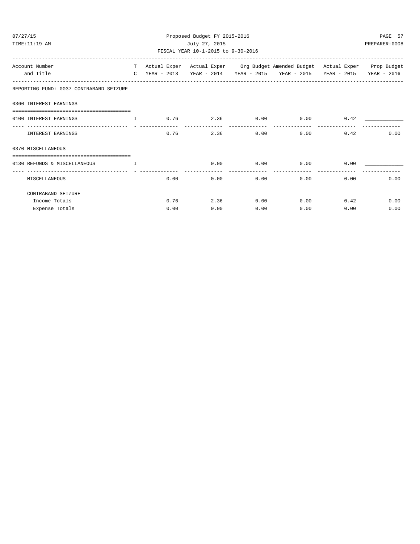| 07/27/15<br>TIME:11:19 AM                    | Proposed Budget FY 2015-2016<br>July 27, 2015<br>FISCAL YEAR 10-1-2015 to 9-30-2016 |      |              |      |                                                                                                                                                             |              | PAGE 57<br>PREPARER: 0008 |
|----------------------------------------------|-------------------------------------------------------------------------------------|------|--------------|------|-------------------------------------------------------------------------------------------------------------------------------------------------------------|--------------|---------------------------|
| Account Number<br>and Title                  |                                                                                     |      |              |      | T Actual Exper Actual Exper Org Budget Amended Budget Actual Exper Prop Budget<br>C YEAR - 2013 YEAR - 2014 YEAR - 2015 YEAR - 2015 YEAR - 2015 YEAR - 2016 |              |                           |
| REPORTING FUND: 0037 CONTRABAND SEIZURE      |                                                                                     |      |              |      |                                                                                                                                                             |              |                           |
| 0360 INTEREST EARNINGS                       |                                                                                     |      |              |      |                                                                                                                                                             |              |                           |
| 0100 INTEREST EARNINGS                       |                                                                                     |      |              |      | $I$ 0.76 2.36 0.00 0.00 0.42                                                                                                                                |              |                           |
| INTEREST EARNINGS                            |                                                                                     |      | 2.36<br>0.76 |      | $0.00$ $0.00$ $0.42$                                                                                                                                        |              | 0.00                      |
| 0370 MISCELLANEOUS                           |                                                                                     |      |              |      |                                                                                                                                                             |              |                           |
| 0130 REFUNDS & MISCELLANEOUS<br>$\mathbf{T}$ |                                                                                     |      |              |      | $0.00$ 0.00 0.00 0.00 0.00                                                                                                                                  |              |                           |
| MISCELLANEOUS                                |                                                                                     |      | 0.00<br>0.00 |      | 0.00                                                                                                                                                        | 0.00         | 0.00<br>0.00              |
| CONTRABAND SEIZURE                           |                                                                                     |      |              |      |                                                                                                                                                             |              |                           |
| Income Totals                                |                                                                                     |      | 2.36<br>0.76 |      | $0.00$ $0.00$ $0.42$                                                                                                                                        |              | 0.00                      |
| Expense Totals                               |                                                                                     | 0.00 | 0.00         | 0.00 |                                                                                                                                                             | 0.00<br>0.00 | 0.00                      |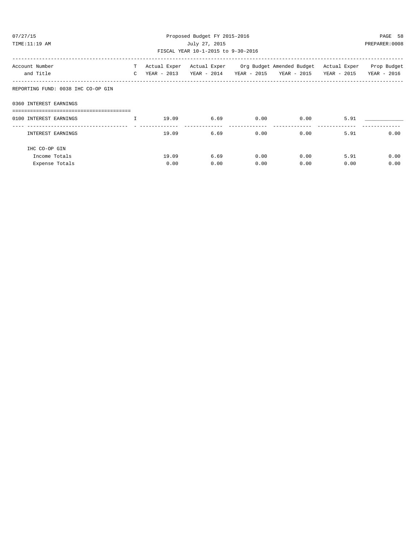| 07/27/15                           |              |       | Proposed Budget FY 2015-2016       |             |                                                                                |      | PAGE 58       |
|------------------------------------|--------------|-------|------------------------------------|-------------|--------------------------------------------------------------------------------|------|---------------|
| TIME:11:19 AM                      |              |       | July 27, 2015                      |             |                                                                                |      | PREPARER:0008 |
|                                    |              |       | FISCAL YEAR 10-1-2015 to 9-30-2016 |             |                                                                                |      |               |
| Account Number                     |              |       |                                    |             | T Actual Exper Actual Exper Org Budget Amended Budget Actual Exper Prop Budget |      |               |
| and Title                          |              |       |                                    |             | C YEAR - 2013 YEAR - 2014 YEAR - 2015 YEAR - 2015 YEAR - 2015                  |      | YEAR - 2016   |
| REPORTING FUND: 0038 IHC CO-OP GIN |              |       |                                    |             |                                                                                |      |               |
| 0360 INTEREST EARNINGS             |              |       |                                    |             |                                                                                |      |               |
| 0100 INTEREST EARNINGS             | $\mathbb{I}$ | 19.09 |                                    | $6.69$ 0.00 | 0.00                                                                           | 5.91 |               |
|                                    |              |       |                                    |             |                                                                                |      |               |
| INTEREST EARNINGS                  |              | 19.09 | 6.69                               | 0.00        | 0.00                                                                           | 5.91 | 0.00          |
| IHC CO-OP GIN                      |              |       |                                    |             |                                                                                |      |               |
| Income Totals                      |              | 19.09 | 6.69                               | 0.00        | 0.00                                                                           | 5.91 | 0.00          |
| Expense Totals                     |              | 0.00  | 0.00                               | 0.00        | 0.00                                                                           | 0.00 | 0.00          |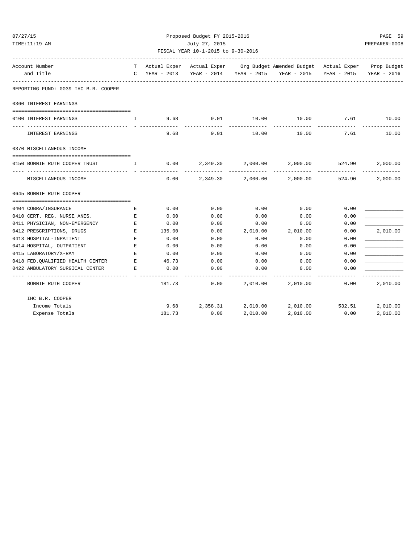| 07/27/15                                                                            |                               |        | Proposed Budget FY 2015-2016       |          |                                                                                |                         | PAGE 59        |  |
|-------------------------------------------------------------------------------------|-------------------------------|--------|------------------------------------|----------|--------------------------------------------------------------------------------|-------------------------|----------------|--|
| TIME:11:19 AM                                                                       |                               |        | July 27, 2015                      |          |                                                                                |                         | PREPARER: 0008 |  |
|                                                                                     |                               |        | FISCAL YEAR 10-1-2015 to 9-30-2016 |          |                                                                                |                         |                |  |
| Account Number                                                                      |                               |        |                                    |          | T Actual Exper Actual Exper Org Budget Amended Budget Actual Exper Prop Budget |                         |                |  |
| and Title                                                                           |                               |        |                                    |          | C YEAR - 2013 YEAR - 2014 YEAR - 2015 YEAR - 2015 YEAR - 2015 YEAR - 2016      |                         |                |  |
| REPORTING FUND: 0039 IHC B.R. COOPER                                                |                               |        |                                    |          |                                                                                |                         |                |  |
| 0360 INTEREST EARNINGS                                                              |                               |        |                                    |          |                                                                                |                         |                |  |
| 0100 INTEREST EARNINGS                                                              | $\mathbf{I}$                  | 9.68   | 9.01                               |          | $10.00$ $10.00$ $7.61$ $10.00$                                                 |                         |                |  |
| INTEREST EARNINGS                                                                   |                               | 9.68   | 9.01                               | 10.00    | 10.00                                                                          | 7.61                    | 10.00          |  |
| 0370 MISCELLANEOUS INCOME                                                           |                               |        |                                    |          |                                                                                |                         |                |  |
| 0150 BONNIE RUTH COOPER TRUST<br>$\mathbf{I}$ and $\mathbf{I}$                      |                               |        |                                    |          | $0.00$ $2.349.30$ $2.000.00$ $2.000.00$ $524.90$                               |                         | 2,000.00       |  |
| MISCELLANEOUS INCOME                                                                |                               | 0.00   | 2,349.30                           | 2,000.00 | 2,000.00                                                                       | -------------<br>524.90 | 2,000.00       |  |
| 0645 BONNIE RUTH COOPER                                                             |                               |        |                                    |          |                                                                                |                         |                |  |
| 0404 COBRA/INSURANCE                                                                | E                             | 0.00   | 0.00                               | 0.00     | 0.00                                                                           | 0.00                    |                |  |
| 0410 CERT. REG. NURSE ANES.                                                         | E                             | 0.00   | 0.00                               | 0.00     | 0.00                                                                           | 0.00                    |                |  |
| 0411 PHYSICIAN, NON-EMERGENCY<br><b>Experience of Excellent Excellent Excellent</b> |                               | 0.00   | 0.00                               | 0.00     | 0.00                                                                           | 0.00                    |                |  |
| 0412 PRESCRIPTIONS, DRUGS                                                           | E                             | 135.00 | 0.00                               | 2,010.00 | 2,010.00                                                                       | 0.00                    | 2,010.00       |  |
| 0413 HOSPITAL-INPATIENT                                                             | E                             | 0.00   | 0.00                               | 0.00     | 0.00                                                                           | 0.00                    |                |  |
| 0414 HOSPITAL, OUTPATIENT                                                           | E                             | 0.00   | 0.00                               | 0.00     | 0.00                                                                           | 0.00                    |                |  |
| 0415 LABORATORY/X-RAY                                                               | E                             | 0.00   | 0.00                               | 0.00     | 0.00                                                                           | 0.00                    |                |  |
| 0418 FED.QUALIFIED HEALTH CENTER                                                    | $\mathbf{E}$ and $\mathbf{E}$ | 46.73  | 0.00                               | 0.00     | 0.00                                                                           | 0.00                    |                |  |
| 0422 AMBULATORY SURGICAL CENTER                                                     | E                             | 0.00   | 0.00                               | 0.00     | 0.00                                                                           | 0.00                    |                |  |
| ----------------------------<br>BONNIE RUTH COOPER                                  |                               | 181.73 | 0.00                               |          | 2,010.00 2,010.00                                                              | 0.00                    | 2,010.00       |  |
| IHC B.R. COOPER                                                                     |                               |        |                                    |          |                                                                                |                         |                |  |
| Income Totals                                                                       |                               |        |                                    |          | 9.68 2,358.31 2,010.00 2,010.00 532.51                                         |                         | 2,010.00       |  |
| Expense Totals                                                                      |                               | 181.73 | 0.00                               | 2,010.00 | 2,010.00                                                                       | 0.00                    | 2,010.00       |  |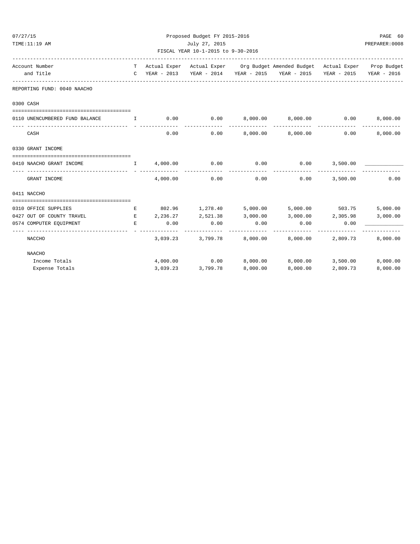| 07/27/15 |                                | Proposed Budget FY 2015-2016 |                        |                                    |                    |                                                                                                                                                                                                  |      |                |  |
|----------|--------------------------------|------------------------------|------------------------|------------------------------------|--------------------|--------------------------------------------------------------------------------------------------------------------------------------------------------------------------------------------------|------|----------------|--|
|          | TIME:11:19 AM                  |                              |                        | July 27, 2015                      |                    |                                                                                                                                                                                                  |      | PREPARER: 0008 |  |
|          |                                |                              |                        | FISCAL YEAR 10-1-2015 to 9-30-2016 |                    |                                                                                                                                                                                                  |      |                |  |
|          | Account Number                 |                              |                        |                                    |                    | T Actual Exper Actual Exper Org Budget Amended Budget Actual Exper Prop Budget                                                                                                                   |      |                |  |
|          | and Title                      |                              |                        |                                    |                    | C YEAR - 2013 YEAR - 2014 YEAR - 2015 YEAR - 2015 YEAR - 2015 YEAR - 2016                                                                                                                        |      |                |  |
|          | REPORTING FUND: 0040 NAACHO    |                              |                        |                                    |                    |                                                                                                                                                                                                  |      |                |  |
|          | 0300 CASH                      |                              |                        |                                    |                    |                                                                                                                                                                                                  |      |                |  |
|          | 0110 UNENCUMBERED FUND BALANCE |                              |                        |                                    |                    | $\qquad \qquad \text{I} \qquad \qquad \text{0.00} \qquad \qquad \text{0.00} \qquad \qquad \text{8,000.00} \qquad \qquad \text{8,000.00} \qquad \qquad \text{0.00} \qquad \qquad \text{8,000.00}$ |      |                |  |
|          |                                |                              |                        |                                    |                    |                                                                                                                                                                                                  |      |                |  |
|          | CASH                           |                              |                        |                                    |                    | $0.00$ $0.00$ $0.00$ $0.00$ $0.00$ $0.00$ $0.00$                                                                                                                                                 | 0.00 | 8,000.00       |  |
|          | 0330 GRANT INCOME              |                              |                        |                                    |                    |                                                                                                                                                                                                  |      |                |  |
|          |                                |                              |                        |                                    |                    |                                                                                                                                                                                                  |      |                |  |
|          | 0410 NAACHO GRANT INCOME       |                              | $I = 4,000.00$ 0.00    |                                    | 0.00               | $0.00$ 3,500.00<br>-------------                                                                                                                                                                 |      |                |  |
|          | GRANT INCOME                   |                              | 4,000.00               | 0.00                               |                    | $0.00$ $0.00$ $3,500.00$                                                                                                                                                                         |      | 0.00           |  |
|          | 0411 NACCHO                    |                              |                        |                                    |                    |                                                                                                                                                                                                  |      |                |  |
|          |                                |                              |                        |                                    |                    |                                                                                                                                                                                                  |      |                |  |
|          | 0310 OFFICE SUPPLIES           |                              |                        |                                    |                    | E 802.96 1,278.40 5,000.00 5,000.00 503.75                                                                                                                                                       |      | 5,000.00       |  |
|          | 0427 OUT OF COUNTY TRAVEL      |                              |                        |                                    |                    | $E$ 2, 236.27 2, 521.38 3, 000.00 3, 000.00 2, 305.98                                                                                                                                            |      | 3,000.00       |  |
|          | 0574 COMPUTER EQUIPMENT        | E.                           | 0.00<br>-------------- | 0.00<br>--------------             | 0.00<br>---------- | 0.00<br>------------                                                                                                                                                                             | 0.00 |                |  |
|          | NACCHO                         |                              |                        |                                    |                    | $3,039.23$ $3,799.78$ $8,000.00$ $8,000.00$ $2,809.73$ $8,000.00$                                                                                                                                |      |                |  |
|          | <b>NAACHO</b>                  |                              |                        |                                    |                    |                                                                                                                                                                                                  |      |                |  |
|          | Income Totals                  |                              |                        |                                    |                    | $4,000.00$ $0.00$ $8,000.00$ $8,000.00$ $3,500.00$ $8,000.00$                                                                                                                                    |      |                |  |

Expense Totals 3,039.23 3,799.78 8,000.00 8,000.00 2,809.73 8,000.00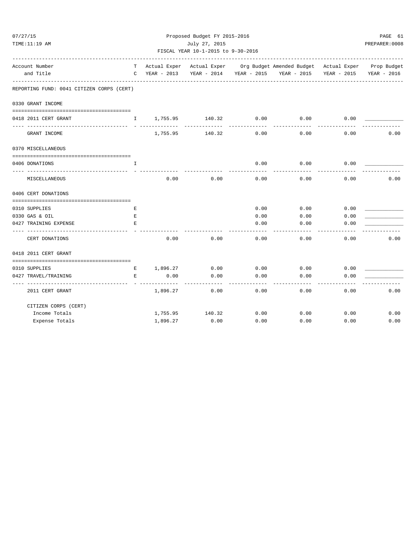| 07/27/15 |                                                         |               |                     | Proposed Budget FY 2015-2016                                           |                   |                                                                                |             | PAGE 61     |  |  |
|----------|---------------------------------------------------------|---------------|---------------------|------------------------------------------------------------------------|-------------------|--------------------------------------------------------------------------------|-------------|-------------|--|--|
|          | TIME:11:19 AM                                           | July 27, 2015 |                     |                                                                        |                   |                                                                                |             |             |  |  |
|          |                                                         |               |                     | FISCAL YEAR 10-1-2015 to 9-30-2016<br>________________________________ |                   |                                                                                |             |             |  |  |
|          | Account Number                                          |               |                     |                                                                        |                   | T Actual Exper Actual Exper Org Budget Amended Budget Actual Exper Prop Budget |             |             |  |  |
|          | and Title                                               | $\mathsf{C}$  | YEAR - 2013         |                                                                        |                   | YEAR - 2014 YEAR - 2015 YEAR - 2015                                            | YEAR - 2015 | YEAR - 2016 |  |  |
|          | REPORTING FUND: 0041 CITIZEN CORPS (CERT)               |               |                     |                                                                        |                   |                                                                                |             |             |  |  |
|          | 0330 GRANT INCOME                                       |               |                     |                                                                        |                   |                                                                                |             |             |  |  |
|          | 0418 2011 CERT GRANT                                    | $\mathbf{I}$  |                     | 1,755.95 140.32                                                        | 0.00              | 0.00                                                                           | 0.00        |             |  |  |
|          | GRANT INCOME                                            |               |                     | ______________<br>1,755.95 140.32                                      | 0.00              | 0.00                                                                           | 0.00        | 0.00        |  |  |
|          | 0370 MISCELLANEOUS                                      |               |                     |                                                                        |                   |                                                                                |             |             |  |  |
|          | 0406 DONATIONS                                          | I.            |                     |                                                                        | 0.00              | 0.00                                                                           | 0.00        |             |  |  |
|          | MISCELLANEOUS                                           |               | 0.00                | 0.00                                                                   | 0.00              | 0.00                                                                           | 0.00        | 0.00        |  |  |
|          | 0406 CERT DONATIONS                                     |               |                     |                                                                        |                   |                                                                                |             |             |  |  |
|          |                                                         |               |                     |                                                                        |                   |                                                                                |             |             |  |  |
|          | 0310 SUPPLIES                                           | Е             |                     |                                                                        | 0.00              | 0.00                                                                           | 0.00        |             |  |  |
|          | 0330 GAS & OIL                                          | $\mathbf E$   |                     |                                                                        | 0.00              | 0.00                                                                           | 0.00        |             |  |  |
|          | 0427 TRAINING EXPENSE                                   | E.            |                     |                                                                        | 0.00              | 0.00                                                                           | 0.00        |             |  |  |
|          | CERT DONATIONS                                          |               | 0.00                | 0.00                                                                   | 0.00              | 0.00                                                                           | 0.00        | 0.00        |  |  |
|          | 0418 2011 CERT GRANT                                    |               |                     |                                                                        |                   |                                                                                |             |             |  |  |
|          | 0310 SUPPLIES                                           | E             | 1,896.27 0.00       |                                                                        | 0.00              | 0.00                                                                           | 0.00        |             |  |  |
|          | 0427 TRAVEL/TRAINING<br>------------------------------- | $\mathbf{E}$  | 0.00<br>----------- | 0.00                                                                   | 0.00<br>$- - - -$ | 0.00                                                                           | 0.00        |             |  |  |
|          | 2011 CERT GRANT                                         |               | 1,896.27            | 0.00                                                                   | 0.00              | 0.00                                                                           | 0.00        | 0.00        |  |  |
|          | CITIZEN CORPS (CERT)                                    |               |                     |                                                                        |                   |                                                                                |             |             |  |  |
|          | Income Totals                                           |               | 1,755.95            | 140.32                                                                 | 0.00              | 0.00                                                                           | 0.00        | 0.00        |  |  |
|          | Expense Totals                                          |               | 1,896.27            | 0.00                                                                   | 0.00              | 0.00                                                                           | 0.00        | 0.00        |  |  |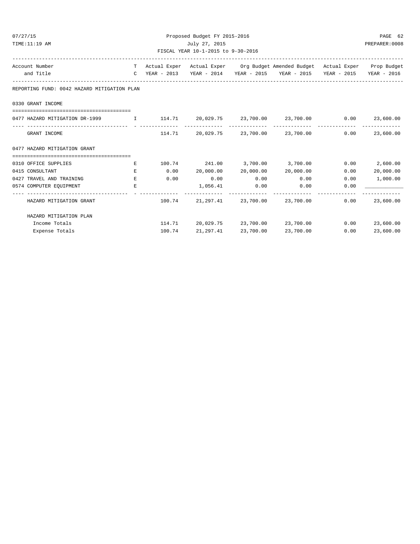| 07/27/15<br>TIME:11:19 AM                   |               | Proposed Budget FY 2015-2016<br>July 27, 2015 |                                    |                       |                                                                                |             |             |  |  |
|---------------------------------------------|---------------|-----------------------------------------------|------------------------------------|-----------------------|--------------------------------------------------------------------------------|-------------|-------------|--|--|
|                                             |               |                                               | FISCAL YEAR 10-1-2015 to 9-30-2016 |                       |                                                                                |             |             |  |  |
| Account Number                              |               |                                               |                                    |                       | T Actual Exper Actual Exper Org Budget Amended Budget Actual Exper Prop Budget |             |             |  |  |
| and Title                                   | $\mathcal{C}$ |                                               |                                    |                       |                                                                                | YEAR - 2015 | YEAR - 2016 |  |  |
| REPORTING FUND: 0042 HAZARD MITIGATION PLAN |               |                                               |                                    |                       |                                                                                |             |             |  |  |
| 0330 GRANT INCOME                           |               |                                               |                                    |                       |                                                                                |             |             |  |  |
|                                             |               |                                               | ______________                     |                       |                                                                                | 0.00        | 23,600.00   |  |  |
| GRANT INCOME                                |               | 114.71                                        | 20,029.75                          | 23,700.00             | 23,700.00                                                                      | 0.00        | 23,600.00   |  |  |
| 0477 HAZARD MITIGATION GRANT                |               |                                               |                                    |                       |                                                                                |             |             |  |  |
| -------------------------------------       |               |                                               |                                    |                       |                                                                                |             |             |  |  |
| 0310 OFFICE SUPPLIES                        | Е             | 100.74                                        | 241.00 3,700.00 3,700.00           |                       |                                                                                | 0.00        | 2,600.00    |  |  |
| 0415 CONSULTANT                             | E.            | 0.00                                          | 20,000.00                          | 20,000.00             | 20,000.00                                                                      | 0.00        | 20,000.00   |  |  |
| 0427 TRAVEL AND TRAINING                    | $E_{i}$       | 0.00                                          | 0.00                               | 0.00                  | 0.00                                                                           | 0.00        | 1,000.00    |  |  |
| 0574 COMPUTER EQUIPMENT                     | E.            |                                               | 1,056.41                           | 0.00<br>------------- | 0.00                                                                           | 0.00        |             |  |  |
| HAZARD MITIGATION GRANT                     |               | 100.74                                        | 21,297.41                          | 23,700.00             | 23,700.00                                                                      | 0.00        | 23,600.00   |  |  |
| HAZARD MITIGATION PLAN                      |               |                                               |                                    |                       |                                                                                |             |             |  |  |
| Income Totals                               |               |                                               | 114.71 20,029.75                   |                       | 23,700.00 23,700.00                                                            | 0.00        | 23,600.00   |  |  |
| Expense Totals                              |               | 100.74                                        | 21,297.41                          | 23,700.00             | 23,700.00                                                                      | 0.00        | 23,600.00   |  |  |
|                                             |               |                                               |                                    |                       |                                                                                |             |             |  |  |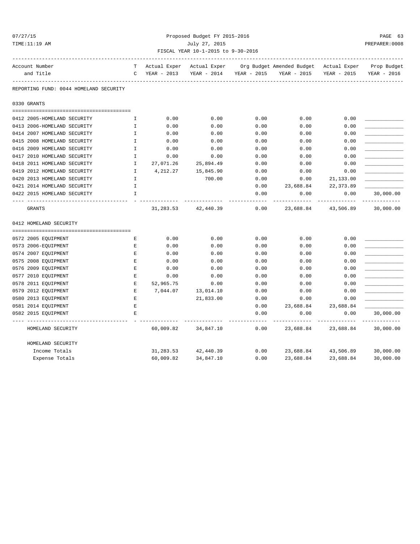# 07/27/15 Proposed Budget FY 2015-2016 PAGE 63 TIME:11:19 AM July 27, 2015 PREPARER:0008 FISCAL YEAR 10-1-2015 to 9-30-2016

| Account Number                         | т           | Actual Exper |                     |                         | Actual Exper Org Budget Amended Budget Actual Exper Prop Budget |                                   |                            |
|----------------------------------------|-------------|--------------|---------------------|-------------------------|-----------------------------------------------------------------|-----------------------------------|----------------------------|
| and Title                              | $\mathbf C$ | YEAR - 2013  |                     | YEAR - 2014 YEAR - 2015 | YEAR - 2015                                                     | YEAR - 2015                       | YEAR - 2016                |
| REPORTING FUND: 0044 HOMELAND SECURITY |             |              |                     |                         |                                                                 |                                   |                            |
| 0330 GRANTS                            |             |              |                     |                         |                                                                 |                                   |                            |
| 0412 2005-HOMELAND SECURITY            | I.          | 0.00         | 0.00                | 0.00                    | 0.00                                                            | 0.00                              |                            |
| 0413 2006-HOMELAND SECURITY            | Ι.          | 0.00         | 0.00                | 0.00                    | 0.00                                                            | 0.00                              |                            |
| 0414 2007 HOMELAND SECURITY            | I.          | 0.00         | 0.00                | 0.00                    | 0.00                                                            | 0.00                              |                            |
| 0415 2008 HOMELAND SECURITY            | $\mathbf I$ | 0.00         | 0.00                | 0.00                    | 0.00                                                            | 0.00                              |                            |
| 0416 2009 HOMELAND SECURITY            | Ι.          | 0.00         | 0.00                | 0.00                    | 0.00                                                            | 0.00                              |                            |
| 0417 2010 HOMELAND SECURITY            | $\mathbf I$ | 0.00         | 0.00                | 0.00                    | 0.00                                                            | 0.00                              |                            |
| 0418 2011 HOMELAND SECURITY            | Ι.          | 27,071.26    | 25,894.49           | 0.00                    | 0.00                                                            | 0.00                              |                            |
| 0419 2012 HOMELAND SECURITY            | I           | 4,212.27     | 15,845.90           | 0.00                    | 0.00                                                            | 0.00                              |                            |
| 0420 2013 HOMELAND SECURITY            | I.          |              | 700.00              | 0.00                    | 0.00                                                            | 21,133.00                         |                            |
| 0421 2014 HOMELAND SECURITY            | I           |              |                     | 0.00                    | 23,688.84                                                       | 22, 373.89                        |                            |
| 0422 2015 HOMELAND SECURITY            | $\mathbf I$ |              |                     | 0.00                    | 0.00                                                            | 0.00                              | 30,000.00                  |
| GRANTS                                 |             | 31,283.53    | 42,440.39           | $- - - -$<br>0.00       |                                                                 | ----------<br>23,688.84 43,506.89 | -------------<br>30,000.00 |
| 0412 HOMELAND SECURITY                 |             |              |                     |                         |                                                                 |                                   |                            |
| 0572 2005 EQUIPMENT                    | Е           | 0.00         | 0.00                | 0.00                    | 0.00                                                            | 0.00                              |                            |
| 0573 2006-EQUIPMENT                    | E           | 0.00         | 0.00                | 0.00                    | 0.00                                                            | 0.00                              |                            |
| 0574 2007 EQUIPMENT                    | Е           | 0.00         | 0.00                | 0.00                    | 0.00                                                            | 0.00                              |                            |
| 0575 2008 EQUIPMENT                    | Е           | 0.00         | 0.00                | 0.00                    | 0.00                                                            | 0.00                              |                            |
| 0576 2009 EQUIPMENT                    | Е           | 0.00         | 0.00                | 0.00                    | 0.00                                                            | 0.00                              |                            |
| 0577 2010 EQUIPMENT                    | E           | 0.00         | 0.00                | 0.00                    | 0.00                                                            | 0.00                              |                            |
| 0578 2011 EQUIPMENT                    | E           | 52,965.75    | 0.00                | 0.00                    | 0.00                                                            | 0.00                              |                            |
| 0579 2012 EQUIPMENT                    | Е           | 7,044.07     | 13,014.10           | 0.00                    | 0.00                                                            | 0.00                              |                            |
| 0580 2013 EQUIPMENT                    | Ε           |              | 21,833.00           | 0.00                    | 0.00                                                            | 0.00                              |                            |
| 0581 2014 EQUIPMENT                    | $\mathbf E$ |              |                     | 0.00                    | 23,688.84                                                       | 23,688.84                         |                            |
| 0582 2015 EQUIPMENT                    | E           |              |                     | 0.00                    | 0.00                                                            | 0.00                              | 30,000.00                  |
| HOMELAND SECURITY                      |             |              | 60,009.82 34,847.10 | ----------<br>0.00      | 23,688.84                                                       | 23,688.84                         | 30,000.00                  |
| HOMELAND SECURITY                      |             |              |                     |                         |                                                                 |                                   |                            |
| Income Totals                          |             | 31,283.53    | 42,440.39           | 0.00                    |                                                                 | 23,688.84 43,506.89               | 30,000.00                  |
| Expense Totals                         |             | 60,009.82    | 34,847.10           | 0.00                    | 23,688.84                                                       | 23,688.84                         | 30,000.00                  |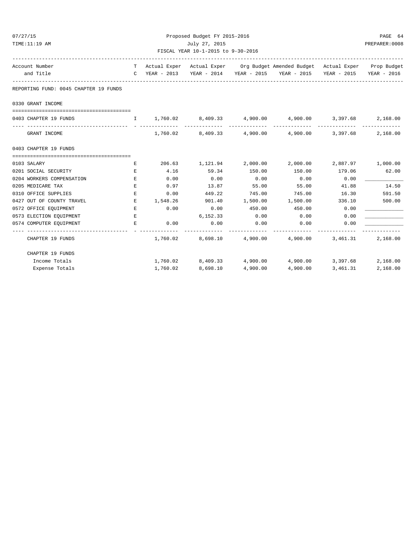| 07/27/15                                                   | Proposed Budget FY 2015-2016 |          |                                         |          |                                                                              |                |                          |  |
|------------------------------------------------------------|------------------------------|----------|-----------------------------------------|----------|------------------------------------------------------------------------------|----------------|--------------------------|--|
| TIME:11:19 AM                                              |                              |          | July 27, 2015                           |          |                                                                              |                | PREPARER: 0008           |  |
|                                                            |                              |          | FISCAL YEAR 10-1-2015 to 9-30-2016      |          |                                                                              |                |                          |  |
| Account Number                                             | T                            |          |                                         |          | Actual Exper Actual Exper Org Budget Amended Budget Actual Exper Prop Budget |                |                          |  |
| and Title                                                  |                              |          |                                         |          | C YEAR - 2013 YEAR - 2014 YEAR - 2015 YEAR - 2015 YEAR - 2015 YEAR - 2016    |                |                          |  |
| REPORTING FUND: 0045 CHAPTER 19 FUNDS                      |                              |          |                                         |          |                                                                              |                |                          |  |
| 0330 GRANT INCOME                                          |                              |          |                                         |          |                                                                              |                |                          |  |
|                                                            |                              |          |                                         |          |                                                                              |                |                          |  |
| 0403 CHAPTER 19 FUNDS                                      |                              |          |                                         |          |                                                                              | ______________ | 2,168.00<br>____________ |  |
| GRANT INCOME                                               |                              | 1,760.02 |                                         |          | 8,409.33 4,900.00 4,900.00 3,397.68                                          |                | 2,168.00                 |  |
| 0403 CHAPTER 19 FUNDS                                      |                              |          |                                         |          |                                                                              |                |                          |  |
|                                                            |                              |          |                                         |          |                                                                              |                |                          |  |
| 0103 SALARY                                                | Е                            |          |                                         |          | 206.63 1,121.94 2,000.00 2,000.00                                            |                | 2,887.97 1,000.00        |  |
| 0201 SOCIAL SECURITY                                       | E.                           | 4.16     | 59.34                                   | 150.00   | 150.00                                                                       | 179.06         | 62.00                    |  |
| 0204 WORKERS COMPENSATION                                  | E.                           | 0.00     | 0.00                                    | 0.00     | 0.00                                                                         | 0.00           |                          |  |
| 0205 MEDICARE TAX                                          | E                            | 0.97     | 13.87                                   | 55.00    | 55.00                                                                        | 41.88          | 14.50                    |  |
| 0310 OFFICE SUPPLIES                                       | E.                           | 0.00     | 449.22                                  | 745.00   | 745.00                                                                       | 16.30          | 591.50                   |  |
| 0427 OUT OF COUNTY TRAVEL                                  | Е                            | 1,548.26 | 901.40                                  | 1,500.00 | 1,500.00                                                                     | 336.10         | 500.00                   |  |
| 0572 OFFICE EQUIPMENT                                      | Е                            | 0.00     | 0.00                                    | 450.00   | 450.00                                                                       | 0.00           |                          |  |
| 0573 ELECTION EQUIPMENT                                    | Е                            |          | 6,152.33                                | 0.00     | 0.00                                                                         | 0.00           |                          |  |
| 0574 COMPUTER EQUIPMENT<br>------------------------------- | Е                            | 0.00     | 0.00<br>------------------------------- | 0.00     | 0.00<br>-------------                                                        | 0.00           |                          |  |
| CHAPTER 19 FUNDS                                           |                              |          |                                         |          | $1,760.02$ 8,698.10 $4,900.00$ $4,900.00$                                    | 3,461.31       | 2,168.00                 |  |
| CHAPTER 19 FUNDS                                           |                              |          |                                         |          |                                                                              |                |                          |  |
| Income Totals                                              |                              |          |                                         |          | $1,760.02$ $8,409.33$ $4,900.00$ $4,900.00$ $3,397.68$                       |                | 2,168.00                 |  |
| Expense Totals                                             |                              | 1,760.02 | 8,698.10                                | 4,900.00 | 4,900.00                                                                     | 3,461.31       | 2,168.00                 |  |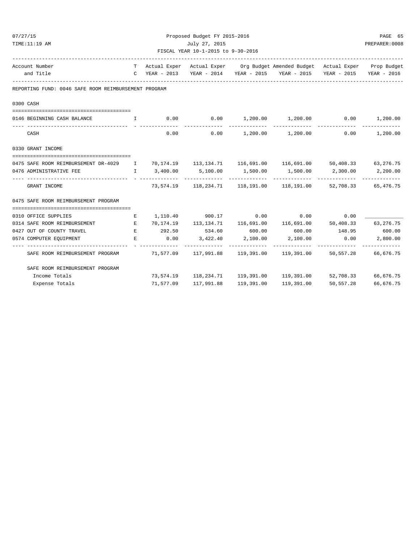| 07/27/15                                                                                              |               |           | Proposed Budget FY 2015-2016       |            |                                                                                |               | PAGE 65                     |  |
|-------------------------------------------------------------------------------------------------------|---------------|-----------|------------------------------------|------------|--------------------------------------------------------------------------------|---------------|-----------------------------|--|
| TIME:11:19 AM                                                                                         | July 27, 2015 |           |                                    |            |                                                                                |               |                             |  |
|                                                                                                       |               |           | FISCAL YEAR 10-1-2015 to 9-30-2016 |            |                                                                                |               |                             |  |
| Account Number                                                                                        |               |           |                                    |            | T Actual Exper Actual Exper Org Budget Amended Budget Actual Exper Prop Budget |               |                             |  |
| and Title                                                                                             |               |           |                                    |            | C YEAR - 2013 YEAR - 2014 YEAR - 2015 YEAR - 2015 YEAR - 2015 YEAR - 2016      |               |                             |  |
| REPORTING FUND: 0046 SAFE ROOM REIMBURSEMENT PROGRAM                                                  |               |           |                                    |            |                                                                                |               |                             |  |
| 0300 CASH                                                                                             |               |           |                                    |            |                                                                                |               |                             |  |
|                                                                                                       |               |           |                                    |            |                                                                                |               |                             |  |
| 0146 BEGINNING CASH BALANCE<br>. The contract of the state $\mathbf{I}$ and $\mathbf{I}$              |               |           |                                    |            | $0.00$ $0.00$ $1,200.00$ $1,200.00$ $0.00$ $1,200.00$                          |               |                             |  |
| CASH                                                                                                  |               | 0.00      |                                    |            | $0.00$ 1,200.00 1,200.00 0.00                                                  |               | 1,200.00                    |  |
| 0330 GRANT INCOME                                                                                     |               |           |                                    |            |                                                                                |               |                             |  |
|                                                                                                       |               |           |                                    |            |                                                                                |               |                             |  |
| 0475 SAFE ROOM REIMBURSEMENT DR-4029 I 70,174.19 113,134.71 116,691.00 116,691.00 50,408.33 63,276.75 |               |           |                                    |            |                                                                                |               |                             |  |
| 0476 ADMINISTRATIVE FEE                                                                               |               |           |                                    |            | $I$ 3,400.00 5,100.00 1,500.00 1,500.00 2,300.00 2,200.00                      |               |                             |  |
| GRANT INCOME                                                                                          |               |           |                                    |            | 73,574.19 118,234.71 118,191.00 118,191.00 52,708.33 65,476.75                 |               |                             |  |
| 0475 SAFE ROOM REIMBURSEMENT PROGRAM                                                                  |               |           |                                    |            |                                                                                |               |                             |  |
|                                                                                                       |               |           |                                    |            |                                                                                |               |                             |  |
| 0310 OFFICE SUPPLIES                                                                                  | E             |           |                                    |            | $1,110.40$ 900.17 0.00 0.00                                                    | 0.00          |                             |  |
| 0314 SAFE ROOM REIMBURSEMENT E                                                                        |               |           |                                    |            | 70,174.19   113,134.71   116,691.00   116,691.00   50,408.33                   |               | 63, 276. 75                 |  |
| 0427 OUT OF COUNTY TRAVEL                                                                             | E             |           | 292.50 534.60 600.00 600.00        |            |                                                                                | 148.95 600.00 |                             |  |
| 0574 COMPUTER EQUIPMENT<br><b>Experience of the Contract Property</b>                                 |               | 0.00      |                                    |            | 3,422.40 2,100.00 2,100.00                                                     | 0.00          | 2,800.00                    |  |
| SAFE ROOM REIMBURSEMENT PROGRAM                                                                       |               |           |                                    |            | 71,577.09    117,991.88    119,391.00    119,391.00    50,557.28               | ------------- | --------------<br>66,676.75 |  |
| SAFE ROOM REIMBURSEMENT PROGRAM                                                                       |               |           |                                    |            |                                                                                |               |                             |  |
| Income Totals                                                                                         |               |           |                                    |            | 73,574.19 118,234.71 119,391.00 119,391.00 52,708.33 66,676.75                 |               |                             |  |
| Expense Totals                                                                                        |               | 71,577.09 | 117,991.88                         | 119,391.00 | 119,391.00                                                                     | 50,557.28     | 66,676.75                   |  |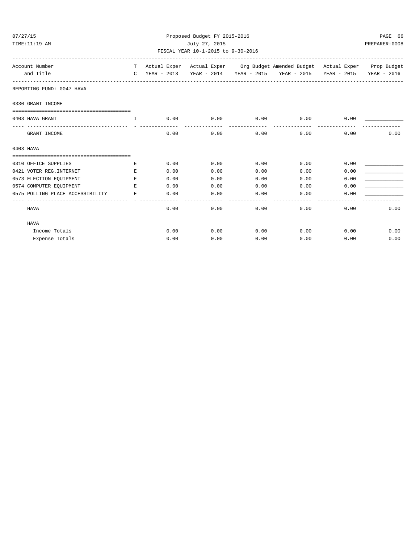| 07/27/15          |                                  | Proposed Budget FY 2015-2016 |      |                                    |      |                                                                                |      |                         |  |
|-------------------|----------------------------------|------------------------------|------|------------------------------------|------|--------------------------------------------------------------------------------|------|-------------------------|--|
| TIME:11:19 AM     |                                  | July 27, 2015                |      |                                    |      |                                                                                |      |                         |  |
|                   |                                  |                              |      | FISCAL YEAR 10-1-2015 to 9-30-2016 |      |                                                                                |      |                         |  |
| Account Number    |                                  |                              |      |                                    |      | T Actual Exper Actual Exper Org Budget Amended Budget Actual Exper Prop Budget |      |                         |  |
| and Title         |                                  | $\mathbb{C}$                 |      |                                    |      |                                                                                |      | YEAR - 2015 YEAR - 2016 |  |
|                   | REPORTING FUND: 0047 HAVA        |                              |      |                                    |      |                                                                                |      |                         |  |
| 0330 GRANT INCOME |                                  |                              |      |                                    |      |                                                                                |      |                         |  |
| 0403 HAVA GRANT   |                                  | T.                           | 0.00 | 0.00                               | 0.00 | 0.00                                                                           | 0.00 |                         |  |
|                   | GRANT INCOME                     |                              | 0.00 | 0.00                               | 0.00 | 0.00                                                                           | 0.00 | 0.00                    |  |
| 0403 HAVA         |                                  |                              |      |                                    |      |                                                                                |      |                         |  |
|                   | 0310 OFFICE SUPPLIES             | E.                           | 0.00 | 0.00                               | 0.00 | 0.00                                                                           | 0.00 |                         |  |
|                   | 0421 VOTER REG. INTERNET         | E.                           | 0.00 | 0.00                               | 0.00 | 0.00                                                                           | 0.00 |                         |  |
|                   | 0573 ELECTION EQUIPMENT          | E.                           | 0.00 | 0.00                               | 0.00 | 0.00                                                                           | 0.00 |                         |  |
|                   | 0574 COMPUTER EQUIPMENT          | E.                           | 0.00 | 0.00                               | 0.00 | 0.00                                                                           | 0.00 |                         |  |
|                   | 0575 POLLING PLACE ACCESSIBILITY | E.                           | 0.00 | 0.00                               | 0.00 | 0.00                                                                           | 0.00 |                         |  |
| HAVA              |                                  |                              | 0.00 | 0.00                               | 0.00 | 0.00                                                                           | 0.00 | 0.00                    |  |
| HAVA              |                                  |                              |      |                                    |      |                                                                                |      |                         |  |
|                   | Income Totals                    |                              | 0.00 | 0.00                               | 0.00 | 0.00                                                                           | 0.00 | 0.00                    |  |
|                   | Expense Totals                   |                              | 0.00 | 0.00                               | 0.00 | 0.00                                                                           | 0.00 | 0.00                    |  |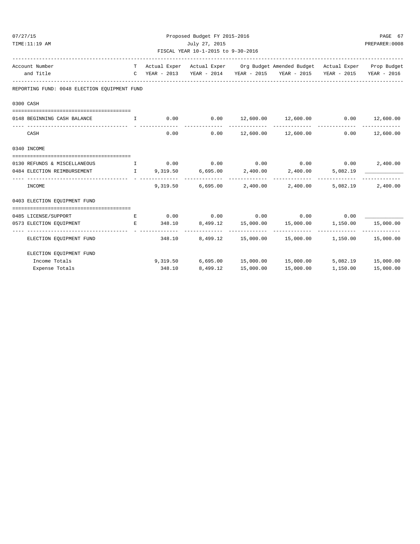| 07/27/15                                                            | Proposed Budget FY 2015-2016 |        |                                    |           |                                                                                |                    |                  |  |
|---------------------------------------------------------------------|------------------------------|--------|------------------------------------|-----------|--------------------------------------------------------------------------------|--------------------|------------------|--|
| TIME:11:19 AM                                                       | July 27, 2015                |        |                                    |           |                                                                                |                    |                  |  |
|                                                                     |                              |        | FISCAL YEAR 10-1-2015 to 9-30-2016 |           |                                                                                |                    |                  |  |
| Account Number                                                      |                              |        |                                    |           | T Actual Exper Actual Exper Org Budget Amended Budget Actual Exper Prop Budget |                    |                  |  |
| and Title                                                           |                              |        |                                    |           | C YEAR - 2013 YEAR - 2014 YEAR - 2015 YEAR - 2015 YEAR - 2015 YEAR - 2016      |                    |                  |  |
| REPORTING FUND: 0048 ELECTION EOUIPMENT FUND                        |                              |        |                                    |           |                                                                                |                    |                  |  |
| 0300 CASH                                                           |                              |        |                                    |           |                                                                                |                    |                  |  |
| 0148 BEGINNING CASH BALANCE I                                       |                              |        |                                    |           | $0.00$ $0.00$ $12,600.00$ $12,600.00$ $0.00$ $12,600.00$                       |                    | ______________   |  |
| CASH                                                                |                              |        | 0.00                               |           | $0.00$ $12,600.00$ $12,600.00$                                                 |                    | $0.00$ 12,600.00 |  |
| 0340 INCOME                                                         |                              |        |                                    |           |                                                                                |                    |                  |  |
| 0130 REFUNDS & MISCELLANEOUS $I$ 0.00 0.00 0.00 0.00 0.00 0.00 0.00 |                              |        |                                    |           |                                                                                |                    | 2,400.00         |  |
| 0484 ELECTION REIMBURSEMENT                                         |                              |        |                                    |           | $I$ 9,319.50 6,695.00 2,400.00 2,400.00 5,082.19                               |                    |                  |  |
| INCOME                                                              |                              |        |                                    |           | 9,319.50 6,695.00 2,400.00 2,400.00 5,082.19                                   |                    | 2,400.00         |  |
| 0403 ELECTION EOUIPMENT FUND                                        |                              |        |                                    |           |                                                                                |                    |                  |  |
|                                                                     |                              |        |                                    |           |                                                                                |                    |                  |  |
| 0485 LICENSE/SUPPORT                                                | E                            |        |                                    |           | $0.00$ $0.00$ $0.00$ $0.00$ $0.00$                                             | 0.00               |                  |  |
| 0573 ELECTION EQUIPMENT                                             | E                            |        |                                    |           | $348.10$ $8,499.12$ $15,000.00$ $15,000.00$ $1,150.00$ $15,000.00$             |                    |                  |  |
| ELECTION EQUIPMENT FUND                                             |                              | 348.10 |                                    |           | 8,499.12 15,000.00 15,000.00 1,150.00 15,000.00                                |                    |                  |  |
| ELECTION EOUIPMENT FUND                                             |                              |        |                                    |           |                                                                                |                    |                  |  |
| Income Totals                                                       |                              |        |                                    |           | 9,319.50 6,695.00 15,000.00 15,000.00 5,082.19 15,000.00                       |                    |                  |  |
| Expense Totals                                                      |                              | 348.10 | 8,499.12                           | 15,000.00 | 15,000.00                                                                      | 1,150.00 15,000.00 |                  |  |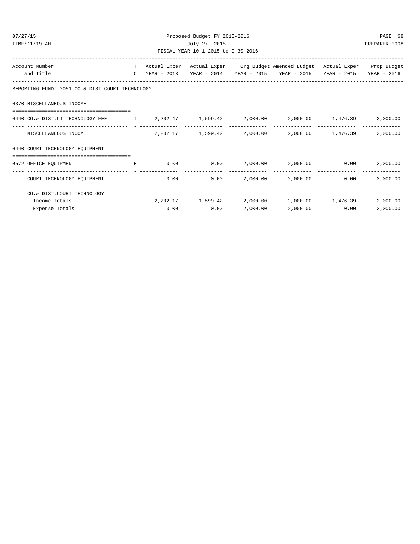| 07/27/15                           |                                                                                                                        |  | Proposed Budget FY 2015-2016 |             |          |                                                                                |               | PAGE 68       |  |  |
|------------------------------------|------------------------------------------------------------------------------------------------------------------------|--|------------------------------|-------------|----------|--------------------------------------------------------------------------------|---------------|---------------|--|--|
| TIME:11:19 AM                      |                                                                                                                        |  | July 27, 2015                |             |          |                                                                                |               | PREPARER:0008 |  |  |
| FISCAL YEAR 10-1-2015 to 9-30-2016 |                                                                                                                        |  |                              |             |          |                                                                                |               |               |  |  |
|                                    | Account Number                                                                                                         |  |                              |             |          | T Actual Exper Actual Exper Org Budget Amended Budget Actual Exper Prop Budget |               |               |  |  |
|                                    | and Title                                                                                                              |  |                              |             |          | C YEAR - 2013 YEAR - 2014 YEAR - 2015 YEAR - 2015 YEAR - 2015 YEAR - 2016      |               |               |  |  |
|                                    | REPORTING FUND: 0051 CO.& DIST.COURT TECHNOLOGY                                                                        |  |                              |             |          |                                                                                |               |               |  |  |
|                                    | 0370 MISCELLANEOUS INCOME                                                                                              |  |                              |             |          |                                                                                |               |               |  |  |
|                                    | -----------------------------------<br>0440 CO.& DIST.CT.TECHNOLOGY FEE 1 2,202.17 1,599.42 2,000.00 2,000.00 1,476.39 |  |                              |             |          |                                                                                |               | 2,000.00      |  |  |
|                                    | MISCELLANEOUS INCOME                                                                                                   |  |                              |             |          | $2,202.17$ $1,599.42$ $2,000.00$ $2,000.00$ $1,476.39$                         |               | 2,000.00      |  |  |
|                                    | 0440 COURT TECHNOLOGY EQUIPMENT                                                                                        |  |                              |             |          |                                                                                |               |               |  |  |
|                                    | 0572 OFFICE EOUIPMENT FOR THE RESERVE TO A RESERVE THE RESERVE TO A RESERVE THE RESERVE TO A RESERVE THE RESERVE       |  |                              |             |          | $0.00$ $0.00$ $2,000.00$ $2,000.00$ $0.00$                                     |               | 2,000.00      |  |  |
|                                    | COURT TECHNOLOGY EOUIPMENT                                                                                             |  | 0.00                         |             |          | $0.00$ 2,000.00 2,000.00                                                       | 0.00          | 2,000.00      |  |  |
|                                    | CO.& DIST.COURT TECHNOLOGY                                                                                             |  |                              |             |          |                                                                                |               |               |  |  |
|                                    | Income Totals                                                                                                          |  |                              |             |          | $2,202.17$ 1,599.42 2,000.00 2,000.00 1,476.39                                 |               | 2,000.00      |  |  |
|                                    | Expense Totals                                                                                                         |  |                              | $0.00$ 0.00 | 2,000.00 |                                                                                | 2,000.00 0.00 | 2,000.00      |  |  |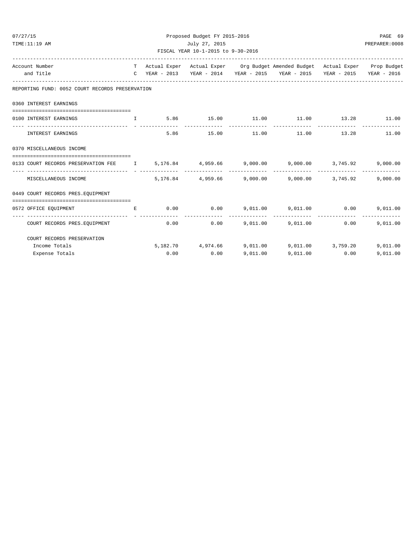| 07/27/15                                                                               |             | Proposed Budget FY 2015-2016 |                               |          |                                                                                                                                                                                           |                       | PAGE 69                   |  |  |
|----------------------------------------------------------------------------------------|-------------|------------------------------|-------------------------------|----------|-------------------------------------------------------------------------------------------------------------------------------------------------------------------------------------------|-----------------------|---------------------------|--|--|
| TIME:11:19 AM<br>July 27, 2015<br>PREPARER: 0008<br>FISCAL YEAR 10-1-2015 to 9-30-2016 |             |                              |                               |          |                                                                                                                                                                                           |                       |                           |  |  |
| Account Number                                                                         | T –         |                              |                               |          | Actual Exper Actual Exper Org Budget Amended Budget Actual Exper Prop Budget                                                                                                              |                       |                           |  |  |
| and Title                                                                              |             |                              |                               |          | C YEAR - 2013 YEAR - 2014 YEAR - 2015 YEAR - 2015 YEAR - 2015 YEAR - 2016                                                                                                                 |                       |                           |  |  |
| REPORTING FUND: 0052 COURT RECORDS PRESERVATION                                        |             |                              |                               |          |                                                                                                                                                                                           |                       |                           |  |  |
| 0360 INTEREST EARNINGS                                                                 |             |                              |                               |          |                                                                                                                                                                                           |                       |                           |  |  |
| 0100 INTEREST EARNINGS                                                                 |             |                              | -------------- -------------- |          | $\qquad \qquad \text{I} \qquad \qquad \text{5.86} \qquad \qquad \text{15.00} \qquad \qquad \text{11.00} \qquad \qquad \text{11.00} \qquad \qquad \text{13.28} \qquad \qquad \text{11.00}$ |                       |                           |  |  |
| INTEREST EARNINGS                                                                      |             |                              | 5.86 15.00 11.00              |          |                                                                                                                                                                                           | 11.00   13.28   11.00 |                           |  |  |
| 0370 MISCELLANEOUS INCOME                                                              |             |                              |                               |          |                                                                                                                                                                                           |                       |                           |  |  |
| 0133 COURT RECORDS PRESERVATION FEE 1 5,176.84 4,959.66 9,000.00 9,000.00 3,745.92     |             |                              |                               |          |                                                                                                                                                                                           |                       | 9,000.00                  |  |  |
| MISCELLANEOUS INCOME                                                                   |             |                              |                               |          | 5,176.84 4,959.66 9,000.00 9,000.00 3,745.92                                                                                                                                              |                       | 9.000.00                  |  |  |
| 0449 COURT RECORDS PRES. EQUIPMENT                                                     |             |                              |                               |          |                                                                                                                                                                                           |                       |                           |  |  |
| 0572 OFFICE EQUIPMENT                                                                  | $E_{\perp}$ |                              | $0.00$ $0.00$ $9.011.00$      |          |                                                                                                                                                                                           | 9,011.00 0.00         | 9.011.00                  |  |  |
| COURT RECORDS PRES. EQUIPMENT                                                          |             |                              | 0.00                          |          | $0.00$ 9,011.00 9,011.00 0.00                                                                                                                                                             |                       | -------------<br>9.011.00 |  |  |
| COURT RECORDS PRESERVATION                                                             |             |                              |                               |          |                                                                                                                                                                                           |                       |                           |  |  |
| Income Totals                                                                          |             |                              |                               |          | 5,182.70 4,974.66 9,011.00 9,011.00 3,759.20                                                                                                                                              |                       | 9,011,00                  |  |  |
| Expense Totals                                                                         |             | 0.00                         | 0.00                          | 9.011.00 |                                                                                                                                                                                           | 9,011.00 0.00         | 9,011.00                  |  |  |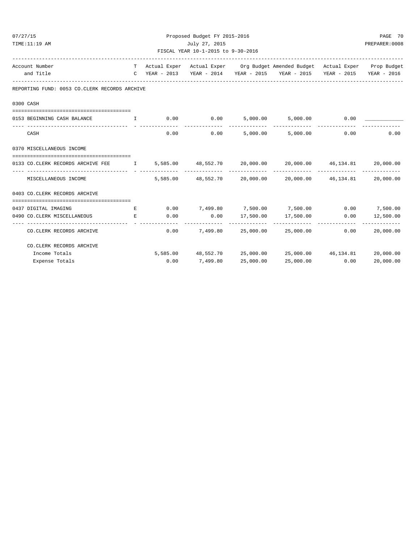| 07/27/15                           |                                                                                                |  | Proposed Budget FY 2015-2016 |                 |           |                                                                                |      | PAGE 70          |  |
|------------------------------------|------------------------------------------------------------------------------------------------|--|------------------------------|-----------------|-----------|--------------------------------------------------------------------------------|------|------------------|--|
| TIME:11:19 AM                      |                                                                                                |  | July 27, 2015                |                 |           |                                                                                |      |                  |  |
| FISCAL YEAR 10-1-2015 to 9-30-2016 |                                                                                                |  |                              |                 |           |                                                                                |      |                  |  |
|                                    | Account Number                                                                                 |  |                              |                 |           | T Actual Exper Actual Exper Org Budget Amended Budget Actual Exper Prop Budget |      |                  |  |
|                                    | and Title                                                                                      |  |                              |                 |           | C YEAR - 2013 YEAR - 2014 YEAR - 2015 YEAR - 2015 YEAR - 2015 YEAR - 2016      |      |                  |  |
|                                    | REPORTING FUND: 0053 CO.CLERK RECORDS ARCHIVE                                                  |  |                              |                 |           |                                                                                |      |                  |  |
|                                    | 0300 CASH                                                                                      |  |                              |                 |           |                                                                                |      |                  |  |
|                                    | 0153 BEGINNING CASH BALANCE                                                                    |  |                              |                 |           |                                                                                |      |                  |  |
|                                    | CASH                                                                                           |  |                              |                 |           | $0.00$ $0.00$ $5,000.00$ $5,000.00$                                            | 0.00 | 0.00             |  |
|                                    | 0370 MISCELLANEOUS INCOME                                                                      |  |                              |                 |           |                                                                                |      |                  |  |
|                                    | 0133 CO.CLERK RECORDS ARCHIVE FEE 1 5,585.00 48,552.70 20,000.00 20,000.00 46,134.81 20,000.00 |  |                              |                 |           |                                                                                |      |                  |  |
|                                    | MISCELLANEOUS INCOME                                                                           |  |                              |                 |           | 5,585.00 48,552.70 20,000.00 20,000.00 46,134.81 20,000.00                     |      |                  |  |
|                                    | 0403 CO. CLERK RECORDS ARCHIVE                                                                 |  |                              |                 |           |                                                                                |      |                  |  |
|                                    | 0437 DIGITAL IMAGING<br><b>Experimental Experimental Experimental</b>                          |  |                              |                 |           | $0.00$ $7.499.80$ $7.500.00$ $7.500.00$ $0.00$ $7.500.00$                      |      |                  |  |
|                                    | 0490 CO.CLERK MISCELLANEOUS<br>$\mathbf{E}$ and $\mathbf{E}$ and $\mathbf{E}$                  |  | 0.00                         |                 |           | $0.00$ 17,500.00 17,500.00                                                     |      | $0.00$ 12,500.00 |  |
|                                    | CO.CLERK RECORDS ARCHIVE                                                                       |  |                              |                 |           | $0.00$ $7,499.80$ $25,000.00$ $25,000.00$                                      | 0.00 | 20,000.00        |  |
|                                    | CO. CLERK RECORDS ARCHIVE                                                                      |  |                              |                 |           |                                                                                |      |                  |  |
|                                    | Income Totals                                                                                  |  |                              |                 |           | 5,585.00 48,552.70 25,000.00 25,000.00 46,134.81 20,000.00                     |      |                  |  |
|                                    | Expense Totals                                                                                 |  |                              | $0.00$ 7,499.80 | 25,000.00 | 25,000.00                                                                      | 0.00 | 20,000.00        |  |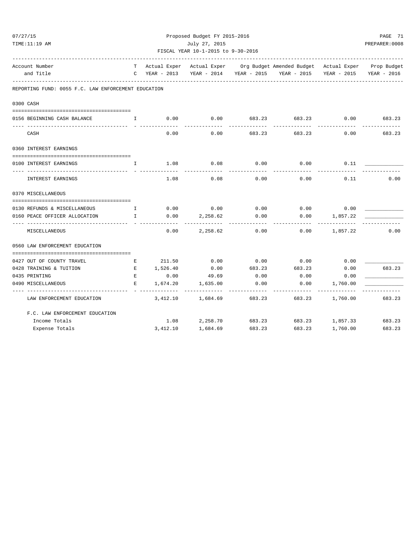| 07/27/15                                                                 |                                                     |              | Proposed Budget FY 2015-2016 |               |        |                                                                                |                 |             |  |  |
|--------------------------------------------------------------------------|-----------------------------------------------------|--------------|------------------------------|---------------|--------|--------------------------------------------------------------------------------|-----------------|-------------|--|--|
| TIME:11:19 AM                                                            |                                                     |              |                              | July 27, 2015 |        |                                                                                |                 |             |  |  |
| FISCAL YEAR 10-1-2015 to 9-30-2016<br>---------------------------------- |                                                     |              |                              |               |        |                                                                                |                 |             |  |  |
|                                                                          | Account Number                                      |              |                              |               |        | T Actual Exper Actual Exper Org Budget Amended Budget Actual Exper Prop Budget |                 |             |  |  |
|                                                                          | and Title                                           |              |                              |               |        | C YEAR - 2013 YEAR - 2014 YEAR - 2015 YEAR - 2015                              | YEAR - 2015     | YEAR - 2016 |  |  |
|                                                                          | REPORTING FUND: 0055 F.C. LAW ENFORCEMENT EDUCATION |              |                              |               |        |                                                                                |                 |             |  |  |
|                                                                          | 0300 CASH                                           |              |                              |               |        |                                                                                |                 |             |  |  |
|                                                                          |                                                     |              |                              |               |        |                                                                                |                 |             |  |  |
|                                                                          | 0156 BEGINNING CASH BALANCE                         | $\mathbf{I}$ | 0.00                         | 0.00          | 683.23 | 683.23                                                                         | 0.00            | 683.23      |  |  |
|                                                                          | CASH                                                |              | 0.00                         | 0.00          | 683.23 | 683.23                                                                         | 0.00            | 683.23      |  |  |
|                                                                          | 0360 INTEREST EARNINGS                              |              |                              |               |        |                                                                                |                 |             |  |  |
|                                                                          |                                                     |              |                              |               |        |                                                                                |                 |             |  |  |
|                                                                          | 0100 INTEREST EARNINGS                              | $\mathbf{I}$ | 1.08                         | 0.08          | 0.00   | 0.00                                                                           | 0.11            |             |  |  |
|                                                                          | INTEREST EARNINGS                                   |              | 1.08                         | 0.08          | 0.00   | 0.00                                                                           | 0.11            | 0.00        |  |  |
|                                                                          | 0370 MISCELLANEOUS                                  |              |                              |               |        |                                                                                |                 |             |  |  |
|                                                                          |                                                     |              |                              |               |        |                                                                                |                 |             |  |  |
|                                                                          | 0130 REFUNDS & MISCELLANEOUS<br>$\mathbf I$         |              | 0.00                         | 0.00          | 0.00   |                                                                                | $0.00$ 0.00     |             |  |  |
|                                                                          | 0160 PEACE OFFICER ALLOCATION                       | $\mathbb{I}$ | 0.00                         | 2,258.62      | 0.00   | 0.00                                                                           | 1,857.22        |             |  |  |
|                                                                          | MISCELLANEOUS                                       |              | 0.00                         | 2,258.62      | 0.00   | 0.00                                                                           | 1,857.22        | 0.00        |  |  |
|                                                                          | 0560 LAW ENFORCEMENT EDUCATION                      |              |                              |               |        |                                                                                |                 |             |  |  |
|                                                                          | 0427 OUT OF COUNTY TRAVEL                           | Е            | 211.50                       | 0.00          | 0.00   | 0.00                                                                           | 0.00            |             |  |  |
|                                                                          | 0428 TRAINING & TUITION                             | E            | 1,526.40                     | 0.00          | 683.23 | 683.23                                                                         | 0.00            | 683.23      |  |  |
|                                                                          | 0435 PRINTING                                       | E            | 0.00                         | 49.69         | 0.00   | 0.00                                                                           | 0.00            |             |  |  |
|                                                                          | 0490 MISCELLANEOUS                                  | E.           | 1,674.20                     | 1,635.00      | 0.00   | 0.00                                                                           | 1,760.00        |             |  |  |
|                                                                          | LAW ENFORCEMENT EDUCATION                           |              | 3,412.10                     | 1,684.69      | 683.23 | 683.23                                                                         | 1,760.00        | 683.23      |  |  |
|                                                                          | F.C. LAW ENFORCEMENT EDUCATION                      |              |                              |               |        |                                                                                |                 |             |  |  |
|                                                                          | Income Totals                                       |              | 1.08                         | 2,258.70      | 683.23 |                                                                                | 683.23 1,857.33 | 683.23      |  |  |
|                                                                          | Expense Totals                                      |              | 3,412.10                     | 1,684.69      | 683.23 | 683.23                                                                         | 1,760.00        | 683.23      |  |  |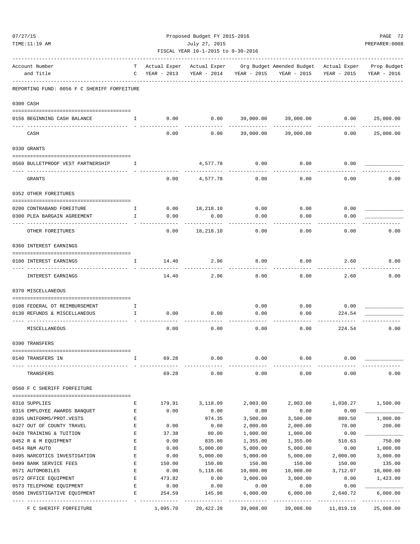| 07/27/15                                            |              |             | Proposed Budget FY 2015-2016       |           |                                                                  |             | PAGE 72                 |  |
|-----------------------------------------------------|--------------|-------------|------------------------------------|-----------|------------------------------------------------------------------|-------------|-------------------------|--|
| TIME:11:19 AM                                       |              |             | July 27, 2015                      |           |                                                                  |             | PREPARER: 0008          |  |
|                                                     |              |             | FISCAL YEAR 10-1-2015 to 9-30-2016 |           | -----------------------                                          |             |                         |  |
| Account Number                                      | т            |             |                                    |           | Actual Exper Actual Exper Org Budget Amended Budget Actual Exper |             | Prop Budget             |  |
| and Title                                           | C            | YEAR - 2013 | YEAR - 2014 YEAR - 2015            |           | YEAR - 2015                                                      | YEAR - 2015 | YEAR - 2016             |  |
| REPORTING FUND: 0056 F C SHERIFF FORFEITURE         |              |             |                                    |           |                                                                  |             |                         |  |
| 0300 CASH                                           |              |             |                                    |           |                                                                  |             |                         |  |
|                                                     |              |             |                                    |           | 39,000.00 39,000.00 0.00 25,000.00                               |             |                         |  |
| 0156 BEGINNING CASH BALANCE                         | $\mathbf{I}$ | 0.00        | 0.00                               |           |                                                                  |             |                         |  |
| CASH                                                |              | 0.00        | 0.00                               | 39,000.00 | 39,000.00                                                        | 0.00        | 25,000.00               |  |
| 0330 GRANTS                                         |              |             |                                    |           |                                                                  |             |                         |  |
| 0560 BULLETPROOF VEST PARTNERSHIP<br>$\blacksquare$ |              |             | 4,577.78                           | 0.00      | 0.00                                                             | 0.00        |                         |  |
| GRANTS                                              |              | 0.00        | 4,577.78                           | 0.00      | 0.00                                                             | 0.00        | 0.00                    |  |
| 0352 OTHER FOREITURES                               |              |             |                                    |           |                                                                  |             |                         |  |
| 0200 CONTRABAND FOREITURE                           | $\mathbf{I}$ |             | $0.00$ 18,218.10                   | 0.00      | 0.00                                                             | 0.00        |                         |  |
| 0300 PLEA BARGAIN AGREEMENT                         | $\mathbb{I}$ | 0.00        | 0.00                               | 0.00      | 0.00                                                             | 0.00        |                         |  |
|                                                     |              |             |                                    |           |                                                                  |             |                         |  |
| OTHER FOREITURES                                    |              | 0.00        | 18,218.10                          | 0.00      | 0.00                                                             | 0.00        | 0.00                    |  |
| 0360 INTEREST EARNINGS                              |              |             |                                    |           |                                                                  |             |                         |  |
| 0100 INTEREST EARNINGS                              | Ι.           | 14.40       | 2.96                               | 8.00      | 8.00                                                             | 2.60        | 8.00                    |  |
| INTEREST EARNINGS                                   |              | 14.40       | 2.96                               | 8.00      | 8.00                                                             | 2.60        | 8.00                    |  |
| 0370 MISCELLANEOUS                                  |              |             |                                    |           |                                                                  |             |                         |  |
| 0108 FEDERAL OT REIMBURSEMENT                       | Ι.           |             |                                    | 0.00      |                                                                  | $0.00$ 0.00 |                         |  |
| 0130 REFUNDS & MISCELLANEOUS                        | I.           | 0.00        | 0.00                               | 0.00      | 0.00                                                             | 224.54      |                         |  |
| MISCELLANEOUS                                       |              | 0.00        | 0.00                               | 0.00      | 0.00                                                             | 224.54      | 0.00                    |  |
| 0390 TRANSFERS                                      |              |             |                                    |           |                                                                  |             |                         |  |
|                                                     |              |             |                                    |           |                                                                  |             |                         |  |
| 0140 TRANSFERS IN                                   | I.           | 69.28       | 0.00                               | 0.00      | 0.00                                                             | 0.00        |                         |  |
| TRANSFERS                                           |              | 69.28       | 0.00                               | 0.00      | 0.00                                                             | 0.00        | 0.00                    |  |
| 0560 F C SHERIFF FORFEITURE                         |              |             |                                    |           |                                                                  |             |                         |  |
| 0310 SUPPLIES                                       | Ε            | 179.91      | 3,118.09                           | 2,003.00  | 2,003.00                                                         | 1,038.27    | 1,500.00                |  |
| 0316 EMPLOYEE AWARDS BANQUET                        | Е            | 0.00        | 0.00                               | 0.00      | 0.00                                                             | 0.00        |                         |  |
| 0395 UNIFORMS/PROT.VESTS                            | $\mathbf E$  |             | 974.35                             | 3,500.00  | 3,500.00                                                         | 889.50      | 1,000.00                |  |
| 0427 OUT OF COUNTY TRAVEL                           | $\mathbf E$  | 0.00        | 0.00                               | 2,000.00  | 2,000.00                                                         | 78.00       | 200.00                  |  |
| 0428 TRAINING & TUITION                             | E            | 37.38       | 80.00                              | 1,000.00  | 1,000.00                                                         | 0.00        |                         |  |
| 0452 R & M EQUIPMENT                                | E            | 0.00        | 835.80                             | 1,355.00  | 1,355.00                                                         | 510.63      | 750.00                  |  |
| 0454 R&M AUTO                                       | Ε            | 0.00        | 5,000.00                           | 5,000.00  | 5,000.00                                                         | 0.00        | 1,000.00                |  |
| 0495 NARCOTICS INVESTIGATION                        | $\mathbf E$  | 0.00        | 5,000.00                           | 5,000.00  | 5,000.00                                                         | 2,000.00    | 3,000.00                |  |
| 0499 BANK SERVICE FEES                              | E            | 150.00      | 150.00                             | 150.00    | 150.00                                                           | 150.00      | 135.00                  |  |
| 0571 AUTOMOBILES                                    | E            | 0.00        | 5,118.06                           | 10,000.00 | 10,000.00                                                        | 3,712.07    | 10,000.00               |  |
| 0572 OFFICE EQUIPMENT                               | $\mathbf E$  | 473.82      | 0.00                               | 3,000.00  | 3,000.00                                                         | 0.00        | 1,423.00                |  |
| 0573 TELEPHONE EQUIPMENT                            | Е            | 0.00        | 0.00                               | 0.00      | 0.00                                                             | 0.00        |                         |  |
| 0580 INVESTIGATIVE EQUIPMENT                        | Е            | 254.59      | 145.98                             | 6,000.00  | 6,000.00                                                         | 2,640.72    | 6,000.00<br>----------- |  |
| F C SHERIFF FORFEITURE                              |              | 1,095.70    | 20,422.28                          | 39,008.00 | 39,008.00                                                        | 11,019.19   | 25,008.00               |  |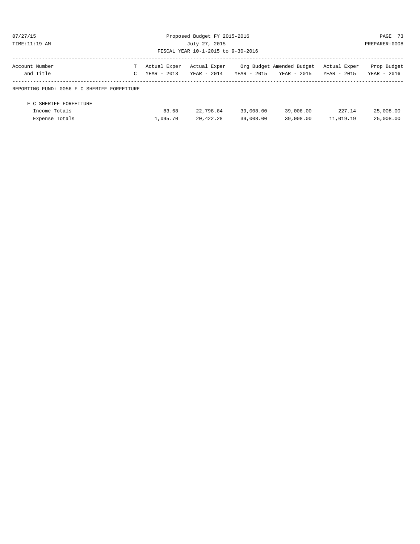| 07/27/15                                    |              |              | Proposed Budget FY 2015-2016       | PAGE 73       |                           |              |                |  |  |
|---------------------------------------------|--------------|--------------|------------------------------------|---------------|---------------------------|--------------|----------------|--|--|
| TIME: 11:19 AM                              |              |              | July 27, 2015                      |               |                           |              | PREPARER: 0008 |  |  |
|                                             |              |              | FISCAL YEAR 10-1-2015 to 9-30-2016 |               |                           |              |                |  |  |
| Account Number                              | T.           | Actual Exper | Actual Exper                       |               | Org Budget Amended Budget | Actual Exper | Prop Budget    |  |  |
| and Title                                   | $\mathsf{C}$ | YEAR - 2013  | YEAR - 2014                        | $YEAR - 2015$ | YEAR - 2015               | YEAR - 2015  | YEAR - 2016    |  |  |
| REPORTING FUND: 0056 F C SHERIFF FORFEITURE |              |              |                                    |               |                           |              |                |  |  |
| F C SHERIFF FORFEITURE                      |              |              |                                    |               |                           |              |                |  |  |
| Income Totals                               |              | 83.68        | 22,798.84                          | 39,008.00     | 39,008.00                 | 227.14       | 25,008.00      |  |  |

Expense Totals 1,095.70 20,422.28 39,008.00 39,008.00 11,019.19 25,008.00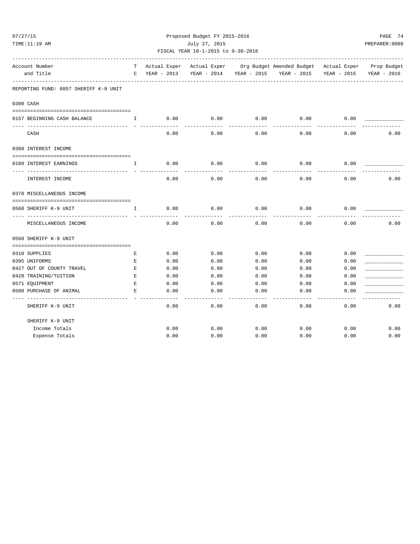| 07/27/15                              |                                                                                                |              |                                    |             | Proposed Budget FY 2015-2016                                               |             |                |  |  |  |  |
|---------------------------------------|------------------------------------------------------------------------------------------------|--------------|------------------------------------|-------------|----------------------------------------------------------------------------|-------------|----------------|--|--|--|--|
| TIME:11:19 AM                         |                                                                                                |              | July 27, 2015                      |             |                                                                            |             | PREPARER: 0008 |  |  |  |  |
|                                       |                                                                                                |              | FISCAL YEAR 10-1-2015 to 9-30-2016 |             |                                                                            |             |                |  |  |  |  |
| Account Number                        | т                                                                                              | Actual Exper | Actual Exper                       |             | --------------------------------<br>Org Budget Amended Budget Actual Exper |             | Prop Budget    |  |  |  |  |
| and Title                             | C                                                                                              | YEAR - 2013  | YEAR - 2014                        | YEAR - 2015 | YEAR - 2015                                                                | YEAR - 2015 | YEAR - 2016    |  |  |  |  |
| REPORTING FUND: 0057 SHERIFF K-9 UNIT |                                                                                                |              |                                    |             |                                                                            |             |                |  |  |  |  |
| 0300 CASH                             |                                                                                                |              |                                    |             |                                                                            |             |                |  |  |  |  |
| 0157 BEGINNING CASH BALANCE           | $\mathbf{I}$                                                                                   | 0.00         | 0.00                               | 0.00        | 0.00                                                                       | 0.00        |                |  |  |  |  |
|                                       |                                                                                                |              |                                    |             |                                                                            |             |                |  |  |  |  |
| CASH                                  |                                                                                                | 0.00         | 0.00                               | 0.00        | 0.00                                                                       | 0.00        | 0.00           |  |  |  |  |
| 0360 INTEREST INCOME                  |                                                                                                |              |                                    |             |                                                                            |             |                |  |  |  |  |
| 0100 INTEREST EARNINGS                | I.                                                                                             | 0.00         | 0.00                               | 0.00        | 0.00                                                                       | 0.00        |                |  |  |  |  |
|                                       |                                                                                                |              |                                    |             |                                                                            |             |                |  |  |  |  |
| INTEREST INCOME                       |                                                                                                | 0.00         | 0.00                               | 0.00        | 0.00                                                                       | 0.00        | 0.00           |  |  |  |  |
| 0370 MISCELLANEOUS INCOME             |                                                                                                |              |                                    |             |                                                                            |             |                |  |  |  |  |
| 0560 SHERIFF K-9 UNIT                 | I                                                                                              | 0.00         | 0.00                               | 0.00        | 0.00                                                                       | 0.00        |                |  |  |  |  |
| MISCELLANEOUS INCOME                  |                                                                                                | 0.00         | 0.00                               | 0.00        | 0.00                                                                       | 0.00        | 0.00           |  |  |  |  |
| 0560 SHERIFF K-9 UNIT                 |                                                                                                |              |                                    |             |                                                                            |             |                |  |  |  |  |
|                                       |                                                                                                |              |                                    |             |                                                                            |             |                |  |  |  |  |
| 0310 SUPPLIES                         | Е                                                                                              | 0.00         | 0.00                               | 0.00        | 0.00                                                                       | 0.00        |                |  |  |  |  |
| 0395 UNIFORMS                         | Е                                                                                              | 0.00         | 0.00                               | 0.00        | 0.00                                                                       | 0.00        |                |  |  |  |  |
| 0427 OUT OF COUNTY TRAVEL             | $\mathbf{E}% _{t}\left  \mathbf{1}\right\rangle =\mathbf{1}_{t}\left  \mathbf{1}\right\rangle$ | 0.00         | 0.00                               | 0.00        | 0.00                                                                       | 0.00        |                |  |  |  |  |
| 0428 TRAINING/TUITION                 | E                                                                                              | 0.00         | 0.00                               | 0.00        | 0.00                                                                       | 0.00        |                |  |  |  |  |
| 0571 EQUIPMENT                        | $\mathbf E$                                                                                    | 0.00         | 0.00                               | 0.00        | 0.00                                                                       | 0.00        |                |  |  |  |  |
| 0580 PURCHASE OF ANIMAL               | F.                                                                                             | 0.00         | 0.00                               | 0.00        | 0.00                                                                       | 0.00        |                |  |  |  |  |
| SHERIFF K-9 UNIT                      |                                                                                                | 0.00         | 0.00                               | 0.00        | 0.00                                                                       | 0.00        | 0.00           |  |  |  |  |
| SHERIFF K-9 UNIT                      |                                                                                                |              |                                    |             |                                                                            |             |                |  |  |  |  |
| Income Totals                         |                                                                                                | 0.00         | 0.00                               | 0.00        | 0.00                                                                       | 0.00        | 0.00           |  |  |  |  |
| Expense Totals                        |                                                                                                | 0.00         | 0.00                               | 0.00        | 0.00                                                                       | 0.00        | 0.00           |  |  |  |  |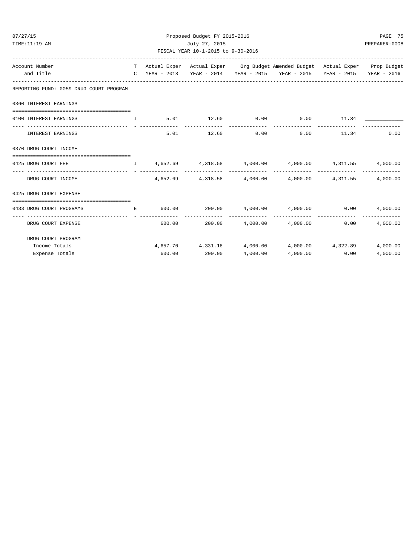| TIME:11:19 AM                                                                                                       |  | July 27, 2015<br>FISCAL YEAR 10-1-2015 to 9-30-2016 |          |                                                                                                                                                                                                                                                             | PREPARER:0008 |
|---------------------------------------------------------------------------------------------------------------------|--|-----------------------------------------------------|----------|-------------------------------------------------------------------------------------------------------------------------------------------------------------------------------------------------------------------------------------------------------------|---------------|
| Account Number<br>and Title                                                                                         |  |                                                     |          | T Actual Exper Actual Exper Org Budget Amended Budget Actual Exper Prop Budget<br>C YEAR - 2013 YEAR - 2014 YEAR - 2015 YEAR - 2015 YEAR - 2015 YEAR - 2016                                                                                                 |               |
| REPORTING FUND: 0059 DRUG COURT PROGRAM                                                                             |  |                                                     |          |                                                                                                                                                                                                                                                             |               |
| 0360 INTEREST EARNINGS                                                                                              |  |                                                     |          |                                                                                                                                                                                                                                                             |               |
| 0100 INTEREST EARNINGS                                                                                              |  |                                                     |          | $\qquad \qquad \, \text{T} \qquad \qquad \, \text{5.01} \qquad \qquad \, \text{12.60} \qquad \qquad \, \text{0.00} \qquad \qquad \, \text{0.00} \qquad \qquad \, \text{11.34} \qquad \qquad \, \text{---}$                                                  |               |
| INTEREST EARNINGS                                                                                                   |  |                                                     |          | $5.01$ $12.60$ $0.00$ $0.00$ $11.34$ $0.00$                                                                                                                                                                                                                 |               |
| 0370 DRUG COURT INCOME                                                                                              |  |                                                     |          |                                                                                                                                                                                                                                                             |               |
| $0425$ DRUG COURT FEE $1$ $4$ , $652.69$ $4$ , $318.58$ $4$ , $000.00$ $4$ , $000.00$ $4$ , $311.55$ $4$ , $000.00$ |  |                                                     |          |                                                                                                                                                                                                                                                             |               |
| DRUG COURT INCOME                                                                                                   |  |                                                     |          | $4,652.69$ $4,318.58$ $4,000.00$ $4,000.00$ $4,311.55$ $4,000.00$                                                                                                                                                                                           |               |
| 0425 DRUG COURT EXPENSE                                                                                             |  |                                                     |          |                                                                                                                                                                                                                                                             |               |
| 0433 DRUG COURT PROGRAMS                                                                                            |  |                                                     |          | $\text{E} \text{ \hspace{1.55cm} 600.00} \text{ \hspace{1.5cm} 200.00} \text{ \hspace{1.5cm} 4,000.00} \text{ \hspace{1.5cm} 4,000.00} \text{ \hspace{1.5cm} 0.00} \text{ \hspace{1.5cm} 0.00} \text{ \hspace{1.5cm} 0.00} \text{ \hspace{1.5cm} 4,000.00}$ |               |
| DRUG COURT EXPENSE                                                                                                  |  |                                                     |          | $600.00$ 200.00 $4,000.00$ $4,000.00$ $1,000.00$ 0.00                                                                                                                                                                                                       | 4,000.00      |
| DRUG COURT PROGRAM                                                                                                  |  |                                                     |          |                                                                                                                                                                                                                                                             |               |
| Income Totals                                                                                                       |  |                                                     |          | $4,657.70$ $4,331.18$ $4,000.00$ $4,000.00$ $4,322.89$ $4,000.00$                                                                                                                                                                                           |               |
| Expense Totals                                                                                                      |  | 600.00 200.00                                       | 4.000.00 | 4,000.00 0.00                                                                                                                                                                                                                                               | 4,000.00      |

07/27/15 PAGE 75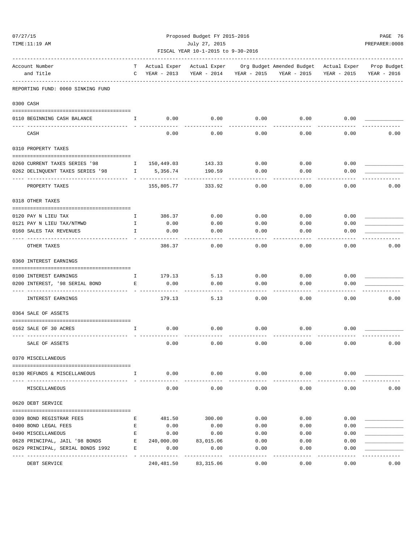| 07/27/15 |                                   | Proposed Budget FY 2015-2016    |                               |                                                     |                       |                                                                                                                     |                      |                     |  |
|----------|-----------------------------------|---------------------------------|-------------------------------|-----------------------------------------------------|-----------------------|---------------------------------------------------------------------------------------------------------------------|----------------------|---------------------|--|
|          | TIME:11:19 AM                     |                                 |                               | July 27, 2015<br>FISCAL YEAR 10-1-2015 to 9-30-2016 |                       |                                                                                                                     |                      | PREPARER: 0008      |  |
|          |                                   |                                 |                               |                                                     |                       | ---------------------------                                                                                         |                      |                     |  |
|          | Account Number<br>and Title       | T<br>$\mathbf C$                | YEAR - 2013                   |                                                     |                       | Actual Exper Actual Exper Org Budget Amended Budget Actual Exper Prop Budget<br>YEAR - 2014 YEAR - 2015 YEAR - 2015 | YEAR - 2015          | YEAR - 2016         |  |
|          | REPORTING FUND: 0060 SINKING FUND |                                 |                               |                                                     |                       |                                                                                                                     |                      |                     |  |
|          | 0300 CASH                         |                                 |                               |                                                     |                       |                                                                                                                     |                      |                     |  |
|          | 0110 BEGINNING CASH BALANCE       | $\mathbf{I}$ and $\mathbf{I}$ . | 0.00                          | 0.00                                                | 0.00                  |                                                                                                                     | $0.00$ 0.00          |                     |  |
|          | CASH                              |                                 | 0.00                          | 0.00                                                | 0.00                  | 0.00                                                                                                                | 0.00                 | 0.00                |  |
|          | 0310 PROPERTY TAXES               |                                 |                               |                                                     |                       |                                                                                                                     |                      |                     |  |
|          |                                   |                                 |                               |                                                     |                       |                                                                                                                     |                      |                     |  |
|          | 0260 CURRENT TAXES SERIES '98     |                                 | I 150,449.03                  | 143.33                                              | 0.00                  | 0.00                                                                                                                | 0.00                 |                     |  |
|          | 0262 DELINQUENT TAXES SERIES '98  |                                 | 1 5,356.74<br>- ------------- | 190.59                                              | 0.00<br>$- - - -$     | 0.00                                                                                                                | 0.00                 |                     |  |
|          | PROPERTY TAXES                    |                                 | 155,805.77                    | 333.92                                              | 0.00                  | 0.00                                                                                                                | 0.00                 | 0.00                |  |
|          | 0318 OTHER TAXES                  |                                 |                               |                                                     |                       |                                                                                                                     |                      |                     |  |
|          | 0120 PAY N LIEU TAX               | $\mathbf{I}$                    | 386.37                        | 0.00                                                | 0.00                  | 0.00                                                                                                                | 0.00                 |                     |  |
|          | 0121 PAY N LIEU TAX/NTMWD         | $\mathbf{I}$                    | 0.00                          | 0.00                                                | 0.00                  | 0.00                                                                                                                | 0.00                 |                     |  |
|          | 0160 SALES TAX REVENUES           | $\mathbf{I}$                    | 0.00                          | 0.00                                                | 0.00                  | 0.00                                                                                                                | 0.00                 |                     |  |
|          | OTHER TAXES                       |                                 | 386.37                        | 0.00                                                | 0.00                  | 0.00                                                                                                                | 0.00                 | 0.00                |  |
|          | 0360 INTEREST EARNINGS            |                                 |                               |                                                     |                       |                                                                                                                     |                      |                     |  |
|          | 0100 INTEREST EARNINGS            | $\mathbf{I}$                    | 179.13                        | 5.13                                                | 0.00                  | 0.00                                                                                                                | 0.00                 |                     |  |
|          | 0200 INTEREST, '98 SERIAL BOND    | E                               | 0.00                          | 0.00                                                | 0.00                  | 0.00                                                                                                                | 0.00                 |                     |  |
|          |                                   |                                 |                               |                                                     |                       |                                                                                                                     |                      |                     |  |
|          | <b>INTEREST EARNINGS</b>          |                                 | 179.13                        | 5.13                                                | 0.00                  | 0.00                                                                                                                | 0.00                 | 0.00                |  |
|          | 0364 SALE OF ASSETS               |                                 |                               |                                                     |                       |                                                                                                                     |                      |                     |  |
|          | 0162 SALE OF 30 ACRES             | $\mathbf{I}$                    | 0.00                          | 0.00                                                | 0.00                  | 0.00                                                                                                                | 0.00                 |                     |  |
|          | SALE OF ASSETS                    |                                 | 0.00                          | 0.00                                                | 0.00                  | 0.00                                                                                                                | 0.00                 | 0.00                |  |
|          | 0370 MISCELLANEOUS                |                                 |                               |                                                     |                       |                                                                                                                     |                      |                     |  |
|          | 0130 REFUNDS & MISCELLANEOUS      | $\mathbf{I}$                    | 0.00                          | 0.00                                                | 0.00                  | 0.00                                                                                                                | 0.00                 |                     |  |
|          | MISCELLANEOUS                     |                                 | 0.00                          | -------------<br>0.00                               | -------------<br>0.00 | . <u>.</u> .<br>0.00                                                                                                | ------------<br>0.00 | -----------<br>0.00 |  |
|          | 0620 DEBT SERVICE                 |                                 |                               |                                                     |                       |                                                                                                                     |                      |                     |  |
|          |                                   |                                 |                               |                                                     |                       |                                                                                                                     |                      |                     |  |
|          | 0309 BOND REGISTRAR FEES          | Е                               | 481.50                        | 300.00                                              | 0.00                  | 0.00                                                                                                                | 0.00                 |                     |  |
|          | 0400 BOND LEGAL FEES              | E                               | 0.00                          | 0.00                                                | 0.00                  | 0.00                                                                                                                | 0.00                 |                     |  |
|          | 0490 MISCELLANEOUS                | Е                               | 0.00                          | 0.00                                                | 0.00                  | 0.00                                                                                                                | 0.00                 |                     |  |
|          | 0628 PRINCIPAL, JAIL '98 BONDS E  |                                 | 240,000.00                    | 83,015.06                                           | 0.00                  | 0.00                                                                                                                | 0.00                 |                     |  |
|          | 0629 PRINCIPAL, SERIAL BONDS 1992 | E                               | 0.00<br>- -------------       | 0.00<br>------------                                | 0.00<br>-----         | 0.00<br>-----                                                                                                       | 0.00<br>------       |                     |  |
|          | DEBT SERVICE                      |                                 | 240,481.50                    | 83,315.06                                           | 0.00                  | 0.00                                                                                                                | 0.00                 | 0.00                |  |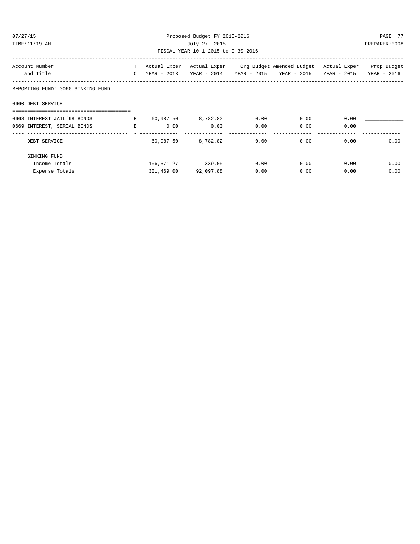| 07/27/15<br>Proposed Budget FY 2015-2016<br>TIME:11:19 AM<br>July 27, 2015<br>FISCAL YEAR 10-1-2015 to 9-30-2016 |        |                              |                      |              |                                                                                                                                     |              | PAGE 77<br>PREPARER: 0008 |
|------------------------------------------------------------------------------------------------------------------|--------|------------------------------|----------------------|--------------|-------------------------------------------------------------------------------------------------------------------------------------|--------------|---------------------------|
| Account Number<br>and Title                                                                                      |        |                              |                      |              | T Actual Exper Actual Exper Org Budget Amended Budget Actual Exper Prop Budget<br>C YEAR - 2013 YEAR - 2014 YEAR - 2015 YEAR - 2015 | YEAR - 2015  | YEAR - 2016               |
| REPORTING FUND: 0060 SINKING FUND                                                                                |        |                              |                      |              |                                                                                                                                     |              |                           |
| 0660 DEBT SERVICE                                                                                                |        |                              |                      |              |                                                                                                                                     |              |                           |
| 0668 INTEREST JAIL'98 BONDS<br>0669 INTEREST, SERIAL BONDS                                                       | $\,$ E | E 60,987.50 8,782.82<br>0.00 | 0.00                 | 0.00<br>0.00 | 0.00<br>0.00                                                                                                                        | 0.00<br>0.00 |                           |
| -------------------------------<br>DEBT SERVICE                                                                  |        |                              | 60,987.50 8,782.82   | 0.00         | 0.00                                                                                                                                | 0.00         | 0.00                      |
| SINKING FUND                                                                                                     |        |                              |                      |              |                                                                                                                                     |              |                           |
| Income Totals                                                                                                    |        |                              | 156,371.27 339.05    | 0.00         | 0.00                                                                                                                                | 0.00         | 0.00                      |
| Expense Totals                                                                                                   |        |                              | 301,469.00 92,097.88 | 0.00         | 0.00                                                                                                                                | 0.00         | 0.00                      |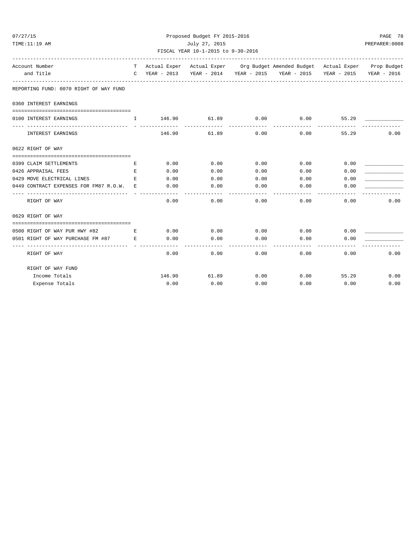| 07/27/15<br>TIME:11:19 AM                                      | Proposed Budget FY 2015-2016<br>July 27, 2015                            |          |                               |                    |                                                                              |              |             |  |
|----------------------------------------------------------------|--------------------------------------------------------------------------|----------|-------------------------------|--------------------|------------------------------------------------------------------------------|--------------|-------------|--|
|                                                                | FISCAL YEAR 10-1-2015 to 9-30-2016<br>---------------------------------- |          |                               |                    |                                                                              |              |             |  |
| Account Number                                                 | T                                                                        |          |                               |                    | Actual Exper Actual Exper Org Budget Amended Budget Actual Exper Prop Budget |              |             |  |
| and Title                                                      | $\mathbb{C}$                                                             |          |                               |                    | YEAR - 2013 YEAR - 2014 YEAR - 2015 YEAR - 2015 YEAR - 2015                  |              | YEAR - 2016 |  |
| REPORTING FUND: 0070 RIGHT OF WAY FUND                         |                                                                          |          |                               |                    |                                                                              |              |             |  |
| 0360 INTEREST EARNINGS                                         |                                                                          |          |                               |                    |                                                                              |              |             |  |
|                                                                |                                                                          |          |                               |                    |                                                                              |              |             |  |
| 0100 INTEREST EARNINGS                                         | $\mathbf{I}$                                                             | -------- | 146.90 61.89<br>------------- | 0.00<br>---------- | 0.00                                                                         | 55.29        |             |  |
| INTEREST EARNINGS                                              |                                                                          | 146.90   | 61.89                         | 0.00               | 0.00                                                                         | 55.29        | 0.00        |  |
| 0622 RIGHT OF WAY                                              |                                                                          |          |                               |                    |                                                                              |              |             |  |
|                                                                |                                                                          |          |                               |                    |                                                                              |              |             |  |
| 0399 CLAIM SETTLEMENTS                                         | E.                                                                       | 0.00     | 0.00                          | 0.00               | 0.00                                                                         | 0.00         |             |  |
| 0426 APPRAISAL FEES                                            | Е                                                                        | 0.00     | 0.00                          | 0.00               | 0.00                                                                         | 0.00         |             |  |
| 0429 MOVE ELECTRICAL LINES                                     | E.                                                                       | 0.00     | 0.00                          | 0.00               | 0.00                                                                         | 0.00         |             |  |
| 0449 CONTRACT EXPENSES FOR FM87 R.O.W. E                       |                                                                          | 0.00     | 0.00                          | 0.00               | 0.00                                                                         | 0.00         |             |  |
| RIGHT OF WAY                                                   |                                                                          | 0.00     | 0.00                          | 0.00               | 0.00                                                                         | 0.00         | 0.00        |  |
| 0629 RIGHT OF WAY                                              |                                                                          |          |                               |                    |                                                                              |              |             |  |
|                                                                |                                                                          |          |                               |                    |                                                                              |              |             |  |
| 0500 RIGHT OF WAY PUR HWY #82<br>$\mathbf{E}$ and $\mathbf{E}$ |                                                                          | 0.00     | 0.00                          |                    | $0.00$ 0.00                                                                  | 0.00         |             |  |
| 0501 RIGHT OF WAY PURCHASE FM #87 E                            |                                                                          | 0.00     | 0.00                          | 0.00               | 0.00                                                                         | 0.00         |             |  |
| RIGHT OF WAY                                                   |                                                                          | 0.00     | 0.00                          | 0.00               | 0.00                                                                         | 0.00         | 0.00        |  |
| RIGHT OF WAY FUND                                              |                                                                          |          |                               |                    |                                                                              |              |             |  |
| Income Totals                                                  |                                                                          |          | 146.90 61.89                  | 0.00               |                                                                              | $0.00$ 55.29 | 0.00        |  |
| Expense Totals                                                 |                                                                          | 0.00     | 0.00                          | 0.00               | 0.00                                                                         | 0.00         | 0.00        |  |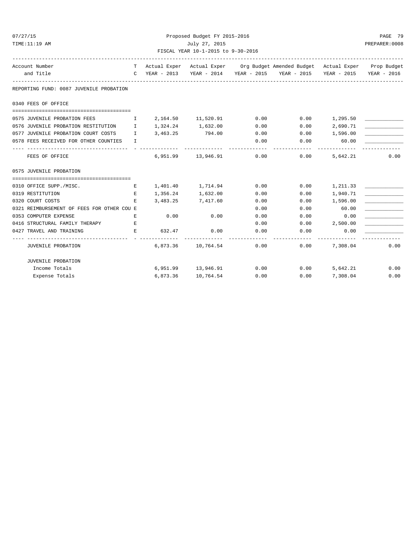| 07/27/15<br>TIME:11:19 AM                                             | Proposed Budget FY 2015-2016<br>July 27, 2015<br>FISCAL YEAR 10-1-2015 to 9-30-2016 |                   |                                                                                                                                                             |      |                 |                     |      |
|-----------------------------------------------------------------------|-------------------------------------------------------------------------------------|-------------------|-------------------------------------------------------------------------------------------------------------------------------------------------------------|------|-----------------|---------------------|------|
| Account Number<br>and Title                                           |                                                                                     |                   | T Actual Exper Actual Exper Org Budget Amended Budget Actual Exper Prop Budget<br>C YEAR - 2013 YEAR - 2014 YEAR - 2015 YEAR - 2015 YEAR - 2015 YEAR - 2016 |      |                 |                     |      |
| REPORTING FUND: 0087 JUVENILE PROBATION                               |                                                                                     |                   |                                                                                                                                                             |      |                 |                     |      |
| 0340 FEES OF OFFICE                                                   |                                                                                     |                   |                                                                                                                                                             |      |                 |                     |      |
|                                                                       |                                                                                     |                   |                                                                                                                                                             |      |                 |                     |      |
| 0575 JUVENILE PROBATION FEES<br>$\mathbf{I}$ . The state $\mathbf{I}$ |                                                                                     |                   | 2, 164.50 11, 520.91                                                                                                                                        | 0.00 | 0.00            | 1,295.50            |      |
| 0576 JUVENILE PROBATION RESTITUTION I                                 |                                                                                     | 1,324.24 1,632.00 |                                                                                                                                                             | 0.00 | 0.00            | 2,690.71            |      |
| 0577 JUVENILE PROBATION COURT COSTS I                                 |                                                                                     | 3,463.25 794.00   |                                                                                                                                                             | 0.00 | $0.00$ 1,596.00 |                     |      |
| 0578 FEES RECEIVED FOR OTHER COUNTIES                                 | $\mathbf{T}$                                                                        |                   |                                                                                                                                                             | 0.00 | 0.00            | 60.00<br>---------- |      |
| FEES OF OFFICE                                                        |                                                                                     |                   | 6,951.99 13,946.91 0.00                                                                                                                                     |      | 0.00            | 5,642.21            | 0.00 |
| 0575 JUVENILE PROBATION                                               |                                                                                     |                   |                                                                                                                                                             |      |                 |                     |      |
|                                                                       |                                                                                     |                   |                                                                                                                                                             |      |                 |                     |      |
| 0310 OFFICE SUPP./MISC.                                               | E                                                                                   |                   | 1,401.40 1,714.94                                                                                                                                           | 0.00 | 0.00            | 1,211.33            |      |
| 0319 RESTITUTION                                                      | E                                                                                   | 1,356.24          | 1,632.00                                                                                                                                                    | 0.00 | 0.00            | 1,940.71            |      |
| 0320 COURT COSTS                                                      | E.                                                                                  |                   | 3,483.25 7,417.60                                                                                                                                           | 0.00 |                 | $0.00$ 1,596.00     |      |
| 0321 REIMBURSEMENT OF FEES FOR OTHER COU E                            |                                                                                     |                   |                                                                                                                                                             | 0.00 | 0.00            | 60.00               |      |
| 0353 COMPUTER EXPENSE                                                 | E                                                                                   | 0.00              | 0.00                                                                                                                                                        | 0.00 | 0.00            | 0.00                |      |
| 0416 STRUCTURAL FAMILY THERAPY                                        | E                                                                                   |                   |                                                                                                                                                             | 0.00 |                 | $0.00$ 2,500.00     |      |
| 0427 TRAVEL AND TRAINING                                              | E.                                                                                  | 632.47            | 0.00                                                                                                                                                        | 0.00 | 0.00            | 0.00                |      |
| JUVENILE PROBATION                                                    |                                                                                     |                   | 6,873.36 10,764.54                                                                                                                                          | 0.00 |                 | $0.00$ $7.308.04$   | 0.00 |
| JUVENILE PROBATION                                                    |                                                                                     |                   |                                                                                                                                                             |      |                 |                     |      |
| Income Totals                                                         |                                                                                     |                   | $6,951.99$ $13,946.91$ $0.00$ $0.00$ $5,642.21$                                                                                                             |      |                 |                     | 0.00 |
| Expense Totals                                                        |                                                                                     | 6,873.36          | 10,764.54                                                                                                                                                   | 0.00 | 0.00            | 7,308.04            | 0.00 |

Expense Totals 6,873.36 10,764.54 0.00 0.00 7,308.04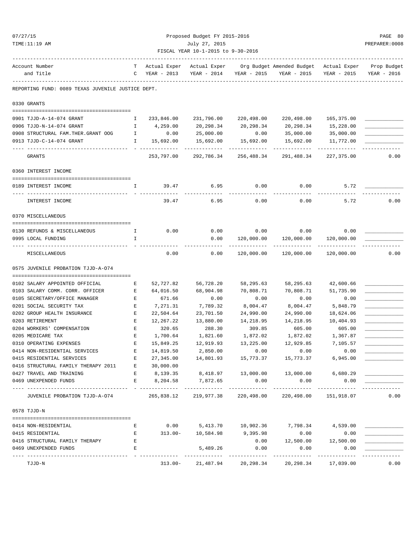| 07/27/15                                          |              |                             | Proposed Budget FY 2015-2016       |                              |                                             |                             | PAGE 80        |
|---------------------------------------------------|--------------|-----------------------------|------------------------------------|------------------------------|---------------------------------------------|-----------------------------|----------------|
| TIME:11:19 AM                                     |              |                             | July 27, 2015                      |                              |                                             |                             | PREPARER: 0008 |
|                                                   |              |                             | FISCAL YEAR 10-1-2015 to 9-30-2016 |                              |                                             |                             |                |
| Account Number                                    |              | T Actual Exper Actual Exper |                                    |                              | Org Budget Amended Budget Actual Exper      |                             | Prop Budget    |
| and Title                                         | C            | YEAR - 2013                 | YEAR - 2014                        | YEAR - 2015                  | YEAR - 2015                                 | YEAR - 2015                 | YEAR - 2016    |
| REPORTING FUND: 0089 TEXAS JUVENILE JUSTICE DEPT. |              |                             |                                    |                              |                                             |                             |                |
| 0330 GRANTS                                       |              |                             |                                    |                              |                                             |                             |                |
| 0901 TJJD-A-14-074 GRANT                          | Ι.           | 233,846.00                  | 231,796.00                         | 220,498.00                   | 220,498.00                                  | 165,375.00                  |                |
| 0906 TJJD-N-14-074 GRANT                          | $\mathbb{I}$ | 4,259.00                    | 20,298.34                          | 20,298.34                    | 20,298.34                                   | 15,228.00                   |                |
| 0908 STRUCTURAL FAM. THER. GRANT OOG              | $\mathbf{I}$ | 0.00                        | 25,000.00                          | 0.00                         | 35,000.00                                   | 35,000.00                   |                |
| 0913 TJJD-C-14-074 GRANT                          | Ι.           | 15,692.00                   | 15,692.00                          | 15,692.00                    | 15,692.00                                   | 11,772.00                   |                |
| GRANTS                                            |              | 253,797.00                  | ------------<br>292,786.34         | --------------<br>256,488.34 | -------------<br>291,488.34                 | -------------<br>227,375.00 | 0.00           |
|                                                   |              |                             |                                    |                              |                                             |                             |                |
| 0360 INTEREST INCOME                              |              |                             |                                    |                              |                                             |                             |                |
| 0189 INTEREST INCOME                              | I.           | 39.47                       | 6.95                               | 0.00                         | 0.00                                        | 5.72                        |                |
| ---- ------------<br>INTEREST INCOME              |              | 39.47                       | 6.95                               | 0.00                         | 0.00                                        | 5.72                        | 0.00           |
| 0370 MISCELLANEOUS                                |              |                             |                                    |                              |                                             |                             |                |
|                                                   |              |                             |                                    |                              |                                             |                             |                |
| 0130 REFUNDS & MISCELLANEOUS                      | $\mathbf{I}$ | 0.00                        | 0.00                               | 0.00                         | 0.00                                        | 0.00                        |                |
| 0995 LOCAL FUNDING                                | I.           |                             | 0.00                               | 120,000.00                   | 120,000.00                                  | 120,000.00                  |                |
| MISCELLANEOUS                                     |              | 0.00                        | 0.00                               | 120,000.00                   | 120,000.00                                  | 120,000.00                  | 0.00           |
| 0575 JUVENILE PROBATION TJJD-A-074                |              |                             |                                    |                              |                                             |                             |                |
| 0102 SALARY APPOINTED OFFICIAL                    | Е            | 52,727.82                   | 56,728.20                          | 58,295.63                    | 58,295.63                                   | 42,600.66                   |                |
| 0103 SALARY COMM. CORR. OFFICER                   | Е            | 64,016.50                   | 68,904.98                          | 70,808.71                    | 70,808.71                                   | 51,735.90                   |                |
| 0105 SECRETARY/OFFICE MANAGER                     | E            | 671.66                      | 0.00                               | 0.00                         | 0.00                                        | 0.00                        |                |
| 0201 SOCIAL SECURITY TAX                          | Е            | 7,271.31                    | 7,789.32                           | 8,004.47                     | 8,004.47                                    | 5,848.79                    |                |
| 0202 GROUP HEALTH INSURANCE                       | Е            | 22,504.64                   | 23,701.50                          | 24,990.00                    | 24,990.00                                   | 18,624.06                   |                |
| 0203 RETIREMENT                                   | E            | 12,267.22                   | 13,880.00                          | 14,218.95                    | 14,218.95                                   | 10,404.93                   |                |
| 0204 WORKERS' COMPENSATION                        | E            | 320.65                      | 288.30                             | 309.85                       | 605.00                                      | 605.00                      |                |
| 0205 MEDICARE TAX                                 | E            | 1,700.64                    | 1,821.60                           | 1,872.02                     | 1,872.02                                    | 1,367.87                    |                |
| 0310 OPERATING EXPENSES                           | Е            | 15,849.25                   | 12,919.93                          | 13,225.00                    | 12,929.85                                   | 7,105.57                    |                |
| 0414 NON-RESIDENTIAL SERVICES                     | Е            | 14,819.50                   | 2,850.00                           | 0.00                         | 0.00                                        | 0.00                        |                |
| 0415 RESIDENTIAL SERVICES                         | Е            | 27,345.00                   | 14,801.93                          | 15,773.37                    | 15,773.37                                   | 6,945.00                    |                |
| 0416 STRUCTURAL FAMILY THERAPY 2011               | E            | 30,000.00                   |                                    |                              |                                             |                             |                |
| 0427 TRAVEL AND TRAINING                          | Е            | 8,139.35                    |                                    | 8,418.97 13,000.00           | 13,000.00                                   | 6,680.29                    |                |
| 0469 UNEXPENDED FUNDS                             | E            | 8,204.58                    | 7,872.65                           | 0.00                         | 0.00                                        | 0.00                        |                |
| JUVENILE PROBATION TJJD-A-074                     |              | 265,838.12                  | 219,977.38                         | 220,498.00                   | -------------<br>220,498.00                 | -----------<br>151,918.07   | 0.00           |
| 0578 TJJD-N                                       |              |                             |                                    |                              |                                             |                             |                |
|                                                   |              |                             |                                    |                              |                                             |                             |                |
| 0414 NON-RESIDENTIAL                              | Е            |                             |                                    |                              | $0.00$ 5,413.70 10,902.36 7,798.34 4,539.00 |                             |                |
| 0415 RESIDENTIAL                                  | Е            |                             | $313.00 - 10,584.98$               | 9,395.98                     | 0.00                                        | 0.00                        |                |
| 0416 STRUCTURAL FAMILY THERAPY                    | E            |                             |                                    | 0.00                         |                                             | 12,500.00 12,500.00         |                |
| 0469 UNEXPENDED FUNDS                             | E            |                             | 5,489.26                           | 0.00                         | 0.00                                        | 0.00                        |                |
| TJJD-N                                            |              | $313.00 -$                  | 21,487.94                          | -----------<br>20,298.34     | ----------<br>20,298.34                     | ----------<br>17,039.00     | 0.00           |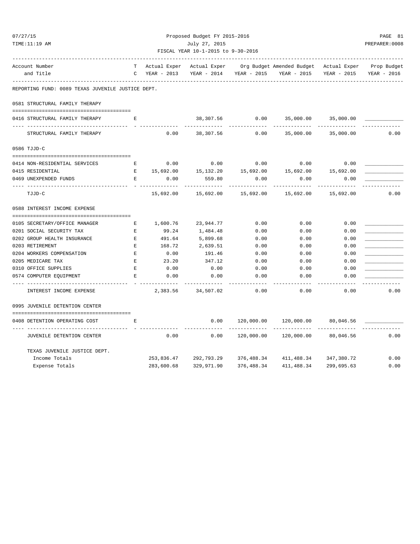| 07/27/15                                          |                                                                                                |              | Proposed Budget FY 2015-2016       |             |                                        |             | PAGE 81     |  |
|---------------------------------------------------|------------------------------------------------------------------------------------------------|--------------|------------------------------------|-------------|----------------------------------------|-------------|-------------|--|
| TIME:11:19 AM                                     | July 27, 2015                                                                                  |              |                                    |             |                                        |             |             |  |
|                                                   |                                                                                                |              | FISCAL YEAR 10-1-2015 to 9-30-2016 |             |                                        |             |             |  |
| Account Number                                    |                                                                                                | Actual Exper | Actual Exper                       |             | Org Budget Amended Budget Actual Exper |             | Prop Budget |  |
| and Title                                         | C                                                                                              | YEAR - 2013  | YEAR - 2014                        | YEAR - 2015 | YEAR - 2015                            | YEAR - 2015 | YEAR - 2016 |  |
| REPORTING FUND: 0089 TEXAS JUVENILE JUSTICE DEPT. |                                                                                                |              |                                    |             |                                        |             |             |  |
| 0581 STRUCTURAL FAMILY THERAPY                    |                                                                                                |              |                                    |             |                                        |             |             |  |
| 0416 STRUCTURAL FAMILY THERAPY                    | Е                                                                                              |              | 38,307.56                          | 0.00        | 35,000.00                              | 35,000.00   |             |  |
| STRUCTURAL FAMILY THERAPY                         |                                                                                                | 0.00         | 38,307.56                          | 0.00        | 35,000.00                              | 35,000.00   | 0.00        |  |
| 0586 TJJD-C                                       |                                                                                                |              |                                    |             |                                        |             |             |  |
| 0414 NON-RESIDENTIAL SERVICES                     | Е                                                                                              | 0.00         | 0.00                               | 0.00        | 0.00                                   | 0.00        |             |  |
| 0415 RESIDENTIAL                                  | $\mathbf{E}% _{t}\left  \mathbf{1}\right\rangle =\mathbf{1}_{t}\left  \mathbf{1}\right\rangle$ | 15,692.00    | 15, 132. 20                        | 15,692.00   | 15,692.00                              | 15,692.00   |             |  |
| 0469 UNEXPENDED FUNDS                             | E                                                                                              | 0.00         | 559.80                             | 0.00        | 0.00                                   | 0.00        |             |  |
| TJJD-C                                            |                                                                                                | 15,692.00    | 15,692.00                          | 15,692.00   | 15,692.00                              | 15,692.00   | 0.00        |  |
| 0588 INTEREST INCOME EXPENSE                      |                                                                                                |              |                                    |             |                                        |             |             |  |
|                                                   |                                                                                                |              |                                    |             |                                        |             |             |  |
| 0105 SECRETARY/OFFICE MANAGER                     | Е                                                                                              | 1,600.76     | 23,944.77                          | 0.00        | 0.00                                   | 0.00        |             |  |
| 0201 SOCIAL SECURITY TAX                          | Е                                                                                              | 99.24        | 1,484.48                           | 0.00        | 0.00                                   | 0.00        |             |  |
| 0202 GROUP HEALTH INSURANCE                       | E                                                                                              | 491.64       | 5,899.68                           | 0.00        | 0.00                                   | 0.00        |             |  |
| 0203 RETIREMENT                                   | E                                                                                              | 168.72       | 2,639.51                           | 0.00        | 0.00                                   | 0.00        |             |  |
| 0204 WORKERS COMPENSATION                         | $\mathbf{E}% _{0}$                                                                             | 0.00         | 191.46                             | 0.00        | 0.00                                   | 0.00        |             |  |
| 0205 MEDICARE TAX                                 | E                                                                                              | 23.20        | 347.12                             | 0.00        | 0.00                                   | 0.00        |             |  |
| 0310 OFFICE SUPPLIES                              | E                                                                                              | 0.00         | 0.00                               | 0.00        | 0.00                                   | 0.00        |             |  |
| 0574 COMPUTER EQUIPMENT                           | E                                                                                              | 0.00         | 0.00                               | 0.00        | 0.00                                   | 0.00        |             |  |
| INTEREST INCOME EXPENSE                           |                                                                                                | 2,383.56     | 34,507.02                          | 0.00        | 0.00                                   | 0.00        | 0.00        |  |
| 0995 JUVENILE DETENTION CENTER                    |                                                                                                |              |                                    |             |                                        |             |             |  |
| 0408 DETENTION OPERATING COST                     | Е                                                                                              |              | 0.00                               | 120,000.00  | 120,000.00                             | 80,046.56   |             |  |
| JUVENILE DETENTION CENTER                         |                                                                                                | 0.00         | 0.00                               | 120,000.00  | 120,000.00                             | 80,046.56   | 0.00        |  |
| TEXAS JUVENILE JUSTICE DEPT.                      |                                                                                                |              |                                    |             |                                        |             |             |  |
| Income Totals                                     |                                                                                                | 253,836.47   | 292,793.29                         | 376,488.34  | 411,488.34                             | 347,380.72  | 0.00        |  |
| Expense Totals                                    |                                                                                                | 283,600.68   | 329,971.90                         | 376,488.34  | 411, 488.34                            | 299,695.63  | 0.00        |  |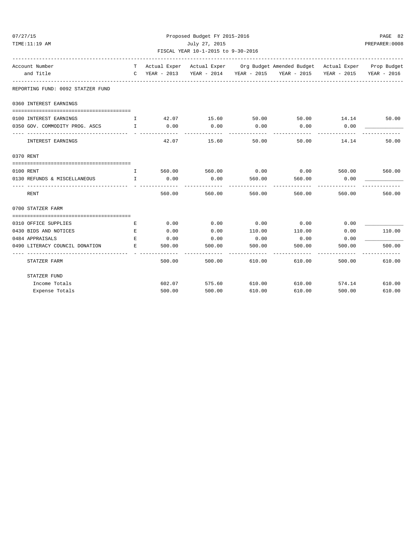| 07/27/15                                         | Proposed Budget FY 2015-2016 |                                                                       |                     |               |                                                                                |                      |                   |  |  |  |
|--------------------------------------------------|------------------------------|-----------------------------------------------------------------------|---------------------|---------------|--------------------------------------------------------------------------------|----------------------|-------------------|--|--|--|
| TIME:11:19 AM<br>July 27, 2015<br>PREPARER: 0008 |                              |                                                                       |                     |               |                                                                                |                      |                   |  |  |  |
|                                                  |                              | FISCAL YEAR 10-1-2015 to 9-30-2016<br>------------------------------- |                     |               |                                                                                |                      |                   |  |  |  |
| Account Number                                   |                              |                                                                       |                     |               | T Actual Exper Actual Exper Org Budget Amended Budget Actual Exper Prop Budget |                      |                   |  |  |  |
| and Title                                        |                              |                                                                       |                     |               | C YEAR - 2013 YEAR - 2014 YEAR - 2015 YEAR - 2015 YEAR - 2015                  |                      | YEAR - 2016       |  |  |  |
| REPORTING FUND: 0092 STATZER FUND                |                              |                                                                       |                     |               |                                                                                |                      |                   |  |  |  |
| 0360 INTEREST EARNINGS                           |                              |                                                                       |                     |               |                                                                                |                      |                   |  |  |  |
| 0100 INTEREST EARNINGS                           | $\mathbf{I}$                 | 42.07                                                                 | 15.60               |               | 50.00 50.00 14.14                                                              |                      | 50.00             |  |  |  |
| 0350 GOV. COMMODITY PROG. ASCS I                 |                              | 0.00                                                                  | 0.00                | 0.00          | 0.00                                                                           | 0.00                 |                   |  |  |  |
| INTEREST EARNINGS                                |                              | 42.07                                                                 | 15.60               | 50.00         | 50.00                                                                          | 14.14                | 50.00             |  |  |  |
| 0370 RENT                                        |                              |                                                                       |                     |               |                                                                                |                      |                   |  |  |  |
|                                                  |                              |                                                                       |                     |               |                                                                                |                      |                   |  |  |  |
| 0100 RENT                                        | I.                           |                                                                       | 560.00 560.00       | 0.00          |                                                                                | $0.00$ 560.00        | 560.00            |  |  |  |
| 0130 REFUNDS & MISCELLANEOUS I                   |                              | 0.00<br>---------                                                     | 0.00<br>----------- | 560.00        | 560.00<br>-----------                                                          | 0.00<br>------------ |                   |  |  |  |
| RENT                                             |                              | 560.00                                                                | 560.00              | 560.00        | 560.00                                                                         | 560.00               | 560.00            |  |  |  |
| 0700 STATZER FARM                                |                              |                                                                       |                     |               |                                                                                |                      |                   |  |  |  |
|                                                  |                              |                                                                       |                     |               |                                                                                |                      |                   |  |  |  |
| 0310 OFFICE SUPPLIES                             | E.                           | 0.00                                                                  | 0.00                | 0.00          | 0.00                                                                           | 0.00                 |                   |  |  |  |
| 0430 BIDS AND NOTICES                            | Е                            | 0.00                                                                  | 0.00                | 110.00        | 110.00                                                                         | 0.00                 | 110.00            |  |  |  |
| 0484 APPRAISALS                                  | E                            | 0.00                                                                  | 0.00                | 0.00          | 0.00                                                                           | 0.00                 |                   |  |  |  |
| 0490 LITERACY COUNCIL DONATION                   | E                            | 500.00                                                                | 500.00              | 500.00        | 500.00                                                                         | 500.00               | 500.00<br>------- |  |  |  |
| STATZER FARM                                     |                              | 500.00                                                                | 500.00              | 610.00        | 610.00                                                                         | 500.00               | 610.00            |  |  |  |
| STATZER FUND                                     |                              |                                                                       |                     |               |                                                                                |                      |                   |  |  |  |
| Income Totals                                    |                              | 602.07                                                                |                     | 575.60 610.00 | 610.00                                                                         |                      | 574.14 610.00     |  |  |  |
| Expense Totals                                   |                              | 500.00                                                                | 500.00              | 610.00        | 610.00                                                                         | 500.00               | 610.00            |  |  |  |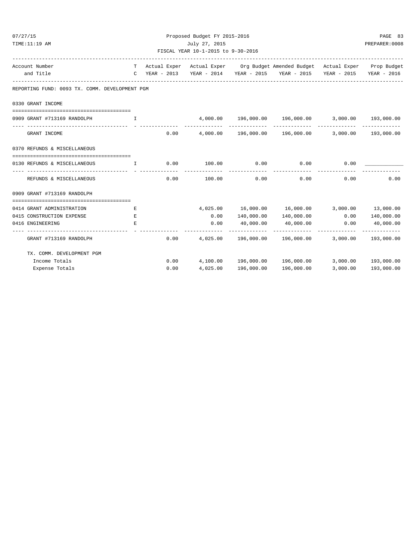| 07/27/15<br>TIME:11:19 AM                                    |   |      | Proposed Budget FY 2015-2016<br>July 27, 2015<br>FISCAL YEAR 10-1-2015 to 9-30-2016 |                            |                                                                                                                                                             |               |                           |  |  |
|--------------------------------------------------------------|---|------|-------------------------------------------------------------------------------------|----------------------------|-------------------------------------------------------------------------------------------------------------------------------------------------------------|---------------|---------------------------|--|--|
| Account Number<br>and Title                                  |   |      |                                                                                     |                            | T Actual Exper Actual Exper Org Budget Amended Budget Actual Exper Prop Budget<br>C YEAR - 2013 YEAR - 2014 YEAR - 2015 YEAR - 2015 YEAR - 2015 YEAR - 2016 |               |                           |  |  |
| REPORTING FUND: 0093 TX. COMM. DEVELOPMENT PGM               |   |      |                                                                                     |                            |                                                                                                                                                             |               |                           |  |  |
| 0330 GRANT INCOME                                            |   |      |                                                                                     |                            |                                                                                                                                                             |               |                           |  |  |
| 0909 GRANT #713169 RANDOLPH<br>$\mathbf{I}$ and $\mathbf{I}$ |   |      |                                                                                     |                            | $4,000.00$ $196,000.00$ $196,000.00$ $3,000.00$ $193,000.00$                                                                                                |               |                           |  |  |
| GRANT INCOME                                                 |   | 0.00 |                                                                                     |                            | 4,000.00  196,000.00  196,000.00  3,000.00  193,000.00                                                                                                      |               |                           |  |  |
| 0370 REFUNDS & MISCELLANEOUS                                 |   |      |                                                                                     |                            |                                                                                                                                                             |               |                           |  |  |
| 0130 REFUNDS & MISCELLANEOUS<br>$\mathbf{T}$                 |   |      | $0.00$ 100.00 0.00                                                                  |                            | 0.00                                                                                                                                                        | 0.00          |                           |  |  |
| REFUNDS & MISCELLANEOUS                                      |   | 0.00 | -------------<br>100.00                                                             | -------------<br>0.00      | 0.00                                                                                                                                                        | 0.00          | 0.00                      |  |  |
| 0909 GRANT #713169 RANDOLPH                                  |   |      |                                                                                     |                            |                                                                                                                                                             |               |                           |  |  |
|                                                              |   |      |                                                                                     |                            |                                                                                                                                                             |               |                           |  |  |
| 0414 GRANT ADMINISTRATION                                    | Е |      |                                                                                     |                            | 4,025.00  16,000.00  16,000.00  3,000.00  13,000.00                                                                                                         |               |                           |  |  |
| 0415 CONSTRUCTION EXPENSE                                    | Е |      |                                                                                     |                            | $0.00$ $140,000.00$ $140,000.00$ $0.00$ $140,000.00$                                                                                                        |               |                           |  |  |
| 0416 ENGINEERING<br>----------------------------             | E |      | 0.00                                                                                | 40,000.00<br>------------- | 40,000.00<br>. <u>.</u> .                                                                                                                                   | 0.00          | 40,000.00<br>------------ |  |  |
| GRANT #713169 RANDOLPH                                       |   | 0.00 |                                                                                     |                            | 4,025.00  196,000.00  196,000.00  3,000.00  193,000.00                                                                                                      | ------------- |                           |  |  |
| TX. COMM. DEVELOPMENT PGM                                    |   |      |                                                                                     |                            |                                                                                                                                                             |               |                           |  |  |
| Income Totals                                                |   |      |                                                                                     |                            | $0.00$ 4,100.00 196,000.00 196,000.00 3,000.00 193,000.00                                                                                                   |               |                           |  |  |
| Expense Totals                                               |   | 0.00 | 4,025.00                                                                            | 196,000.00                 | 196,000.00                                                                                                                                                  | 3,000.00      | 193,000.00                |  |  |